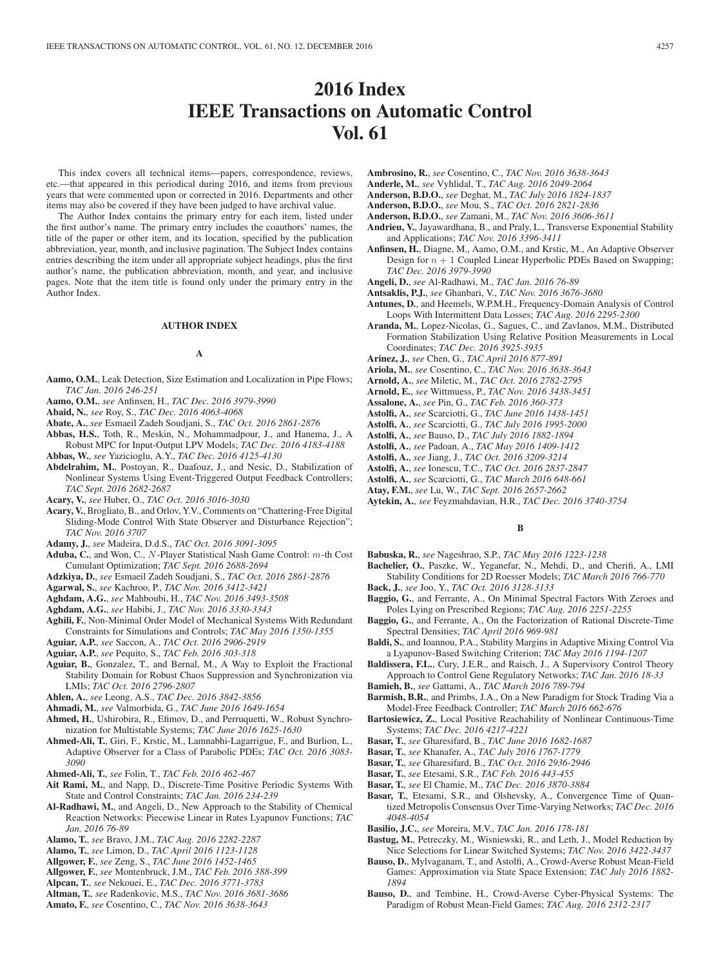# **2016 Index IEEE Transactions on Automatic Control Vol. 61**

This index covers all technical items—papers, correspondence, reviews, etc.—that appeared in this periodical during 2016, and items from previous years that were commented upon or corrected in 2016. Departments and other items may also be covered if they have been judged to have archival value.

The Author Index contains the primary entry for each item, listed under the first author's name. The primary entry includes the coauthors' names, the title of the paper or other item, and its location, specified by the publication abbreviation, year, month, and inclusive pagination. The Subject Index contains entries describing the item under all appropriate subject headings, plus the first author's name, the publication abbreviation, month, and year, and inclusive pages. Note that the item title is found only under the primary entry in the Author Index.

# **AUTHOR INDEX**

#### **A**

- **Aamo, O.M.**, Leak Detection, Size Estimation and Localization in Pipe Flows; *TAC Jan. 2016 246-251*
- **Aamo, O.M.**, *see* Anfinsen, H., *TAC Dec. 2016 3979-3990*
- **Abaid, N.**, *see* Roy, S., *TAC Dec. 2016 4063-4068*
- **Abate, A.**, *see* Esmaeil Zadeh Soudjani, S., *TAC Oct. 2016 2861-2876*
- **Abbas, H.S.**, Toth, R., Meskin, N., Mohammadpour, J., and Hanema, J., A Robust MPC for Input-Output LPV Models; *TAC Dec. 2016 4183-4188*
- **Abbas, W.**, *see* Yazicioglu, A.Y., *TAC Dec. 2016 4125-4130*
- **Abdelrahim, M.**, Postoyan, R., Daafouz, J., and Nesic, D., Stabilization of Nonlinear Systems Using Event-Triggered Output Feedback Controllers; *TAC Sept. 2016 2682-2687*

**Acary, V.**, *see* Huber, O., *TAC Oct. 2016 3016-3030*

**Acary, V.**, Brogliato, B., and Orlov, Y.V., Comments on "Chattering-Free Digital Sliding-Mode Control With State Observer and Disturbance Rejection"; *TAC Nov. 2016 3707*

**Adamy, J.**, *see* Madeira, D.d.S., *TAC Oct. 2016 3091-3095*

- **Aduba, C.**, and Won, C., N -Player Statistical Nash Game Control: m-th Cost Cumulant Optimization; *TAC Sept. 2016 2688-2694*
- **Adzkiya, D.**, *see* Esmaeil Zadeh Soudjani, S., *TAC Oct. 2016 2861-2876*
- **Agarwal, S.**, *see* Kachroo, P., *TAC Nov. 2016 3412-3421*
- **Aghdam, A.G.**, *see* Mahboubi, H., *TAC Nov. 2016 3493-3508*
- **Aghdam, A.G.**, *see* Habibi, J., *TAC Nov. 2016 3330-3343*
- **Aghili, F.**, Non-Minimal Order Model of Mechanical Systems With Redundant Constraints for Simulations and Controls; *TAC May 2016 1350-1355*
- **Aguiar, A.P.**, *see* Saccon, A., *TAC Oct. 2016 2906-2919*
- **Aguiar, A.P.**, *see* Pequito, S., *TAC Feb. 2016 303-318*
- **Aguiar, B.**, Gonzalez, T., and Bernal, M., A Way to Exploit the Fractional Stability Domain for Robust Chaos Suppression and Synchronization via LMIs; *TAC Oct. 2016 2796-2807*
- **Ahlen, A.**, *see* Leong, A.S., *TAC Dec. 2016 3842-3856*
- **Ahmadi, M.**, *see* Valmorbida, G., *TAC June 2016 1649-1654*
- **Ahmed, H.**, Ushirobira, R., Efimov, D., and Perruquetti, W., Robust Synchronization for Multistable Systems; *TAC June 2016 1625-1630*
- **Ahmed-Ali, T.**, Giri, F., Krstic, M., Lamnabhi-Lagarrigue, F., and Burlion, L., Adaptive Observer for a Class of Parabolic PDEs; *TAC Oct. 2016 3083- 3090*
- **Ahmed-Ali, T.**, *see* Folin, T., *TAC Feb. 2016 462-467*
- **Ait Rami, M.**, and Napp, D., Discrete-Time Positive Periodic Systems With State and Control Constraints; *TAC Jan. 2016 234-239*
- **Al-Radhawi, M.**, and Angeli, D., New Approach to the Stability of Chemical Reaction Networks: Piecewise Linear in Rates Lyapunov Functions; *TAC Jan. 2016 76-89*
- **Alamo, T.**, *see* Bravo, J.M., *TAC Aug. 2016 2282-2287*
- **Alamo, T.**, *see* Limon, D., *TAC April 2016 1123-1128*
- **Allgower, F.**, *see* Zeng, S., *TAC June 2016 1452-1465*
- **Allgower, F.**, *see* Montenbruck, J.M., *TAC Feb. 2016 388-399*
- **Alpcan, T.**, *see* Nekouei, E., *TAC Dec. 2016 3771-3783*
- **Altman, T.**, *see* Radenkovic, M.S., *TAC Nov. 2016 3681-3686*
- **Amato, F.**, *see* Cosentino, C., *TAC Nov. 2016 3638-3643*
- **Ambrosino, R.**, *see* Cosentino, C., *TAC Nov. 2016 3638-3643*
- **Anderle, M.**, *see* Vyhlidal, T., *TAC Aug. 2016 2049-2064*
- **Anderson, B.D.O.**, *see* Deghat, M., *TAC July 2016 1824-1837*
- **Anderson, B.D.O.**, *see* Mou, S., *TAC Oct. 2016 2821-2836*
- **Anderson, B.D.O.**, *see* Zamani, M., *TAC Nov. 2016 3606-3611*
- **Andrieu, V.**, Jayawardhana, B., and Praly, L., Transverse Exponential Stability and Applications; *TAC Nov. 2016 3396-3411*
- **Anfinsen, H.**, Diagne, M., Aamo, O.M., and Krstic, M., An Adaptive Observer Design for  $n + 1$  Coupled Linear Hyperbolic PDEs Based on Swapping; *TAC Dec. 2016 3979-3990*
- **Angeli, D.**, *see* Al-Radhawi, M., *TAC Jan. 2016 76-89*
- **Antsaklis, P.J.**, *see* Ghanbari, V., *TAC Nov. 2016 3676-3680*
- **Antunes, D.**, and Heemels, W.P.M.H., Frequency-Domain Analysis of Control Loops With Intermittent Data Losses; *TAC Aug. 2016 2295-2300*
- **Aranda, M.**, Lopez-Nicolas, G., Sagues, C., and Zavlanos, M.M., Distributed Formation Stabilization Using Relative Position Measurements in Local Coordinates; *TAC Dec. 2016 3925-3935*
- **Arinez, J.**, *see* Chen, G., *TAC April 2016 877-891*
- **Ariola, M.**, *see* Cosentino, C., *TAC Nov. 2016 3638-3643*
- **Arnold, A.**, *see* Miletic, M., *TAC Oct. 2016 2782-2795*
- **Arnold, E.**, *see* Wittmuess, P., *TAC Nov. 2016 3438-3451*
- **Assalone, A.**, *see* Pin, G., *TAC Feb. 2016 360-373*
- **Astolfi, A.**, *see* Scarciotti, G., *TAC June 2016 1438-1451*
- **Astolfi, A.**, *see* Scarciotti, G., *TAC July 2016 1995-2000*
- **Astolfi, A.**, *see* Bauso, D., *TAC July 2016 1882-1894*
- **Astolfi, A.**, *see* Padoan, A., *TAC May 2016 1409-1412*
- **Astolfi, A.**, *see* Jiang, J., *TAC Oct. 2016 3209-3214*
- **Astolfi, A.**, *see* Ionescu, T.C., *TAC Oct. 2016 2837-2847*
- **Astolfi, A.**, *see* Scarciotti, G., *TAC March 2016 648-661*
- **Atay, F.M.**, *see* Lu, W., *TAC Sept. 2016 2657-2662*
- **Aytekin, A.**, *see* Feyzmahdavian, H.R., *TAC Dec. 2016 3740-3754*

# **B**

- **Babuska, R.**, *see* Nageshrao, S.P., *TAC May 2016 1223-1238*
- **Bachelier, O.**, Paszke, W., Yeganefar, N., Mehdi, D., and Cherifi, A., LMI Stability Conditions for 2D Roesser Models; *TAC March 2016 766-770*
- **Back, J.**, *see* Joo, Y., *TAC Oct. 2016 3128-3133*
- **Baggio, G.**, and Ferrante, A., On Minimal Spectral Factors With Zeroes and Poles Lying on Prescribed Regions; *TAC Aug. 2016 2251-2255*
- **Baggio, G.**, and Ferrante, A., On the Factorization of Rational Discrete-Time Spectral Densities; *TAC April 2016 969-981*
- **Baldi, S.**, and Ioannou, P.A., Stability Margins in Adaptive Mixing Control Via a Lyapunov-Based Switching Criterion; *TAC May 2016 1194-1207*
- **Baldissera, F.L.**, Cury, J.E.R., and Raisch, J., A Supervisory Control Theory Approach to Control Gene Regulatory Networks; *TAC Jan. 2016 18-33*
- **Bamieh, B.**, *see* Gattami, A., *TAC March 2016 789-794*
- **Barmish, B.R.**, and Primbs, J.A., On a New Paradigm for Stock Trading Via a Model-Free Feedback Controller; *TAC March 2016 662-676*
- **Bartosiewicz, Z.**, Local Positive Reachability of Nonlinear Continuous-Time Systems; *TAC Dec. 2016 4217-4221*
- **Basar, T.**, *see* Gharesifard, B., *TAC June 2016 1682-1687*
- **Basar, T.**, *see* Khanafer, A., *TAC July 2016 1767-1779*
- **Basar, T.**, *see* Gharesifard, B., *TAC Oct. 2016 2936-2946*
- **Basar, T.**, *see* Etesami, S.R., *TAC Feb. 2016 443-455*
- **Basar, T.**, *see* El Chamie, M., *TAC Dec. 2016 3870-3884*
- **Basar, T.**, Etesami, S.R., and Olshevsky, A., Convergence Time of Quantized Metropolis Consensus Over Time-Varying Networks; *TAC Dec. 2016 4048-4054*
- **Basilio, J.C.**, *see* Moreira, M.V., *TAC Jan. 2016 178-181*
- **Bastug, M.**, Petreczky, M., Wisniewski, R., and Leth, J., Model Reduction by Nice Selections for Linear Switched Systems; *TAC Nov. 2016 3422-3437*
- **Bauso, D.**, Mylvaganam, T., and Astolfi, A., Crowd-Averse Robust Mean-Field Games: Approximation via State Space Extension; *TAC July 2016 1882- 1894*
- **Bauso, D.**, and Tembine, H., Crowd-Averse Cyber-Physical Systems: The Paradigm of Robust Mean-Field Games; *TAC Aug. 2016 2312-2317*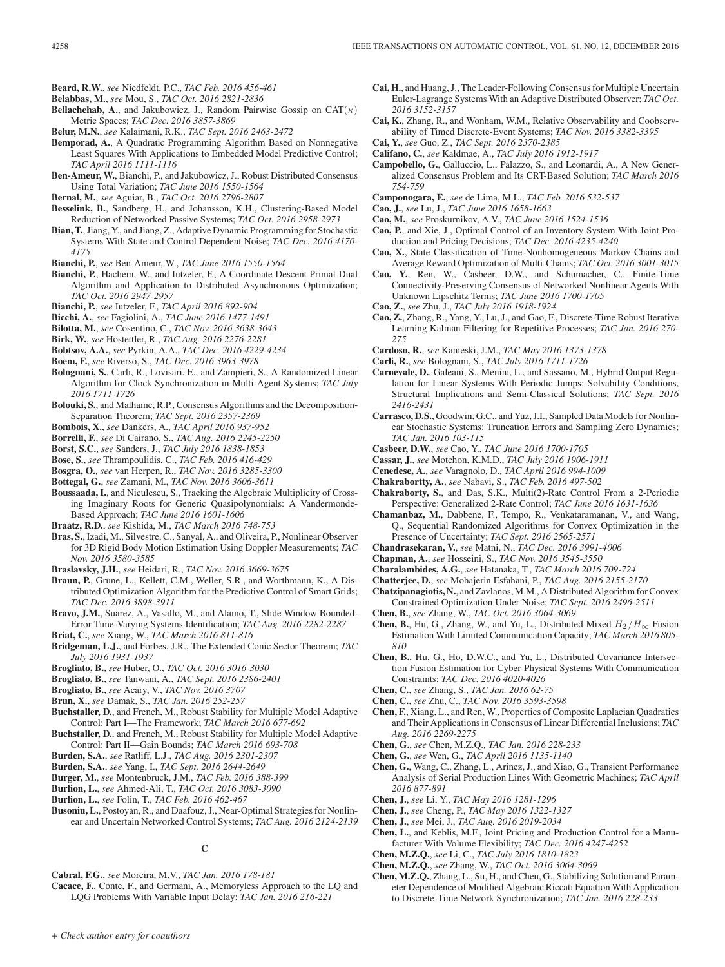- **Beard, R.W.**, *see* Niedfeldt, P.C., *TAC Feb. 2016 456-461*
- **Belabbas, M.**, *see* Mou, S., *TAC Oct. 2016 2821-2836*
- **Bellachehab, A.**, and Jakubowicz, J., Random Pairwise Gossip on  $CAT(\kappa)$ Metric Spaces; *TAC Dec. 2016 3857-3869*
- **Belur, M.N.**, *see* Kalaimani, R.K., *TAC Sept. 2016 2463-2472*
- **Bemporad, A.**, A Quadratic Programming Algorithm Based on Nonnegative Least Squares With Applications to Embedded Model Predictive Control; *TAC April 2016 1111-1116*
- **Ben-Ameur, W.**, Bianchi, P., and Jakubowicz, J., Robust Distributed Consensus Using Total Variation; *TAC June 2016 1550-1564*
- **Bernal, M.**, *see* Aguiar, B., *TAC Oct. 2016 2796-2807*
- **Besselink, B.**, Sandberg, H., and Johansson, K.H., Clustering-Based Model Reduction of Networked Passive Systems; *TAC Oct. 2016 2958-2973*
- **Bian, T.**, Jiang, Y., and Jiang, Z., Adaptive Dynamic Programming for Stochastic Systems With State and Control Dependent Noise; *TAC Dec. 2016 4170- 4175*
- **Bianchi, P.**, *see* Ben-Ameur, W., *TAC June 2016 1550-1564*
- **Bianchi, P.**, Hachem, W., and Iutzeler, F., A Coordinate Descent Primal-Dual Algorithm and Application to Distributed Asynchronous Optimization; *TAC Oct. 2016 2947-2957*
- **Bianchi, P.**, *see* Iutzeler, F., *TAC April 2016 892-904*
- **Bicchi, A.**, *see* Fagiolini, A., *TAC June 2016 1477-1491*
- **Bilotta, M.**, *see* Cosentino, C., *TAC Nov. 2016 3638-3643*
- **Birk, W.**, *see* Hostettler, R., *TAC Aug. 2016 2276-2281*
- **Bobtsov, A.A.**, *see* Pyrkin, A.A., *TAC Dec. 2016 4229-4234*
- **Boem, F.**, *see* Riverso, S., *TAC Dec. 2016 3963-3978*
- **Bolognani, S.**, Carli, R., Lovisari, E., and Zampieri, S., A Randomized Linear Algorithm for Clock Synchronization in Multi-Agent Systems; *TAC July 2016 1711-1726*
- **Bolouki, S.**, and Malhame, R.P., Consensus Algorithms and the Decomposition-Separation Theorem; *TAC Sept. 2016 2357-2369*
- **Bombois, X.**, *see* Dankers, A., *TAC April 2016 937-952*
- **Borrelli, F.**, *see* Di Cairano, S., *TAC Aug. 2016 2245-2250*
- **Borst, S.C.**, *see* Sanders, J., *TAC July 2016 1838-1853*
- **Bose, S.**, *see* Thrampoulidis, C., *TAC Feb. 2016 416-429*
- **Bosgra, O.**, *see* van Herpen, R., *TAC Nov. 2016 3285-3300*
- **Bottegal, G.**, *see* Zamani, M., *TAC Nov. 2016 3606-3611*
- **Boussaada, I.**, and Niculescu, S., Tracking the Algebraic Multiplicity of Crossing Imaginary Roots for Generic Quasipolynomials: A Vandermonde-Based Approach; *TAC June 2016 1601-1606*
- **Braatz, R.D.**, *see* Kishida, M., *TAC March 2016 748-753*
- **Bras, S.**, Izadi, M., Silvestre, C., Sanyal, A., and Oliveira, P., Nonlinear Observer for 3D Rigid Body Motion Estimation Using Doppler Measurements; *TAC Nov. 2016 3580-3585*
- **Braslavsky, J.H.**, *see* Heidari, R., *TAC Nov. 2016 3669-3675*
- **Braun, P.**, Grune, L., Kellett, C.M., Weller, S.R., and Worthmann, K., A Distributed Optimization Algorithm for the Predictive Control of Smart Grids; *TAC Dec. 2016 3898-3911*
- **Bravo, J.M.**, Suarez, A., Vasallo, M., and Alamo, T., Slide Window Bounded-Error Time-Varying Systems Identification; *TAC Aug. 2016 2282-2287*
- **Briat, C.**, *see* Xiang, W., *TAC March 2016 811-816*
- **Bridgeman, L.J.**, and Forbes, J.R., The Extended Conic Sector Theorem; *TAC July 2016 1931-1937*
- **Brogliato, B.**, *see* Huber, O., *TAC Oct. 2016 3016-3030*
- **Brogliato, B.**, *see* Tanwani, A., *TAC Sept. 2016 2386-2401*
- **Brogliato, B.**, *see* Acary, V., *TAC Nov. 2016 3707*
- **Brun, X.**, *see* Damak, S., *TAC Jan. 2016 252-257*
- **Buchstaller, D.**, and French, M., Robust Stability for Multiple Model Adaptive Control: Part I—The Framework; *TAC March 2016 677-692*
- **Buchstaller, D.**, and French, M., Robust Stability for Multiple Model Adaptive Control: Part II—Gain Bounds; *TAC March 2016 693-708*
- **Burden, S.A.**, *see* Ratliff, L.J., *TAC Aug. 2016 2301-2307*
- **Burden, S.A.**, *see* Yang, I., *TAC Sept. 2016 2644-2649*
- **Burger, M.**, *see* Montenbruck, J.M., *TAC Feb. 2016 388-399*
- **Burlion, L.**, *see* Ahmed-Ali, T., *TAC Oct. 2016 3083-3090*
- **Burlion, L.**, *see* Folin, T., *TAC Feb. 2016 462-467*
- **Busoniu, L.**, Postoyan, R., and Daafouz, J., Near-Optimal Strategies for Nonlinear and Uncertain Networked Control Systems; *TAC Aug. 2016 2124-2139*

**C**

- **Cabral, F.G.**, *see* Moreira, M.V., *TAC Jan. 2016 178-181*
- **Cacace, F.**, Conte, F., and Germani, A., Memoryless Approach to the LQ and LQG Problems With Variable Input Delay; *TAC Jan. 2016 216-221*
- **Cai, H.**, and Huang, J., The Leader-Following Consensus for Multiple Uncertain Euler-Lagrange Systems With an Adaptive Distributed Observer; *TAC Oct. 2016 3152-3157*
- **Cai, K.**, Zhang, R., and Wonham, W.M., Relative Observability and Coobservability of Timed Discrete-Event Systems; *TAC Nov. 2016 3382-3395*
- **Cai, Y.**, *see* Guo, Z., *TAC Sept. 2016 2370-2385*
- **Califano, C.**, *see* Kaldmae, A., *TAC July 2016 1912-1917*
- **Campobello, G.**, Galluccio, L., Palazzo, S., and Leonardi, A., A New Generalized Consensus Problem and Its CRT-Based Solution; *TAC March 2016 754-759*
- **Camponogara, E.**, *see* de Lima, M.L., *TAC Feb. 2016 532-537*
- **Cao, J.**, *see* Lu, J., *TAC June 2016 1658-1663*
- **Cao, M.**, *see* Proskurnikov, A.V., *TAC June 2016 1524-1536*
- **Cao, P.**, and Xie, J., Optimal Control of an Inventory System With Joint Production and Pricing Decisions; *TAC Dec. 2016 4235-4240*
- **Cao, X.**, State Classification of Time-Nonhomogeneous Markov Chains and Average Reward Optimization of Multi-Chains; *TAC Oct. 2016 3001-3015*
- **Cao, Y.**, Ren, W., Casbeer, D.W., and Schumacher, C., Finite-Time Connectivity-Preserving Consensus of Networked Nonlinear Agents With Unknown Lipschitz Terms; *TAC June 2016 1700-1705*
- **Cao, Z.**, *see* Zhu, J., *TAC July 2016 1918-1924*
- **Cao, Z.**, Zhang, R., Yang, Y., Lu, J., and Gao, F., Discrete-Time Robust Iterative Learning Kalman Filtering for Repetitive Processes; *TAC Jan. 2016 270- 275*
- **Cardoso, R.**, *see* Kanieski, J.M., *TAC May 2016 1373-1378*
- **Carli, R.**, *see* Bolognani, S., *TAC July 2016 1711-1726*
- **Carnevale, D.**, Galeani, S., Menini, L., and Sassano, M., Hybrid Output Regulation for Linear Systems With Periodic Jumps: Solvability Conditions, Structural Implications and Semi-Classical Solutions; *TAC Sept. 2016 2416-2431*
- **Carrasco, D.S.**, Goodwin, G.C., and Yuz, J.I., Sampled Data Models for Nonlinear Stochastic Systems: Truncation Errors and Sampling Zero Dynamics; *TAC Jan. 2016 103-115*
- **Casbeer, D.W.**, *see* Cao, Y., *TAC June 2016 1700-1705*
- **Cassar, J.**, *see* Motchon, K.M.D., *TAC July 2016 1906-1911*
- **Cenedese, A.**, *see* Varagnolo, D., *TAC April 2016 994-1009*
- **Chakrabortty, A.**, *see* Nabavi, S., *TAC Feb. 2016 497-502*
- **Chakraborty, S.**, and Das, S.K., Multi(2)-Rate Control From a 2-Periodic Perspective: Generalized 2-Rate Control; *TAC June 2016 1631-1636*
- **Chamanbaz, M.**, Dabbene, F., Tempo, R., Venkataramanan, V., and Wang, Q., Sequential Randomized Algorithms for Convex Optimization in the Presence of Uncertainty; *TAC Sept. 2016 2565-2571*
- **Chandrasekaran, V.**, *see* Matni, N., *TAC Dec. 2016 3991-4006*
- **Chapman, A.**, *see* Hosseini, S., *TAC Nov. 2016 3545-3550*
- **Charalambides, A.G.**, *see* Hatanaka, T., *TAC March 2016 709-724*
- **Chatterjee, D.**, *see* Mohajerin Esfahani, P., *TAC Aug. 2016 2155-2170*
- **Chatzipanagiotis, N.**, and Zavlanos, M.M., A Distributed Algorithm for Convex Constrained Optimization Under Noise; *TAC Sept. 2016 2496-2511*
- **Chen, B.**, *see* Zhang, W., *TAC Oct. 2016 3064-3069*
- **Chen, B.**, Hu, G., Zhang, W., and Yu, L., Distributed Mixed  $H_2/H_{\infty}$  Fusion Estimation With Limited Communication Capacity; *TAC March 2016 805- 810*
- **Chen, B.**, Hu, G., Ho, D.W.C., and Yu, L., Distributed Covariance Intersection Fusion Estimation for Cyber-Physical Systems With Communication Constraints; *TAC Dec. 2016 4020-4026*
- **Chen, C.**, *see* Zhang, S., *TAC Jan. 2016 62-75*
- **Chen, C.**, *see* Zhu, C., *TAC Nov. 2016 3593-3598*
- **Chen, F.**, Xiang, L., and Ren, W., Properties of Composite Laplacian Quadratics and Their Applications in Consensus of Linear Differential Inclusions; *TAC Aug. 2016 2269-2275*
- **Chen, G.**, *see* Chen, M.Z.Q., *TAC Jan. 2016 228-233*
- **Chen, G.**, *see* Wen, G., *TAC April 2016 1135-1140*
- **Chen, G.**, Wang, C., Zhang, L., Arinez, J., and Xiao, G., Transient Performance Analysis of Serial Production Lines With Geometric Machines; *TAC April 2016 877-891*
- **Chen, J.**, *see* Li, Y., *TAC May 2016 1281-1296*
- **Chen, J.**, *see* Cheng, P., *TAC May 2016 1322-1327*
- **Chen, J.**, *see* Mei, J., *TAC Aug. 2016 2019-2034*
- **Chen, L.**, and Keblis, M.F., Joint Pricing and Production Control for a Manufacturer With Volume Flexibility; *TAC Dec. 2016 4247-4252*
- **Chen, M.Z.Q.**, *see* Li, C., *TAC July 2016 1810-1823*
- **Chen, M.Z.Q.**, *see* Zhang, W., *TAC Oct. 2016 3064-3069*
- **Chen, M.Z.Q.**, Zhang, L., Su, H., and Chen, G., Stabilizing Solution and Parameter Dependence of Modified Algebraic Riccati Equation With Application to Discrete-Time Network Synchronization; *TAC Jan. 2016 228-233*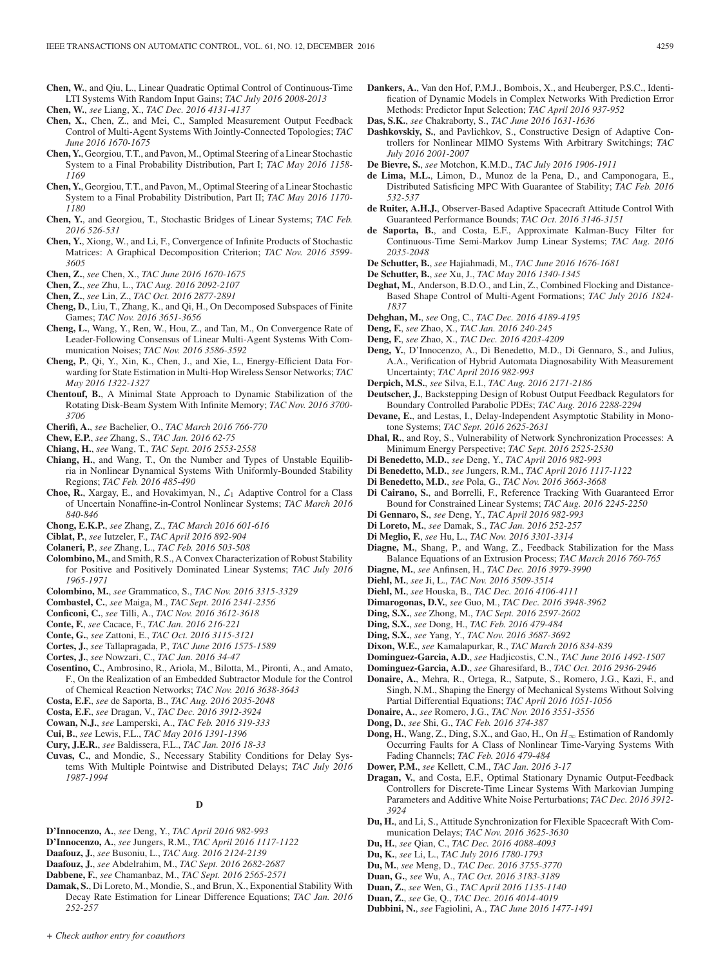- **Chen, W.**, and Qiu, L., Linear Quadratic Optimal Control of Continuous-Time LTI Systems With Random Input Gains; *TAC July 2016 2008-2013*
- **Chen, W.**, *see* Liang, X., *TAC Dec. 2016 4131-4137*
- **Chen, X.**, Chen, Z., and Mei, C., Sampled Measurement Output Feedback Control of Multi-Agent Systems With Jointly-Connected Topologies; *TAC June 2016 1670-1675*
- **Chen, Y.**, Georgiou, T.T., and Pavon, M., Optimal Steering of a Linear Stochastic System to a Final Probability Distribution, Part I; *TAC May 2016 1158- 1169*
- **Chen, Y.**, Georgiou, T.T., and Pavon, M., Optimal Steering of a Linear Stochastic System to a Final Probability Distribution, Part II; *TAC May 2016 1170- 1180*
- **Chen, Y.**, and Georgiou, T., Stochastic Bridges of Linear Systems; *TAC Feb. 2016 526-531*
- **Chen, Y.**, Xiong, W., and Li, F., Convergence of Infinite Products of Stochastic Matrices: A Graphical Decomposition Criterion; *TAC Nov. 2016 3599- 3605*
- **Chen, Z.**, *see* Chen, X., *TAC June 2016 1670-1675*
- **Chen, Z.**, *see* Zhu, L., *TAC Aug. 2016 2092-2107*
- **Chen, Z.**, *see* Lin, Z., *TAC Oct. 2016 2877-2891*
- **Cheng, D.**, Liu, T., Zhang, K., and Qi, H., On Decomposed Subspaces of Finite Games; *TAC Nov. 2016 3651-3656*
- **Cheng, L.**, Wang, Y., Ren, W., Hou, Z., and Tan, M., On Convergence Rate of Leader-Following Consensus of Linear Multi-Agent Systems With Communication Noises; *TAC Nov. 2016 3586-3592*
- **Cheng, P.**, Qi, Y., Xin, K., Chen, J., and Xie, L., Energy-Efficient Data Forwarding for State Estimation in Multi-Hop Wireless Sensor Networks; *TAC May 2016 1322-1327*
- **Chentouf, B.**, A Minimal State Approach to Dynamic Stabilization of the Rotating Disk-Beam System With Infinite Memory; *TAC Nov. 2016 3700- 3706*
- **Cherifi, A.**, *see* Bachelier, O., *TAC March 2016 766-770*
- **Chew, E.P.**, *see* Zhang, S., *TAC Jan. 2016 62-75*
- **Chiang, H.**, *see* Wang, T., *TAC Sept. 2016 2553-2558*
- **Chiang, H.**, and Wang, T., On the Number and Types of Unstable Equilibria in Nonlinear Dynamical Systems With Uniformly-Bounded Stability Regions; *TAC Feb. 2016 485-490*
- **Choe, R.**, Xargay, E., and Hovakimyan, N.,  $\mathcal{L}_1$  Adaptive Control for a Class of Uncertain Nonaffine-in-Control Nonlinear Systems; *TAC March 2016 840-846*
- **Chong, E.K.P.**, *see* Zhang, Z., *TAC March 2016 601-616*
- **Ciblat, P.**, *see* Iutzeler, F., *TAC April 2016 892-904*
- **Colaneri, P.**, *see* Zhang, L., *TAC Feb. 2016 503-508*
- **Colombino, M.**, and Smith, R.S., A Convex Characterization of Robust Stability for Positive and Positively Dominated Linear Systems; *TAC July 2016 1965-1971*
- **Colombino, M.**, *see* Grammatico, S., *TAC Nov. 2016 3315-3329*
- **Combastel, C.**, *see* Maiga, M., *TAC Sept. 2016 2341-2356*
- **Conficoni, C.**, *see* Tilli, A., *TAC Nov. 2016 3612-3618*
- **Conte, F.**, *see* Cacace, F., *TAC Jan. 2016 216-221*
- **Conte, G.**, *see* Zattoni, E., *TAC Oct. 2016 3115-3121*
- **Cortes, J.**, *see* Tallapragada, P., *TAC June 2016 1575-1589*
- **Cortes, J.**, *see* Nowzari, C., *TAC Jan. 2016 34-47*
- **Cosentino, C.**, Ambrosino, R., Ariola, M., Bilotta, M., Pironti, A., and Amato, F., On the Realization of an Embedded Subtractor Module for the Control of Chemical Reaction Networks; *TAC Nov. 2016 3638-3643*
- **Costa, E.F.**, *see* de Saporta, B., *TAC Aug. 2016 2035-2048*
- **Costa, E.F.**, *see* Dragan, V., *TAC Dec. 2016 3912-3924*
- **Cowan, N.J.**, *see* Lamperski, A., *TAC Feb. 2016 319-333*
- **Cui, B.**, *see* Lewis, F.L., *TAC May 2016 1391-1396*
- **Cury, J.E.R.**, *see* Baldissera, F.L., *TAC Jan. 2016 18-33*
- **Cuvas, C.**, and Mondie, S., Necessary Stability Conditions for Delay Systems With Multiple Pointwise and Distributed Delays; *TAC July 2016 1987-1994*

# **D**

- **D'Innocenzo, A.**, *see* Deng, Y., *TAC April 2016 982-993*
- **D'Innocenzo, A.**, *see* Jungers, R.M., *TAC April 2016 1117-1122*
- **Daafouz, J.**, *see* Busoniu, L., *TAC Aug. 2016 2124-2139*
- **Daafouz, J.**, *see* Abdelrahim, M., *TAC Sept. 2016 2682-2687*
- **Dabbene, F.**, *see* Chamanbaz, M., *TAC Sept. 2016 2565-2571*
- **Damak, S.**, Di Loreto, M., Mondie, S., and Brun, X., Exponential Stability With Decay Rate Estimation for Linear Difference Equations; *TAC Jan. 2016 252-257*
- **Dankers, A.**, Van den Hof, P.M.J., Bombois, X., and Heuberger, P.S.C., Identification of Dynamic Models in Complex Networks With Prediction Error Methods: Predictor Input Selection; *TAC April 2016 937-952*
- **Das, S.K.**, *see* Chakraborty, S., *TAC June 2016 1631-1636*
- trollers for Nonlinear MIMO Systems With Arbitrary Switchings; *TAC July 2016 2001-2007*
- **De Bievre, S.**, *see* Motchon, K.M.D., *TAC July 2016 1906-1911*
- **de Lima, M.L.**, Limon, D., Munoz de la Pena, D., and Camponogara, E., Distributed Satisficing MPC With Guarantee of Stability; *TAC Feb. 2016 532-537*
- **de Ruiter, A.H.J.**, Observer-Based Adaptive Spacecraft Attitude Control With Guaranteed Performance Bounds; *TAC Oct. 2016 3146-3151*
- **de Saporta, B.**, and Costa, E.F., Approximate Kalman-Bucy Filter for Continuous-Time Semi-Markov Jump Linear Systems; *TAC Aug. 2016 2035-2048*
- **De Schutter, B.**, *see* Hajiahmadi, M., *TAC June 2016 1676-1681*
- **De Schutter, B.**, *see* Xu, J., *TAC May 2016 1340-1345*
- **Deghat, M.**, Anderson, B.D.O., and Lin, Z., Combined Flocking and Distance-Based Shape Control of Multi-Agent Formations; *TAC July 2016 1824- 1837*
- **Dehghan, M.**, *see* Ong, C., *TAC Dec. 2016 4189-4195*
- **Deng, F.**, *see* Zhao, X., *TAC Jan. 2016 240-245*
- **Deng, F.**, *see* Zhao, X., *TAC Dec. 2016 4203-4209*
- **Deng, Y.**, D'Innocenzo, A., Di Benedetto, M.D., Di Gennaro, S., and Julius, A.A., Verification of Hybrid Automata Diagnosability With Measurement Uncertainty; *TAC April 2016 982-993*
- **Derpich, M.S.**, *see* Silva, E.I., *TAC Aug. 2016 2171-2186*
- **Deutscher, J.**, Backstepping Design of Robust Output Feedback Regulators for Boundary Controlled Parabolic PDEs; *TAC Aug. 2016 2288-2294*
- **Devane, E.**, and Lestas, I., Delay-Independent Asymptotic Stability in Monotone Systems; *TAC Sept. 2016 2625-2631*
- **Dhal, R.**, and Roy, S., Vulnerability of Network Synchronization Processes: A Minimum Energy Perspective; *TAC Sept. 2016 2525-2530*
- **Di Benedetto, M.D.**, *see* Deng, Y., *TAC April 2016 982-993*
- **Di Benedetto, M.D.**, *see* Jungers, R.M., *TAC April 2016 1117-1122*
- **Di Benedetto, M.D.**, *see* Pola, G., *TAC Nov. 2016 3663-3668*
- **Di Cairano, S.**, and Borrelli, F., Reference Tracking With Guaranteed Error Bound for Constrained Linear Systems; *TAC Aug. 2016 2245-2250*
- **Di Gennaro, S.**, *see* Deng, Y., *TAC April 2016 982-993*
- **Di Loreto, M.**, *see* Damak, S., *TAC Jan. 2016 252-257*
- **Di Meglio, F.**, *see* Hu, L., *TAC Nov. 2016 3301-3314*
- **Diagne, M.**, Shang, P., and Wang, Z., Feedback Stabilization for the Mass Balance Equations of an Extrusion Process; *TAC March 2016 760-765*
- **Diagne, M.**, *see* Anfinsen, H., *TAC Dec. 2016 3979-3990*
- **Diehl, M.**, *see* Ji, L., *TAC Nov. 2016 3509-3514*
- **Diehl, M.**, *see* Houska, B., *TAC Dec. 2016 4106-4111*
- **Dimarogonas, D.V.**, *see* Guo, M., *TAC Dec. 2016 3948-3962*
- **Ding, S.X.**, *see* Zhong, M., *TAC Sept. 2016 2597-2602*
- **Ding, S.X.**, *see* Dong, H., *TAC Feb. 2016 479-484*
- **Ding, S.X.**, *see* Yang, Y., *TAC Nov. 2016 3687-3692*
- **Dixon, W.E.**, *see* Kamalapurkar, R., *TAC March 2016 834-839*
- **Dominguez-Garcia, A.D.**, *see* Hadjicostis, C.N., *TAC June 2016 1492-1507*
- **Dominguez-Garcia, A.D.**, *see* Gharesifard, B., *TAC Oct. 2016 2936-2946*
- **Donaire, A.**, Mehra, R., Ortega, R., Satpute, S., Romero, J.G., Kazi, F., and Singh, N.M., Shaping the Energy of Mechanical Systems Without Solving Partial Differential Equations; *TAC April 2016 1051-1056*
- **Donaire, A.**, *see* Romero, J.G., *TAC Nov. 2016 3551-3556*
- **Dong, D.**, *see* Shi, G., *TAC Feb. 2016 374-387*
- **Dong, H.**, Wang, Z., Ding, S.X., and Gao, H., On  $H_{\infty}$  Estimation of Randomly Occurring Faults for A Class of Nonlinear Time-Varying Systems With Fading Channels; *TAC Feb. 2016 479-484*
- **Dower, P.M.**, *see* Kellett, C.M., *TAC Jan. 2016 3-17*
- **Dragan, V.**, and Costa, E.F., Optimal Stationary Dynamic Output-Feedback Controllers for Discrete-Time Linear Systems With Markovian Jumping Parameters and Additive White Noise Perturbations; *TAC Dec. 2016 3912- 3924*
- **Du, H.**, and Li, S., Attitude Synchronization for Flexible Spacecraft With Communication Delays; *TAC Nov. 2016 3625-3630*
- **Du, H.**, *see* Qian, C., *TAC Dec. 2016 4088-4093*
- **Du, K.**, *see* Li, L., *TAC July 2016 1780-1793*
- **Du, M.**, *see* Meng, D., *TAC Dec. 2016 3755-3770*
- **Duan, G.**, *see* Wu, A., *TAC Oct. 2016 3183-3189*
- **Duan, Z.**, *see* Wen, G., *TAC April 2016 1135-1140*
- **Duan, Z.**, *see* Ge, Q., *TAC Dec. 2016 4014-4019*
- **Dubbini, N.**, *see* Fagiolini, A., *TAC June 2016 1477-1491*

**Dashkovskiy, S.**, and Pavlichkov, S., Constructive Design of Adaptive Con-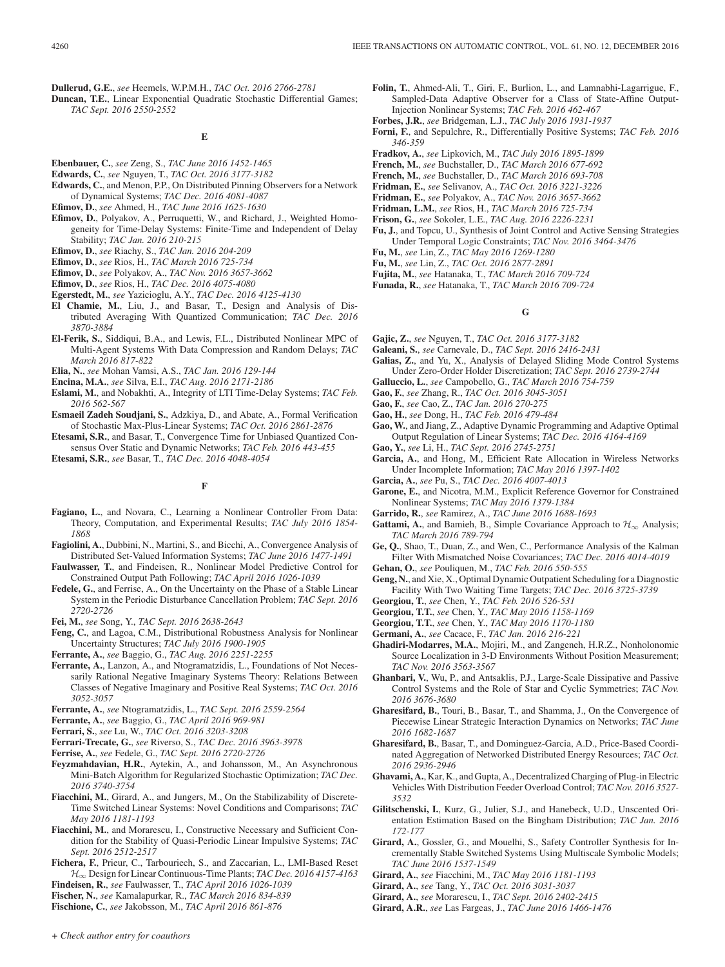**Dullerud, G.E.**, *see* Heemels, W.P.M.H., *TAC Oct. 2016 2766-2781*

**Duncan, T.E.**, Linear Exponential Quadratic Stochastic Differential Games; *TAC Sept. 2016 2550-2552*

**E**

- **Ebenbauer, C.**, *see* Zeng, S., *TAC June 2016 1452-1465*
- **Edwards, C.**, *see* Nguyen, T., *TAC Oct. 2016 3177-3182*
- **Edwards, C.**, and Menon, P.P., On Distributed Pinning Observers for a Network of Dynamical Systems; *TAC Dec. 2016 4081-4087*
- **Efimov, D.**, *see* Ahmed, H., *TAC June 2016 1625-1630*
- **Efimov, D.**, Polyakov, A., Perruquetti, W., and Richard, J., Weighted Homogeneity for Time-Delay Systems: Finite-Time and Independent of Delay Stability; *TAC Jan. 2016 210-215*
- **Efimov, D.**, *see* Riachy, S., *TAC Jan. 2016 204-209*
- **Efimov, D.**, *see* Rios, H., *TAC March 2016 725-734*
- **Efimov, D.**, *see* Polyakov, A., *TAC Nov. 2016 3657-3662*
- **Efimov, D.**, *see* Rios, H., *TAC Dec. 2016 4075-4080*
- **Egerstedt, M.**, *see* Yazicioglu, A.Y., *TAC Dec. 2016 4125-4130*
- **El Chamie, M.**, Liu, J., and Basar, T., Design and Analysis of Distributed Averaging With Quantized Communication; *TAC Dec. 2016 3870-3884*
- **El-Ferik, S.**, Siddiqui, B.A., and Lewis, F.L., Distributed Nonlinear MPC of Multi-Agent Systems With Data Compression and Random Delays; *TAC March 2016 817-822*
- **Elia, N.**, *see* Mohan Vamsi, A.S., *TAC Jan. 2016 129-144*
- **Encina, M.A.**, *see* Silva, E.I., *TAC Aug. 2016 2171-2186*
- **Eslami, M.**, and Nobakhti, A., Integrity of LTI Time-Delay Systems; *TAC Feb. 2016 562-567*
- **Esmaeil Zadeh Soudjani, S.**, Adzkiya, D., and Abate, A., Formal Verification of Stochastic Max-Plus-Linear Systems; *TAC Oct. 2016 2861-2876*
- **Etesami, S.R.**, and Basar, T., Convergence Time for Unbiased Quantized Consensus Over Static and Dynamic Networks; *TAC Feb. 2016 443-455*
- **Etesami, S.R.**, *see* Basar, T., *TAC Dec. 2016 4048-4054*

# **F**

- **Fagiano, L.**, and Novara, C., Learning a Nonlinear Controller From Data: Theory, Computation, and Experimental Results; *TAC July 2016 1854- 1868*
- **Fagiolini, A.**, Dubbini, N., Martini, S., and Bicchi, A., Convergence Analysis of Distributed Set-Valued Information Systems; *TAC June 2016 1477-1491*
- **Faulwasser, T.**, and Findeisen, R., Nonlinear Model Predictive Control for Constrained Output Path Following; *TAC April 2016 1026-1039*
- **Fedele, G.**, and Ferrise, A., On the Uncertainty on the Phase of a Stable Linear System in the Periodic Disturbance Cancellation Problem; *TAC Sept. 2016 2720-2726*
- **Fei, M.**, *see* Song, Y., *TAC Sept. 2016 2638-2643*
- **Feng, C.**, and Lagoa, C.M., Distributional Robustness Analysis for Nonlinear Uncertainty Structures; *TAC July 2016 1900-1905*
- **Ferrante, A.**, *see* Baggio, G., *TAC Aug. 2016 2251-2255*
- **Ferrante, A.**, Lanzon, A., and Ntogramatzidis, L., Foundations of Not Necessarily Rational Negative Imaginary Systems Theory: Relations Between Classes of Negative Imaginary and Positive Real Systems; *TAC Oct. 2016 3052-3057*
- **Ferrante, A.**, *see* Ntogramatzidis, L., *TAC Sept. 2016 2559-2564*
- **Ferrante, A.**, *see* Baggio, G., *TAC April 2016 969-981*
- **Ferrari, S.**, *see* Lu, W., *TAC Oct. 2016 3203-3208*
- **Ferrari-Trecate, G.**, *see* Riverso, S., *TAC Dec. 2016 3963-3978*
- **Ferrise, A.**, *see* Fedele, G., *TAC Sept. 2016 2720-2726*
- **Feyzmahdavian, H.R.**, Aytekin, A., and Johansson, M., An Asynchronous Mini-Batch Algorithm for Regularized Stochastic Optimization; *TAC Dec. 2016 3740-3754*
- **Fiacchini, M.**, Girard, A., and Jungers, M., On the Stabilizability of Discrete-Time Switched Linear Systems: Novel Conditions and Comparisons; *TAC May 2016 1181-1193*
- **Fiacchini, M.**, and Morarescu, I., Constructive Necessary and Sufficient Condition for the Stability of Quasi-Periodic Linear Impulsive Systems; *TAC Sept. 2016 2512-2517*
- **Fichera, F.**, Prieur, C., Tarbouriech, S., and Zaccarian, L., LMI-Based Reset H∞ Design for Linear Continuous-Time Plants; *TAC Dec. 2016 4157-4163*
- **Findeisen, R.**, *see* Faulwasser, T., *TAC April 2016 1026-1039*
- **Fischer, N.**, *see* Kamalapurkar, R., *TAC March 2016 834-839*
- **Fischione, C.**, *see* Jakobsson, M., *TAC April 2016 861-876*
- **Folin, T.**, Ahmed-Ali, T., Giri, F., Burlion, L., and Lamnabhi-Lagarrigue, F., Sampled-Data Adaptive Observer for a Class of State-Affine Output-Injection Nonlinear Systems; *TAC Feb. 2016 462-467*
- **Forbes, J.R.**, *see* Bridgeman, L.J., *TAC July 2016 1931-1937*
- **Forni, F.**, and Sepulchre, R., Differentially Positive Systems; *TAC Feb. 2016 346-359*
- **Fradkov, A.**, *see* Lipkovich, M., *TAC July 2016 1895-1899*
- **French, M.**, *see* Buchstaller, D., *TAC March 2016 677-692*
- **French, M.**, *see* Buchstaller, D., *TAC March 2016 693-708*
- **Fridman, E.**, *see* Selivanov, A., *TAC Oct. 2016 3221-3226*
- **Fridman, E.**, *see* Polyakov, A., *TAC Nov. 2016 3657-3662*
- **Fridman, L.M.**, *see* Rios, H., *TAC March 2016 725-734*
- **Frison, G.**, *see* Sokoler, L.E., *TAC Aug. 2016 2226-2231*
- **Fu, J.**, and Topcu, U., Synthesis of Joint Control and Active Sensing Strategies Under Temporal Logic Constraints; *TAC Nov. 2016 3464-3476*
- **Fu, M.**, *see* Lin, Z., *TAC May 2016 1269-1280*
- **Fu, M.**, *see* Lin, Z., *TAC Oct. 2016 2877-2891*
- **Fujita, M.**, *see* Hatanaka, T., *TAC March 2016 709-724*
- **Funada, R.**, *see* Hatanaka, T., *TAC March 2016 709-724*

## **G**

- **Gajic, Z.**, *see* Nguyen, T., *TAC Oct. 2016 3177-3182*
- **Galeani, S.**, *see* Carnevale, D., *TAC Sept. 2016 2416-2431*
- **Galias, Z.**, and Yu, X., Analysis of Delayed Sliding Mode Control Systems Under Zero-Order Holder Discretization; *TAC Sept. 2016 2739-2744*
- **Galluccio, L.**, *see* Campobello, G., *TAC March 2016 754-759*
- **Gao, F.**, *see* Zhang, R., *TAC Oct. 2016 3045-3051*
- **Gao, F.**, *see* Cao, Z., *TAC Jan. 2016 270-275*
- **Gao, H.**, *see* Dong, H., *TAC Feb. 2016 479-484*
- **Gao, W.**, and Jiang, Z., Adaptive Dynamic Programming and Adaptive Optimal Output Regulation of Linear Systems; *TAC Dec. 2016 4164-4169*
- **Gao, Y.**, *see* Li, H., *TAC Sept. 2016 2745-2751*
- **Garcia, A.**, and Hong, M., Efficient Rate Allocation in Wireless Networks Under Incomplete Information; *TAC May 2016 1397-1402*
- **Garcia, A.**, *see* Pu, S., *TAC Dec. 2016 4007-4013*
- **Garone, E.**, and Nicotra, M.M., Explicit Reference Governor for Constrained Nonlinear Systems; *TAC May 2016 1379-1384*
- **Garrido, R.**, *see* Ramirez, A., *TAC June 2016 1688-1693*
- **Gattami, A.**, and Bamieh, B., Simple Covariance Approach to  $\mathcal{H}_{\infty}$  Analysis; *TAC March 2016 789-794*
- **Ge, Q.**, Shao, T., Duan, Z., and Wen, C., Performance Analysis of the Kalman Filter With Mismatched Noise Covariances; *TAC Dec. 2016 4014-4019*
- **Gehan, O.**, *see* Pouliquen, M., *TAC Feb. 2016 550-555*
- **Geng, N.**, and Xie, X., Optimal Dynamic Outpatient Scheduling for a Diagnostic Facility With Two Waiting Time Targets; *TAC Dec. 2016 3725-3739*
- **Georgiou, T.**, *see* Chen, Y., *TAC Feb. 2016 526-531*
- **Georgiou, T.T.**, *see* Chen, Y., *TAC May 2016 1158-1169*
- **Georgiou, T.T.**, *see* Chen, Y., *TAC May 2016 1170-1180*
- **Germani, A.**, *see* Cacace, F., *TAC Jan. 2016 216-221*
- **Ghadiri-Modarres, M.A.**, Mojiri, M., and Zangeneh, H.R.Z., Nonholonomic Source Localization in 3-D Environments Without Position Measurement; *TAC Nov. 2016 3563-3567*
- **Ghanbari, V.**, Wu, P., and Antsaklis, P.J., Large-Scale Dissipative and Passive Control Systems and the Role of Star and Cyclic Symmetries; *TAC Nov. 2016 3676-3680*
- **Gharesifard, B.**, Touri, B., Basar, T., and Shamma, J., On the Convergence of Piecewise Linear Strategic Interaction Dynamics on Networks; *TAC June 2016 1682-1687*
- **Gharesifard, B.**, Basar, T., and Dominguez-Garcia, A.D., Price-Based Coordinated Aggregation of Networked Distributed Energy Resources; *TAC Oct. 2016 2936-2946*
- **Ghavami, A.**, Kar, K., and Gupta, A., Decentralized Charging of Plug-in Electric Vehicles With Distribution Feeder Overload Control; *TAC Nov. 2016 3527- 3532*
- **Gilitschenski, I.**, Kurz, G., Julier, S.J., and Hanebeck, U.D., Unscented Orientation Estimation Based on the Bingham Distribution; *TAC Jan. 2016 172-177*
- **Girard, A.**, Gossler, G., and Mouelhi, S., Safety Controller Synthesis for Incrementally Stable Switched Systems Using Multiscale Symbolic Models; *TAC June 2016 1537-1549*
- **Girard, A.**, *see* Fiacchini, M., *TAC May 2016 1181-1193*
- **Girard, A.**, *see* Tang, Y., *TAC Oct. 2016 3031-3037*
- **Girard, A.**, *see* Morarescu, I., *TAC Sept. 2016 2402-2415*
- **Girard, A.R.**, *see* Las Fargeas, J., *TAC June 2016 1466-1476*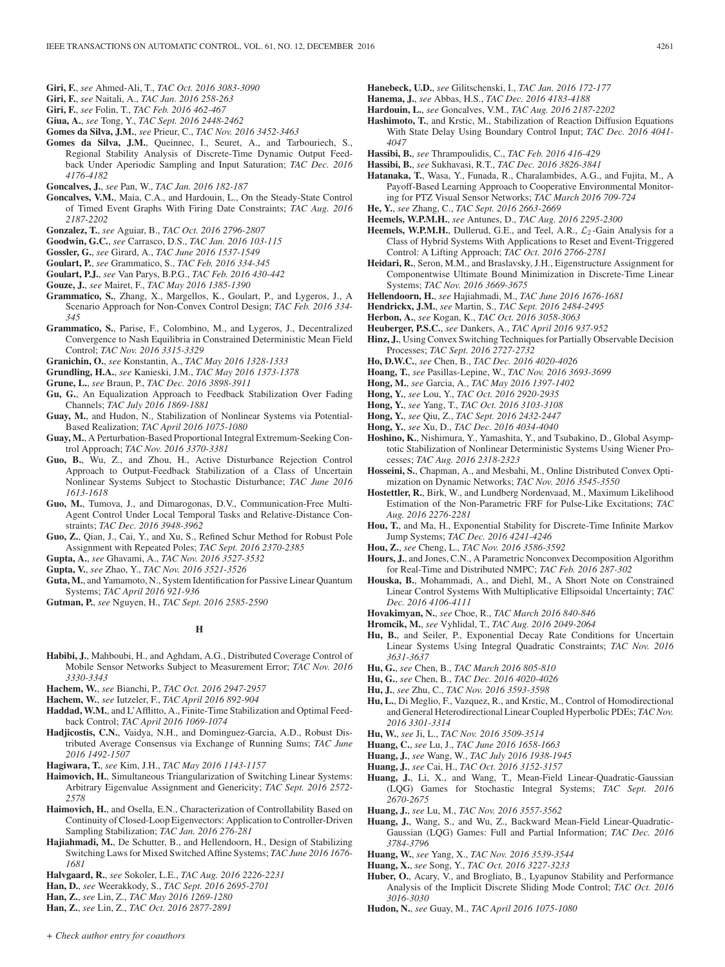- **Giri, F.**, *see* Ahmed-Ali, T., *TAC Oct. 2016 3083-3090*
- **Giri, F.**, *see* Naitali, A., *TAC Jan. 2016 258-263*
- **Giri, F.**, *see* Folin, T., *TAC Feb. 2016 462-467*
- **Giua, A.**, *see* Tong, Y., *TAC Sept. 2016 2448-2462*
- **Gomes da Silva, J.M.**, *see* Prieur, C., *TAC Nov. 2016 3452-3463*
- **Gomes da Silva, J.M.**, Queinnec, I., Seuret, A., and Tarbouriech, S., Regional Stability Analysis of Discrete-Time Dynamic Output Feedback Under Aperiodic Sampling and Input Saturation; *TAC Dec. 2016 4176-4182*
- **Goncalves, J.**, *see* Pan, W., *TAC Jan. 2016 182-187*
- **Goncalves, V.M.**, Maia, C.A., and Hardouin, L., On the Steady-State Control of Timed Event Graphs With Firing Date Constraints; *TAC Aug. 2016 2187-2202*
- **Gonzalez, T.**, *see* Aguiar, B., *TAC Oct. 2016 2796-2807*
- **Goodwin, G.C.**, *see* Carrasco, D.S., *TAC Jan. 2016 103-115*
- **Gossler, G.**, *see* Girard, A., *TAC June 2016 1537-1549*
- **Goulart, P.**, *see* Grammatico, S., *TAC Feb. 2016 334-345*
- **Goulart, P.J.**, *see* Van Parys, B.P.G., *TAC Feb. 2016 430-442*
- **Gouze, J.**, *see* Mairet, F., *TAC May 2016 1385-1390*
- **Grammatico, S.**, Zhang, X., Margellos, K., Goulart, P., and Lygeros, J., A Scenario Approach for Non-Convex Control Design; *TAC Feb. 2016 334- 345*
- **Grammatico, S.**, Parise, F., Colombino, M., and Lygeros, J., Decentralized Convergence to Nash Equilibria in Constrained Deterministic Mean Field Control; *TAC Nov. 2016 3315-3329*
- **Granichin, O.**, *see* Konstantin, A., *TAC May 2016 1328-1333*
- **Grundling, H.A.**, *see* Kanieski, J.M., *TAC May 2016 1373-1378*
- **Grune, L.**, *see* Braun, P., *TAC Dec. 2016 3898-3911*
- **Gu, G.**, An Equalization Approach to Feedback Stabilization Over Fading Channels; *TAC July 2016 1869-1881*
- **Guay, M.**, and Hudon, N., Stabilization of Nonlinear Systems via Potential-Based Realization; *TAC April 2016 1075-1080*
- **Guay, M.**, A Perturbation-Based Proportional Integral Extremum-Seeking Control Approach; *TAC Nov. 2016 3370-3381*
- **Guo, B.**, Wu, Z., and Zhou, H., Active Disturbance Rejection Control Approach to Output-Feedback Stabilization of a Class of Uncertain Nonlinear Systems Subject to Stochastic Disturbance; *TAC June 2016 1613-1618*
- **Guo, M.**, Tumova, J., and Dimarogonas, D.V., Communication-Free Multi-Agent Control Under Local Temporal Tasks and Relative-Distance Constraints; *TAC Dec. 2016 3948-3962*
- **Guo, Z.**, Qian, J., Cai, Y., and Xu, S., Refined Schur Method for Robust Pole Assignment with Repeated Poles; *TAC Sept. 2016 2370-2385*
- **Gupta, A.**, *see* Ghavami, A., *TAC Nov. 2016 3527-3532*
- **Gupta, V.**, *see* Zhao, Y., *TAC Nov. 2016 3521-3526*
- **Guta, M.**, and Yamamoto, N., System Identification for Passive Linear Quantum Systems; *TAC April 2016 921-936*
- **Gutman, P.**, *see* Nguyen, H., *TAC Sept. 2016 2585-2590*

# **H**

- **Habibi, J.**, Mahboubi, H., and Aghdam, A.G., Distributed Coverage Control of Mobile Sensor Networks Subject to Measurement Error; *TAC Nov. 2016 3330-3343*
- **Hachem, W.**, *see* Bianchi, P., *TAC Oct. 2016 2947-2957*
- **Hachem, W.**, *see* Iutzeler, F., *TAC April 2016 892-904*
- **Haddad, W.M.**, and L'Afflitto, A., Finite-Time Stabilization and Optimal Feedback Control; *TAC April 2016 1069-1074*
- **Hadjicostis, C.N.**, Vaidya, N.H., and Dominguez-Garcia, A.D., Robust Distributed Average Consensus via Exchange of Running Sums; *TAC June 2016 1492-1507*
- **Hagiwara, T.**, *see* Kim, J.H., *TAC May 2016 1143-1157*
- **Haimovich, H.**, Simultaneous Triangularization of Switching Linear Systems: Arbitrary Eigenvalue Assignment and Genericity; *TAC Sept. 2016 2572- 2578*
- **Haimovich, H.**, and Osella, E.N., Characterization of Controllability Based on Continuity of Closed-Loop Eigenvectors: Application to Controller-Driven Sampling Stabilization; *TAC Jan. 2016 276-281*
- **Hajiahmadi, M.**, De Schutter, B., and Hellendoorn, H., Design of Stabilizing Switching Laws for Mixed Switched Affine Systems; *TAC June 2016 1676- 1681*
- **Halvgaard, R.**, *see* Sokoler, L.E., *TAC Aug. 2016 2226-2231*
- **Han, D.**, *see* Weerakkody, S., *TAC Sept. 2016 2695-2701*
- **Han, Z.**, *see* Lin, Z., *TAC May 2016 1269-1280*
- **Han, Z.**, *see* Lin, Z., *TAC Oct. 2016 2877-2891*
- **Hanebeck, U.D.**, *see* Gilitschenski, I., *TAC Jan. 2016 172-177*
- **Hanema, J.**, *see* Abbas, H.S., *TAC Dec. 2016 4183-4188*
- **Hardouin, L.**, *see* Goncalves, V.M., *TAC Aug. 2016 2187-2202*
- **Hashimoto, T.**, and Krstic, M., Stabilization of Reaction Diffusion Equations With State Delay Using Boundary Control Input; *TAC Dec. 2016 4041- 4047*
- **Hassibi, B.**, *see* Thrampoulidis, C., *TAC Feb. 2016 416-429*
- **Hassibi, B.**, *see* Sukhavasi, R.T., *TAC Dec. 2016 3826-3841*
- **Hatanaka, T.**, Wasa, Y., Funada, R., Charalambides, A.G., and Fujita, M., A Payoff-Based Learning Approach to Cooperative Environmental Monitoring for PTZ Visual Sensor Networks; *TAC March 2016 709-724*
- **He, Y.**, *see* Zhang, C., *TAC Sept. 2016 2663-2669*
- **Heemels, W.P.M.H.**, *see* Antunes, D., *TAC Aug. 2016 2295-2300*
- **Heemels, W.P.M.H.**, Dullerud, G.E., and Teel, A.R.,  $\mathcal{L}_2$ -Gain Analysis for a Class of Hybrid Systems With Applications to Reset and Event-Triggered Control: A Lifting Approach; *TAC Oct. 2016 2766-2781*
- **Heidari, R.**, Seron, M.M., and Braslavsky, J.H., Eigenstructure Assignment for Componentwise Ultimate Bound Minimization in Discrete-Time Linear Systems; *TAC Nov. 2016 3669-3675*
- **Hellendoorn, H.**, *see* Hajiahmadi, M., *TAC June 2016 1676-1681*
- **Hendrickx, J.M.**, *see* Martin, S., *TAC Sept. 2016 2484-2495*
- **Herbon, A.**, *see* Kogan, K., *TAC Oct. 2016 3058-3063*
- **Heuberger, P.S.C.**, *see* Dankers, A., *TAC April 2016 937-952* **Hinz, J.**, Using Convex Switching Techniques for Partially Observable Decision Processes; *TAC Sept. 2016 2727-2732*
- **Ho, D.W.C.**, *see* Chen, B., *TAC Dec. 2016 4020-4026*
- **Hoang, T.**, *see* Pasillas-Lepine, W., *TAC Nov. 2016 3693-3699*
- **Hong, M.**, *see* Garcia, A., *TAC May 2016 1397-1402*
- **Hong, Y.**, *see* Lou, Y., *TAC Oct. 2016 2920-2935*
- **Hong, Y.**, *see* Yang, T., *TAC Oct. 2016 3103-3108*
- **Hong, Y.**, *see* Qiu, Z., *TAC Sept. 2016 2432-2447*
- 
- **Hong, Y.**, *see* Xu, D., *TAC Dec. 2016 4034-4040*
- **Hoshino, K.**, Nishimura, Y., Yamashita, Y., and Tsubakino, D., Global Asymptotic Stabilization of Nonlinear Deterministic Systems Using Wiener Processes; *TAC Aug. 2016 2318-2323*
- **Hosseini, S.**, Chapman, A., and Mesbahi, M., Online Distributed Convex Optimization on Dynamic Networks; *TAC Nov. 2016 3545-3550*
- **Hostettler, R.**, Birk, W., and Lundberg Nordenvaad, M., Maximum Likelihood Estimation of the Non-Parametric FRF for Pulse-Like Excitations; *TAC Aug. 2016 2276-2281*
- **Hou, T.**, and Ma, H., Exponential Stability for Discrete-Time Infinite Markov Jump Systems; *TAC Dec. 2016 4241-4246*
- **Hou, Z.**, *see* Cheng, L., *TAC Nov. 2016 3586-3592*
- **Hours, J.**, and Jones, C.N., A Parametric Nonconvex Decomposition Algorithm for Real-Time and Distributed NMPC; *TAC Feb. 2016 287-302*
- **Houska, B.**, Mohammadi, A., and Diehl, M., A Short Note on Constrained Linear Control Systems With Multiplicative Ellipsoidal Uncertainty; *TAC Dec. 2016 4106-4111*
- **Hovakimyan, N.**, *see* Choe, R., *TAC March 2016 840-846*
- **Hromcik, M.**, *see* Vyhlidal, T., *TAC Aug. 2016 2049-2064*
- **Hu, B.**, and Seiler, P., Exponential Decay Rate Conditions for Uncertain Linear Systems Using Integral Quadratic Constraints; *TAC Nov. 2016 3631-3637*
- **Hu, G.**, *see* Chen, B., *TAC March 2016 805-810*
- **Hu, G.**, *see* Chen, B., *TAC Dec. 2016 4020-4026*
- **Hu, J.**, *see* Zhu, C., *TAC Nov. 2016 3593-3598*
- **Hu, L.**, Di Meglio, F., Vazquez, R., and Krstic, M., Control of Homodirectional and General Heterodirectional Linear Coupled Hyperbolic PDEs; *TAC Nov. 2016 3301-3314*
- **Hu, W.**, *see* Ji, L., *TAC Nov. 2016 3509-3514*
- **Huang, C.**, *see* Lu, J., *TAC June 2016 1658-1663*
- **Huang, J.**, *see* Wang, W., *TAC July 2016 1938-1945*
- **Huang, J.**, *see* Cai, H., *TAC Oct. 2016 3152-3157*
- **Huang, J.**, Li, X., and Wang, T., Mean-Field Linear-Quadratic-Gaussian (LQG) Games for Stochastic Integral Systems; *TAC Sept. 2016 2670-2675*
- **Huang, J.**, *see* Lu, M., *TAC Nov. 2016 3557-3562*
- **Huang, J.**, Wang, S., and Wu, Z., Backward Mean-Field Linear-Quadratic-Gaussian (LQG) Games: Full and Partial Information; *TAC Dec. 2016 3784-3796*
- **Huang, W.**, *see* Yang, X., *TAC Nov. 2016 3539-3544*
- **Huang, X.**, *see* Song, Y., *TAC Oct. 2016 3227-3233*
- **Huber, O.**, Acary, V., and Brogliato, B., Lyapunov Stability and Performance Analysis of the Implicit Discrete Sliding Mode Control; *TAC Oct. 2016 3016-3030*
- **Hudon, N.**, *see* Guay, M., *TAC April 2016 1075-1080*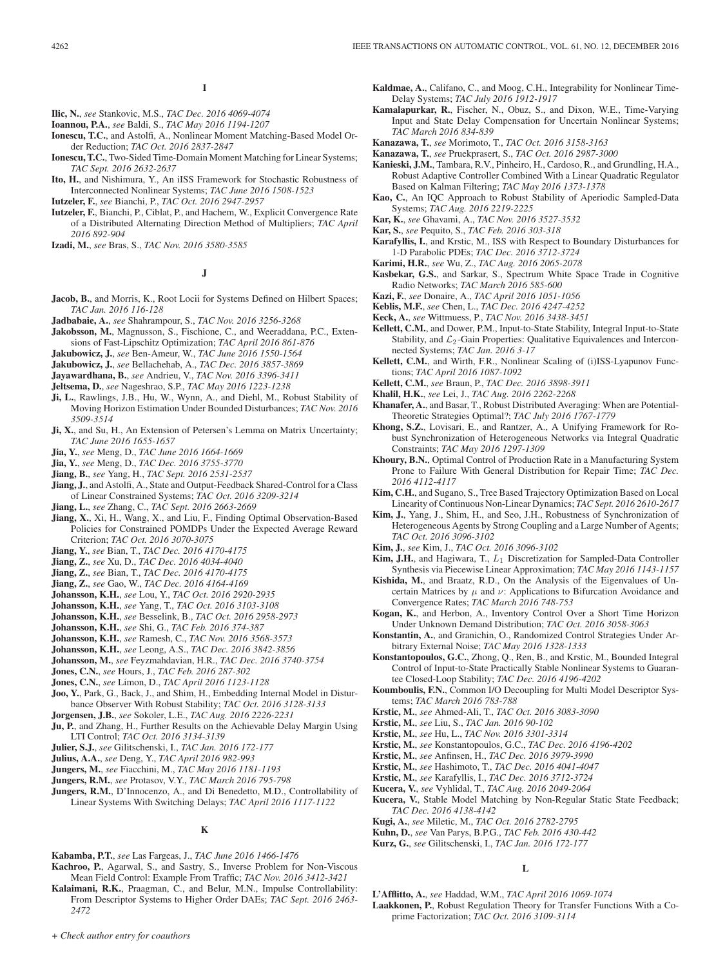# **I**

- **Ilic, N.**, *see* Stankovic, M.S., *TAC Dec. 2016 4069-4074*
- **Ioannou, P.A.**, *see* Baldi, S., *TAC May 2016 1194-1207*
- **Ionescu, T.C.**, and Astolfi, A., Nonlinear Moment Matching-Based Model Order Reduction; *TAC Oct. 2016 2837-2847*
- **Ionescu, T.C.**, Two-Sided Time-Domain Moment Matching for Linear Systems; *TAC Sept. 2016 2632-2637*
- **Ito, H.**, and Nishimura, Y., An iISS Framework for Stochastic Robustness of Interconnected Nonlinear Systems; *TAC June 2016 1508-1523*
- **Iutzeler, F.**, *see* Bianchi, P., *TAC Oct. 2016 2947-2957*
- **Iutzeler, F.**, Bianchi, P., Ciblat, P., and Hachem, W., Explicit Convergence Rate of a Distributed Alternating Direction Method of Multipliers; *TAC April 2016 892-904*
- **Izadi, M.**, *see* Bras, S., *TAC Nov. 2016 3580-3585*

## **J**

- **Jacob, B.**, and Morris, K., Root Locii for Systems Defined on Hilbert Spaces; *TAC Jan. 2016 116-128*
- **Jadbabaie, A.**, *see* Shahrampour, S., *TAC Nov. 2016 3256-3268*
- **Jakobsson, M.**, Magnusson, S., Fischione, C., and Weeraddana, P.C., Extensions of Fast-Lipschitz Optimization; *TAC April 2016 861-876*
- **Jakubowicz, J.**, *see* Ben-Ameur, W., *TAC June 2016 1550-1564*
- **Jakubowicz, J.**, *see* Bellachehab, A., *TAC Dec. 2016 3857-3869*
- **Jayawardhana, B.**, *see* Andrieu, V., *TAC Nov. 2016 3396-3411*
- **Jeltsema, D.**, *see* Nageshrao, S.P., *TAC May 2016 1223-1238*
- **Ji, L.**, Rawlings, J.B., Hu, W., Wynn, A., and Diehl, M., Robust Stability of Moving Horizon Estimation Under Bounded Disturbances; *TAC Nov. 2016 3509-3514*
- Ji, X., and Su, H., An Extension of Petersen's Lemma on Matrix Uncertainty; *TAC June 2016 1655-1657*
- **Jia, Y.**, *see* Meng, D., *TAC June 2016 1664-1669*
- **Jia, Y.**, *see* Meng, D., *TAC Dec. 2016 3755-3770*
- **Jiang, B.**, *see* Yang, H., *TAC Sept. 2016 2531-2537*
- **Jiang, J.**, and Astolfi, A., State and Output-Feedback Shared-Control for a Class of Linear Constrained Systems; *TAC Oct. 2016 3209-3214*
- **Jiang, L.**, *see* Zhang, C., *TAC Sept. 2016 2663-2669*
- **Jiang, X.**, Xi, H., Wang, X., and Liu, F., Finding Optimal Observation-Based Policies for Constrained POMDPs Under the Expected Average Reward Criterion; *TAC Oct. 2016 3070-3075*
- **Jiang, Y.**, *see* Bian, T., *TAC Dec. 2016 4170-4175*
- **Jiang, Z.**, *see* Xu, D., *TAC Dec. 2016 4034-4040*
- **Jiang, Z.**, *see* Bian, T., *TAC Dec. 2016 4170-4175*
- **Jiang, Z.**, *see* Gao, W., *TAC Dec. 2016 4164-4169*
- **Johansson, K.H.**, *see* Lou, Y., *TAC Oct. 2016 2920-2935*
- **Johansson, K.H.**, *see* Yang, T., *TAC Oct. 2016 3103-3108*
- **Johansson, K.H.**, *see* Besselink, B., *TAC Oct. 2016 2958-2973*
- **Johansson, K.H.**, *see* Shi, G., *TAC Feb. 2016 374-387*
- **Johansson, K.H.**, *see* Ramesh, C., *TAC Nov. 2016 3568-3573*
- **Johansson, K.H.**, *see* Leong, A.S., *TAC Dec. 2016 3842-3856*
- **Johansson, M.**, *see* Feyzmahdavian, H.R., *TAC Dec. 2016 3740-3754*
- **Jones, C.N.**, *see* Hours, J., *TAC Feb. 2016 287-302*
- **Jones, C.N.**, *see* Limon, D., *TAC April 2016 1123-1128*
- **Joo, Y.**, Park, G., Back, J., and Shim, H., Embedding Internal Model in Disturbance Observer With Robust Stability; *TAC Oct. 2016 3128-3133*
- **Jorgensen, J.B.**, *see* Sokoler, L.E., *TAC Aug. 2016 2226-2231*
- **Ju, P.**, and Zhang, H., Further Results on the Achievable Delay Margin Using LTI Control; *TAC Oct. 2016 3134-3139*
- **Julier, S.J.**, *see* Gilitschenski, I., *TAC Jan. 2016 172-177*
- **Julius, A.A.**, *see* Deng, Y., *TAC April 2016 982-993*
- **Jungers, M.**, *see* Fiacchini, M., *TAC May 2016 1181-1193*
- **Jungers, R.M.**, *see* Protasov, V.Y., *TAC March 2016 795-798*
- **Jungers, R.M.**, D'Innocenzo, A., and Di Benedetto, M.D., Controllability of Linear Systems With Switching Delays; *TAC April 2016 1117-1122*

## **K**

- **Kabamba, P.T.**, *see* Las Fargeas, J., *TAC June 2016 1466-1476*
- **Kachroo, P.**, Agarwal, S., and Sastry, S., Inverse Problem for Non-Viscous Mean Field Control: Example From Traffic; *TAC Nov. 2016 3412-3421*
- **Kalaimani, R.K.**, Praagman, C., and Belur, M.N., Impulse Controllability: From Descriptor Systems to Higher Order DAEs; *TAC Sept. 2016 2463- 2472*
- *+ Check author entry for coauthors*
- **Kaldmae, A.**, Califano, C., and Moog, C.H., Integrability for Nonlinear Time-Delay Systems; *TAC July 2016 1912-1917*
- **Kamalapurkar, R.**, Fischer, N., Obuz, S., and Dixon, W.E., Time-Varying Input and State Delay Compensation for Uncertain Nonlinear Systems; *TAC March 2016 834-839*
- **Kanazawa, T.**, *see* Morimoto, T., *TAC Oct. 2016 3158-3163*
- **Kanazawa, T.**, *see* Pruekprasert, S., *TAC Oct. 2016 2987-3000*
- **Kanieski, J.M.**, Tambara, R.V., Pinheiro, H., Cardoso, R., and Grundling, H.A., Robust Adaptive Controller Combined With a Linear Quadratic Regulator Based on Kalman Filtering; *TAC May 2016 1373-1378*
- **Kao, C.**, An IQC Approach to Robust Stability of Aperiodic Sampled-Data Systems; *TAC Aug. 2016 2219-2225*
- **Kar, K.**, *see* Ghavami, A., *TAC Nov. 2016 3527-3532*
- **Kar, S.**, *see* Pequito, S., *TAC Feb. 2016 303-318*
- **Karafyllis, I.**, and Krstic, M., ISS with Respect to Boundary Disturbances for 1-D Parabolic PDEs; *TAC Dec. 2016 3712-3724*
- **Karimi, H.R.**, *see* Wu, Z., *TAC Aug. 2016 2065-2078*
- **Kasbekar, G.S.**, and Sarkar, S., Spectrum White Space Trade in Cognitive Radio Networks; *TAC March 2016 585-600*
- **Kazi, F.**, *see* Donaire, A., *TAC April 2016 1051-1056*
- **Keblis, M.F.**, *see* Chen, L., *TAC Dec. 2016 4247-4252*
- **Keck, A.**, *see* Wittmuess, P., *TAC Nov. 2016 3438-3451*
- **Kellett, C.M.**, and Dower, P.M., Input-to-State Stability, Integral Input-to-State Stability, and  $\mathcal{L}_2$ -Gain Properties: Qualitative Equivalences and Interconnected Systems; *TAC Jan. 2016 3-17*
- **Kellett, C.M.**, and Wirth, F.R., Nonlinear Scaling of (i)ISS-Lyapunov Functions; *TAC April 2016 1087-1092*
- **Kellett, C.M.**, *see* Braun, P., *TAC Dec. 2016 3898-3911*
- **Khalil, H.K.**, *see* Lei, J., *TAC Aug. 2016 2262-2268*
- **Khanafer, A.**, and Basar, T., Robust Distributed Averaging: When are Potential-Theoretic Strategies Optimal?; *TAC July 2016 1767-1779*
- **Khong, S.Z.**, Lovisari, E., and Rantzer, A., A Unifying Framework for Robust Synchronization of Heterogeneous Networks via Integral Quadratic Constraints; *TAC May 2016 1297-1309*
- **Khoury, B.N.**, Optimal Control of Production Rate in a Manufacturing System Prone to Failure With General Distribution for Repair Time; *TAC Dec. 2016 4112-4117*
- **Kim, C.H.**, and Sugano, S., Tree Based Trajectory Optimization Based on Local Linearity of Continuous Non-Linear Dynamics; *TAC Sept. 2016 2610-2617*
- **Kim, J.**, Yang, J., Shim, H., and Seo, J.H., Robustness of Synchronization of Heterogeneous Agents by Strong Coupling and a Large Number of Agents; *TAC Oct. 2016 3096-3102*
- **Kim, J.**, *see* Kim, J., *TAC Oct. 2016 3096-3102*
- **Kim, J.H.**, and Hagiwara, T., L<sup>1</sup> Discretization for Sampled-Data Controller Synthesis via Piecewise Linear Approximation; *TAC May 2016 1143-1157*
- **Kishida, M.**, and Braatz, R.D., On the Analysis of the Eigenvalues of Uncertain Matrices by  $\mu$  and  $\nu$ : Applications to Bifurcation Avoidance and Convergence Rates; *TAC March 2016 748-753*
- **Kogan, K.**, and Herbon, A., Inventory Control Over a Short Time Horizon Under Unknown Demand Distribution; *TAC Oct. 2016 3058-3063*
- **Konstantin, A.**, and Granichin, O., Randomized Control Strategies Under Arbitrary External Noise; *TAC May 2016 1328-1333*
- **Konstantopoulos, G.C.**, Zhong, Q., Ren, B., and Krstic, M., Bounded Integral Control of Input-to-State Practically Stable Nonlinear Systems to Guarantee Closed-Loop Stability; *TAC Dec. 2016 4196-4202*
- **Koumboulis, F.N.**, Common I/O Decoupling for Multi Model Descriptor Systems; *TAC March 2016 783-788*
- **Krstic, M.**, *see* Ahmed-Ali, T., *TAC Oct. 2016 3083-3090*
- **Krstic, M.**, *see* Liu, S., *TAC Jan. 2016 90-102*
- **Krstic, M.**, *see* Hu, L., *TAC Nov. 2016 3301-3314*
- **Krstic, M.**, *see* Konstantopoulos, G.C., *TAC Dec. 2016 4196-4202*
- **Krstic, M.**, *see* Anfinsen, H., *TAC Dec. 2016 3979-3990*
- **Krstic, M.**, *see* Hashimoto, T., *TAC Dec. 2016 4041-4047*
- **Krstic, M.**, *see* Karafyllis, I., *TAC Dec. 2016 3712-3724*
- **Kucera, V.**, *see* Vyhlidal, T., *TAC Aug. 2016 2049-2064*
- **Kucera, V.**, Stable Model Matching by Non-Regular Static State Feedback; *TAC Dec. 2016 4138-4142*
- **Kugi, A.**, *see* Miletic, M., *TAC Oct. 2016 2782-2795*
- **Kuhn, D.**, *see* Van Parys, B.P.G., *TAC Feb. 2016 430-442*
- **Kurz, G.**, *see* Gilitschenski, I., *TAC Jan. 2016 172-177*

**L**

**L'Afflitto, A.**, *see* Haddad, W.M., *TAC April 2016 1069-1074*

**Laakkonen, P.**, Robust Regulation Theory for Transfer Functions With a Coprime Factorization; *TAC Oct. 2016 3109-3114*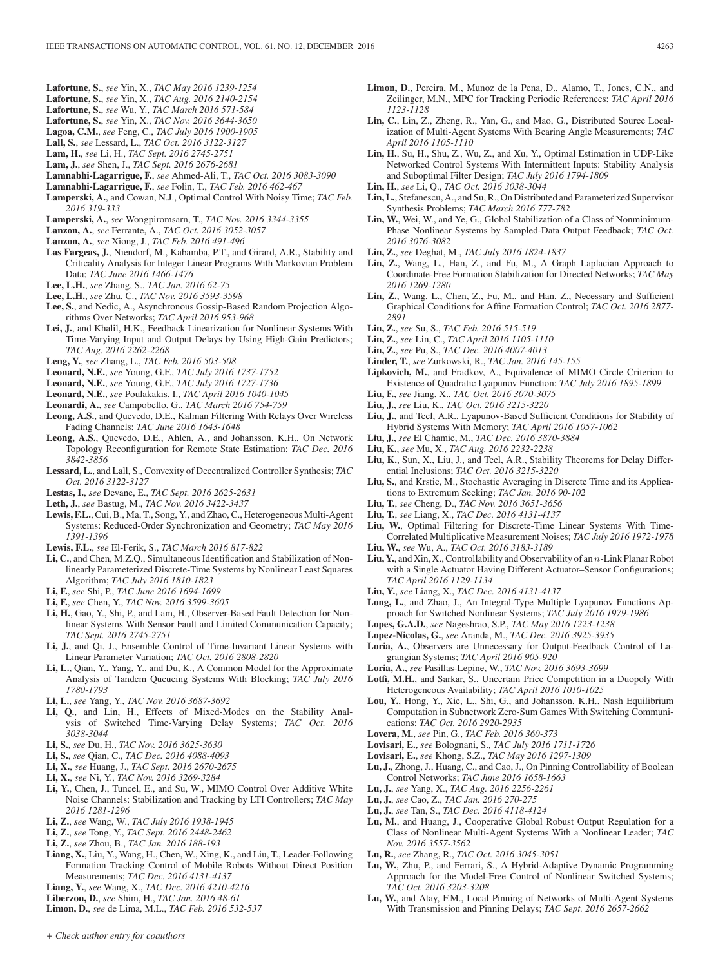- **Lafortune, S.**, *see* Yin, X., *TAC May 2016 1239-1254*
- **Lafortune, S.**, *see* Yin, X., *TAC Aug. 2016 2140-2154*
- **Lafortune, S.**, *see* Wu, Y., *TAC March 2016 571-584*
- **Lafortune, S.**, *see* Yin, X., *TAC Nov. 2016 3644-3650*
- **Lagoa, C.M.**, *see* Feng, C., *TAC July 2016 1900-1905* **Lall, S.**, *see* Lessard, L., *TAC Oct. 2016 3122-3127*
- **Lam, H.**, *see* Li, H., *TAC Sept. 2016 2745-2751*
- **Lam, J.**, *see* Shen, J., *TAC Sept. 2016 2676-2681*
- **Lamnabhi-Lagarrigue, F.**, *see* Ahmed-Ali, T., *TAC Oct. 2016 3083-3090*
- **Lamnabhi-Lagarrigue, F.**, *see* Folin, T., *TAC Feb. 2016 462-467*
- **Lamperski, A.**, and Cowan, N.J., Optimal Control With Noisy Time; *TAC Feb. 2016 319-333*
- **Lamperski, A.**, *see* Wongpiromsarn, T., *TAC Nov. 2016 3344-3355*
- **Lanzon, A.**, *see* Ferrante, A., *TAC Oct. 2016 3052-3057*
- **Lanzon, A.**, *see* Xiong, J., *TAC Feb. 2016 491-496*
- **Las Fargeas, J.**, Niendorf, M., Kabamba, P.T., and Girard, A.R., Stability and Criticality Analysis for Integer Linear Programs With Markovian Problem Data; *TAC June 2016 1466-1476*
- **Lee, L.H.**, *see* Zhang, S., *TAC Jan. 2016 62-75*
- **Lee, L.H.**, *see* Zhu, C., *TAC Nov. 2016 3593-3598*
- **Lee, S.**, and Nedic, A., Asynchronous Gossip-Based Random Projection Algorithms Over Networks; *TAC April 2016 953-968*
- **Lei, J.**, and Khalil, H.K., Feedback Linearization for Nonlinear Systems With Time-Varying Input and Output Delays by Using High-Gain Predictors; *TAC Aug. 2016 2262-2268*
- **Leng, Y.**, *see* Zhang, L., *TAC Feb. 2016 503-508*
- **Leonard, N.E.**, *see* Young, G.F., *TAC July 2016 1737-1752*
- **Leonard, N.E.**, *see* Young, G.F., *TAC July 2016 1727-1736*
- **Leonard, N.E.**, *see* Poulakakis, I., *TAC April 2016 1040-1045*
- **Leonardi, A.**, *see* Campobello, G., *TAC March 2016 754-759*
- **Leong, A.S.**, and Quevedo, D.E., Kalman Filtering With Relays Over Wireless Fading Channels; *TAC June 2016 1643-1648*
- **Leong, A.S.**, Quevedo, D.E., Ahlen, A., and Johansson, K.H., On Network Topology Reconfiguration for Remote State Estimation; *TAC Dec. 2016 3842-3856*
- **Lessard, L.**, and Lall, S., Convexity of Decentralized Controller Synthesis; *TAC Oct. 2016 3122-3127*
- **Lestas, I.**, *see* Devane, E., *TAC Sept. 2016 2625-2631*
- **Leth, J.**, *see* Bastug, M., *TAC Nov. 2016 3422-3437*
- **Lewis, F.L.**, Cui, B., Ma, T., Song, Y., and Zhao, C., Heterogeneous Multi-Agent Systems: Reduced-Order Synchronization and Geometry; *TAC May 2016 1391-1396*
- **Lewis, F.L.**, *see* El-Ferik, S., *TAC March 2016 817-822*
- **Li, C.**, and Chen, M.Z.Q., Simultaneous Identification and Stabilization of Nonlinearly Parameterized Discrete-Time Systems by Nonlinear Least Squares Algorithm; *TAC July 2016 1810-1823*
- **Li, F.**, *see* Shi, P., *TAC June 2016 1694-1699*
- **Li, F.**, *see* Chen, Y., *TAC Nov. 2016 3599-3605*
- **Li, H.**, Gao, Y., Shi, P., and Lam, H., Observer-Based Fault Detection for Nonlinear Systems With Sensor Fault and Limited Communication Capacity; *TAC Sept. 2016 2745-2751*
- **Li, J.**, and Qi, J., Ensemble Control of Time-Invariant Linear Systems with Linear Parameter Variation; *TAC Oct. 2016 2808-2820*
- **Li, L.**, Qian, Y., Yang, Y., and Du, K., A Common Model for the Approximate Analysis of Tandem Queueing Systems With Blocking; *TAC July 2016 1780-1793*
- **Li, L.**, *see* Yang, Y., *TAC Nov. 2016 3687-3692*
- **Li, Q.**, and Lin, H., Effects of Mixed-Modes on the Stability Analysis of Switched Time-Varying Delay Systems; *TAC Oct. 2016 3038-3044*
- **Li, S.**, *see* Du, H., *TAC Nov. 2016 3625-3630*
- **Li, S.**, *see* Qian, C., *TAC Dec. 2016 4088-4093*
- **Li, X.**, *see* Huang, J., *TAC Sept. 2016 2670-2675*
- **Li, X.**, *see* Ni, Y., *TAC Nov. 2016 3269-3284*
- **Li, Y.**, Chen, J., Tuncel, E., and Su, W., MIMO Control Over Additive White Noise Channels: Stabilization and Tracking by LTI Controllers; *TAC May 2016 1281-1296*
- **Li, Z.**, *see* Wang, W., *TAC July 2016 1938-1945*
- **Li, Z.**, *see* Tong, Y., *TAC Sept. 2016 2448-2462*
- **Li, Z.**, *see* Zhou, B., *TAC Jan. 2016 188-193*
- **Liang, X.**, Liu, Y., Wang, H., Chen, W., Xing, K., and Liu, T., Leader-Following Formation Tracking Control of Mobile Robots Without Direct Position Measurements; *TAC Dec. 2016 4131-4137*
- **Liang, Y.**, *see* Wang, X., *TAC Dec. 2016 4210-4216*
- **Liberzon, D.**, *see* Shim, H., *TAC Jan. 2016 48-61*
- **Limon, D.**, *see* de Lima, M.L., *TAC Feb. 2016 532-537*
- **Limon, D.**, Pereira, M., Munoz de la Pena, D., Alamo, T., Jones, C.N., and Zeilinger, M.N., MPC for Tracking Periodic References; *TAC April 2016 1123-1128*
- **Lin, C.**, Lin, Z., Zheng, R., Yan, G., and Mao, G., Distributed Source Localization of Multi-Agent Systems With Bearing Angle Measurements; *TAC April 2016 1105-1110*
- **Lin, H.**, Su, H., Shu, Z., Wu, Z., and Xu, Y., Optimal Estimation in UDP-Like Networked Control Systems With Intermittent Inputs: Stability Analysis and Suboptimal Filter Design; *TAC July 2016 1794-1809*
- **Lin, H.**, *see* Li, Q., *TAC Oct. 2016 3038-3044*
- **Lin, L.**, Stefanescu, A., and Su, R., On Distributed and Parameterized Supervisor Synthesis Problems; *TAC March 2016 777-782*
- **Lin, W.**, Wei, W., and Ye, G., Global Stabilization of a Class of Nonminimum-Phase Nonlinear Systems by Sampled-Data Output Feedback; *TAC Oct. 2016 3076-3082*
- **Lin, Z.**, *see* Deghat, M., *TAC July 2016 1824-1837*
- **Lin, Z.**, Wang, L., Han, Z., and Fu, M., A Graph Laplacian Approach to Coordinate-Free Formation Stabilization for Directed Networks; *TAC May 2016 1269-1280*
- **Lin, Z.**, Wang, L., Chen, Z., Fu, M., and Han, Z., Necessary and Sufficient Graphical Conditions for Affine Formation Control; *TAC Oct. 2016 2877- 2891*
- **Lin, Z.**, *see* Su, S., *TAC Feb. 2016 515-519*
- **Lin, Z.**, *see* Lin, C., *TAC April 2016 1105-1110*
- **Lin, Z.**, *see* Pu, S., *TAC Dec. 2016 4007-4013*
- **Linder, T.**, *see* Zurkowski, R., *TAC Jan. 2016 145-155*
- **Lipkovich, M.**, and Fradkov, A., Equivalence of MIMO Circle Criterion to Existence of Quadratic Lyapunov Function; *TAC July 2016 1895-1899*
- **Liu, F.**, *see* Jiang, X., *TAC Oct. 2016 3070-3075*
- **Liu, J.**, *see* Liu, K., *TAC Oct. 2016 3215-3220*
- **Liu, J.**, and Teel, A.R., Lyapunov-Based Sufficient Conditions for Stability of Hybrid Systems With Memory; *TAC April 2016 1057-1062*
- **Liu, J.**, *see* El Chamie, M., *TAC Dec. 2016 3870-3884*
- **Liu, K.**, *see* Mu, X., *TAC Aug. 2016 2232-2238*
- **Liu, K.**, Sun, X., Liu, J., and Teel, A.R., Stability Theorems for Delay Differential Inclusions; *TAC Oct. 2016 3215-3220*
- **Liu, S.**, and Krstic, M., Stochastic Averaging in Discrete Time and its Applications to Extremum Seeking; *TAC Jan. 2016 90-102*
- **Liu, T.**, *see* Cheng, D., *TAC Nov. 2016 3651-3656*
- **Liu, T.**, *see* Liang, X., *TAC Dec. 2016 4131-4137*
- **Liu, W.**, Optimal Filtering for Discrete-Time Linear Systems With Time-Correlated Multiplicative Measurement Noises; *TAC July 2016 1972-1978*
- **Liu, W.**, *see* Wu, A., *TAC Oct. 2016 3183-3189*
- **Liu, Y.**, and Xin, X., Controllability and Observability of an  $n$ -Link Planar Robot with a Single Actuator Having Different Actuator–Sensor Configurations; *TAC April 2016 1129-1134*
- **Liu, Y.**, *see* Liang, X., *TAC Dec. 2016 4131-4137*
- **Long, L.**, and Zhao, J., An Integral-Type Multiple Lyapunov Functions Approach for Switched Nonlinear Systems; *TAC July 2016 1979-1986*
- **Lopes, G.A.D.**, *see* Nageshrao, S.P., *TAC May 2016 1223-1238*
- **Lopez-Nicolas, G.**, *see* Aranda, M., *TAC Dec. 2016 3925-3935*
- **Loria, A.**, Observers are Unnecessary for Output-Feedback Control of Lagrangian Systems; *TAC April 2016 905-920*
- **Loria, A.**, *see* Pasillas-Lepine, W., *TAC Nov. 2016 3693-3699*
- **Lotfi, M.H.**, and Sarkar, S., Uncertain Price Competition in a Duopoly With Heterogeneous Availability; *TAC April 2016 1010-1025*
- **Lou, Y.**, Hong, Y., Xie, L., Shi, G., and Johansson, K.H., Nash Equilibrium Computation in Subnetwork Zero-Sum Games With Switching Communications; *TAC Oct. 2016 2920-2935*
- **Lovera, M.**, *see* Pin, G., *TAC Feb. 2016 360-373*
- **Lovisari, E.**, *see* Bolognani, S., *TAC July 2016 1711-1726*
- **Lovisari, E.**, *see* Khong, S.Z., *TAC May 2016 1297-1309*
- **Lu, J.**, Zhong, J., Huang, C., and Cao, J., On Pinning Controllability of Boolean Control Networks; *TAC June 2016 1658-1663*
- **Lu, J.**, *see* Yang, X., *TAC Aug. 2016 2256-2261*
- **Lu, J.**, *see* Cao, Z., *TAC Jan. 2016 270-275*
- **Lu, J.**, *see* Tan, S., *TAC Dec. 2016 4118-4124*
- **Lu, M.**, and Huang, J., Cooperative Global Robust Output Regulation for a Class of Nonlinear Multi-Agent Systems With a Nonlinear Leader; *TAC Nov. 2016 3557-3562*
- **Lu, R.**, *see* Zhang, R., *TAC Oct. 2016 3045-3051*
- **Lu, W.**, Zhu, P., and Ferrari, S., A Hybrid-Adaptive Dynamic Programming Approach for the Model-Free Control of Nonlinear Switched Systems; *TAC Oct. 2016 3203-3208*
- **Lu, W.**, and Atay, F.M., Local Pinning of Networks of Multi-Agent Systems With Transmission and Pinning Delays; *TAC Sept. 2016 2657-2662*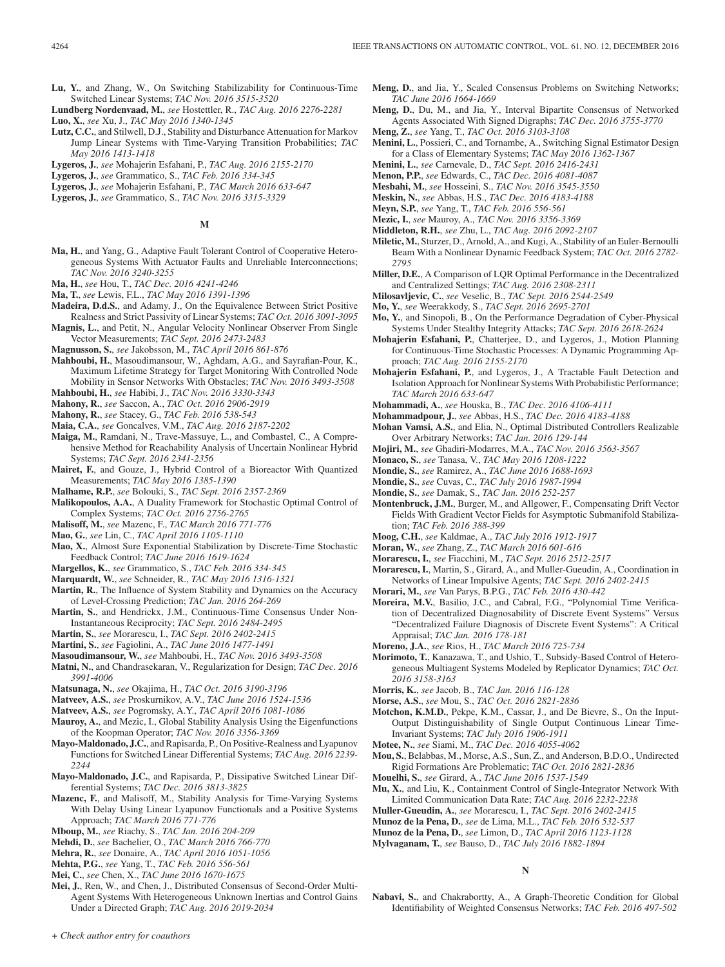- **Lu, Y.**, and Zhang, W., On Switching Stabilizability for Continuous-Time Switched Linear Systems; *TAC Nov. 2016 3515-3520*
- **Lundberg Nordenvaad, M.**, *see* Hostettler, R., *TAC Aug. 2016 2276-2281* **Luo, X.**, *see* Xu, J., *TAC May 2016 1340-1345*
- **Lutz, C.C.**, and Stilwell, D.J., Stability and Disturbance Attenuation for Markov Jump Linear Systems with Time-Varying Transition Probabilities; *TAC May 2016 1413-1418*
- **Lygeros, J.**, *see* Mohajerin Esfahani, P., *TAC Aug. 2016 2155-2170*
- **Lygeros, J.**, *see* Grammatico, S., *TAC Feb. 2016 334-345*
- **Lygeros, J.**, *see* Mohajerin Esfahani, P., *TAC March 2016 633-647*
- **Lygeros, J.**, *see* Grammatico, S., *TAC Nov. 2016 3315-3329*
	- **M**
- **Ma, H.**, and Yang, G., Adaptive Fault Tolerant Control of Cooperative Heterogeneous Systems With Actuator Faults and Unreliable Interconnections; *TAC Nov. 2016 3240-3255*
- **Ma, H.**, *see* Hou, T., *TAC Dec. 2016 4241-4246*
- **Ma, T.**, *see* Lewis, F.L., *TAC May 2016 1391-1396*
- **Madeira, D.d.S.**, and Adamy, J., On the Equivalence Between Strict Positive Realness and Strict Passivity of Linear Systems; *TAC Oct. 2016 3091-3095*
- **Magnis, L.**, and Petit, N., Angular Velocity Nonlinear Observer From Single Vector Measurements; *TAC Sept. 2016 2473-2483*
- **Magnusson, S.**, *see* Jakobsson, M., *TAC April 2016 861-876*
- **Mahboubi, H.**, Masoudimansour, W., Aghdam, A.G., and Sayrafian-Pour, K., Maximum Lifetime Strategy for Target Monitoring With Controlled Node Mobility in Sensor Networks With Obstacles; *TAC Nov. 2016 3493-3508*
- **Mahboubi, H.**, *see* Habibi, J., *TAC Nov. 2016 3330-3343*
- **Mahony, R.**, *see* Saccon, A., *TAC Oct. 2016 2906-2919*
- **Mahony, R.**, *see* Stacey, G., *TAC Feb. 2016 538-543*
- **Maia, C.A.**, *see* Goncalves, V.M., *TAC Aug. 2016 2187-2202*
- **Maiga, M.**, Ramdani, N., Trave-Massuye, L., and Combastel, C., A Comprehensive Method for Reachability Analysis of Uncertain Nonlinear Hybrid Systems; *TAC Sept. 2016 2341-2356*
- **Mairet, F.**, and Gouze, J., Hybrid Control of a Bioreactor With Quantized Measurements; *TAC May 2016 1385-1390*
- **Malhame, R.P.**, *see* Bolouki, S., *TAC Sept. 2016 2357-2369*
- **Malikopoulos, A.A.**, A Duality Framework for Stochastic Optimal Control of Complex Systems; *TAC Oct. 2016 2756-2765*
- **Malisoff, M.**, *see* Mazenc, F., *TAC March 2016 771-776*
- **Mao, G.**, *see* Lin, C., *TAC April 2016 1105-1110*
- **Mao, X.**, Almost Sure Exponential Stabilization by Discrete-Time Stochastic Feedback Control; *TAC June 2016 1619-1624*
- **Margellos, K.**, *see* Grammatico, S., *TAC Feb. 2016 334-345*
- **Marquardt, W.**, *see* Schneider, R., *TAC May 2016 1316-1321*
- **Martin, R.**, The Influence of System Stability and Dynamics on the Accuracy of Level-Crossing Prediction; *TAC Jan. 2016 264-269*
- **Martin, S.**, and Hendrickx, J.M., Continuous-Time Consensus Under Non-Instantaneous Reciprocity; *TAC Sept. 2016 2484-2495*
- **Martin, S.**, *see* Morarescu, I., *TAC Sept. 2016 2402-2415*
- **Martini, S.**, *see* Fagiolini, A., *TAC June 2016 1477-1491*
- **Masoudimansour, W.**, *see* Mahboubi, H., *TAC Nov. 2016 3493-3508*
- **Matni, N.**, and Chandrasekaran, V., Regularization for Design; *TAC Dec. 2016 3991-4006*
- **Matsunaga, N.**, *see* Okajima, H., *TAC Oct. 2016 3190-3196*
- **Matveev, A.S.**, *see* Proskurnikov, A.V., *TAC June 2016 1524-1536*
- **Matveev, A.S.**, *see* Pogromsky, A.Y., *TAC April 2016 1081-1086*
- **Mauroy, A.**, and Mezic, I., Global Stability Analysis Using the Eigenfunctions of the Koopman Operator; *TAC Nov. 2016 3356-3369*
- **Mayo-Maldonado, J.C.**, and Rapisarda, P., On Positive-Realness and Lyapunov Functions for Switched Linear Differential Systems; *TAC Aug. 2016 2239- 2244*
- **Mayo-Maldonado, J.C.**, and Rapisarda, P., Dissipative Switched Linear Differential Systems; *TAC Dec. 2016 3813-3825*
- **Mazenc, F.**, and Malisoff, M., Stability Analysis for Time-Varying Systems With Delay Using Linear Lyapunov Functionals and a Positive Systems Approach; *TAC March 2016 771-776*
- **Mboup, M.**, *see* Riachy, S., *TAC Jan. 2016 204-209*
- **Mehdi, D.**, *see* Bachelier, O., *TAC March 2016 766-770*
- **Mehra, R.**, *see* Donaire, A., *TAC April 2016 1051-1056*
- **Mehta, P.G.**, *see* Yang, T., *TAC Feb. 2016 556-561*
- **Mei, C.**, *see* Chen, X., *TAC June 2016 1670-1675*
- **Mei, J.**, Ren, W., and Chen, J., Distributed Consensus of Second-Order Multi-Agent Systems With Heterogeneous Unknown Inertias and Control Gains Under a Directed Graph; *TAC Aug. 2016 2019-2034*
- **Meng, D.**, and Jia, Y., Scaled Consensus Problems on Switching Networks; *TAC June 2016 1664-1669*
- **Meng, D.**, Du, M., and Jia, Y., Interval Bipartite Consensus of Networked Agents Associated With Signed Digraphs; *TAC Dec. 2016 3755-3770*
- **Meng, Z.**, *see* Yang, T., *TAC Oct. 2016 3103-3108*
- **Menini, L.**, Possieri, C., and Tornambe, A., Switching Signal Estimator Design for a Class of Elementary Systems; *TAC May 2016 1362-1367*
- **Menini, L.**, *see* Carnevale, D., *TAC Sept. 2016 2416-2431*
- **Menon, P.P.**, *see* Edwards, C., *TAC Dec. 2016 4081-4087*
- **Mesbahi, M.**, *see* Hosseini, S., *TAC Nov. 2016 3545-3550*
- **Meskin, N.**, *see* Abbas, H.S., *TAC Dec. 2016 4183-4188*
- **Meyn, S.P.**, *see* Yang, T., *TAC Feb. 2016 556-561*
- **Mezic, I.**, *see* Mauroy, A., *TAC Nov. 2016 3356-3369*
- **Middleton, R.H.**, *see* Zhu, L., *TAC Aug. 2016 2092-2107*
- **Miletic,M.**, Sturzer, D., Arnold, A., and Kugi, A., Stability of an Euler-Bernoulli Beam With a Nonlinear Dynamic Feedback System; *TAC Oct. 2016 2782- 2795*
- **Miller, D.E.**, A Comparison of LQR Optimal Performance in the Decentralized and Centralized Settings; *TAC Aug. 2016 2308-2311*
- **Milosavljevic, C.**, *see* Veselic, B., *TAC Sept. 2016 2544-2549*
- **Mo, Y.**, *see* Weerakkody, S., *TAC Sept. 2016 2695-2701*
- **Mo, Y.**, and Sinopoli, B., On the Performance Degradation of Cyber-Physical Systems Under Stealthy Integrity Attacks; *TAC Sept. 2016 2618-2624*
- **Mohajerin Esfahani, P.**, Chatterjee, D., and Lygeros, J., Motion Planning for Continuous-Time Stochastic Processes: A Dynamic Programming Approach; *TAC Aug. 2016 2155-2170*
- **Mohajerin Esfahani, P.**, and Lygeros, J., A Tractable Fault Detection and Isolation Approach for Nonlinear Systems With Probabilistic Performance; *TAC March 2016 633-647*
- **Mohammadi, A.**, *see* Houska, B., *TAC Dec. 2016 4106-4111*
- **Mohammadpour, J.**, *see* Abbas, H.S., *TAC Dec. 2016 4183-4188*
- **Mohan Vamsi, A.S.**, and Elia, N., Optimal Distributed Controllers Realizable Over Arbitrary Networks; *TAC Jan. 2016 129-144*
- **Mojiri, M.**, *see* Ghadiri-Modarres, M.A., *TAC Nov. 2016 3563-3567*
- **Monaco, S.**, *see* Tanasa, V., *TAC May 2016 1208-1222*
- **Mondie, S.**, *see* Ramirez, A., *TAC June 2016 1688-1693*
- **Mondie, S.**, *see* Cuvas, C., *TAC July 2016 1987-1994*
- **Mondie, S.**, *see* Damak, S., *TAC Jan. 2016 252-257*
- **Montenbruck, J.M.**, Burger, M., and Allgower, F., Compensating Drift Vector Fields With Gradient Vector Fields for Asymptotic Submanifold Stabilization; *TAC Feb. 2016 388-399*
- **Moog, C.H.**, *see* Kaldmae, A., *TAC July 2016 1912-1917*
- **Moran, W.**, *see* Zhang, Z., *TAC March 2016 601-616*
- **Morarescu, I.**, *see* Fiacchini, M., *TAC Sept. 2016 2512-2517*
- **Morarescu, I.**, Martin, S., Girard, A., and Muller-Gueudin, A., Coordination in Networks of Linear Impulsive Agents; *TAC Sept. 2016 2402-2415*
- **Morari, M.**, *see* Van Parys, B.P.G., *TAC Feb. 2016 430-442*
- **Moreira, M.V.**, Basilio, J.C., and Cabral, F.G., "Polynomial Time Verification of Decentralized Diagnosability of Discrete Event Systems" Versus "Decentralized Failure Diagnosis of Discrete Event Systems": A Critical Appraisal; *TAC Jan. 2016 178-181*
- **Moreno, J.A.**, *see* Rios, H., *TAC March 2016 725-734*
- **Morimoto, T.**, Kanazawa, T., and Ushio, T., Subsidy-Based Control of Heterogeneous Multiagent Systems Modeled by Replicator Dynamics; *TAC Oct. 2016 3158-3163*
- **Morris, K.**, *see* Jacob, B., *TAC Jan. 2016 116-128*
- **Morse, A.S.**, *see* Mou, S., *TAC Oct. 2016 2821-2836*
- **Motchon, K.M.D.**, Pekpe, K.M., Cassar, J., and De Bievre, S., On the Input-Output Distinguishability of Single Output Continuous Linear Time-Invariant Systems; *TAC July 2016 1906-1911*
- **Motee, N.**, *see* Siami, M., *TAC Dec. 2016 4055-4062*
- **Mou, S.**, Belabbas, M., Morse, A.S., Sun, Z., and Anderson, B.D.O., Undirected Rigid Formations Are Problematic; *TAC Oct. 2016 2821-2836*
- **Mouelhi, S.**, *see* Girard, A., *TAC June 2016 1537-1549*
- **Mu, X.**, and Liu, K., Containment Control of Single-Integrator Network With Limited Communication Data Rate; *TAC Aug. 2016 2232-2238*
- **Muller-Gueudin, A.**, *see* Morarescu, I., *TAC Sept. 2016 2402-2415*
- **Munoz de la Pena, D.**, *see* de Lima, M.L., *TAC Feb. 2016 532-537*
- **Munoz de la Pena, D.**, *see* Limon, D., *TAC April 2016 1123-1128*
- **Mylvaganam, T.**, *see* Bauso, D., *TAC July 2016 1882-1894*

**N**

**Nabavi, S.**, and Chakrabortty, A., A Graph-Theoretic Condition for Global Identifiability of Weighted Consensus Networks; *TAC Feb. 2016 497-502*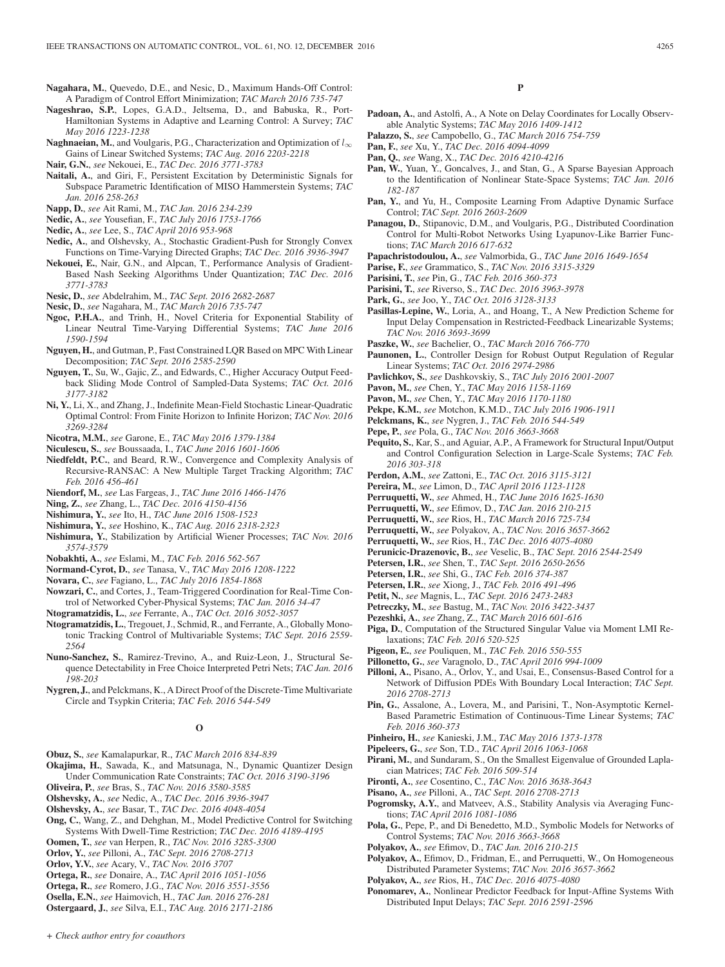- **Nagahara, M.**, Quevedo, D.E., and Nesic, D., Maximum Hands-Off Control: A Paradigm of Control Effort Minimization; *TAC March 2016 735-747*
- **Nageshrao, S.P.**, Lopes, G.A.D., Jeltsema, D., and Babuska, R., Port-Hamiltonian Systems in Adaptive and Learning Control: A Survey; *TAC May 2016 1223-1238*
- **Naghnaeian, M.**, and Voulgaris, P.G., Characterization and Optimization of  $l_{\infty}$ Gains of Linear Switched Systems; *TAC Aug. 2016 2203-2218*
- **Nair, G.N.**, *see* Nekouei, E., *TAC Dec. 2016 3771-3783*
- **Naitali, A.**, and Giri, F., Persistent Excitation by Deterministic Signals for Subspace Parametric Identification of MISO Hammerstein Systems; *TAC Jan. 2016 258-263*
- **Napp, D.**, *see* Ait Rami, M., *TAC Jan. 2016 234-239*
- **Nedic, A.**, *see* Yousefian, F., *TAC July 2016 1753-1766*
- **Nedic, A.**, *see* Lee, S., *TAC April 2016 953-968*
- **Nedic, A.**, and Olshevsky, A., Stochastic Gradient-Push for Strongly Convex Functions on Time-Varying Directed Graphs; *TAC Dec. 2016 3936-3947*
- **Nekouei, E.**, Nair, G.N., and Alpcan, T., Performance Analysis of Gradient-Based Nash Seeking Algorithms Under Quantization; *TAC Dec. 2016 3771-3783*
- **Nesic, D.**, *see* Abdelrahim, M., *TAC Sept. 2016 2682-2687*
- **Nesic, D.**, *see* Nagahara, M., *TAC March 2016 735-747*
- **Ngoc, P.H.A.**, and Trinh, H., Novel Criteria for Exponential Stability of Linear Neutral Time-Varying Differential Systems; *TAC June 2016 1590-1594*
- **Nguyen, H.**, and Gutman, P., Fast Constrained LQR Based on MPC With Linear Decomposition; *TAC Sept. 2016 2585-2590*
- **Nguyen, T.**, Su, W., Gajic, Z., and Edwards, C., Higher Accuracy Output Feedback Sliding Mode Control of Sampled-Data Systems; *TAC Oct. 2016 3177-3182*
- **Ni, Y.**, Li, X., and Zhang, J., Indefinite Mean-Field Stochastic Linear-Quadratic Optimal Control: From Finite Horizon to Infinite Horizon; *TAC Nov. 2016 3269-3284*
- **Nicotra, M.M.**, *see* Garone, E., *TAC May 2016 1379-1384*
- **Niculescu, S.**, *see* Boussaada, I., *TAC June 2016 1601-1606*
- **Niedfeldt, P.C.**, and Beard, R.W., Convergence and Complexity Analysis of Recursive-RANSAC: A New Multiple Target Tracking Algorithm; *TAC Feb. 2016 456-461*
- **Niendorf, M.**, *see* Las Fargeas, J., *TAC June 2016 1466-1476*
- **Ning, Z.**, *see* Zhang, L., *TAC Dec. 2016 4150-4156*
- **Nishimura, Y.**, *see* Ito, H., *TAC June 2016 1508-1523*
- **Nishimura, Y.**, *see* Hoshino, K., *TAC Aug. 2016 2318-2323*
- **Nishimura, Y.**, Stabilization by Artificial Wiener Processes; *TAC Nov. 2016 3574-3579*
- **Nobakhti, A.**, *see* Eslami, M., *TAC Feb. 2016 562-567*
- **Normand-Cyrot, D.**, *see* Tanasa, V., *TAC May 2016 1208-1222*
- **Novara, C.**, *see* Fagiano, L., *TAC July 2016 1854-1868*
- **Nowzari, C.**, and Cortes, J., Team-Triggered Coordination for Real-Time Control of Networked Cyber-Physical Systems; *TAC Jan. 2016 34-47*
- **Ntogramatzidis, L.**, *see* Ferrante, A., *TAC Oct. 2016 3052-3057*
- **Ntogramatzidis, L.**, Tregouet, J., Schmid, R., and Ferrante, A., Globally Monotonic Tracking Control of Multivariable Systems; *TAC Sept. 2016 2559- 2564*
- **Nuno-Sanchez, S.**, Ramirez-Trevino, A., and Ruiz-Leon, J., Structural Sequence Detectability in Free Choice Interpreted Petri Nets; *TAC Jan. 2016 198-203*
- **Nygren, J.**, and Pelckmans, K., A Direct Proof of the Discrete-Time Multivariate Circle and Tsypkin Criteria; *TAC Feb. 2016 544-549*

## **O**

- **Obuz, S.**, *see* Kamalapurkar, R., *TAC March 2016 834-839*
- **Okajima, H.**, Sawada, K., and Matsunaga, N., Dynamic Quantizer Design Under Communication Rate Constraints; *TAC Oct. 2016 3190-3196*
- **Oliveira, P.**, *see* Bras, S., *TAC Nov. 2016 3580-3585*
- **Olshevsky, A.**, *see* Nedic, A., *TAC Dec. 2016 3936-3947*
- **Olshevsky, A.**, *see* Basar, T., *TAC Dec. 2016 4048-4054*
- **Ong, C.**, Wang, Z., and Dehghan, M., Model Predictive Control for Switching Systems With Dwell-Time Restriction; *TAC Dec. 2016 4189-4195*
- **Oomen, T.**, *see* van Herpen, R., *TAC Nov. 2016 3285-3300*
- **Orlov, Y.**, *see* Pilloni, A., *TAC Sept. 2016 2708-2713*
- **Orlov, Y.V.**, *see* Acary, V., *TAC Nov. 2016 3707*
- **Ortega, R.**, *see* Donaire, A., *TAC April 2016 1051-1056*
- **Ortega, R.**, *see* Romero, J.G., *TAC Nov. 2016 3551-3556*
- **Osella, E.N.**, *see* Haimovich, H., *TAC Jan. 2016 276-281* **Ostergaard, J.**, *see* Silva, E.I., *TAC Aug. 2016 2171-2186*
- Padoan, A., and Astolfi, A., A Note on Delay Coordinates for Locally Observable Analytic Systems; *TAC May 2016 1409-1412*
- **Palazzo, S.**, *see* Campobello, G., *TAC March 2016 754-759*
- **Pan, F.**, *see* Xu, Y., *TAC Dec. 2016 4094-4099*
- **Pan, Q.**, *see* Wang, X., *TAC Dec. 2016 4210-4216*
- Pan, W., Yuan, Y., Goncalves, J., and Stan, G., A Sparse Bayesian Approach to the Identification of Nonlinear State-Space Systems; *TAC Jan. 2016 182-187*
- **Pan, Y.**, and Yu, H., Composite Learning From Adaptive Dynamic Surface Control; *TAC Sept. 2016 2603-2609*
- **Panagou, D.**, Stipanovic, D.M., and Voulgaris, P.G., Distributed Coordination Control for Multi-Robot Networks Using Lyapunov-Like Barrier Functions; *TAC March 2016 617-632*
- **Papachristodoulou, A.**, *see* Valmorbida, G., *TAC June 2016 1649-1654*
- **Parise, F.**, *see* Grammatico, S., *TAC Nov. 2016 3315-3329*
- **Parisini, T.**, *see* Pin, G., *TAC Feb. 2016 360-373*
- **Parisini, T.**, *see* Riverso, S., *TAC Dec. 2016 3963-3978*
- **Park, G.**, *see* Joo, Y., *TAC Oct. 2016 3128-3133*
- **Pasillas-Lepine, W.**, Loria, A., and Hoang, T., A New Prediction Scheme for Input Delay Compensation in Restricted-Feedback Linearizable Systems; *TAC Nov. 2016 3693-3699*
- **Paszke, W.**, *see* Bachelier, O., *TAC March 2016 766-770*
- **Paunonen, L.**, Controller Design for Robust Output Regulation of Regular Linear Systems; *TAC Oct. 2016 2974-2986*
- **Pavlichkov, S.**, *see* Dashkovskiy, S., *TAC July 2016 2001-2007*
- **Pavon, M.**, *see* Chen, Y., *TAC May 2016 1158-1169*
- **Pavon, M.**, *see* Chen, Y., *TAC May 2016 1170-1180*
- **Pekpe, K.M.**, *see* Motchon, K.M.D., *TAC July 2016 1906-1911*
- **Pelckmans, K.**, *see* Nygren, J., *TAC Feb. 2016 544-549*
- **Pepe, P.**, *see* Pola, G., *TAC Nov. 2016 3663-3668*
- **Pequito, S.**, Kar, S., and Aguiar, A.P., A Framework for Structural Input/Output and Control Configuration Selection in Large-Scale Systems; *TAC Feb. 2016 303-318*
- **Perdon, A.M.**, *see* Zattoni, E., *TAC Oct. 2016 3115-3121*
- **Pereira, M.**, *see* Limon, D., *TAC April 2016 1123-1128*
- **Perruquetti, W.**, *see* Ahmed, H., *TAC June 2016 1625-1630*
- **Perruquetti, W.**, *see* Efimov, D., *TAC Jan. 2016 210-215*
- **Perruquetti, W.**, *see* Rios, H., *TAC March 2016 725-734*
- **Perruquetti, W.**, *see* Polyakov, A., *TAC Nov. 2016 3657-3662*
- **Perruquetti, W.**, *see* Rios, H., *TAC Dec. 2016 4075-4080*
- **Perunicic-Drazenovic, B.**, *see* Veselic, B., *TAC Sept. 2016 2544-2549*
- **Petersen, I.R.**, *see* Shen, T., *TAC Sept. 2016 2650-2656*
- **Petersen, I.R.**, *see* Shi, G., *TAC Feb. 2016 374-387*
- **Petersen, I.R.**, *see* Xiong, J., *TAC Feb. 2016 491-496*
- **Petit, N.**, *see* Magnis, L., *TAC Sept. 2016 2473-2483*
- **Petreczky, M.**, *see* Bastug, M., *TAC Nov. 2016 3422-3437*
- **Pezeshki, A.**, *see* Zhang, Z., *TAC March 2016 601-616*
- **Piga, D.**, Computation of the Structured Singular Value via Moment LMI Relaxations; *TAC Feb. 2016 520-525*
- **Pigeon, E.**, *see* Pouliquen, M., *TAC Feb. 2016 550-555*
- **Pillonetto, G.**, *see* Varagnolo, D., *TAC April 2016 994-1009*
- **Pilloni, A.**, Pisano, A., Orlov, Y., and Usai, E., Consensus-Based Control for a Network of Diffusion PDEs With Boundary Local Interaction; *TAC Sept. 2016 2708-2713*
- **Pin, G.**, Assalone, A., Lovera, M., and Parisini, T., Non-Asymptotic Kernel-Based Parametric Estimation of Continuous-Time Linear Systems; *TAC Feb. 2016 360-373*
- **Pinheiro, H.**, *see* Kanieski, J.M., *TAC May 2016 1373-1378*
- **Pipeleers, G.**, *see* Son, T.D., *TAC April 2016 1063-1068*
- **Pirani, M.**, and Sundaram, S., On the Smallest Eigenvalue of Grounded Laplacian Matrices; *TAC Feb. 2016 509-514*
- **Pironti, A.**, *see* Cosentino, C., *TAC Nov. 2016 3638-3643*
- **Pisano, A.**, *see* Pilloni, A., *TAC Sept. 2016 2708-2713*
- **Pogromsky, A.Y.**, and Matveev, A.S., Stability Analysis via Averaging Functions; *TAC April 2016 1081-1086*
- **Pola, G.**, Pepe, P., and Di Benedetto, M.D., Symbolic Models for Networks of Control Systems; *TAC Nov. 2016 3663-3668*
- **Polyakov, A.**, *see* Efimov, D., *TAC Jan. 2016 210-215*
- **Polyakov, A.**, Efimov, D., Fridman, E., and Perruquetti, W., On Homogeneous Distributed Parameter Systems; *TAC Nov. 2016 3657-3662*
- **Polyakov, A.**, *see* Rios, H., *TAC Dec. 2016 4075-4080*
- **Ponomarev, A.**, Nonlinear Predictor Feedback for Input-Affine Systems With Distributed Input Delays; *TAC Sept. 2016 2591-2596*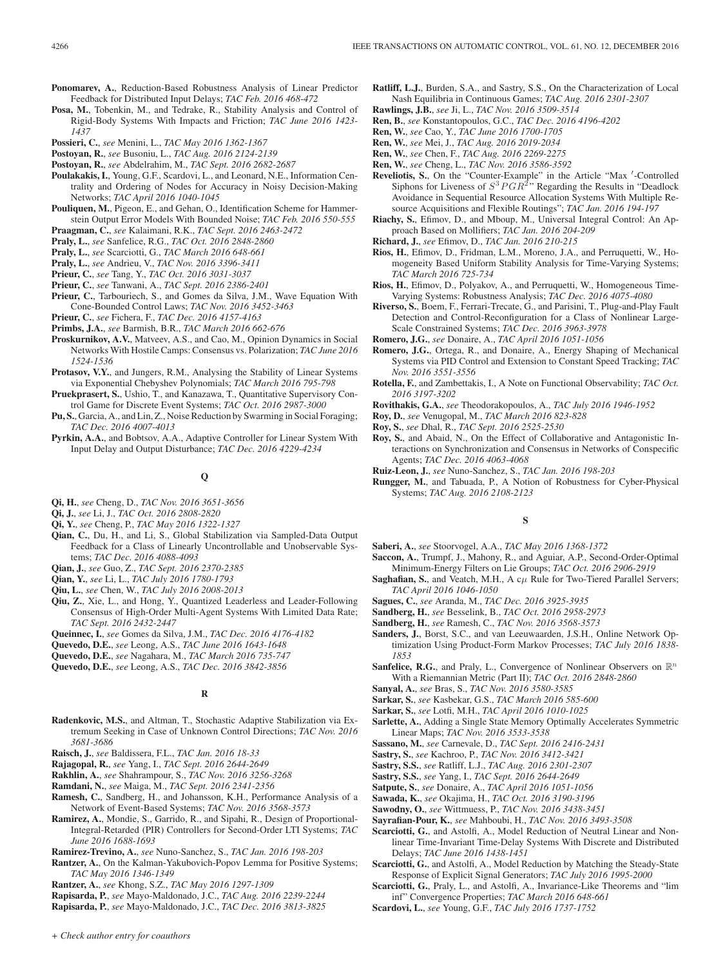- **Ponomarev, A.**, Reduction-Based Robustness Analysis of Linear Predictor Feedback for Distributed Input Delays; *TAC Feb. 2016 468-472*
- **Posa, M.**, Tobenkin, M., and Tedrake, R., Stability Analysis and Control of Rigid-Body Systems With Impacts and Friction; *TAC June 2016 1423- 1437*
- **Possieri, C.**, *see* Menini, L., *TAC May 2016 1362-1367*
- **Postoyan, R.**, *see* Busoniu, L., *TAC Aug. 2016 2124-2139*
- **Postoyan, R.**, *see* Abdelrahim, M., *TAC Sept. 2016 2682-2687*
- **Poulakakis, I.**, Young, G.F., Scardovi, L., and Leonard, N.E., Information Centrality and Ordering of Nodes for Accuracy in Noisy Decision-Making Networks; *TAC April 2016 1040-1045*
- **Pouliquen, M.**, Pigeon, E., and Gehan, O., Identification Scheme for Hammerstein Output Error Models With Bounded Noise; *TAC Feb. 2016 550-555*
- **Praagman, C.**, *see* Kalaimani, R.K., *TAC Sept. 2016 2463-2472*
- **Praly, L.**, *see* Sanfelice, R.G., *TAC Oct. 2016 2848-2860*
- **Praly, L.**, *see* Scarciotti, G., *TAC March 2016 648-661*
- **Praly, L.**, *see* Andrieu, V., *TAC Nov. 2016 3396-3411*
- **Prieur, C.**, *see* Tang, Y., *TAC Oct. 2016 3031-3037*
- **Prieur, C.**, *see* Tanwani, A., *TAC Sept. 2016 2386-2401*
- **Prieur, C.**, Tarbouriech, S., and Gomes da Silva, J.M., Wave Equation With Cone-Bounded Control Laws; *TAC Nov. 2016 3452-3463*
- **Prieur, C.**, *see* Fichera, F., *TAC Dec. 2016 4157-4163*
- **Primbs, J.A.**, *see* Barmish, B.R., *TAC March 2016 662-676*
- **Proskurnikov, A.V.**, Matveev, A.S., and Cao, M., Opinion Dynamics in Social Networks With Hostile Camps: Consensus vs. Polarization; *TAC June 2016 1524-1536*
- **Protasov, V.Y.**, and Jungers, R.M., Analysing the Stability of Linear Systems via Exponential Chebyshev Polynomials; *TAC March 2016 795-798*
- **Pruekprasert, S.**, Ushio, T., and Kanazawa, T., Quantitative Supervisory Control Game for Discrete Event Systems; *TAC Oct. 2016 2987-3000*
- **Pu, S.**, Garcia, A., and Lin, Z., Noise Reduction by Swarming in Social Foraging; *TAC Dec. 2016 4007-4013*
- **Pyrkin, A.A.**, and Bobtsov, A.A., Adaptive Controller for Linear System With Input Delay and Output Disturbance; *TAC Dec. 2016 4229-4234*
	- **Q**
- **Qi, H.**, *see* Cheng, D., *TAC Nov. 2016 3651-3656*
- **Qi, J.**, *see* Li, J., *TAC Oct. 2016 2808-2820*
- **Qi, Y.**, *see* Cheng, P., *TAC May 2016 1322-1327*
- **Qian, C.**, Du, H., and Li, S., Global Stabilization via Sampled-Data Output Feedback for a Class of Linearly Uncontrollable and Unobservable Systems; *TAC Dec. 2016 4088-4093*
- **Qian, J.**, *see* Guo, Z., *TAC Sept. 2016 2370-2385*
- **Qian, Y.**, *see* Li, L., *TAC July 2016 1780-1793*
- **Qiu, L.**, *see* Chen, W., *TAC July 2016 2008-2013*
- **Qiu, Z.**, Xie, L., and Hong, Y., Quantized Leaderless and Leader-Following Consensus of High-Order Multi-Agent Systems With Limited Data Rate; *TAC Sept. 2016 2432-2447*
- **Queinnec, I.**, *see* Gomes da Silva, J.M., *TAC Dec. 2016 4176-4182*
- **Quevedo, D.E.**, *see* Leong, A.S., *TAC June 2016 1643-1648*
- **Quevedo, D.E.**, *see* Nagahara, M., *TAC March 2016 735-747*
- **Quevedo, D.E.**, *see* Leong, A.S., *TAC Dec. 2016 3842-3856*

## **R**

- **Radenkovic, M.S.**, and Altman, T., Stochastic Adaptive Stabilization via Extremum Seeking in Case of Unknown Control Directions; *TAC Nov. 2016 3681-3686*
- **Raisch, J.**, *see* Baldissera, F.L., *TAC Jan. 2016 18-33*
- **Rajagopal, R.**, *see* Yang, I., *TAC Sept. 2016 2644-2649*
- **Rakhlin, A.**, *see* Shahrampour, S., *TAC Nov. 2016 3256-3268*
- **Ramdani, N.**, *see* Maiga, M., *TAC Sept. 2016 2341-2356*
- **Ramesh, C.**, Sandberg, H., and Johansson, K.H., Performance Analysis of a Network of Event-Based Systems; *TAC Nov. 2016 3568-3573*
- **Ramirez, A.**, Mondie, S., Garrido, R., and Sipahi, R., Design of Proportional-Integral-Retarded (PIR) Controllers for Second-Order LTI Systems; *TAC June 2016 1688-1693*
- **Ramirez-Trevino, A.**, *see* Nuno-Sanchez, S., *TAC Jan. 2016 198-203*
- **Rantzer, A.**, On the Kalman-Yakubovich-Popov Lemma for Positive Systems; *TAC May 2016 1346-1349*
- **Rantzer, A.**, *see* Khong, S.Z., *TAC May 2016 1297-1309*
- **Rapisarda, P.**, *see* Mayo-Maldonado, J.C., *TAC Aug. 2016 2239-2244*
- **Rapisarda, P.**, *see* Mayo-Maldonado, J.C., *TAC Dec. 2016 3813-3825*
- **Ratliff, L.J.**, Burden, S.A., and Sastry, S.S., On the Characterization of Local Nash Equilibria in Continuous Games; *TAC Aug. 2016 2301-2307*
- **Rawlings, J.B.**, *see* Ji, L., *TAC Nov. 2016 3509-3514*
- **Ren, B.**, *see* Konstantopoulos, G.C., *TAC Dec. 2016 4196-4202*
- **Ren, W.**, *see* Cao, Y., *TAC June 2016 1700-1705*
- **Ren, W.**, *see* Mei, J., *TAC Aug. 2016 2019-2034*
- **Ren, W.**, *see* Chen, F., *TAC Aug. 2016 2269-2275*
- **Ren, W.**, *see* Cheng, L., *TAC Nov. 2016 3586-3592*
- **Reveliotis, S.**, On the "Counter-Example" in the Article "Max '-Controlled Siphons for Liveness of  $S^3 PGR^2$ " Regarding the Results in "Deadlock Avoidance in Sequential Resource Allocation Systems With Multiple Resource Acquisitions and Flexible Routings"; *TAC Jan. 2016 194-197*
- **Riachy, S.**, Efimov, D., and Mboup, M., Universal Integral Control: An Approach Based on Mollifiers; *TAC Jan. 2016 204-209*
- **Richard, J.**, *see* Efimov, D., *TAC Jan. 2016 210-215*
- **Rios, H.**, Efimov, D., Fridman, L.M., Moreno, J.A., and Perruquetti, W., Homogeneity Based Uniform Stability Analysis for Time-Varying Systems; *TAC March 2016 725-734*
- **Rios, H.**, Efimov, D., Polyakov, A., and Perruquetti, W., Homogeneous Time-Varying Systems: Robustness Analysis; *TAC Dec. 2016 4075-4080*
- **Riverso, S.**, Boem, F., Ferrari-Trecate, G., and Parisini, T., Plug-and-Play Fault Detection and Control-Reconfiguration for a Class of Nonlinear Large-Scale Constrained Systems; *TAC Dec. 2016 3963-3978*
- **Romero, J.G.**, *see* Donaire, A., *TAC April 2016 1051-1056*
- **Romero, J.G.**, Ortega, R., and Donaire, A., Energy Shaping of Mechanical Systems via PID Control and Extension to Constant Speed Tracking; *TAC Nov. 2016 3551-3556*
- **Rotella, F.**, and Zambettakis, I., A Note on Functional Observability; *TAC Oct. 2016 3197-3202*
- **Rovithakis, G.A.**, *see* Theodorakopoulos, A., *TAC July 2016 1946-1952*
- **Roy, D.**, *see* Venugopal, M., *TAC March 2016 823-828*
- **Roy, S.**, *see* Dhal, R., *TAC Sept. 2016 2525-2530*
- **Roy, S.**, and Abaid, N., On the Effect of Collaborative and Antagonistic Interactions on Synchronization and Consensus in Networks of Conspecific Agents; *TAC Dec. 2016 4063-4068*
- **Ruiz-Leon, J.**, *see* Nuno-Sanchez, S., *TAC Jan. 2016 198-203*
- **Rungger, M.**, and Tabuada, P., A Notion of Robustness for Cyber-Physical Systems; *TAC Aug. 2016 2108-2123*

## **S**

- **Saberi, A.**, *see* Stoorvogel, A.A., *TAC May 2016 1368-1372*
- **Saccon, A.**, Trumpf, J., Mahony, R., and Aguiar, A.P., Second-Order-Optimal Minimum-Energy Filters on Lie Groups; *TAC Oct. 2016 2906-2919*
- **Saghafian, S.**, and Veatch, M.H., A  $c\mu$  Rule for Two-Tiered Parallel Servers; *TAC April 2016 1046-1050*
- **Sagues, C.**, *see* Aranda, M., *TAC Dec. 2016 3925-3935*
- **Sandberg, H.**, *see* Besselink, B., *TAC Oct. 2016 2958-2973*
- **Sandberg, H.**, *see* Ramesh, C., *TAC Nov. 2016 3568-3573*
- **Sanders, J.**, Borst, S.C., and van Leeuwaarden, J.S.H., Online Network Optimization Using Product-Form Markov Processes; *TAC July 2016 1838- 1853*
- **Sanfelice, R.G.**, and Praly, L., Convergence of Nonlinear Observers on  $\mathbb{R}^n$ With a Riemannian Metric (Part II); *TAC Oct. 2016 2848-2860*
- **Sanyal, A.**, *see* Bras, S., *TAC Nov. 2016 3580-3585*
- **Sarkar, S.**, *see* Kasbekar, G.S., *TAC March 2016 585-600*
- **Sarkar, S.**, *see* Lotfi, M.H., *TAC April 2016 1010-1025*
- **Sarlette, A.**, Adding a Single State Memory Optimally Accelerates Symmetric Linear Maps; *TAC Nov. 2016 3533-3538*
- **Sassano, M.**, *see* Carnevale, D., *TAC Sept. 2016 2416-2431*
- **Sastry, S.**, *see* Kachroo, P., *TAC Nov. 2016 3412-3421*
- **Sastry, S.S.**, *see* Ratliff, L.J., *TAC Aug. 2016 2301-2307*
- **Sastry, S.S.**, *see* Yang, I., *TAC Sept. 2016 2644-2649*
- **Satpute, S.**, *see* Donaire, A., *TAC April 2016 1051-1056*
- **Sawada, K.**, *see* Okajima, H., *TAC Oct. 2016 3190-3196*
- **Sawodny, O.**, *see* Wittmuess, P., *TAC Nov. 2016 3438-3451*
- **Sayrafian-Pour, K.**, *see* Mahboubi, H., *TAC Nov. 2016 3493-3508*
- **Scarciotti, G.**, and Astolfi, A., Model Reduction of Neutral Linear and Nonlinear Time-Invariant Time-Delay Systems With Discrete and Distributed Delays; *TAC June 2016 1438-1451*
- **Scarciotti, G.**, and Astolfi, A., Model Reduction by Matching the Steady-State Response of Explicit Signal Generators; *TAC July 2016 1995-2000*
- **Scarciotti, G.**, Praly, L., and Astolfi, A., Invariance-Like Theorems and "lim inf" Convergence Properties; *TAC March 2016 648-661*
- **Scardovi, L.**, *see* Young, G.F., *TAC July 2016 1737-1752*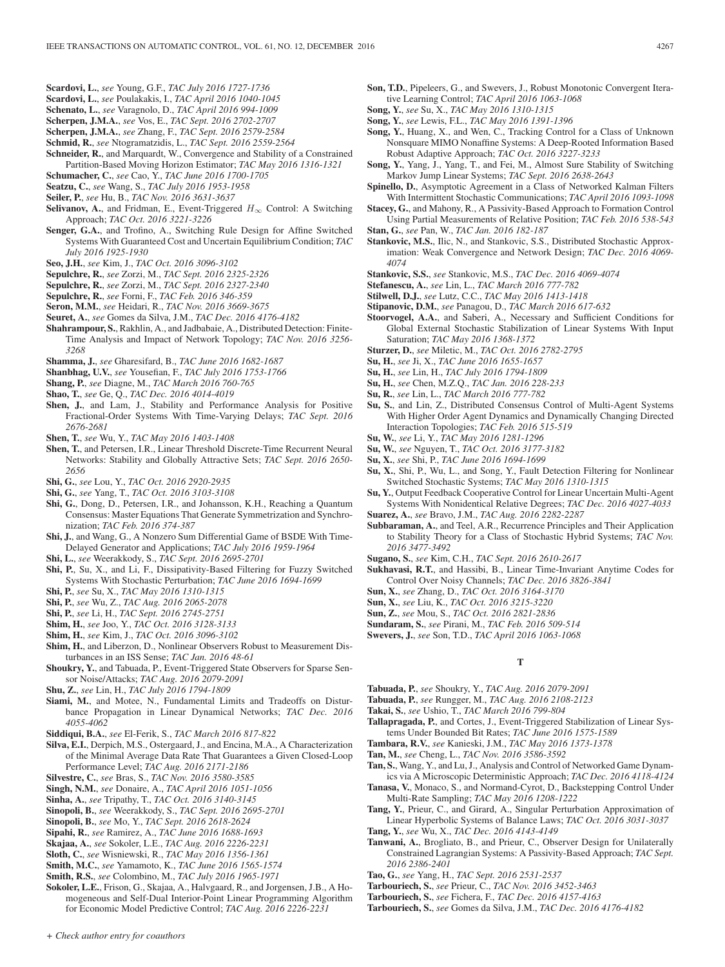- **Scardovi, L.**, *see* Young, G.F., *TAC July 2016 1727-1736*
- **Scardovi, L.**, *see* Poulakakis, I., *TAC April 2016 1040-1045*
- **Schenato, L.**, *see* Varagnolo, D., *TAC April 2016 994-1009*
- **Scherpen, J.M.A.**, *see* Vos, E., *TAC Sept. 2016 2702-2707*
- **Scherpen, J.M.A.**, *see* Zhang, F., *TAC Sept. 2016 2579-2584*
- **Schmid, R.**, *see* Ntogramatzidis, L., *TAC Sept. 2016 2559-2564*
- **Schneider, R.**, and Marquardt, W., Convergence and Stability of a Constrained Partition-Based Moving Horizon Estimator; *TAC May 2016 1316-1321*
- **Schumacher, C.**, *see* Cao, Y., *TAC June 2016 1700-1705*
- **Seatzu, C.**, *see* Wang, S., *TAC July 2016 1953-1958*
- **Seiler, P.**, *see* Hu, B., *TAC Nov. 2016 3631-3637*
- **Selivanov, A.**, and Fridman, E., Event-Triggered  $H_{\infty}$  Control: A Switching Approach; *TAC Oct. 2016 3221-3226*
- **Senger, G.A.**, and Trofino, A., Switching Rule Design for Affine Switched Systems With Guaranteed Cost and Uncertain Equilibrium Condition; *TAC July 2016 1925-1930*
- **Seo, J.H.**, *see* Kim, J., *TAC Oct. 2016 3096-3102*
- **Sepulchre, R.**, *see* Zorzi, M., *TAC Sept. 2016 2325-2326*
- **Sepulchre, R.**, *see* Zorzi, M., *TAC Sept. 2016 2327-2340*
- **Sepulchre, R.**, *see* Forni, F., *TAC Feb. 2016 346-359*
- **Seron, M.M.**, *see* Heidari, R., *TAC Nov. 2016 3669-3675*
- **Seuret, A.**, *see* Gomes da Silva, J.M., *TAC Dec. 2016 4176-4182*
- **Shahrampour, S.**, Rakhlin, A., and Jadbabaie, A., Distributed Detection: Finite-Time Analysis and Impact of Network Topology; *TAC Nov. 2016 3256- 3268*
- **Shamma, J.**, *see* Gharesifard, B., *TAC June 2016 1682-1687*
- **Shanbhag, U.V.**, *see* Yousefian, F., *TAC July 2016 1753-1766*
- **Shang, P.**, *see* Diagne, M., *TAC March 2016 760-765*
- **Shao, T.**, *see* Ge, Q., *TAC Dec. 2016 4014-4019*
- **Shen, J.**, and Lam, J., Stability and Performance Analysis for Positive Fractional-Order Systems With Time-Varying Delays; *TAC Sept. 2016 2676-2681*
- **Shen, T.**, *see* Wu, Y., *TAC May 2016 1403-1408*
- **Shen, T.**, and Petersen, I.R., Linear Threshold Discrete-Time Recurrent Neural Networks: Stability and Globally Attractive Sets; *TAC Sept. 2016 2650- 2656*
- **Shi, G.**, *see* Lou, Y., *TAC Oct. 2016 2920-2935*
- **Shi, G.**, *see* Yang, T., *TAC Oct. 2016 3103-3108*
- **Shi, G.**, Dong, D., Petersen, I.R., and Johansson, K.H., Reaching a Quantum Consensus: Master Equations That Generate Symmetrization and Synchronization; *TAC Feb. 2016 374-387*
- **Shi, J.**, and Wang, G., A Nonzero Sum Differential Game of BSDE With Time-Delayed Generator and Applications; *TAC July 2016 1959-1964*
- **Shi, L.**, *see* Weerakkody, S., *TAC Sept. 2016 2695-2701*
- **Shi, P.**, Su, X., and Li, F., Dissipativity-Based Filtering for Fuzzy Switched Systems With Stochastic Perturbation; *TAC June 2016 1694-1699*
- **Shi, P.**, *see* Su, X., *TAC May 2016 1310-1315*
- **Shi, P.**, *see* Wu, Z., *TAC Aug. 2016 2065-2078*
- **Shi, P.**, *see* Li, H., *TAC Sept. 2016 2745-2751*
- **Shim, H.**, *see* Joo, Y., *TAC Oct. 2016 3128-3133*
- **Shim, H.**, *see* Kim, J., *TAC Oct. 2016 3096-3102*
- **Shim, H.**, and Liberzon, D., Nonlinear Observers Robust to Measurement Disturbances in an ISS Sense; *TAC Jan. 2016 48-61*
- **Shoukry, Y.**, and Tabuada, P., Event-Triggered State Observers for Sparse Sensor Noise/Attacks; *TAC Aug. 2016 2079-2091*
- **Shu, Z.**, *see* Lin, H., *TAC July 2016 1794-1809*
- **Siami, M.**, and Motee, N., Fundamental Limits and Tradeoffs on Disturbance Propagation in Linear Dynamical Networks; *TAC Dec. 2016 4055-4062*
- **Siddiqui, B.A.**, *see* El-Ferik, S., *TAC March 2016 817-822*
- **Silva, E.I.**, Derpich, M.S., Ostergaard, J., and Encina, M.A., A Characterization of the Minimal Average Data Rate That Guarantees a Given Closed-Loop Performance Level; *TAC Aug. 2016 2171-2186*
- **Silvestre, C.**, *see* Bras, S., *TAC Nov. 2016 3580-3585*
- **Singh, N.M.**, *see* Donaire, A., *TAC April 2016 1051-1056*
- **Sinha, A.**, *see* Tripathy, T., *TAC Oct. 2016 3140-3145*
- **Sinopoli, B.**, *see* Weerakkody, S., *TAC Sept. 2016 2695-2701*
- **Sinopoli, B.**, *see* Mo, Y., *TAC Sept. 2016 2618-2624*
- **Sipahi, R.**, *see* Ramirez, A., *TAC June 2016 1688-1693*
- **Skajaa, A.**, *see* Sokoler, L.E., *TAC Aug. 2016 2226-2231*
- **Sloth, C.**, *see* Wisniewski, R., *TAC May 2016 1356-1361*
- **Smith, M.C.**, *see* Yamamoto, K., *TAC June 2016 1565-1574*
- **Smith, R.S.**, *see* Colombino, M., *TAC July 2016 1965-1971*

*+ Check author entry for coauthors*

**Sokoler, L.E.**, Frison, G., Skajaa, A., Halvgaard, R., and Jorgensen, J.B., A Homogeneous and Self-Dual Interior-Point Linear Programming Algorithm for Economic Model Predictive Control; *TAC Aug. 2016 2226-2231*

- **Son, T.D.**, Pipeleers, G., and Swevers, J., Robust Monotonic Convergent Iterative Learning Control; *TAC April 2016 1063-1068*
- **Song, Y.**, *see* Su, X., *TAC May 2016 1310-1315*
- **Song, Y.**, *see* Lewis, F.L., *TAC May 2016 1391-1396*
- **Song, Y.**, Huang, X., and Wen, C., Tracking Control for a Class of Unknown Nonsquare MIMO Nonaffine Systems: A Deep-Rooted Information Based Robust Adaptive Approach; *TAC Oct. 2016 3227-3233*
- **Song, Y.**, Yang, J., Yang, T., and Fei, M., Almost Sure Stability of Switching Markov Jump Linear Systems; *TAC Sept. 2016 2638-2643*
- **Spinello, D.**, Asymptotic Agreement in a Class of Networked Kalman Filters With Intermittent Stochastic Communications; *TAC April 2016 1093-1098*
- **Stacey, G.**, and Mahony, R., A Passivity-Based Approach to Formation Control Using Partial Measurements of Relative Position; *TAC Feb. 2016 538-543*
- **Stan, G.**, *see* Pan, W., *TAC Jan. 2016 182-187*
- Stankovic, M.S., Ilic, N., and Stankovic, S.S., Distributed Stochastic Approximation: Weak Convergence and Network Design; *TAC Dec. 2016 4069- 4074*
- **Stankovic, S.S.**, *see* Stankovic, M.S., *TAC Dec. 2016 4069-4074*
- **Stefanescu, A.**, *see* Lin, L., *TAC March 2016 777-782*
- **Stilwell, D.J.**, *see* Lutz, C.C., *TAC May 2016 1413-1418*
- **Stipanovic, D.M.**, *see* Panagou, D., *TAC March 2016 617-632*
- **Stoorvogel, A.A.**, and Saberi, A., Necessary and Sufficient Conditions for Global External Stochastic Stabilization of Linear Systems With Input Saturation; *TAC May 2016 1368-1372*
- **Sturzer, D.**, *see* Miletic, M., *TAC Oct. 2016 2782-2795*
- **Su, H.**, *see* Ji, X., *TAC June 2016 1655-1657*
- **Su, H.**, *see* Lin, H., *TAC July 2016 1794-1809*
- **Su, H.**, *see* Chen, M.Z.Q., *TAC Jan. 2016 228-233*
- **Su, R.**, *see* Lin, L., *TAC March 2016 777-782*
- **Su, S.**, and Lin, Z., Distributed Consensus Control of Multi-Agent Systems With Higher Order Agent Dynamics and Dynamically Changing Directed Interaction Topologies; *TAC Feb. 2016 515-519*
- **Su, W.**, *see* Li, Y., *TAC May 2016 1281-1296*
- **Su, W.**, *see* Nguyen, T., *TAC Oct. 2016 3177-3182*
- **Su, X.**, *see* Shi, P., *TAC June 2016 1694-1699*
- **Su, X.**, Shi, P., Wu, L., and Song, Y., Fault Detection Filtering for Nonlinear Switched Stochastic Systems; *TAC May 2016 1310-1315*
- **Su, Y.**, Output Feedback Cooperative Control for Linear Uncertain Multi-Agent Systems With Nonidentical Relative Degrees; *TAC Dec. 2016 4027-4033* **Suarez, A.**, *see* Bravo, J.M., *TAC Aug. 2016 2282-2287*
- **Subbaraman, A.**, and Teel, A.R., Recurrence Principles and Their Application to Stability Theory for a Class of Stochastic Hybrid Systems; *TAC Nov. 2016 3477-3492*
- **Sugano, S.**, *see* Kim, C.H., *TAC Sept. 2016 2610-2617*
- **Sukhavasi, R.T.**, and Hassibi, B., Linear Time-Invariant Anytime Codes for Control Over Noisy Channels; *TAC Dec. 2016 3826-3841*
- **Sun, X.**, *see* Zhang, D., *TAC Oct. 2016 3164-3170*
- **Sun, X.**, *see* Liu, K., *TAC Oct. 2016 3215-3220*
- **Sun, Z.**, *see* Mou, S., *TAC Oct. 2016 2821-2836*
- **Sundaram, S.**, *see* Pirani, M., *TAC Feb. 2016 509-514*
- **Swevers, J.**, *see* Son, T.D., *TAC April 2016 1063-1068*

**T**

- **Tabuada, P.**, *see* Shoukry, Y., *TAC Aug. 2016 2079-2091*
- **Tabuada, P.**, *see* Rungger, M., *TAC Aug. 2016 2108-2123*
- **Takai, S.**, *see* Ushio, T., *TAC March 2016 799-804*
- **Tallapragada, P.**, and Cortes, J., Event-Triggered Stabilization of Linear Systems Under Bounded Bit Rates; *TAC June 2016 1575-1589*
- **Tambara, R.V.**, *see* Kanieski, J.M., *TAC May 2016 1373-1378*
- **Tan, M.**, *see* Cheng, L., *TAC Nov. 2016 3586-3592*
- **Tan, S.**, Wang, Y., and Lu, J., Analysis and Control of Networked Game Dynamics via A Microscopic Deterministic Approach; *TAC Dec. 2016 4118-4124*
- **Tanasa, V.**, Monaco, S., and Normand-Cyrot, D., Backstepping Control Under Multi-Rate Sampling; *TAC May 2016 1208-1222*
- **Tang, Y.**, Prieur, C., and Girard, A., Singular Perturbation Approximation of Linear Hyperbolic Systems of Balance Laws; *TAC Oct. 2016 3031-3037*

Constrained Lagrangian Systems: A Passivity-Based Approach; *TAC Sept.*

**Tang, Y.**, *see* Wu, X., *TAC Dec. 2016 4143-4149* **Tanwani, A.**, Brogliato, B., and Prieur, C., Observer Design for Unilaterally

**Tao, G.**, *see* Yang, H., *TAC Sept. 2016 2531-2537* **Tarbouriech, S.**, *see* Prieur, C., *TAC Nov. 2016 3452-3463* **Tarbouriech, S.**, *see* Fichera, F., *TAC Dec. 2016 4157-4163* **Tarbouriech, S.**, *see* Gomes da Silva, J.M., *TAC Dec. 2016 4176-4182*

*2016 2386-2401*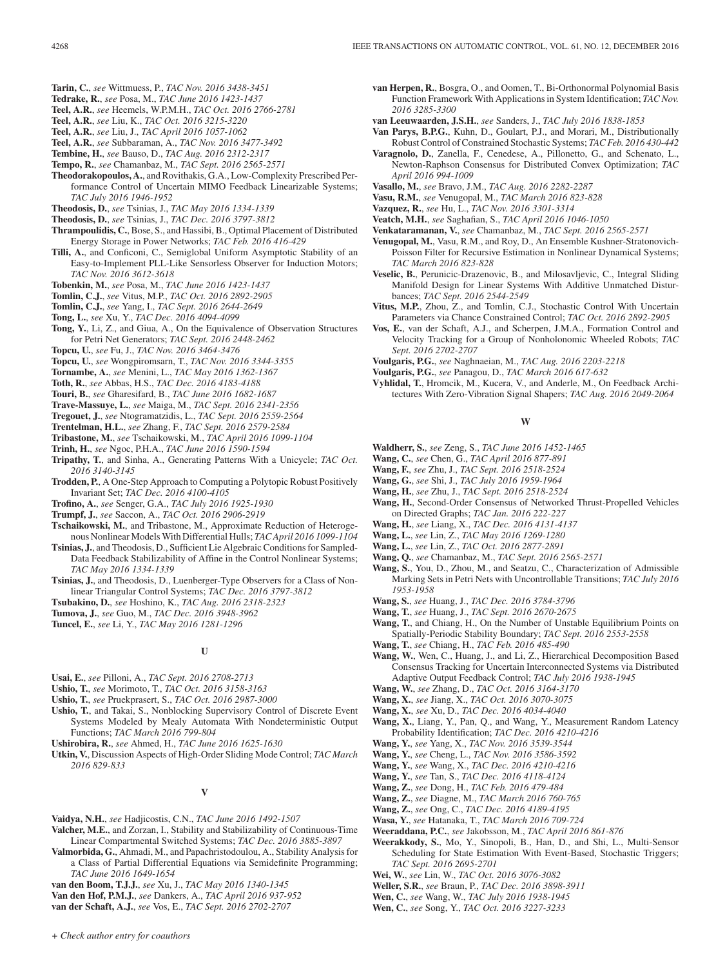- **Tarin, C.**, *see* Wittmuess, P., *TAC Nov. 2016 3438-3451*
- **Tedrake, R.**, *see* Posa, M., *TAC June 2016 1423-1437*
- **Teel, A.R.**, *see* Heemels, W.P.M.H., *TAC Oct. 2016 2766-2781*
- **Teel, A.R.**, *see* Liu, K., *TAC Oct. 2016 3215-3220*
- **Teel, A.R.**, *see* Liu, J., *TAC April 2016 1057-1062*
- **Teel, A.R.**, *see* Subbaraman, A., *TAC Nov. 2016 3477-3492*
- **Tembine, H.**, *see* Bauso, D., *TAC Aug. 2016 2312-2317* **Tempo, R.**, *see* Chamanbaz, M., *TAC Sept. 2016 2565-2571*
- **Theodorakopoulos, A.**, and Rovithakis, G.A., Low-Complexity Prescribed Performance Control of Uncertain MIMO Feedback Linearizable Systems; *TAC July 2016 1946-1952*
- **Theodosis, D.**, *see* Tsinias, J., *TAC May 2016 1334-1339*
- **Theodosis, D.**, *see* Tsinias, J., *TAC Dec. 2016 3797-3812*
- **Thrampoulidis, C.**, Bose, S., and Hassibi, B., Optimal Placement of Distributed Energy Storage in Power Networks; *TAC Feb. 2016 416-429*
- **Tilli, A.**, and Conficoni, C., Semiglobal Uniform Asymptotic Stability of an Easy-to-Implement PLL-Like Sensorless Observer for Induction Motors; *TAC Nov. 2016 3612-3618*
- **Tobenkin, M.**, *see* Posa, M., *TAC June 2016 1423-1437*
- **Tomlin, C.J.**, *see* Vitus, M.P., *TAC Oct. 2016 2892-2905*
- **Tomlin, C.J.**, *see* Yang, I., *TAC Sept. 2016 2644-2649*
- **Tong, L.**, *see* Xu, Y., *TAC Dec. 2016 4094-4099*
- **Tong, Y.**, Li, Z., and Giua, A., On the Equivalence of Observation Structures for Petri Net Generators; *TAC Sept. 2016 2448-2462*
- **Topcu, U.**, *see* Fu, J., *TAC Nov. 2016 3464-3476*
- **Topcu, U.**, *see* Wongpiromsarn, T., *TAC Nov. 2016 3344-3355*
- **Tornambe, A.**, *see* Menini, L., *TAC May 2016 1362-1367*
- **Toth, R.**, *see* Abbas, H.S., *TAC Dec. 2016 4183-4188*
- **Touri, B.**, *see* Gharesifard, B., *TAC June 2016 1682-1687*
- **Trave-Massuye, L.**, *see* Maiga, M., *TAC Sept. 2016 2341-2356*
- **Tregouet, J.**, *see* Ntogramatzidis, L., *TAC Sept. 2016 2559-2564*
- **Trentelman, H.L.**, *see* Zhang, F., *TAC Sept. 2016 2579-2584*
- **Tribastone, M.**, *see* Tschaikowski, M., *TAC April 2016 1099-1104*
- **Trinh, H.**, *see* Ngoc, P.H.A., *TAC June 2016 1590-1594*
- **Tripathy, T.**, and Sinha, A., Generating Patterns With a Unicycle; *TAC Oct. 2016 3140-3145*
- **Trodden, P.**, A One-Step Approach to Computing a Polytopic Robust Positively Invariant Set; *TAC Dec. 2016 4100-4105*
- **Trofino, A.**, *see* Senger, G.A., *TAC July 2016 1925-1930*
- **Trumpf, J.**, *see* Saccon, A., *TAC Oct. 2016 2906-2919*
- **Tschaikowski, M.**, and Tribastone, M., Approximate Reduction of Heterogenous Nonlinear Models With Differential Hulls; *TAC April 2016 1099-1104*
- **Tsinias, J.**, and Theodosis, D., Sufficient Lie Algebraic Conditions for Sampled-Data Feedback Stabilizability of Affine in the Control Nonlinear Systems; *TAC May 2016 1334-1339*
- **Tsinias, J.**, and Theodosis, D., Luenberger-Type Observers for a Class of Nonlinear Triangular Control Systems; *TAC Dec. 2016 3797-3812*
- **Tsubakino, D.**, *see* Hoshino, K., *TAC Aug. 2016 2318-2323*
- **Tumova, J.**, *see* Guo, M., *TAC Dec. 2016 3948-3962*
- **Tuncel, E.**, *see* Li, Y., *TAC May 2016 1281-1296*

## **U**

- **Usai, E.**, *see* Pilloni, A., *TAC Sept. 2016 2708-2713*
- **Ushio, T.**, *see* Morimoto, T., *TAC Oct. 2016 3158-3163*
- **Ushio, T.**, *see* Pruekprasert, S., *TAC Oct. 2016 2987-3000*
- **Ushio, T.**, and Takai, S., Nonblocking Supervisory Control of Discrete Event Systems Modeled by Mealy Automata With Nondeterministic Output Functions; *TAC March 2016 799-804*
- **Ushirobira, R.**, *see* Ahmed, H., *TAC June 2016 1625-1630*
- **Utkin, V.**, Discussion Aspects of High-Order Sliding Mode Control; *TAC March 2016 829-833*

## **V**

- **Vaidya, N.H.**, *see* Hadjicostis, C.N., *TAC June 2016 1492-1507*
- **Valcher, M.E.**, and Zorzan, I., Stability and Stabilizability of Continuous-Time Linear Compartmental Switched Systems; *TAC Dec. 2016 3885-3897*
- **Valmorbida, G.**, Ahmadi, M., and Papachristodoulou, A., Stability Analysis for a Class of Partial Differential Equations via Semidefinite Programming; *TAC June 2016 1649-1654*
- **van den Boom, T.J.J.**, *see* Xu, J., *TAC May 2016 1340-1345*
- **Van den Hof, P.M.J.**, *see* Dankers, A., *TAC April 2016 937-952*

**van der Schaft, A.J.**, *see* Vos, E., *TAC Sept. 2016 2702-2707*

*+ Check author entry for coauthors*

- **van Herpen, R.**, Bosgra, O., and Oomen, T., Bi-Orthonormal Polynomial Basis Function Framework With Applications in System Identification; *TAC Nov. 2016 3285-3300*
- **van Leeuwaarden, J.S.H.**, *see* Sanders, J., *TAC July 2016 1838-1853*
- **Van Parys, B.P.G.**, Kuhn, D., Goulart, P.J., and Morari, M., Distributionally Robust Control of Constrained Stochastic Systems; *TAC Feb. 2016 430-442*
- **Varagnolo, D.**, Zanella, F., Cenedese, A., Pillonetto, G., and Schenato, L., Newton-Raphson Consensus for Distributed Convex Optimization; *TAC April 2016 994-1009*
- **Vasallo, M.**, *see* Bravo, J.M., *TAC Aug. 2016 2282-2287*
- **Vasu, R.M.**, *see* Venugopal, M., *TAC March 2016 823-828*
- **Vazquez, R.**, *see* Hu, L., *TAC Nov. 2016 3301-3314*
- **Veatch, M.H.**, *see* Saghafian, S., *TAC April 2016 1046-1050*
- **Venkataramanan, V.**, *see* Chamanbaz, M., *TAC Sept. 2016 2565-2571*
- **Venugopal, M.**, Vasu, R.M., and Roy, D., An Ensemble Kushner-Stratonovich-Poisson Filter for Recursive Estimation in Nonlinear Dynamical Systems; *TAC March 2016 823-828*
- **Veselic, B.**, Perunicic-Drazenovic, B., and Milosavljevic, C., Integral Sliding Manifold Design for Linear Systems With Additive Unmatched Disturbances; *TAC Sept. 2016 2544-2549*
- **Vitus, M.P.**, Zhou, Z., and Tomlin, C.J., Stochastic Control With Uncertain Parameters via Chance Constrained Control; *TAC Oct. 2016 2892-2905*
- **Vos, E.**, van der Schaft, A.J., and Scherpen, J.M.A., Formation Control and Velocity Tracking for a Group of Nonholonomic Wheeled Robots; *TAC Sept. 2016 2702-2707*
- **Voulgaris, P.G.**, *see* Naghnaeian, M., *TAC Aug. 2016 2203-2218*
- **Voulgaris, P.G.**, *see* Panagou, D., *TAC March 2016 617-632*
- **Vyhlidal, T.**, Hromcik, M., Kucera, V., and Anderle, M., On Feedback Architectures With Zero-Vibration Signal Shapers; *TAC Aug. 2016 2049-2064*

**W**

- **Waldherr, S.**, *see* Zeng, S., *TAC June 2016 1452-1465*
- **Wang, C.**, *see* Chen, G., *TAC April 2016 877-891*
- **Wang, F.**, *see* Zhu, J., *TAC Sept. 2016 2518-2524*
- **Wang, G.**, *see* Shi, J., *TAC July 2016 1959-1964*
- **Wang, H.**, *see* Zhu, J., *TAC Sept. 2016 2518-2524*
- **Wang, H.**, Second-Order Consensus of Networked Thrust-Propelled Vehicles on Directed Graphs; *TAC Jan. 2016 222-227*
- **Wang, H.**, *see* Liang, X., *TAC Dec. 2016 4131-4137*
- **Wang, L.**, *see* Lin, Z., *TAC May 2016 1269-1280*
- **Wang, L.**, *see* Lin, Z., *TAC Oct. 2016 2877-2891*
- **Wang, Q.**, *see* Chamanbaz, M., *TAC Sept. 2016 2565-2571*
- **Wang, S.**, You, D., Zhou, M., and Seatzu, C., Characterization of Admissible Marking Sets in Petri Nets with Uncontrollable Transitions; *TAC July 2016 1953-1958*
- **Wang, S.**, *see* Huang, J., *TAC Dec. 2016 3784-3796*
- **Wang, T.**, *see* Huang, J., *TAC Sept. 2016 2670-2675*
- **Wang, T.**, and Chiang, H., On the Number of Unstable Equilibrium Points on Spatially-Periodic Stability Boundary; *TAC Sept. 2016 2553-2558*
- **Wang, T.**, *see* Chiang, H., *TAC Feb. 2016 485-490*
- **Wang, W.**, Wen, C., Huang, J., and Li, Z., Hierarchical Decomposition Based Consensus Tracking for Uncertain Interconnected Systems via Distributed Adaptive Output Feedback Control; *TAC July 2016 1938-1945*
- **Wang, W.**, *see* Zhang, D., *TAC Oct. 2016 3164-3170*
- **Wang, X.**, *see* Jiang, X., *TAC Oct. 2016 3070-3075*
- **Wang, X.**, *see* Xu, D., *TAC Dec. 2016 4034-4040*
- **Wang, X.**, Liang, Y., Pan, Q., and Wang, Y., Measurement Random Latency Probability Identification; *TAC Dec. 2016 4210-4216*
- **Wang, Y.**, *see* Yang, X., *TAC Nov. 2016 3539-3544*
- **Wang, Y.**, *see* Cheng, L., *TAC Nov. 2016 3586-3592*
- **Wang, Y.**, *see* Wang, X., *TAC Dec. 2016 4210-4216*
- **Wang, Y.**, *see* Tan, S., *TAC Dec. 2016 4118-4124*
- **Wang, Z.**, *see* Dong, H., *TAC Feb. 2016 479-484*
- **Wang, Z.**, *see* Diagne, M., *TAC March 2016 760-765*
- **Wang, Z.**, *see* Ong, C., *TAC Dec. 2016 4189-4195*
- **Wasa, Y.**, *see* Hatanaka, T., *TAC March 2016 709-724*
- **Weeraddana, P.C.**, *see* Jakobsson, M., *TAC April 2016 861-876*
- **Weerakkody, S.**, Mo, Y., Sinopoli, B., Han, D., and Shi, L., Multi-Sensor Scheduling for State Estimation With Event-Based, Stochastic Triggers; *TAC Sept. 2016 2695-2701*
- **Wei, W.**, *see* Lin, W., *TAC Oct. 2016 3076-3082* **Weller, S.R.**, *see* Braun, P., *TAC Dec. 2016 3898-3911*

**Wen, C.**, *see* Wang, W., *TAC July 2016 1938-1945* **Wen, C.**, *see* Song, Y., *TAC Oct. 2016 3227-3233*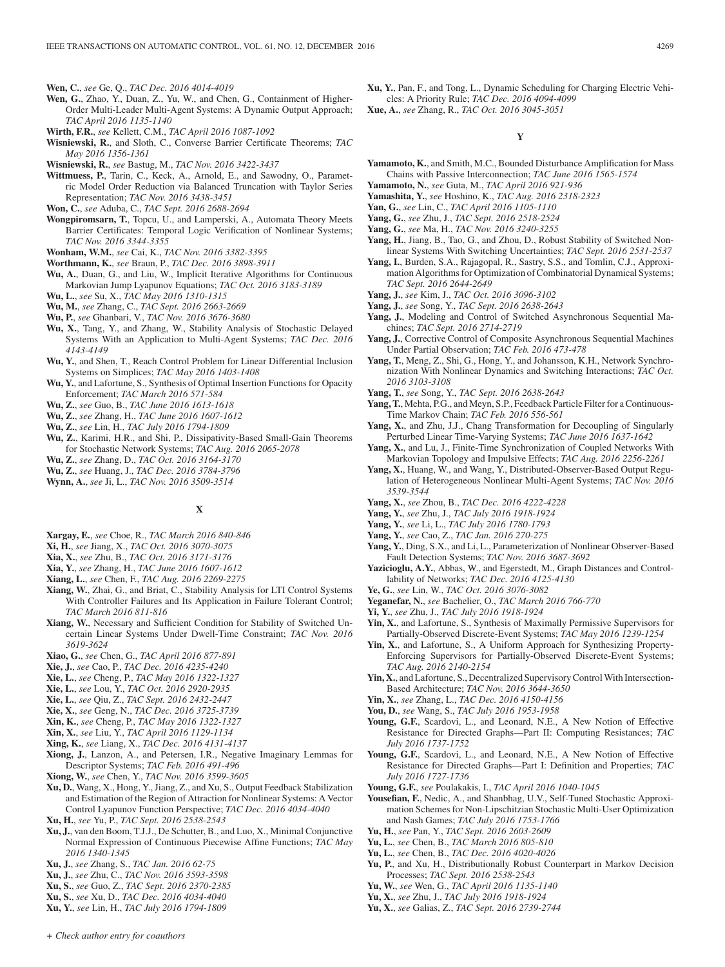**Wen, C.**, *see* Ge, Q., *TAC Dec. 2016 4014-4019*

- **Wen, G.**, Zhao, Y., Duan, Z., Yu, W., and Chen, G., Containment of Higher-Order Multi-Leader Multi-Agent Systems: A Dynamic Output Approach; *TAC April 2016 1135-1140*
- **Wirth, F.R.**, *see* Kellett, C.M., *TAC April 2016 1087-1092*
- **Wisniewski, R.**, and Sloth, C., Converse Barrier Certificate Theorems; *TAC May 2016 1356-1361*

**Wisniewski, R.**, *see* Bastug, M., *TAC Nov. 2016 3422-3437*

**Wittmuess, P.**, Tarin, C., Keck, A., Arnold, E., and Sawodny, O., Parametric Model Order Reduction via Balanced Truncation with Taylor Series Representation; *TAC Nov. 2016 3438-3451*

**Won, C.**, *see* Aduba, C., *TAC Sept. 2016 2688-2694*

**Wongpiromsarn, T.**, Topcu, U., and Lamperski, A., Automata Theory Meets Barrier Certificates: Temporal Logic Verification of Nonlinear Systems; *TAC Nov. 2016 3344-3355*

**Wonham, W.M.**, *see* Cai, K., *TAC Nov. 2016 3382-3395*

- **Worthmann, K.**, *see* Braun, P., *TAC Dec. 2016 3898-3911*
- **Wu, A.**, Duan, G., and Liu, W., Implicit Iterative Algorithms for Continuous Markovian Jump Lyapunov Equations; *TAC Oct. 2016 3183-3189*
- **Wu, L.**, *see* Su, X., *TAC May 2016 1310-1315*
- **Wu, M.**, *see* Zhang, C., *TAC Sept. 2016 2663-2669*
- **Wu, P.**, *see* Ghanbari, V., *TAC Nov. 2016 3676-3680*
- **Wu, X.**, Tang, Y., and Zhang, W., Stability Analysis of Stochastic Delayed Systems With an Application to Multi-Agent Systems; *TAC Dec. 2016 4143-4149*
- **Wu, Y.**, and Shen, T., Reach Control Problem for Linear Differential Inclusion Systems on Simplices; *TAC May 2016 1403-1408*
- **Wu, Y.**, and Lafortune, S., Synthesis of Optimal Insertion Functions for Opacity Enforcement; *TAC March 2016 571-584*
- **Wu, Z.**, *see* Guo, B., *TAC June 2016 1613-1618*
- **Wu, Z.**, *see* Zhang, H., *TAC June 2016 1607-1612*
- **Wu, Z.**, *see* Lin, H., *TAC July 2016 1794-1809*
- **Wu, Z.**, Karimi, H.R., and Shi, P., Dissipativity-Based Small-Gain Theorems for Stochastic Network Systems; *TAC Aug. 2016 2065-2078*
- **Wu, Z.**, *see* Zhang, D., *TAC Oct. 2016 3164-3170*
- **Wu, Z.**, *see* Huang, J., *TAC Dec. 2016 3784-3796*
- **Wynn, A.**, *see* Ji, L., *TAC Nov. 2016 3509-3514*

# **X**

- **Xargay, E.**, *see* Choe, R., *TAC March 2016 840-846*
- **Xi, H.**, *see* Jiang, X., *TAC Oct. 2016 3070-3075*
- **Xia, X.**, *see* Zhu, B., *TAC Oct. 2016 3171-3176*
- **Xia, Y.**, *see* Zhang, H., *TAC June 2016 1607-1612*
- **Xiang, L.**, *see* Chen, F., *TAC Aug. 2016 2269-2275*
- **Xiang, W.**, Zhai, G., and Briat, C., Stability Analysis for LTI Control Systems With Controller Failures and Its Application in Failure Tolerant Control; *TAC March 2016 811-816*
- **Xiang, W.**, Necessary and Sufficient Condition for Stability of Switched Uncertain Linear Systems Under Dwell-Time Constraint; *TAC Nov. 2016 3619-3624*
- **Xiao, G.**, *see* Chen, G., *TAC April 2016 877-891*
- **Xie, J.**, *see* Cao, P., *TAC Dec. 2016 4235-4240*
- **Xie, L.**, *see* Cheng, P., *TAC May 2016 1322-1327*
- **Xie, L.**, *see* Lou, Y., *TAC Oct. 2016 2920-2935*
- **Xie, L.**, *see* Qiu, Z., *TAC Sept. 2016 2432-2447*
- **Xie, X.**, *see* Geng, N., *TAC Dec. 2016 3725-3739*
- **Xin, K.**, *see* Cheng, P., *TAC May 2016 1322-1327*
- **Xin, X.**, *see* Liu, Y., *TAC April 2016 1129-1134*
- **Xing, K.**, *see* Liang, X., *TAC Dec. 2016 4131-4137*
- **Xiong, J.**, Lanzon, A., and Petersen, I.R., Negative Imaginary Lemmas for Descriptor Systems; *TAC Feb. 2016 491-496*
- **Xiong, W.**, *see* Chen, Y., *TAC Nov. 2016 3599-3605*
- **Xu, D.**, Wang, X., Hong, Y., Jiang, Z., and Xu, S., Output Feedback Stabilization and Estimation of the Region of Attraction for Nonlinear Systems: A Vector Control Lyapunov Function Perspective; *TAC Dec. 2016 4034-4040*
- **Xu, H.**, *see* Yu, P., *TAC Sept. 2016 2538-2543*
- **Xu, J.**, van den Boom, T.J.J., De Schutter, B., and Luo, X., Minimal Conjunctive Normal Expression of Continuous Piecewise Affine Functions; *TAC May 2016 1340-1345*
- **Xu, J.**, *see* Zhang, S., *TAC Jan. 2016 62-75*
- **Xu, J.**, *see* Zhu, C., *TAC Nov. 2016 3593-3598*
- **Xu, S.**, *see* Guo, Z., *TAC Sept. 2016 2370-2385*
- **Xu, S.**, *see* Xu, D., *TAC Dec. 2016 4034-4040*
- **Xu, Y.**, *see* Lin, H., *TAC July 2016 1794-1809*
- **Xu, Y.**, Pan, F., and Tong, L., Dynamic Scheduling for Charging Electric Vehicles: A Priority Rule; *TAC Dec. 2016 4094-4099*
- **Xue, A.**, *see* Zhang, R., *TAC Oct. 2016 3045-3051*

**Y**

- **Yamamoto, K.**, and Smith, M.C., Bounded Disturbance Amplification for Mass Chains with Passive Interconnection; *TAC June 2016 1565-1574*
- **Yamamoto, N.**, *see* Guta, M., *TAC April 2016 921-936*
- **Yamashita, Y.**, *see* Hoshino, K., *TAC Aug. 2016 2318-2323*
- **Yan, G.**, *see* Lin, C., *TAC April 2016 1105-1110*
- **Yang, G.**, *see* Zhu, J., *TAC Sept. 2016 2518-2524*
- **Yang, G.**, *see* Ma, H., *TAC Nov. 2016 3240-3255*
- **Yang, H.**, Jiang, B., Tao, G., and Zhou, D., Robust Stability of Switched Nonlinear Systems With Switching Uncertainties; *TAC Sept. 2016 2531-2537*
- **Yang, I.**, Burden, S.A., Rajagopal, R., Sastry, S.S., and Tomlin, C.J., Approximation Algorithms for Optimization of Combinatorial Dynamical Systems; *TAC Sept. 2016 2644-2649*
- **Yang, J.**, *see* Kim, J., *TAC Oct. 2016 3096-3102*
- **Yang, J.**, *see* Song, Y., *TAC Sept. 2016 2638-2643*
- **Yang, J.**, Modeling and Control of Switched Asynchronous Sequential Machines; *TAC Sept. 2016 2714-2719*
- **Yang, J.**, Corrective Control of Composite Asynchronous Sequential Machines Under Partial Observation; *TAC Feb. 2016 473-478*
- **Yang, T.**, Meng, Z., Shi, G., Hong, Y., and Johansson, K.H., Network Synchronization With Nonlinear Dynamics and Switching Interactions; *TAC Oct. 2016 3103-3108*
- **Yang, T.**, *see* Song, Y., *TAC Sept. 2016 2638-2643*
- **Yang, T.**, Mehta, P.G., and Meyn, S.P., Feedback Particle Filter for a Continuous-Time Markov Chain; *TAC Feb. 2016 556-561*
- **Yang, X.**, and Zhu, J.J., Chang Transformation for Decoupling of Singularly Perturbed Linear Time-Varying Systems; *TAC June 2016 1637-1642*
- **Yang, X.**, and Lu, J., Finite-Time Synchronization of Coupled Networks With Markovian Topology and Impulsive Effects; *TAC Aug. 2016 2256-2261*
- **Yang, X.**, Huang, W., and Wang, Y., Distributed-Observer-Based Output Regulation of Heterogeneous Nonlinear Multi-Agent Systems; *TAC Nov. 2016 3539-3544*
- **Yang, X.**, *see* Zhou, B., *TAC Dec. 2016 4222-4228*
- **Yang, Y.**, *see* Zhu, J., *TAC July 2016 1918-1924*
- **Yang, Y.**, *see* Li, L., *TAC July 2016 1780-1793*
- **Yang, Y.**, *see* Cao, Z., *TAC Jan. 2016 270-275*
- **Yang, Y.**, Ding, S.X., and Li, L., Parameterization of Nonlinear Observer-Based Fault Detection Systems; *TAC Nov. 2016 3687-3692*
- **Yazicioglu, A.Y.**, Abbas, W., and Egerstedt, M., Graph Distances and Controllability of Networks; *TAC Dec. 2016 4125-4130*
- **Ye, G.**, *see* Lin, W., *TAC Oct. 2016 3076-3082*
- **Yeganefar, N.**, *see* Bachelier, O., *TAC March 2016 766-770*
- **Yi, Y.**, *see* Zhu, J., *TAC July 2016 1918-1924*
- **Yin, X.**, and Lafortune, S., Synthesis of Maximally Permissive Supervisors for Partially-Observed Discrete-Event Systems; *TAC May 2016 1239-1254*
- **Yin, X.**, and Lafortune, S., A Uniform Approach for Synthesizing Property-Enforcing Supervisors for Partially-Observed Discrete-Event Systems; *TAC Aug. 2016 2140-2154*
- Yin, X., and Lafortune, S., Decentralized Supervisory Control With Intersection-Based Architecture; *TAC Nov. 2016 3644-3650*
- **Yin, X.**, *see* Zhang, L., *TAC Dec. 2016 4150-4156*
- **You, D.**, *see* Wang, S., *TAC July 2016 1953-1958*
- **Young, G.F.**, Scardovi, L., and Leonard, N.E., A New Notion of Effective Resistance for Directed Graphs—Part II: Computing Resistances; *TAC July 2016 1737-1752*
- **Young, G.F.**, Scardovi, L., and Leonard, N.E., A New Notion of Effective Resistance for Directed Graphs—Part I: Definition and Properties; *TAC July 2016 1727-1736*
- **Young, G.F.**, *see* Poulakakis, I., *TAC April 2016 1040-1045*
- **Yousefian, F.**, Nedic, A., and Shanbhag, U.V., Self-Tuned Stochastic Approximation Schemes for Non-Lipschitzian Stochastic Multi-User Optimization and Nash Games; *TAC July 2016 1753-1766*
- **Yu, H.**, *see* Pan, Y., *TAC Sept. 2016 2603-2609*
- **Yu, L.**, *see* Chen, B., *TAC March 2016 805-810*
- **Yu, L.**, *see* Chen, B., *TAC Dec. 2016 4020-4026*
- Yu, P., and Xu, H., Distributionally Robust Counterpart in Markov Decision Processes; *TAC Sept. 2016 2538-2543*
- **Yu, W.**, *see* Wen, G., *TAC April 2016 1135-1140*
- **Yu, X.**, *see* Zhu, J., *TAC July 2016 1918-1924*
- **Yu, X.**, *see* Galias, Z., *TAC Sept. 2016 2739-2744*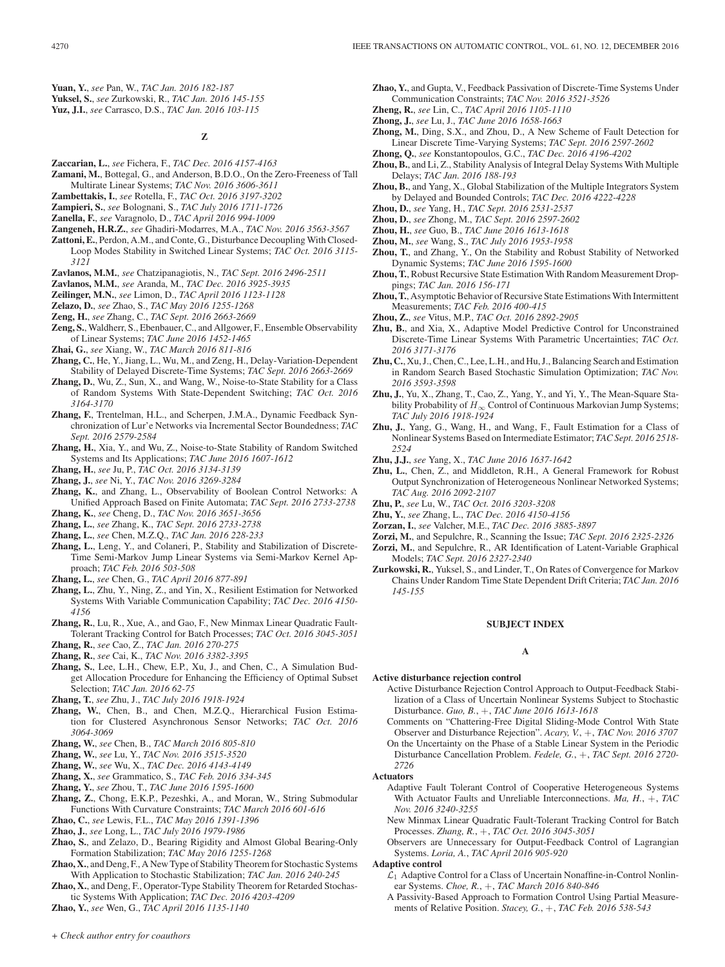**Yuan, Y.**, *see* Pan, W., *TAC Jan. 2016 182-187* **Yuksel, S.**, *see* Zurkowski, R., *TAC Jan. 2016 145-155*

**Yuz, J.I.**, *see* Carrasco, D.S., *TAC Jan. 2016 103-115*

## **Z**

- **Zaccarian, L.**, *see* Fichera, F., *TAC Dec. 2016 4157-4163*
- **Zamani, M.**, Bottegal, G., and Anderson, B.D.O., On the Zero-Freeness of Tall Multirate Linear Systems; *TAC Nov. 2016 3606-3611*
- **Zambettakis, I.**, *see* Rotella, F., *TAC Oct. 2016 3197-3202*
- **Zampieri, S.**, *see* Bolognani, S., *TAC July 2016 1711-1726*
- **Zanella, F.**, *see* Varagnolo, D., *TAC April 2016 994-1009*
- **Zangeneh, H.R.Z.**, *see* Ghadiri-Modarres, M.A., *TAC Nov. 2016 3563-3567*
- **Zattoni, E.**, Perdon, A.M., and Conte, G., Disturbance Decoupling With Closed-
- Loop Modes Stability in Switched Linear Systems; *TAC Oct. 2016 3115- 3121*
- **Zavlanos, M.M.**, *see* Chatzipanagiotis, N., *TAC Sept. 2016 2496-2511*
- **Zavlanos, M.M.**, *see* Aranda, M., *TAC Dec. 2016 3925-3935*
- **Zeilinger, M.N.**, *see* Limon, D., *TAC April 2016 1123-1128*
- **Zelazo, D.**, *see* Zhao, S., *TAC May 2016 1255-1268*
- **Zeng, H.**, *see* Zhang, C., *TAC Sept. 2016 2663-2669*
- **Zeng, S.**, Waldherr, S., Ebenbauer, C., and Allgower, F., Ensemble Observability of Linear Systems; *TAC June 2016 1452-1465*
- **Zhai, G.**, *see* Xiang, W., *TAC March 2016 811-816*
- **Zhang, C.**, He, Y., Jiang, L., Wu, M., and Zeng, H., Delay-Variation-Dependent Stability of Delayed Discrete-Time Systems; *TAC Sept. 2016 2663-2669*
- **Zhang, D.**, Wu, Z., Sun, X., and Wang, W., Noise-to-State Stability for a Class of Random Systems With State-Dependent Switching; *TAC Oct. 2016 3164-3170*
- **Zhang, F.**, Trentelman, H.L., and Scherpen, J.M.A., Dynamic Feedback Synchronization of Lur'e Networks via Incremental Sector Boundedness; *TAC Sept. 2016 2579-2584*
- **Zhang, H.**, Xia, Y., and Wu, Z., Noise-to-State Stability of Random Switched Systems and Its Applications; *TAC June 2016 1607-1612*
- **Zhang, H.**, *see* Ju, P., *TAC Oct. 2016 3134-3139*
- **Zhang, J.**, *see* Ni, Y., *TAC Nov. 2016 3269-3284*
- **Zhang, K.**, and Zhang, L., Observability of Boolean Control Networks: A Unified Approach Based on Finite Automata; *TAC Sept. 2016 2733-2738*
- **Zhang, K.**, *see* Cheng, D., *TAC Nov. 2016 3651-3656*
- **Zhang, L.**, *see* Zhang, K., *TAC Sept. 2016 2733-2738*
- **Zhang, L.**, *see* Chen, M.Z.Q., *TAC Jan. 2016 228-233*
- **Zhang, L.**, Leng, Y., and Colaneri, P., Stability and Stabilization of Discrete-Time Semi-Markov Jump Linear Systems via Semi-Markov Kernel Approach; *TAC Feb. 2016 503-508*
- **Zhang, L.**, *see* Chen, G., *TAC April 2016 877-891*
- **Zhang, L.**, Zhu, Y., Ning, Z., and Yin, X., Resilient Estimation for Networked Systems With Variable Communication Capability; *TAC Dec. 2016 4150- 4156*
- **Zhang, R.**, Lu, R., Xue, A., and Gao, F., New Minmax Linear Quadratic Fault-Tolerant Tracking Control for Batch Processes; *TAC Oct. 2016 3045-3051*
- **Zhang, R.**, *see* Cao, Z., *TAC Jan. 2016 270-275*
- **Zhang, R.**, *see* Cai, K., *TAC Nov. 2016 3382-3395*
- **Zhang, S.**, Lee, L.H., Chew, E.P., Xu, J., and Chen, C., A Simulation Budget Allocation Procedure for Enhancing the Efficiency of Optimal Subset Selection; *TAC Jan. 2016 62-75*
- **Zhang, T.**, *see* Zhu, J., *TAC July 2016 1918-1924*
- **Zhang, W.**, Chen, B., and Chen, M.Z.Q., Hierarchical Fusion Estimation for Clustered Asynchronous Sensor Networks; *TAC Oct. 2016 3064-3069*
- **Zhang, W.**, *see* Chen, B., *TAC March 2016 805-810*
- **Zhang, W.**, *see* Lu, Y., *TAC Nov. 2016 3515-3520*
- **Zhang, W.**, *see* Wu, X., *TAC Dec. 2016 4143-4149*
- **Zhang, X.**, *see* Grammatico, S., *TAC Feb. 2016 334-345*
- **Zhang, Y.**, *see* Zhou, T., *TAC June 2016 1595-1600*
- **Zhang, Z.**, Chong, E.K.P., Pezeshki, A., and Moran, W., String Submodular Functions With Curvature Constraints; *TAC March 2016 601-616*
- **Zhao, C.**, *see* Lewis, F.L., *TAC May 2016 1391-1396*
- **Zhao, J.**, *see* Long, L., *TAC July 2016 1979-1986*
- **Zhao, S.**, and Zelazo, D., Bearing Rigidity and Almost Global Bearing-Only Formation Stabilization; *TAC May 2016 1255-1268*
- **Zhao, X.**, and Deng, F., A New Type of Stability Theorem for Stochastic Systems With Application to Stochastic Stabilization; *TAC Jan. 2016 240-245*
- **Zhao, X.**, and Deng, F., Operator-Type Stability Theorem for Retarded Stochastic Systems With Application; *TAC Dec. 2016 4203-4209*
- **Zhao, Y.**, *see* Wen, G., *TAC April 2016 1135-1140*
- **Zhao, Y.**, and Gupta, V., Feedback Passivation of Discrete-Time Systems Under Communication Constraints; *TAC Nov. 2016 3521-3526*
- **Zheng, R.**, *see* Lin, C., *TAC April 2016 1105-1110*
- **Zhong, J.**, *see* Lu, J., *TAC June 2016 1658-1663*
- **Zhong, M.**, Ding, S.X., and Zhou, D., A New Scheme of Fault Detection for Linear Discrete Time-Varying Systems; *TAC Sept. 2016 2597-2602*
- **Zhong, Q.**, *see* Konstantopoulos, G.C., *TAC Dec. 2016 4196-4202*
- **Zhou, B.**, and Li, Z., Stability Analysis of Integral Delay Systems With Multiple Delays; *TAC Jan. 2016 188-193*
- **Zhou, B.**, and Yang, X., Global Stabilization of the Multiple Integrators System by Delayed and Bounded Controls; *TAC Dec. 2016 4222-4228*
- **Zhou, D.**, *see* Yang, H., *TAC Sept. 2016 2531-2537*
- **Zhou, D.**, *see* Zhong, M., *TAC Sept. 2016 2597-2602*
- **Zhou, H.**, *see* Guo, B., *TAC June 2016 1613-1618*
- **Zhou, M.**, *see* Wang, S., *TAC July 2016 1953-1958*
- **Zhou, T.**, and Zhang, Y., On the Stability and Robust Stability of Networked Dynamic Systems; *TAC June 2016 1595-1600*
- **Zhou, T.**, Robust Recursive State Estimation With Random Measurement Droppings; *TAC Jan. 2016 156-171*
- Zhou, T., Asymptotic Behavior of Recursive State Estimations With Intermittent Measurements; *TAC Feb. 2016 400-415*
- **Zhou, Z.**, *see* Vitus, M.P., *TAC Oct. 2016 2892-2905*
- **Zhu, B.**, and Xia, X., Adaptive Model Predictive Control for Unconstrained Discrete-Time Linear Systems With Parametric Uncertainties; *TAC Oct. 2016 3171-3176*
- **Zhu, C.**, Xu, J., Chen, C., Lee, L.H., and Hu, J., Balancing Search and Estimation in Random Search Based Stochastic Simulation Optimization; *TAC Nov. 2016 3593-3598*
- **Zhu, J.**, Yu, X., Zhang, T., Cao, Z., Yang, Y., and Yi, Y., The Mean-Square Stability Probability of  $H_{\infty}$  Control of Continuous Markovian Jump Systems; *TAC July 2016 1918-1924*
- **Zhu, J.**, Yang, G., Wang, H., and Wang, F., Fault Estimation for a Class of Nonlinear Systems Based on Intermediate Estimator; *TAC Sept. 2016 2518- 2524*
- **Zhu, J.J.**, *see* Yang, X., *TAC June 2016 1637-1642*
- **Zhu, L.**, Chen, Z., and Middleton, R.H., A General Framework for Robust Output Synchronization of Heterogeneous Nonlinear Networked Systems; *TAC Aug. 2016 2092-2107*
- **Zhu, P.**, *see* Lu, W., *TAC Oct. 2016 3203-3208*
- **Zhu, Y.**, *see* Zhang, L., *TAC Dec. 2016 4150-4156*
- **Zorzan, I.**, *see* Valcher, M.E., *TAC Dec. 2016 3885-3897*
- **Zorzi, M.**, and Sepulchre, R., Scanning the Issue; *TAC Sept. 2016 2325-2326*
- **Zorzi, M.**, and Sepulchre, R., AR Identification of Latent-Variable Graphical Models; *TAC Sept. 2016 2327-2340*
- **Zurkowski, R.**, Yuksel, S., and Linder, T., On Rates of Convergence for Markov Chains Under Random Time State Dependent Drift Criteria; *TAC Jan. 2016 145-155*

# **SUBJECT INDEX**

#### **A**

- **Active disturbance rejection control**
	- Active Disturbance Rejection Control Approach to Output-Feedback Stabilization of a Class of Uncertain Nonlinear Systems Subject to Stochastic Disturbance. *Guo, B.*, +, *TAC June 2016 1613-1618*
	- Comments on "Chattering-Free Digital Sliding-Mode Control With State Observer and Disturbance Rejection". *Acary, V.*, +, *TAC Nov. 2016 3707* On the Uncertainty on the Phase of a Stable Linear System in the Periodic Disturbance Cancellation Problem. *Fedele, G.*, +, *TAC Sept. 2016 2720- 2726*

# **Actuators**

- Adaptive Fault Tolerant Control of Cooperative Heterogeneous Systems With Actuator Faults and Unreliable Interconnections. *Ma, H.*, +, *TAC Nov. 2016 3240-3255*
- New Minmax Linear Quadratic Fault-Tolerant Tracking Control for Batch Processes. *Zhang, R.*, +, *TAC Oct. 2016 3045-3051*
- Observers are Unnecessary for Output-Feedback Control of Lagrangian Systems. *Loria, A.*, *TAC April 2016 905-920*

#### **Adaptive control**

- $\mathcal{L}_1$  Adaptive Control for a Class of Uncertain Nonaffine-in-Control Nonlinear Systems. *Choe, R.*, +, *TAC March 2016 840-846*
- A Passivity-Based Approach to Formation Control Using Partial Measurements of Relative Position. *Stacey, G.*, +, *TAC Feb. 2016 538-543*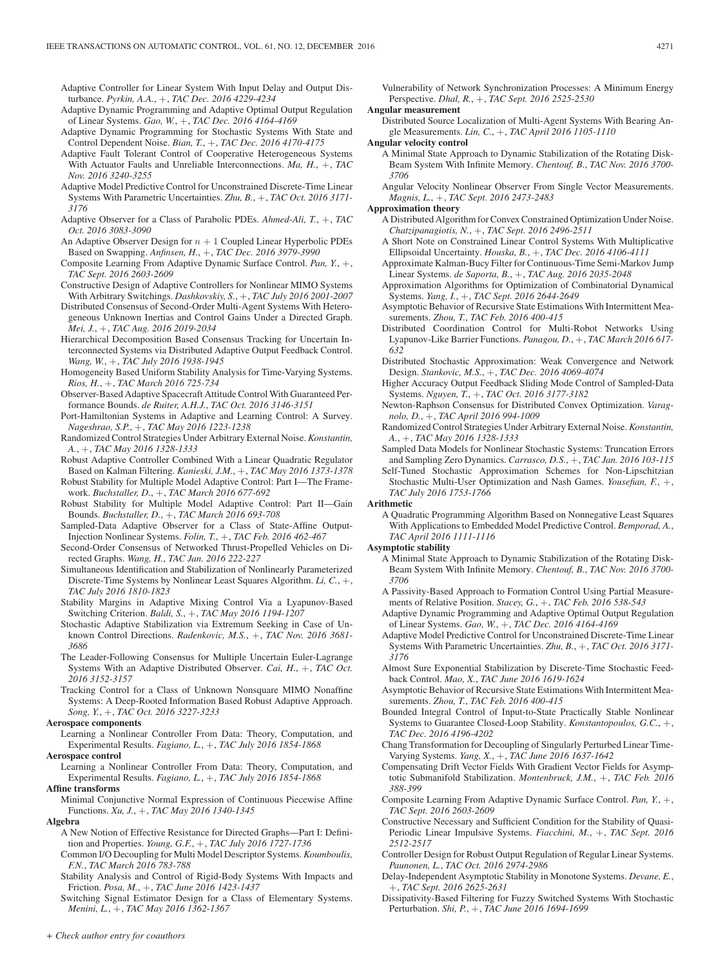Adaptive Controller for Linear System With Input Delay and Output Disturbance. *Pyrkin, A.A.*, +, *TAC Dec. 2016 4229-4234*

- Adaptive Dynamic Programming and Adaptive Optimal Output Regulation of Linear Systems. *Gao, W.*, +, *TAC Dec. 2016 4164-4169*
- Adaptive Dynamic Programming for Stochastic Systems With State and Control Dependent Noise. *Bian, T.*, +, *TAC Dec. 2016 4170-4175*
- Adaptive Fault Tolerant Control of Cooperative Heterogeneous Systems With Actuator Faults and Unreliable Interconnections. *Ma, H.*, +, *TAC Nov. 2016 3240-3255*
- Adaptive Model Predictive Control for Unconstrained Discrete-Time Linear Systems With Parametric Uncertainties. *Zhu, B.*, +, *TAC Oct. 2016 3171- 3176*
- Adaptive Observer for a Class of Parabolic PDEs. *Ahmed-Ali, T.*, +, *TAC Oct. 2016 3083-3090*
- An Adaptive Observer Design for  $n + 1$  Coupled Linear Hyperbolic PDEs Based on Swapping. *Anfinsen, H.*, +, *TAC Dec. 2016 3979-3990*
- Composite Learning From Adaptive Dynamic Surface Control. *Pan, Y.*, +, *TAC Sept. 2016 2603-2609*
- Constructive Design of Adaptive Controllers for Nonlinear MIMO Systems With Arbitrary Switchings. *Dashkovskiy, S.*, +, *TAC July 2016 2001-2007*
- Distributed Consensus of Second-Order Multi-Agent Systems With Heterogeneous Unknown Inertias and Control Gains Under a Directed Graph. *Mei, J.*, +, *TAC Aug. 2016 2019-2034*
- Hierarchical Decomposition Based Consensus Tracking for Uncertain Interconnected Systems via Distributed Adaptive Output Feedback Control. *Wang, W.*, +, *TAC July 2016 1938-1945*
- Homogeneity Based Uniform Stability Analysis for Time-Varying Systems. *Rios, H.*, +, *TAC March 2016 725-734*
- Observer-Based Adaptive Spacecraft Attitude Control With Guaranteed Performance Bounds. *de Ruiter, A.H.J.*, *TAC Oct. 2016 3146-3151*
- Port-Hamiltonian Systems in Adaptive and Learning Control: A Survey. *Nageshrao, S.P.*, +, *TAC May 2016 1223-1238*
- Randomized Control Strategies Under Arbitrary External Noise. *Konstantin, A.*, +, *TAC May 2016 1328-1333*
- Robust Adaptive Controller Combined With a Linear Quadratic Regulator Based on Kalman Filtering. *Kanieski, J.M.*, +, *TAC May 2016 1373-1378*
- Robust Stability for Multiple Model Adaptive Control: Part I—The Framework. *Buchstaller, D.*, +, *TAC March 2016 677-692*
- Robust Stability for Multiple Model Adaptive Control: Part II—Gain Bounds. *Buchstaller, D.*, +, *TAC March 2016 693-708*
- Sampled-Data Adaptive Observer for a Class of State-Affine Output-Injection Nonlinear Systems. *Folin, T.*, +, *TAC Feb. 2016 462-467*
- Second-Order Consensus of Networked Thrust-Propelled Vehicles on Directed Graphs. *Wang, H.*, *TAC Jan. 2016 222-227*
- Simultaneous Identification and Stabilization of Nonlinearly Parameterized Discrete-Time Systems by Nonlinear Least Squares Algorithm. *Li, C.*, +, *TAC July 2016 1810-1823*
- Stability Margins in Adaptive Mixing Control Via a Lyapunov-Based Switching Criterion. *Baldi, S.*, +, *TAC May 2016 1194-1207*
- Stochastic Adaptive Stabilization via Extremum Seeking in Case of Unknown Control Directions. *Radenkovic, M.S.*, +, *TAC Nov. 2016 3681- 3686*
- The Leader-Following Consensus for Multiple Uncertain Euler-Lagrange Systems With an Adaptive Distributed Observer. *Cai, H.*, +, *TAC Oct. 2016 3152-3157*
- Tracking Control for a Class of Unknown Nonsquare MIMO Nonaffine Systems: A Deep-Rooted Information Based Robust Adaptive Approach. *Song, Y.*, +, *TAC Oct. 2016 3227-3233*

#### **Aerospace components**

- Learning a Nonlinear Controller From Data: Theory, Computation, and Experimental Results. *Fagiano, L.*, +, *TAC July 2016 1854-1868*
- **Aerospace control** Learning a Nonlinear Controller From Data: Theory, Computation, and Experimental Results. *Fagiano, L.*, +, *TAC July 2016 1854-1868*

#### **Affine transforms**

Minimal Conjunctive Normal Expression of Continuous Piecewise Affine Functions. *Xu, J.*, +, *TAC May 2016 1340-1345*

#### **Algebra**

- A New Notion of Effective Resistance for Directed Graphs—Part I: Definition and Properties. *Young, G.F.*, +, *TAC July 2016 1727-1736*
- Common I/O Decoupling for Multi Model Descriptor Systems. *Koumboulis, F.N.*, *TAC March 2016 783-788*
- Stability Analysis and Control of Rigid-Body Systems With Impacts and Friction. *Posa, M.*, +, *TAC June 2016 1423-1437*
- Switching Signal Estimator Design for a Class of Elementary Systems. *Menini, L.*, +, *TAC May 2016 1362-1367*

Vulnerability of Network Synchronization Processes: A Minimum Energy Perspective. *Dhal, R.*, +, *TAC Sept. 2016 2525-2530*

**Angular measurement**

Distributed Source Localization of Multi-Agent Systems With Bearing Angle Measurements. *Lin, C.*, +, *TAC April 2016 1105-1110*

#### **Angular velocity control**

A Minimal State Approach to Dynamic Stabilization of the Rotating Disk-Beam System With Infinite Memory. *Chentouf, B.*, *TAC Nov. 2016 3700- 3706*

Angular Velocity Nonlinear Observer From Single Vector Measurements. *Magnis, L.*, +, *TAC Sept. 2016 2473-2483*

#### **Approximation theory**

- A Distributed Algorithm for Convex Constrained Optimization Under Noise. *Chatzipanagiotis, N.*, +, *TAC Sept. 2016 2496-2511*
- A Short Note on Constrained Linear Control Systems With Multiplicative Ellipsoidal Uncertainty. *Houska, B.*, +, *TAC Dec. 2016 4106-4111*
- Approximate Kalman-Bucy Filter for Continuous-Time Semi-Markov Jump Linear Systems. *de Saporta, B.*, +, *TAC Aug. 2016 2035-2048*
- Approximation Algorithms for Optimization of Combinatorial Dynamical Systems. *Yang, I.*, +, *TAC Sept. 2016 2644-2649*
- Asymptotic Behavior of Recursive State Estimations With Intermittent Measurements. *Zhou, T.*, *TAC Feb. 2016 400-415*
- Distributed Coordination Control for Multi-Robot Networks Using Lyapunov-Like Barrier Functions. *Panagou, D.*, +, *TAC March 2016 617- 632*
- Distributed Stochastic Approximation: Weak Convergence and Network Design. *Stankovic, M.S.*, +, *TAC Dec. 2016 4069-4074*
- Higher Accuracy Output Feedback Sliding Mode Control of Sampled-Data Systems. *Nguyen, T.*, +, *TAC Oct. 2016 3177-3182*
- Newton-Raphson Consensus for Distributed Convex Optimization. *Varagnolo, D.*, +, *TAC April 2016 994-1009*
- Randomized Control Strategies Under Arbitrary External Noise. *Konstantin, A.*, +, *TAC May 2016 1328-1333*
- Sampled Data Models for Nonlinear Stochastic Systems: Truncation Errors and Sampling Zero Dynamics. *Carrasco, D.S.*, +, *TAC Jan. 2016 103-115*
- Self-Tuned Stochastic Approximation Schemes for Non-Lipschitzian Stochastic Multi-User Optimization and Nash Games. *Yousefian, F.*, +, *TAC July 2016 1753-1766*

## **Arithmetic**

A Quadratic Programming Algorithm Based on Nonnegative Least Squares With Applications to Embedded Model Predictive Control. *Bemporad, A.*, *TAC April 2016 1111-1116*

## **Asymptotic stability**

- A Minimal State Approach to Dynamic Stabilization of the Rotating Disk-Beam System With Infinite Memory. *Chentouf, B.*, *TAC Nov. 2016 3700- 3706*
- A Passivity-Based Approach to Formation Control Using Partial Measurements of Relative Position. *Stacey, G.*, +, *TAC Feb. 2016 538-543*
- Adaptive Dynamic Programming and Adaptive Optimal Output Regulation of Linear Systems. *Gao, W.*, +, *TAC Dec. 2016 4164-4169*
- Adaptive Model Predictive Control for Unconstrained Discrete-Time Linear Systems With Parametric Uncertainties. *Zhu, B.*, +, *TAC Oct. 2016 3171- 3176*
- Almost Sure Exponential Stabilization by Discrete-Time Stochastic Feedback Control. *Mao, X.*, *TAC June 2016 1619-1624*
- Asymptotic Behavior of Recursive State Estimations With Intermittent Measurements. *Zhou, T.*, *TAC Feb. 2016 400-415*
- Bounded Integral Control of Input-to-State Practically Stable Nonlinear Systems to Guarantee Closed-Loop Stability. *Konstantopoulos, G.C.*, +, *TAC Dec. 2016 4196-4202*
- Chang Transformation for Decoupling of Singularly Perturbed Linear Time-Varying Systems. *Yang, X.*, +, *TAC June 2016 1637-1642*
- Compensating Drift Vector Fields With Gradient Vector Fields for Asymptotic Submanifold Stabilization. *Montenbruck, J.M.*, +, *TAC Feb. 2016 388-399*
- Composite Learning From Adaptive Dynamic Surface Control. *Pan, Y.*, +, *TAC Sept. 2016 2603-2609*
- Constructive Necessary and Sufficient Condition for the Stability of Quasi-Periodic Linear Impulsive Systems. *Fiacchini, M.*, +, *TAC Sept. 2016 2512-2517*
- Controller Design for Robust Output Regulation of Regular Linear Systems. *Paunonen, L.*, *TAC Oct. 2016 2974-2986*
- Delay-Independent Asymptotic Stability in Monotone Systems. *Devane, E.*, +, *TAC Sept. 2016 2625-2631*
- Dissipativity-Based Filtering for Fuzzy Switched Systems With Stochastic Perturbation. *Shi, P.*, +, *TAC June 2016 1694-1699*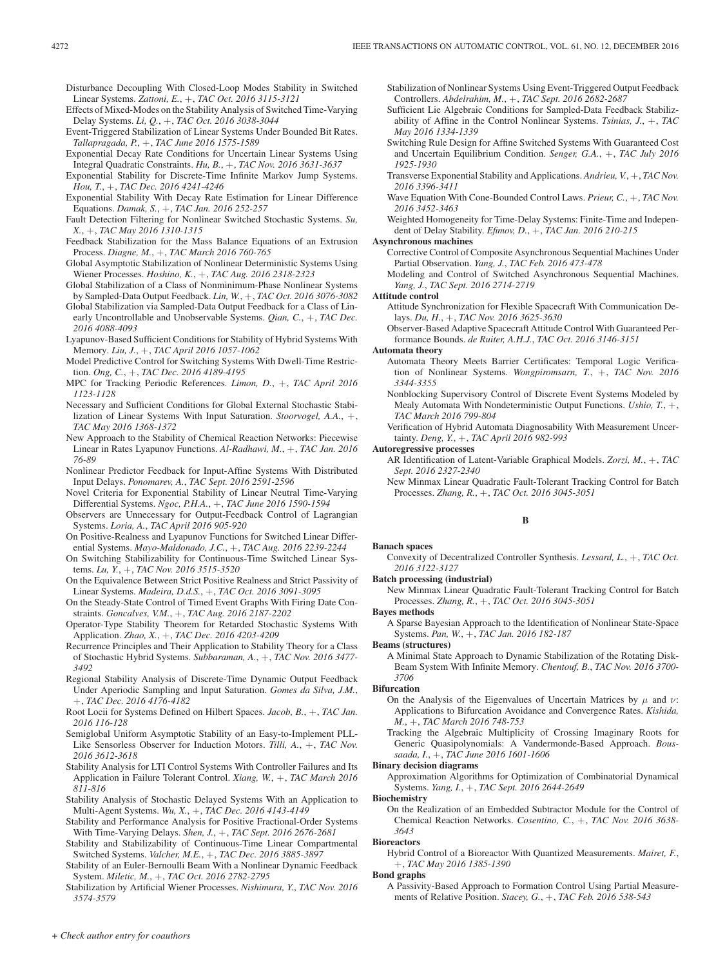Disturbance Decoupling With Closed-Loop Modes Stability in Switched Linear Systems. *Zattoni, E.*, +, *TAC Oct. 2016 3115-3121*

- Effects of Mixed-Modes on the Stability Analysis of Switched Time-Varying Delay Systems. *Li, Q.*, +, *TAC Oct. 2016 3038-3044*
- Event-Triggered Stabilization of Linear Systems Under Bounded Bit Rates. *Tallapragada, P.*, +, *TAC June 2016 1575-1589*
- Exponential Decay Rate Conditions for Uncertain Linear Systems Using Integral Quadratic Constraints. *Hu, B.*, +, *TAC Nov. 2016 3631-3637*
- Exponential Stability for Discrete-Time Infinite Markov Jump Systems. *Hou, T.*, +, *TAC Dec. 2016 4241-4246*
- Exponential Stability With Decay Rate Estimation for Linear Difference Equations. *Damak, S.*, +, *TAC Jan. 2016 252-257*
- Fault Detection Filtering for Nonlinear Switched Stochastic Systems. *Su, X.*, +, *TAC May 2016 1310-1315*
- Feedback Stabilization for the Mass Balance Equations of an Extrusion Process. *Diagne, M.*, +, *TAC March 2016 760-765*
- Global Asymptotic Stabilization of Nonlinear Deterministic Systems Using Wiener Processes. *Hoshino, K.*, +, *TAC Aug. 2016 2318-2323*
- Global Stabilization of a Class of Nonminimum-Phase Nonlinear Systems by Sampled-Data Output Feedback. *Lin, W.*, +, *TAC Oct. 2016 3076-3082*
- Global Stabilization via Sampled-Data Output Feedback for a Class of Linearly Uncontrollable and Unobservable Systems. *Qian, C.*, +, *TAC Dec. 2016 4088-4093*
- Lyapunov-Based Sufficient Conditions for Stability of Hybrid Systems With Memory. *Liu, J.*, +, *TAC April 2016 1057-1062*
- Model Predictive Control for Switching Systems With Dwell-Time Restriction. *Ong, C.*, +, *TAC Dec. 2016 4189-4195*
- MPC for Tracking Periodic References. *Limon, D.*, +, *TAC April 2016 1123-1128*
- Necessary and Sufficient Conditions for Global External Stochastic Stabilization of Linear Systems With Input Saturation. *Stoorvogel, A.A.*, +, *TAC May 2016 1368-1372*
- New Approach to the Stability of Chemical Reaction Networks: Piecewise Linear in Rates Lyapunov Functions. *Al-Radhawi, M.*, +, *TAC Jan. 2016 76-89*
- Nonlinear Predictor Feedback for Input-Affine Systems With Distributed Input Delays. *Ponomarev, A.*, *TAC Sept. 2016 2591-2596*
- Novel Criteria for Exponential Stability of Linear Neutral Time-Varying Differential Systems. *Ngoc, P.H.A.*, +, *TAC June 2016 1590-1594*
- Observers are Unnecessary for Output-Feedback Control of Lagrangian Systems. *Loria, A.*, *TAC April 2016 905-920*
- On Positive-Realness and Lyapunov Functions for Switched Linear Differential Systems. *Mayo-Maldonado, J.C.*, +, *TAC Aug. 2016 2239-2244*
- On Switching Stabilizability for Continuous-Time Switched Linear Systems. *Lu, Y.*, +, *TAC Nov. 2016 3515-3520*
- On the Equivalence Between Strict Positive Realness and Strict Passivity of Linear Systems. *Madeira, D.d.S.*, +, *TAC Oct. 2016 3091-3095*
- On the Steady-State Control of Timed Event Graphs With Firing Date Constraints. *Goncalves, V.M.*, +, *TAC Aug. 2016 2187-2202*
- Operator-Type Stability Theorem for Retarded Stochastic Systems With Application. *Zhao, X.*, +, *TAC Dec. 2016 4203-4209*
- Recurrence Principles and Their Application to Stability Theory for a Class of Stochastic Hybrid Systems. *Subbaraman, A.*, +, *TAC Nov. 2016 3477- 3492*
- Regional Stability Analysis of Discrete-Time Dynamic Output Feedback Under Aperiodic Sampling and Input Saturation. *Gomes da Silva, J.M.*, +, *TAC Dec. 2016 4176-4182*
- Root Locii for Systems Defined on Hilbert Spaces. *Jacob, B.*, +, *TAC Jan. 2016 116-128*
- Semiglobal Uniform Asymptotic Stability of an Easy-to-Implement PLL-Like Sensorless Observer for Induction Motors. *Tilli, A.*, +, *TAC Nov. 2016 3612-3618*
- Stability Analysis for LTI Control Systems With Controller Failures and Its Application in Failure Tolerant Control. *Xiang, W.*, +, *TAC March 2016 811-816*
- Stability Analysis of Stochastic Delayed Systems With an Application to Multi-Agent Systems. *Wu, X.*, +, *TAC Dec. 2016 4143-4149*
- Stability and Performance Analysis for Positive Fractional-Order Systems With Time-Varying Delays. *Shen, J.*, +, *TAC Sept. 2016 2676-2681*
- Stability and Stabilizability of Continuous-Time Linear Compartmental Switched Systems. *Valcher, M.E.*, +, *TAC Dec. 2016 3885-3897*
- Stability of an Euler-Bernoulli Beam With a Nonlinear Dynamic Feedback System. *Miletic, M.*, +, *TAC Oct. 2016 2782-2795*
- Stabilization by Artificial Wiener Processes. *Nishimura, Y.*, *TAC Nov. 2016 3574-3579*

Stabilization of Nonlinear Systems Using Event-Triggered Output Feedback Controllers. *Abdelrahim, M.*, +, *TAC Sept. 2016 2682-2687*

- Sufficient Lie Algebraic Conditions for Sampled-Data Feedback Stabilizability of Affine in the Control Nonlinear Systems. *Tsinias, J.*, +, *TAC May 2016 1334-1339*
- Switching Rule Design for Affine Switched Systems With Guaranteed Cost and Uncertain Equilibrium Condition. *Senger, G.A.*, +, *TAC July 2016 1925-1930*
- Transverse Exponential Stability and Applications. *Andrieu, V.*, +, *TAC Nov. 2016 3396-3411*
- Wave Equation With Cone-Bounded Control Laws. *Prieur, C.*, +, *TAC Nov. 2016 3452-3463*

Weighted Homogeneity for Time-Delay Systems: Finite-Time and Independent of Delay Stability. *Efimov, D.*, +, *TAC Jan. 2016 210-215*

#### **Asynchronous machines**

- Corrective Control of Composite Asynchronous Sequential Machines Under Partial Observation. *Yang, J.*, *TAC Feb. 2016 473-478*
- Modeling and Control of Switched Asynchronous Sequential Machines. *Yang, J.*, *TAC Sept. 2016 2714-2719*

#### **Attitude control**

Attitude Synchronization for Flexible Spacecraft With Communication Delays. *Du, H.*, +, *TAC Nov. 2016 3625-3630*

Observer-Based Adaptive Spacecraft Attitude Control With Guaranteed Performance Bounds. *de Ruiter, A.H.J.*, *TAC Oct. 2016 3146-3151*

# **Automata theory**

- Automata Theory Meets Barrier Certificates: Temporal Logic Verification of Nonlinear Systems. *Wongpiromsarn, T.*, +, *TAC Nov. 2016 3344-3355*
- Nonblocking Supervisory Control of Discrete Event Systems Modeled by Mealy Automata With Nondeterministic Output Functions. *Ushio, T.*, +, *TAC March 2016 799-804*
- Verification of Hybrid Automata Diagnosability With Measurement Uncertainty. *Deng, Y.*, +, *TAC April 2016 982-993*

#### **Autoregressive processes**

- AR Identification of Latent-Variable Graphical Models. *Zorzi, M.*, +, *TAC Sept. 2016 2327-2340*
- New Minmax Linear Quadratic Fault-Tolerant Tracking Control for Batch Processes. *Zhang, R.*, +, *TAC Oct. 2016 3045-3051*

## **B**

#### **Banach spaces**

Convexity of Decentralized Controller Synthesis. *Lessard, L.*, +, *TAC Oct. 2016 3122-3127*

## **Batch processing (industrial)**

New Minmax Linear Quadratic Fault-Tolerant Tracking Control for Batch Processes. *Zhang, R.*, +, *TAC Oct. 2016 3045-3051*

#### **Bayes methods**

A Sparse Bayesian Approach to the Identification of Nonlinear State-Space Systems. *Pan, W.*, +, *TAC Jan. 2016 182-187*

#### **Beams (structures)**

A Minimal State Approach to Dynamic Stabilization of the Rotating Disk-Beam System With Infinite Memory. *Chentouf, B.*, *TAC Nov. 2016 3700- 3706*

#### **Bifurcation**

- On the Analysis of the Eigenvalues of Uncertain Matrices by  $\mu$  and  $\nu$ : Applications to Bifurcation Avoidance and Convergence Rates. *Kishida, M.*, +, *TAC March 2016 748-753*
- Tracking the Algebraic Multiplicity of Crossing Imaginary Roots for Generic Quasipolynomials: A Vandermonde-Based Approach. *Boussaada, I.*, +, *TAC June 2016 1601-1606*

#### **Binary decision diagrams**

Approximation Algorithms for Optimization of Combinatorial Dynamical Systems. *Yang, I.*, +, *TAC Sept. 2016 2644-2649*

# **Biochemistry**

On the Realization of an Embedded Subtractor Module for the Control of Chemical Reaction Networks. *Cosentino, C.*, +, *TAC Nov. 2016 3638- 3643*

#### **Bioreactors**

Hybrid Control of a Bioreactor With Quantized Measurements. *Mairet, F.*, +, *TAC May 2016 1385-1390*

#### **Bond graphs**

A Passivity-Based Approach to Formation Control Using Partial Measurements of Relative Position. *Stacey, G.*, +, *TAC Feb. 2016 538-543*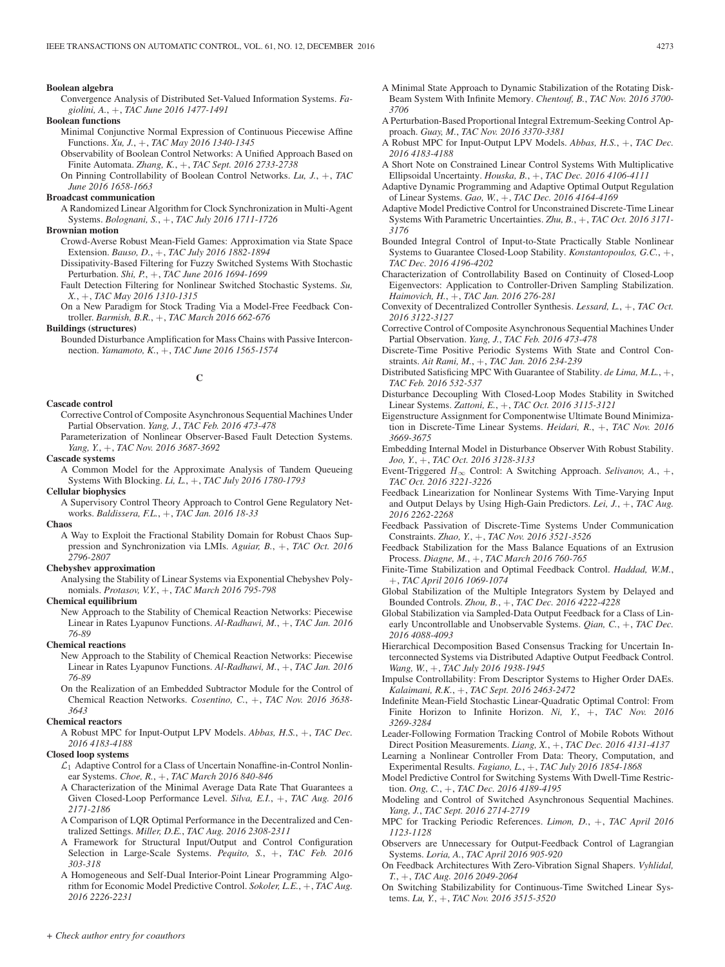#### **Boolean algebra**

Convergence Analysis of Distributed Set-Valued Information Systems. *Fagiolini, A.*, +, *TAC June 2016 1477-1491*

#### **Boolean functions**

- Minimal Conjunctive Normal Expression of Continuous Piecewise Affine Functions. *Xu, J.*, +, *TAC May 2016 1340-1345*
- Observability of Boolean Control Networks: A Unified Approach Based on Finite Automata. *Zhang, K.*, +, *TAC Sept. 2016 2733-2738*

On Pinning Controllability of Boolean Control Networks. *Lu, J.*, +, *TAC June 2016 1658-1663*

#### **Broadcast communication**

A Randomized Linear Algorithm for Clock Synchronization in Multi-Agent Systems. *Bolognani, S.*, +, *TAC July 2016 1711-1726*

#### **Brownian motion**

- Crowd-Averse Robust Mean-Field Games: Approximation via State Space Extension. *Bauso, D.*, +, *TAC July 2016 1882-1894*
- Dissipativity-Based Filtering for Fuzzy Switched Systems With Stochastic Perturbation. *Shi, P.*, +, *TAC June 2016 1694-1699*
- Fault Detection Filtering for Nonlinear Switched Stochastic Systems. *Su, X.*, +, *TAC May 2016 1310-1315*

On a New Paradigm for Stock Trading Via a Model-Free Feedback Controller. *Barmish, B.R.*, +, *TAC March 2016 662-676*

**Buildings (structures)**

Bounded Disturbance Amplification for Mass Chains with Passive Interconnection. *Yamamoto, K.*, +, *TAC June 2016 1565-1574*

**C**

#### **Cascade control**

Corrective Control of Composite Asynchronous Sequential Machines Under Partial Observation. *Yang, J.*, *TAC Feb. 2016 473-478*

Parameterization of Nonlinear Observer-Based Fault Detection Systems. *Yang, Y.*, +, *TAC Nov. 2016 3687-3692*

**Cascade systems**

A Common Model for the Approximate Analysis of Tandem Queueing Systems With Blocking. *Li, L.*, +, *TAC July 2016 1780-1793*

**Cellular biophysics**

A Supervisory Control Theory Approach to Control Gene Regulatory Networks. *Baldissera, F.L.*, +, *TAC Jan. 2016 18-33*

#### **Chaos**

A Way to Exploit the Fractional Stability Domain for Robust Chaos Suppression and Synchronization via LMIs. *Aguiar, B.*, +, *TAC Oct. 2016 2796-2807*

# **Chebyshev approximation**

Analysing the Stability of Linear Systems via Exponential Chebyshev Polynomials. *Protasov, V.Y.*, +, *TAC March 2016 795-798*

**Chemical equilibrium**

New Approach to the Stability of Chemical Reaction Networks: Piecewise Linear in Rates Lyapunov Functions. *Al-Radhawi, M.*, +, *TAC Jan. 2016 76-89*

#### **Chemical reactions**

New Approach to the Stability of Chemical Reaction Networks: Piecewise Linear in Rates Lyapunov Functions. *Al-Radhawi, M.*, +, *TAC Jan. 2016 76-89*

On the Realization of an Embedded Subtractor Module for the Control of Chemical Reaction Networks. *Cosentino, C.*, +, *TAC Nov. 2016 3638- 3643*

## **Chemical reactors**

A Robust MPC for Input-Output LPV Models. *Abbas, H.S.*, +, *TAC Dec. 2016 4183-4188*

## **Closed loop systems**

- $\mathcal{L}_1$  Adaptive Control for a Class of Uncertain Nonaffine-in-Control Nonlinear Systems. *Choe, R.*, +, *TAC March 2016 840-846*
- A Characterization of the Minimal Average Data Rate That Guarantees a Given Closed-Loop Performance Level. *Silva, E.I.*, +, *TAC Aug. 2016 2171-2186*
- A Comparison of LQR Optimal Performance in the Decentralized and Centralized Settings. *Miller, D.E.*, *TAC Aug. 2016 2308-2311*
- A Framework for Structural Input/Output and Control Configuration Selection in Large-Scale Systems. *Pequito, S.*, +, *TAC Feb. 2016 303-318*
- A Homogeneous and Self-Dual Interior-Point Linear Programming Algorithm for Economic Model Predictive Control. *Sokoler, L.E.*, +, *TAC Aug. 2016 2226-2231*
- A Minimal State Approach to Dynamic Stabilization of the Rotating Disk-Beam System With Infinite Memory. *Chentouf, B.*, *TAC Nov. 2016 3700- 3706*
- A Perturbation-Based Proportional Integral Extremum-Seeking Control Approach. *Guay, M.*, *TAC Nov. 2016 3370-3381*
- A Robust MPC for Input-Output LPV Models. *Abbas, H.S.*, +, *TAC Dec. 2016 4183-4188*
- A Short Note on Constrained Linear Control Systems With Multiplicative Ellipsoidal Uncertainty. *Houska, B.*, +, *TAC Dec. 2016 4106-4111*
- Adaptive Dynamic Programming and Adaptive Optimal Output Regulation of Linear Systems. *Gao, W.*, +, *TAC Dec. 2016 4164-4169*
- Adaptive Model Predictive Control for Unconstrained Discrete-Time Linear Systems With Parametric Uncertainties. *Zhu, B.*, +, *TAC Oct. 2016 3171- 3176*
- Bounded Integral Control of Input-to-State Practically Stable Nonlinear Systems to Guarantee Closed-Loop Stability. *Konstantopoulos, G.C.*, +, *TAC Dec. 2016 4196-4202*
- Characterization of Controllability Based on Continuity of Closed-Loop Eigenvectors: Application to Controller-Driven Sampling Stabilization. *Haimovich, H.*, +, *TAC Jan. 2016 276-281*
- Convexity of Decentralized Controller Synthesis. *Lessard, L.*, +, *TAC Oct. 2016 3122-3127*
- Corrective Control of Composite Asynchronous Sequential Machines Under Partial Observation. *Yang, J.*, *TAC Feb. 2016 473-478*
- Discrete-Time Positive Periodic Systems With State and Control Constraints. *Ait Rami, M.*, +, *TAC Jan. 2016 234-239*
- Distributed Satisficing MPC With Guarantee of Stability. *de Lima, M.L.*, +, *TAC Feb. 2016 532-537*
- Disturbance Decoupling With Closed-Loop Modes Stability in Switched Linear Systems. *Zattoni, E.*, +, *TAC Oct. 2016 3115-3121*
- Eigenstructure Assignment for Componentwise Ultimate Bound Minimization in Discrete-Time Linear Systems. *Heidari, R.*, +, *TAC Nov. 2016 3669-3675*
- Embedding Internal Model in Disturbance Observer With Robust Stability. *Joo, Y.*, +, *TAC Oct. 2016 3128-3133*
- Event-Triggered  $H_{\infty}$  Control: A Switching Approach. *Selivanov*, A., +, *TAC Oct. 2016 3221-3226*
- Feedback Linearization for Nonlinear Systems With Time-Varying Input and Output Delays by Using High-Gain Predictors. *Lei, J.*, +, *TAC Aug. 2016 2262-2268*
- Feedback Passivation of Discrete-Time Systems Under Communication Constraints. *Zhao, Y.*, +, *TAC Nov. 2016 3521-3526*
- Feedback Stabilization for the Mass Balance Equations of an Extrusion Process. *Diagne, M.*, +, *TAC March 2016 760-765*
- Finite-Time Stabilization and Optimal Feedback Control. *Haddad, W.M.*, +, *TAC April 2016 1069-1074*
- Global Stabilization of the Multiple Integrators System by Delayed and Bounded Controls. *Zhou, B.*, +, *TAC Dec. 2016 4222-4228*
- Global Stabilization via Sampled-Data Output Feedback for a Class of Linearly Uncontrollable and Unobservable Systems. *Qian, C.*, +, *TAC Dec. 2016 4088-4093*
- Hierarchical Decomposition Based Consensus Tracking for Uncertain Interconnected Systems via Distributed Adaptive Output Feedback Control. *Wang, W.*, +, *TAC July 2016 1938-1945*
- Impulse Controllability: From Descriptor Systems to Higher Order DAEs. *Kalaimani, R.K.*, +, *TAC Sept. 2016 2463-2472*
- Indefinite Mean-Field Stochastic Linear-Quadratic Optimal Control: From Finite Horizon to Infinite Horizon. *Ni, Y.*, +, *TAC Nov. 2016 3269-3284*
- Leader-Following Formation Tracking Control of Mobile Robots Without Direct Position Measurements. *Liang, X.*, +, *TAC Dec. 2016 4131-4137*
- Learning a Nonlinear Controller From Data: Theory, Computation, and Experimental Results. *Fagiano, L.*, +, *TAC July 2016 1854-1868*
- Model Predictive Control for Switching Systems With Dwell-Time Restriction. *Ong, C.*, +, *TAC Dec. 2016 4189-4195*
- Modeling and Control of Switched Asynchronous Sequential Machines. *Yang, J.*, *TAC Sept. 2016 2714-2719*
- MPC for Tracking Periodic References. *Limon, D.*, +, *TAC April 2016 1123-1128*
- Observers are Unnecessary for Output-Feedback Control of Lagrangian Systems. *Loria, A.*, *TAC April 2016 905-920*
- On Feedback Architectures With Zero-Vibration Signal Shapers. *Vyhlidal, T.*, +, *TAC Aug. 2016 2049-2064*
- On Switching Stabilizability for Continuous-Time Switched Linear Systems. *Lu, Y.*, +, *TAC Nov. 2016 3515-3520*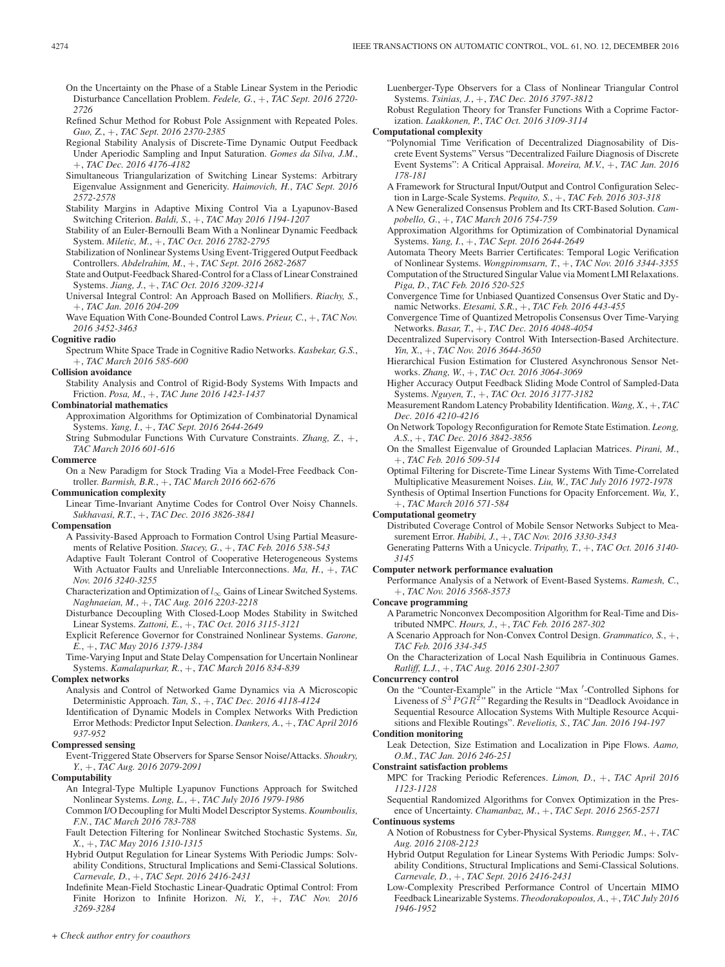- On the Uncertainty on the Phase of a Stable Linear System in the Periodic Disturbance Cancellation Problem. *Fedele, G.*, +, *TAC Sept. 2016 2720- 2726*
- Refined Schur Method for Robust Pole Assignment with Repeated Poles. *Guo, Z.*, +, *TAC Sept. 2016 2370-2385*
- Regional Stability Analysis of Discrete-Time Dynamic Output Feedback Under Aperiodic Sampling and Input Saturation. *Gomes da Silva, J.M.*, +, *TAC Dec. 2016 4176-4182*
- Simultaneous Triangularization of Switching Linear Systems: Arbitrary Eigenvalue Assignment and Genericity. *Haimovich, H.*, *TAC Sept. 2016 2572-2578*
- Stability Margins in Adaptive Mixing Control Via a Lyapunov-Based Switching Criterion. *Baldi, S.*, +, *TAC May 2016 1194-1207*
- Stability of an Euler-Bernoulli Beam With a Nonlinear Dynamic Feedback System. *Miletic, M.*, +, *TAC Oct. 2016 2782-2795*
- Stabilization of Nonlinear Systems Using Event-Triggered Output Feedback Controllers. *Abdelrahim, M.*, +, *TAC Sept. 2016 2682-2687*
- State and Output-Feedback Shared-Control for a Class of Linear Constrained Systems. *Jiang, J.*, +, *TAC Oct. 2016 3209-3214*
- Universal Integral Control: An Approach Based on Mollifiers. *Riachy, S.*, +, *TAC Jan. 2016 204-209*
- Wave Equation With Cone-Bounded Control Laws. *Prieur, C.*, +, *TAC Nov. 2016 3452-3463*
- **Cognitive radio**

Spectrum White Space Trade in Cognitive Radio Networks. *Kasbekar, G.S.*, +, *TAC March 2016 585-600*

#### **Collision avoidance**

Stability Analysis and Control of Rigid-Body Systems With Impacts and Friction. *Posa, M.*, +, *TAC June 2016 1423-1437*

#### **Combinatorial mathematics**

Approximation Algorithms for Optimization of Combinatorial Dynamical Systems. *Yang, I.*, +, *TAC Sept. 2016 2644-2649*

String Submodular Functions With Curvature Constraints. *Zhang, Z.*, +, *TAC March 2016 601-616*

#### **Commerce**

On a New Paradigm for Stock Trading Via a Model-Free Feedback Controller. *Barmish, B.R.*, +, *TAC March 2016 662-676*

#### **Communication complexity**

Linear Time-Invariant Anytime Codes for Control Over Noisy Channels. *Sukhavasi, R.T.*, +, *TAC Dec. 2016 3826-3841*

#### **Compensation**

- A Passivity-Based Approach to Formation Control Using Partial Measurements of Relative Position. *Stacey, G.*, +, *TAC Feb. 2016 538-543*
- Adaptive Fault Tolerant Control of Cooperative Heterogeneous Systems With Actuator Faults and Unreliable Interconnections. *Ma, H.*, +, *TAC Nov. 2016 3240-3255*
- Characterization and Optimization of  $l_{\infty}$  Gains of Linear Switched Systems. *Naghnaeian, M.*, +, *TAC Aug. 2016 2203-2218*
- Disturbance Decoupling With Closed-Loop Modes Stability in Switched Linear Systems. *Zattoni, E.*, +, *TAC Oct. 2016 3115-3121*
- Explicit Reference Governor for Constrained Nonlinear Systems. *Garone, E.*, +, *TAC May 2016 1379-1384*
- Time-Varying Input and State Delay Compensation for Uncertain Nonlinear Systems. *Kamalapurkar, R.*, +, *TAC March 2016 834-839*

#### **Complex networks**

- Analysis and Control of Networked Game Dynamics via A Microscopic Deterministic Approach. *Tan, S.*, +, *TAC Dec. 2016 4118-4124*
- Identification of Dynamic Models in Complex Networks With Prediction Error Methods: Predictor Input Selection. *Dankers, A.*, +, *TAC April 2016 937-952*

# **Compressed sensing**

Event-Triggered State Observers for Sparse Sensor Noise/Attacks. *Shoukry, Y.*, +, *TAC Aug. 2016 2079-2091*

**Computability**

- An Integral-Type Multiple Lyapunov Functions Approach for Switched Nonlinear Systems. *Long, L.*, +, *TAC July 2016 1979-1986*
- Common I/O Decoupling for Multi Model Descriptor Systems. *Koumboulis, F.N.*, *TAC March 2016 783-788*
- Fault Detection Filtering for Nonlinear Switched Stochastic Systems. *Su, X.*, +, *TAC May 2016 1310-1315*
- Hybrid Output Regulation for Linear Systems With Periodic Jumps: Solvability Conditions, Structural Implications and Semi-Classical Solutions. *Carnevale, D.*, +, *TAC Sept. 2016 2416-2431*
- Indefinite Mean-Field Stochastic Linear-Quadratic Optimal Control: From Finite Horizon to Infinite Horizon. *Ni, Y.*, +, *TAC Nov. 2016 3269-3284*

Luenberger-Type Observers for a Class of Nonlinear Triangular Control Systems. *Tsinias, J.*, +, *TAC Dec. 2016 3797-3812*

Robust Regulation Theory for Transfer Functions With a Coprime Factorization. *Laakkonen, P.*, *TAC Oct. 2016 3109-3114*

## **Computational complexity**

- "Polynomial Time Verification of Decentralized Diagnosability of Discrete Event Systems" Versus "Decentralized Failure Diagnosis of Discrete Event Systems": A Critical Appraisal. *Moreira, M.V.*, +, *TAC Jan. 2016 178-181*
- A Framework for Structural Input/Output and Control Configuration Selection in Large-Scale Systems. *Pequito, S.*, +, *TAC Feb. 2016 303-318*
- A New Generalized Consensus Problem and Its CRT-Based Solution. *Campobello, G.*, +, *TAC March 2016 754-759*
- Approximation Algorithms for Optimization of Combinatorial Dynamical Systems. *Yang, I.*, +, *TAC Sept. 2016 2644-2649*
- Automata Theory Meets Barrier Certificates: Temporal Logic Verification of Nonlinear Systems. *Wongpiromsarn, T.*, +, *TAC Nov. 2016 3344-3355*
- Computation of the Structured Singular Value via Moment LMI Relaxations. *Piga, D.*, *TAC Feb. 2016 520-525*
- Convergence Time for Unbiased Quantized Consensus Over Static and Dynamic Networks. *Etesami, S.R.*, +, *TAC Feb. 2016 443-455*
- Convergence Time of Quantized Metropolis Consensus Over Time-Varying Networks. *Basar, T.*, +, *TAC Dec. 2016 4048-4054*
- Decentralized Supervisory Control With Intersection-Based Architecture. *Yin, X.*, +, *TAC Nov. 2016 3644-3650*
- Hierarchical Fusion Estimation for Clustered Asynchronous Sensor Networks. *Zhang, W.*, +, *TAC Oct. 2016 3064-3069*
- Higher Accuracy Output Feedback Sliding Mode Control of Sampled-Data Systems. *Nguyen, T.*, +, *TAC Oct. 2016 3177-3182*
- Measurement Random Latency Probability Identification. *Wang, X.*, +, *TAC Dec. 2016 4210-4216*
- On Network Topology Reconfiguration for Remote State Estimation. *Leong, A.S.*, +, *TAC Dec. 2016 3842-3856*
- On the Smallest Eigenvalue of Grounded Laplacian Matrices. *Pirani, M.*, +, *TAC Feb. 2016 509-514*

Optimal Filtering for Discrete-Time Linear Systems With Time-Correlated Multiplicative Measurement Noises. *Liu, W.*, *TAC July 2016 1972-1978*

Synthesis of Optimal Insertion Functions for Opacity Enforcement. *Wu, Y.*, +, *TAC March 2016 571-584*

# **Computational geometry**

Distributed Coverage Control of Mobile Sensor Networks Subject to Measurement Error. *Habibi, J.*, +, *TAC Nov. 2016 3330-3343*

Generating Patterns With a Unicycle. *Tripathy, T.*, +, *TAC Oct. 2016 3140- 3145*

# **Computer network performance evaluation**

Performance Analysis of a Network of Event-Based Systems. *Ramesh, C.*, +, *TAC Nov. 2016 3568-3573*

#### **Concave programming**

A Parametric Nonconvex Decomposition Algorithm for Real-Time and Distributed NMPC. *Hours, J.*, +, *TAC Feb. 2016 287-302*

A Scenario Approach for Non-Convex Control Design. *Grammatico, S.*, +, *TAC Feb. 2016 334-345*

On the Characterization of Local Nash Equilibria in Continuous Games. *Ratliff, L.J.*, +, *TAC Aug. 2016 2301-2307*

#### **Concurrency control**

On the "Counter-Example" in the Article "Max -Controlled Siphons for Liveness of  $S^3 PGR^2$ " Regarding the Results in "Deadlock Avoidance in Sequential Resource Allocation Systems With Multiple Resource Acquisitions and Flexible Routings". *Reveliotis, S.*, *TAC Jan. 2016 194-197*

#### **Condition monitoring**

Leak Detection, Size Estimation and Localization in Pipe Flows. *Aamo, O.M.*, *TAC Jan. 2016 246-251*

#### **Constraint satisfaction problems**

MPC for Tracking Periodic References. *Limon, D.*, +, *TAC April 2016 1123-1128*

Sequential Randomized Algorithms for Convex Optimization in the Presence of Uncertainty. *Chamanbaz, M.*, +, *TAC Sept. 2016 2565-2571*

#### **Continuous systems**

- A Notion of Robustness for Cyber-Physical Systems. *Rungger, M.*, +, *TAC Aug. 2016 2108-2123*
- Hybrid Output Regulation for Linear Systems With Periodic Jumps: Solvability Conditions, Structural Implications and Semi-Classical Solutions. *Carnevale, D.*, +, *TAC Sept. 2016 2416-2431*
- Low-Complexity Prescribed Performance Control of Uncertain MIMO Feedback Linearizable Systems. *Theodorakopoulos, A.*, +, *TAC July 2016 1946-1952*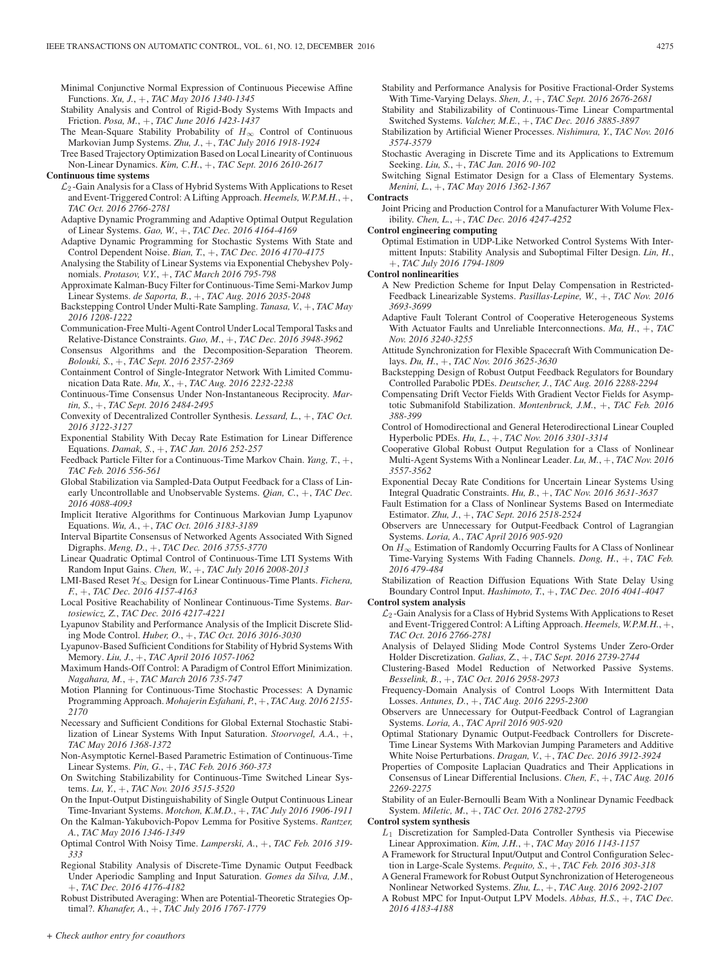Minimal Conjunctive Normal Expression of Continuous Piecewise Affine Functions. *Xu, J.*, +, *TAC May 2016 1340-1345*

- Stability Analysis and Control of Rigid-Body Systems With Impacts and Friction. *Posa, M.*, +, *TAC June 2016 1423-1437*
- The Mean-Square Stability Probability of  $H_{\infty}$  Control of Continuous Markovian Jump Systems. *Zhu, J.*, +, *TAC July 2016 1918-1924*
- Tree Based Trajectory Optimization Based on Local Linearity of Continuous Non-Linear Dynamics. *Kim, C.H.*, +, *TAC Sept. 2016 2610-2617*
- **Continuous time systems**
	- $\mathcal{L}_2$ -Gain Analysis for a Class of Hybrid Systems With Applications to Reset and Event-Triggered Control: A Lifting Approach. *Heemels, W.P.M.H.*, +, *TAC Oct. 2016 2766-2781*
	- Adaptive Dynamic Programming and Adaptive Optimal Output Regulation of Linear Systems. *Gao, W.*, +, *TAC Dec. 2016 4164-4169*
	- Adaptive Dynamic Programming for Stochastic Systems With State and Control Dependent Noise. *Bian, T.*, +, *TAC Dec. 2016 4170-4175*
	- Analysing the Stability of Linear Systems via Exponential Chebyshev Polynomials. *Protasov, V.Y.*, +, *TAC March 2016 795-798*
	- Approximate Kalman-Bucy Filter for Continuous-Time Semi-Markov Jump Linear Systems. *de Saporta, B.*, +, *TAC Aug. 2016 2035-2048*
	- Backstepping Control Under Multi-Rate Sampling. *Tanasa, V.*, +, *TAC May 2016 1208-1222*
	- Communication-Free Multi-Agent Control Under Local Temporal Tasks and Relative-Distance Constraints. *Guo, M.*, +, *TAC Dec. 2016 3948-3962*
	- Consensus Algorithms and the Decomposition-Separation Theorem. *Bolouki, S.*, +, *TAC Sept. 2016 2357-2369*
	- Containment Control of Single-Integrator Network With Limited Communication Data Rate. *Mu, X.*, +, *TAC Aug. 2016 2232-2238*
	- Continuous-Time Consensus Under Non-Instantaneous Reciprocity. *Martin, S.*, +, *TAC Sept. 2016 2484-2495*
	- Convexity of Decentralized Controller Synthesis. *Lessard, L.*, +, *TAC Oct. 2016 3122-3127*
	- Exponential Stability With Decay Rate Estimation for Linear Difference Equations. *Damak, S.*, +, *TAC Jan. 2016 252-257*
	- Feedback Particle Filter for a Continuous-Time Markov Chain. *Yang, T.*, +, *TAC Feb. 2016 556-561*
	- Global Stabilization via Sampled-Data Output Feedback for a Class of Linearly Uncontrollable and Unobservable Systems. *Qian, C.*, +, *TAC Dec. 2016 4088-4093*
	- Implicit Iterative Algorithms for Continuous Markovian Jump Lyapunov Equations. *Wu, A.*, +, *TAC Oct. 2016 3183-3189*
	- Interval Bipartite Consensus of Networked Agents Associated With Signed Digraphs. *Meng, D.*, +, *TAC Dec. 2016 3755-3770*
	- Linear Quadratic Optimal Control of Continuous-Time LTI Systems With Random Input Gains. *Chen, W.*, +, *TAC July 2016 2008-2013*
	- LMI-Based Reset H∞ Design for Linear Continuous-Time Plants. *Fichera, F.*, +, *TAC Dec. 2016 4157-4163*
	- Local Positive Reachability of Nonlinear Continuous-Time Systems. *Bartosiewicz, Z.*, *TAC Dec. 2016 4217-4221*
	- Lyapunov Stability and Performance Analysis of the Implicit Discrete Sliding Mode Control. *Huber, O.*, +, *TAC Oct. 2016 3016-3030*
	- Lyapunov-Based Sufficient Conditions for Stability of Hybrid Systems With Memory. *Liu, J.*, +, *TAC April 2016 1057-1062*
	- Maximum Hands-Off Control: A Paradigm of Control Effort Minimization. *Nagahara, M.*, +, *TAC March 2016 735-747*
	- Motion Planning for Continuous-Time Stochastic Processes: A Dynamic Programming Approach. *Mohajerin Esfahani, P.*, +, *TAC Aug. 2016 2155- 2170*
	- Necessary and Sufficient Conditions for Global External Stochastic Stabilization of Linear Systems With Input Saturation. *Stoorvogel, A.A.*, +, *TAC May 2016 1368-1372*
	- Non-Asymptotic Kernel-Based Parametric Estimation of Continuous-Time Linear Systems. *Pin, G.*, +, *TAC Feb. 2016 360-373*
	- On Switching Stabilizability for Continuous-Time Switched Linear Systems. *Lu, Y.*, +, *TAC Nov. 2016 3515-3520*
	- On the Input-Output Distinguishability of Single Output Continuous Linear Time-Invariant Systems. *Motchon, K.M.D.*, +, *TAC July 2016 1906-1911*
	- On the Kalman-Yakubovich-Popov Lemma for Positive Systems. *Rantzer, A.*, *TAC May 2016 1346-1349*
	- Optimal Control With Noisy Time. *Lamperski, A.*, +, *TAC Feb. 2016 319- 333*
	- Regional Stability Analysis of Discrete-Time Dynamic Output Feedback Under Aperiodic Sampling and Input Saturation. *Gomes da Silva, J.M.*, +, *TAC Dec. 2016 4176-4182*
	- Robust Distributed Averaging: When are Potential-Theoretic Strategies Optimal?. *Khanafer, A.*, +, *TAC July 2016 1767-1779*
- Stability and Performance Analysis for Positive Fractional-Order Systems With Time-Varying Delays. *Shen, J.*, +, *TAC Sept. 2016 2676-2681*
- Stability and Stabilizability of Continuous-Time Linear Compartmental Switched Systems. *Valcher, M.E.*, +, *TAC Dec. 2016 3885-3897*
- Stabilization by Artificial Wiener Processes. *Nishimura, Y.*, *TAC Nov. 2016 3574-3579*
- Stochastic Averaging in Discrete Time and its Applications to Extremum Seeking. *Liu, S.*, +, *TAC Jan. 2016 90-102*

Switching Signal Estimator Design for a Class of Elementary Systems. *Menini, L.*, +, *TAC May 2016 1362-1367*

## **Contracts**

Joint Pricing and Production Control for a Manufacturer With Volume Flexibility. *Chen, L.*, +, *TAC Dec. 2016 4247-4252*

#### **Control engineering computing**

Optimal Estimation in UDP-Like Networked Control Systems With Intermittent Inputs: Stability Analysis and Suboptimal Filter Design. *Lin, H.*, +, *TAC July 2016 1794-1809*

**Control nonlinearities**

- A New Prediction Scheme for Input Delay Compensation in Restricted-Feedback Linearizable Systems. *Pasillas-Lepine, W.*, +, *TAC Nov. 2016 3693-3699*
- Adaptive Fault Tolerant Control of Cooperative Heterogeneous Systems With Actuator Faults and Unreliable Interconnections. *Ma, H.*, +, *TAC Nov. 2016 3240-3255*
- Attitude Synchronization for Flexible Spacecraft With Communication Delays. *Du, H.*, +, *TAC Nov. 2016 3625-3630*
- Backstepping Design of Robust Output Feedback Regulators for Boundary Controlled Parabolic PDEs. *Deutscher, J.*, *TAC Aug. 2016 2288-2294*
- Compensating Drift Vector Fields With Gradient Vector Fields for Asymptotic Submanifold Stabilization. *Montenbruck, J.M.*, +, *TAC Feb. 2016 388-399*
- Control of Homodirectional and General Heterodirectional Linear Coupled Hyperbolic PDEs. *Hu, L.*, +, *TAC Nov. 2016 3301-3314*
- Cooperative Global Robust Output Regulation for a Class of Nonlinear Multi-Agent Systems With a Nonlinear Leader. *Lu, M.*, +, *TAC Nov. 2016 3557-3562*
- Exponential Decay Rate Conditions for Uncertain Linear Systems Using Integral Quadratic Constraints. *Hu, B.*, +, *TAC Nov. 2016 3631-3637*
- Fault Estimation for a Class of Nonlinear Systems Based on Intermediate Estimator. *Zhu, J.*, +, *TAC Sept. 2016 2518-2524*
- Observers are Unnecessary for Output-Feedback Control of Lagrangian Systems. *Loria, A.*, *TAC April 2016 905-920*
- On  $H_{\infty}$  Estimation of Randomly Occurring Faults for A Class of Nonlinear Time-Varying Systems With Fading Channels. *Dong, H.*, +, *TAC Feb. 2016 479-484*
- Stabilization of Reaction Diffusion Equations With State Delay Using Boundary Control Input. *Hashimoto, T.*, +, *TAC Dec. 2016 4041-4047*

#### **Control system analysis**

- $\mathcal{L}_2$ -Gain Analysis for a Class of Hybrid Systems With Applications to Reset and Event-Triggered Control: A Lifting Approach. *Heemels, W.P.M.H.*, +, *TAC Oct. 2016 2766-2781*
- Analysis of Delayed Sliding Mode Control Systems Under Zero-Order Holder Discretization. *Galias, Z.*, +, *TAC Sept. 2016 2739-2744*
- Clustering-Based Model Reduction of Networked Passive Systems. *Besselink, B.*, +, *TAC Oct. 2016 2958-2973*
- Frequency-Domain Analysis of Control Loops With Intermittent Data Losses. *Antunes, D.*, +, *TAC Aug. 2016 2295-2300*
- Observers are Unnecessary for Output-Feedback Control of Lagrangian Systems. *Loria, A.*, *TAC April 2016 905-920*
- Optimal Stationary Dynamic Output-Feedback Controllers for Discrete-Time Linear Systems With Markovian Jumping Parameters and Additive White Noise Perturbations. *Dragan, V.*, +, *TAC Dec. 2016 3912-3924*
- Properties of Composite Laplacian Quadratics and Their Applications in Consensus of Linear Differential Inclusions. *Chen, F.*, +, *TAC Aug. 2016 2269-2275*
- Stability of an Euler-Bernoulli Beam With a Nonlinear Dynamic Feedback System. *Miletic, M.*, +, *TAC Oct. 2016 2782-2795*
- **Control system synthesis**
	- $L_1$  Discretization for Sampled-Data Controller Synthesis via Piecewise Linear Approximation. *Kim, J.H.*, +, *TAC May 2016 1143-1157*
	- A Framework for Structural Input/Output and Control Configuration Selection in Large-Scale Systems. *Pequito, S.*, +, *TAC Feb. 2016 303-318*
	- A General Framework for Robust Output Synchronization of Heterogeneous Nonlinear Networked Systems. *Zhu, L.*, +, *TAC Aug. 2016 2092-2107*
	- A Robust MPC for Input-Output LPV Models. *Abbas, H.S.*, +, *TAC Dec. 2016 4183-4188*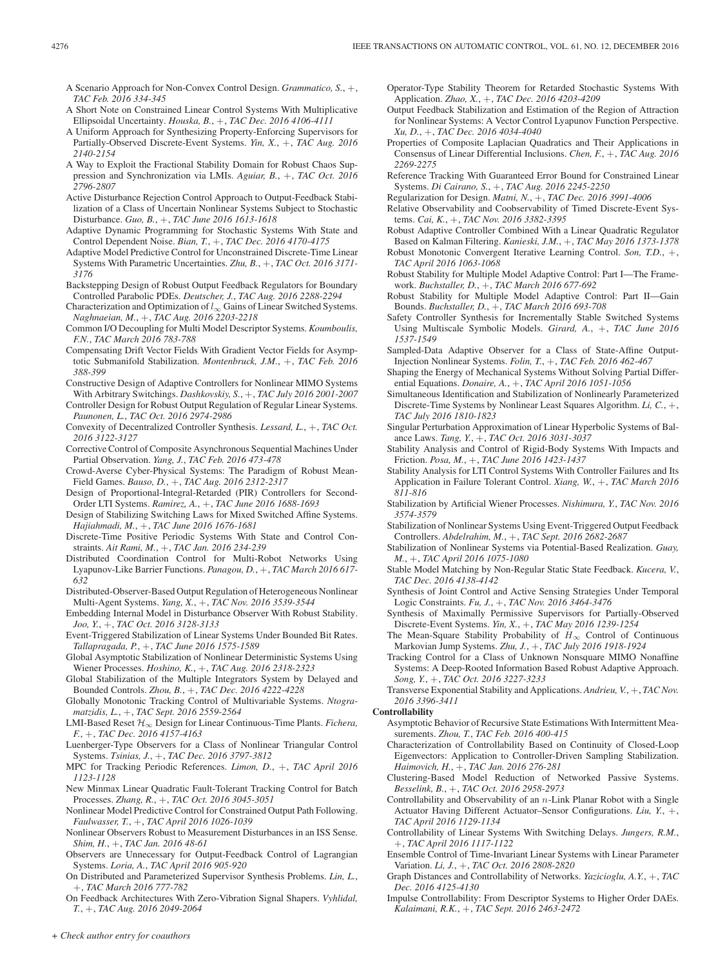A Scenario Approach for Non-Convex Control Design. *Grammatico, S.*, +, *TAC Feb. 2016 334-345*

- A Short Note on Constrained Linear Control Systems With Multiplicative Ellipsoidal Uncertainty. *Houska, B.*, +, *TAC Dec. 2016 4106-4111*
- A Uniform Approach for Synthesizing Property-Enforcing Supervisors for Partially-Observed Discrete-Event Systems. *Yin, X.*, +, *TAC Aug. 2016 2140-2154*
- A Way to Exploit the Fractional Stability Domain for Robust Chaos Suppression and Synchronization via LMIs. *Aguiar, B.*, +, *TAC Oct. 2016 2796-2807*
- Active Disturbance Rejection Control Approach to Output-Feedback Stabilization of a Class of Uncertain Nonlinear Systems Subject to Stochastic Disturbance. *Guo, B.*, +, *TAC June 2016 1613-1618*
- Adaptive Dynamic Programming for Stochastic Systems With State and Control Dependent Noise. *Bian, T.*, +, *TAC Dec. 2016 4170-4175*
- Adaptive Model Predictive Control for Unconstrained Discrete-Time Linear Systems With Parametric Uncertainties. *Zhu, B.*, +, *TAC Oct. 2016 3171- 3176*
- Backstepping Design of Robust Output Feedback Regulators for Boundary Controlled Parabolic PDEs. *Deutscher, J.*, *TAC Aug. 2016 2288-2294*
- Characterization and Optimization of  $l_{\infty}$  Gains of Linear Switched Systems. *Naghnaeian, M.*, +, *TAC Aug. 2016 2203-2218*
- Common I/O Decoupling for Multi Model Descriptor Systems. *Koumboulis, F.N.*, *TAC March 2016 783-788*
- Compensating Drift Vector Fields With Gradient Vector Fields for Asymptotic Submanifold Stabilization. *Montenbruck, J.M.*, +, *TAC Feb. 2016 388-399*
- Constructive Design of Adaptive Controllers for Nonlinear MIMO Systems With Arbitrary Switchings. *Dashkovskiy, S.*, +, *TAC July 2016 2001-2007*

Controller Design for Robust Output Regulation of Regular Linear Systems. *Paunonen, L.*, *TAC Oct. 2016 2974-2986*

- Convexity of Decentralized Controller Synthesis. *Lessard, L.*, +, *TAC Oct. 2016 3122-3127*
- Corrective Control of Composite Asynchronous Sequential Machines Under Partial Observation. *Yang, J.*, *TAC Feb. 2016 473-478*
- Crowd-Averse Cyber-Physical Systems: The Paradigm of Robust Mean-Field Games. *Bauso, D.*, +, *TAC Aug. 2016 2312-2317*

Design of Proportional-Integral-Retarded (PIR) Controllers for Second-Order LTI Systems. *Ramirez, A.*, +, *TAC June 2016 1688-1693*

- Design of Stabilizing Switching Laws for Mixed Switched Affine Systems. *Hajiahmadi, M.*, +, *TAC June 2016 1676-1681*
- Discrete-Time Positive Periodic Systems With State and Control Constraints. *Ait Rami, M.*, +, *TAC Jan. 2016 234-239*
- Distributed Coordination Control for Multi-Robot Networks Using Lyapunov-Like Barrier Functions. *Panagou, D.*, +, *TAC March 2016 617- 632*
- Distributed-Observer-Based Output Regulation of Heterogeneous Nonlinear Multi-Agent Systems. *Yang, X.*, +, *TAC Nov. 2016 3539-3544*
- Embedding Internal Model in Disturbance Observer With Robust Stability. *Joo, Y.*, +, *TAC Oct. 2016 3128-3133*
- Event-Triggered Stabilization of Linear Systems Under Bounded Bit Rates. *Tallapragada, P.*, +, *TAC June 2016 1575-1589*

Global Asymptotic Stabilization of Nonlinear Deterministic Systems Using Wiener Processes. *Hoshino, K.*, +, *TAC Aug. 2016 2318-2323*

- Global Stabilization of the Multiple Integrators System by Delayed and Bounded Controls. *Zhou, B.*, +, *TAC Dec. 2016 4222-4228*
- Globally Monotonic Tracking Control of Multivariable Systems. *Ntogramatzidis, L.*, +, *TAC Sept. 2016 2559-2564*
- LMI-Based Reset H∞ Design for Linear Continuous-Time Plants. *Fichera, F.*, +, *TAC Dec. 2016 4157-4163*
- Luenberger-Type Observers for a Class of Nonlinear Triangular Control Systems. *Tsinias, J.*, +, *TAC Dec. 2016 3797-3812*
- MPC for Tracking Periodic References. *Limon, D.*, +, *TAC April 2016 1123-1128*
- New Minmax Linear Quadratic Fault-Tolerant Tracking Control for Batch Processes. *Zhang, R.*, +, *TAC Oct. 2016 3045-3051*
- Nonlinear Model Predictive Control for Constrained Output Path Following. *Faulwasser, T.*, +, *TAC April 2016 1026-1039*
- Nonlinear Observers Robust to Measurement Disturbances in an ISS Sense. *Shim, H.*, +, *TAC Jan. 2016 48-61*
- Observers are Unnecessary for Output-Feedback Control of Lagrangian Systems. *Loria, A.*, *TAC April 2016 905-920*
- On Distributed and Parameterized Supervisor Synthesis Problems. *Lin, L.*, +, *TAC March 2016 777-782*

On Feedback Architectures With Zero-Vibration Signal Shapers. *Vyhlidal, T.*, +, *TAC Aug. 2016 2049-2064*

- Operator-Type Stability Theorem for Retarded Stochastic Systems With Application. *Zhao, X.*, +, *TAC Dec. 2016 4203-4209*
- Output Feedback Stabilization and Estimation of the Region of Attraction for Nonlinear Systems: A Vector Control Lyapunov Function Perspective. *Xu, D.*, +, *TAC Dec. 2016 4034-4040*
- Properties of Composite Laplacian Quadratics and Their Applications in Consensus of Linear Differential Inclusions. *Chen, F.*, +, *TAC Aug. 2016 2269-2275*
- Reference Tracking With Guaranteed Error Bound for Constrained Linear Systems. *Di Cairano, S.*, +, *TAC Aug. 2016 2245-2250*
- Regularization for Design. *Matni, N.*, +, *TAC Dec. 2016 3991-4006*
- Relative Observability and Coobservability of Timed Discrete-Event Systems. *Cai, K.*, +, *TAC Nov. 2016 3382-3395*
- Robust Adaptive Controller Combined With a Linear Quadratic Regulator Based on Kalman Filtering. *Kanieski, J.M.*, +, *TAC May 2016 1373-1378*
- Robust Monotonic Convergent Iterative Learning Control. *Son, T.D.*, +, *TAC April 2016 1063-1068*
- Robust Stability for Multiple Model Adaptive Control: Part I—The Framework. *Buchstaller, D.*, +, *TAC March 2016 677-692*
- Robust Stability for Multiple Model Adaptive Control: Part II—Gain Bounds. *Buchstaller, D.*, +, *TAC March 2016 693-708*
- Safety Controller Synthesis for Incrementally Stable Switched Systems Using Multiscale Symbolic Models. *Girard, A.*, +, *TAC June 2016 1537-1549*
- Sampled-Data Adaptive Observer for a Class of State-Affine Output-Injection Nonlinear Systems. *Folin, T.*, +, *TAC Feb. 2016 462-467*
- Shaping the Energy of Mechanical Systems Without Solving Partial Differential Equations. *Donaire, A.*, +, *TAC April 2016 1051-1056*
- Simultaneous Identification and Stabilization of Nonlinearly Parameterized Discrete-Time Systems by Nonlinear Least Squares Algorithm. *Li, C.*, +, *TAC July 2016 1810-1823*
- Singular Perturbation Approximation of Linear Hyperbolic Systems of Balance Laws. *Tang, Y.*, +, *TAC Oct. 2016 3031-3037*
- Stability Analysis and Control of Rigid-Body Systems With Impacts and Friction. *Posa, M.*, +, *TAC June 2016 1423-1437*
- Stability Analysis for LTI Control Systems With Controller Failures and Its Application in Failure Tolerant Control. *Xiang, W.*, +, *TAC March 2016 811-816*
- Stabilization by Artificial Wiener Processes. *Nishimura, Y.*, *TAC Nov. 2016 3574-3579*
- Stabilization of Nonlinear Systems Using Event-Triggered Output Feedback Controllers. *Abdelrahim, M.*, +, *TAC Sept. 2016 2682-2687*
- Stabilization of Nonlinear Systems via Potential-Based Realization. *Guay, M.*, +, *TAC April 2016 1075-1080*
- Stable Model Matching by Non-Regular Static State Feedback. *Kucera, V.*, *TAC Dec. 2016 4138-4142*
- Synthesis of Joint Control and Active Sensing Strategies Under Temporal Logic Constraints. *Fu, J.*, +, *TAC Nov. 2016 3464-3476*
- Synthesis of Maximally Permissive Supervisors for Partially-Observed Discrete-Event Systems. *Yin, X.*, +, *TAC May 2016 1239-1254*
- The Mean-Square Stability Probability of  $H_{\infty}$  Control of Continuous Markovian Jump Systems. *Zhu, J.*, +, *TAC July 2016 1918-1924*
- Tracking Control for a Class of Unknown Nonsquare MIMO Nonaffine Systems: A Deep-Rooted Information Based Robust Adaptive Approach. *Song, Y.*, +, *TAC Oct. 2016 3227-3233*
- Transverse Exponential Stability and Applications. *Andrieu, V.*, +, *TAC Nov. 2016 3396-3411*

## **Controllability**

- Asymptotic Behavior of Recursive State Estimations With Intermittent Measurements. *Zhou, T.*, *TAC Feb. 2016 400-415*
- Characterization of Controllability Based on Continuity of Closed-Loop Eigenvectors: Application to Controller-Driven Sampling Stabilization. *Haimovich, H.*, +, *TAC Jan. 2016 276-281*
- Clustering-Based Model Reduction of Networked Passive Systems. *Besselink, B.*, +, *TAC Oct. 2016 2958-2973*
- Controllability and Observability of an n-Link Planar Robot with a Single Actuator Having Different Actuator–Sensor Configurations. *Liu, Y.*, +, *TAC April 2016 1129-1134*
- Controllability of Linear Systems With Switching Delays. *Jungers, R.M.*, +, *TAC April 2016 1117-1122*
- Ensemble Control of Time-Invariant Linear Systems with Linear Parameter Variation. *Li, J.*, +, *TAC Oct. 2016 2808-2820*
- Graph Distances and Controllability of Networks. *Yazicioglu, A.Y.*, +, *TAC Dec. 2016 4125-4130*
- Impulse Controllability: From Descriptor Systems to Higher Order DAEs. *Kalaimani, R.K.*, +, *TAC Sept. 2016 2463-2472*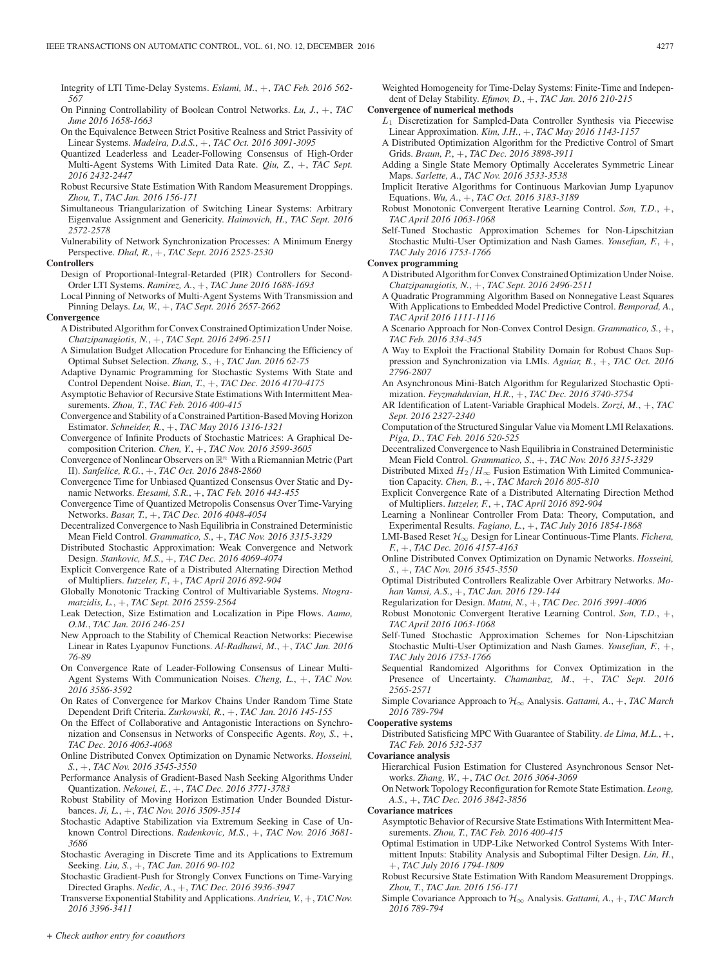Integrity of LTI Time-Delay Systems. *Eslami, M.*, +, *TAC Feb. 2016 562- 567*

- On Pinning Controllability of Boolean Control Networks. *Lu, J.*, +, *TAC June 2016 1658-1663*
- On the Equivalence Between Strict Positive Realness and Strict Passivity of Linear Systems. *Madeira, D.d.S.*, +, *TAC Oct. 2016 3091-3095*
- Quantized Leaderless and Leader-Following Consensus of High-Order Multi-Agent Systems With Limited Data Rate. *Qiu, Z.*, +, *TAC Sept. 2016 2432-2447*
- Robust Recursive State Estimation With Random Measurement Droppings. *Zhou, T.*, *TAC Jan. 2016 156-171*
- Simultaneous Triangularization of Switching Linear Systems: Arbitrary Eigenvalue Assignment and Genericity. *Haimovich, H.*, *TAC Sept. 2016 2572-2578*
- Vulnerability of Network Synchronization Processes: A Minimum Energy Perspective. *Dhal, R.*, +, *TAC Sept. 2016 2525-2530*
- **Controllers**
	- Design of Proportional-Integral-Retarded (PIR) Controllers for Second-Order LTI Systems. *Ramirez, A.*, +, *TAC June 2016 1688-1693*
	- Local Pinning of Networks of Multi-Agent Systems With Transmission and Pinning Delays. *Lu, W.*, +, *TAC Sept. 2016 2657-2662*

#### **Convergence**

- A Distributed Algorithm for Convex Constrained Optimization Under Noise. *Chatzipanagiotis, N.*, +, *TAC Sept. 2016 2496-2511*
- A Simulation Budget Allocation Procedure for Enhancing the Efficiency of Optimal Subset Selection. *Zhang, S.*, +, *TAC Jan. 2016 62-75*
- Adaptive Dynamic Programming for Stochastic Systems With State and Control Dependent Noise. *Bian, T.*, +, *TAC Dec. 2016 4170-4175*
- Asymptotic Behavior of Recursive State Estimations With Intermittent Measurements. *Zhou, T.*, *TAC Feb. 2016 400-415*
- Convergence and Stability of a Constrained Partition-Based Moving Horizon Estimator. *Schneider, R.*, +, *TAC May 2016 1316-1321*
- Convergence of Infinite Products of Stochastic Matrices: A Graphical Decomposition Criterion. *Chen, Y.*, +, *TAC Nov. 2016 3599-3605*
- Convergence of Nonlinear Observers on  $\mathbb{R}^n$  With a Riemannian Metric (Part II). *Sanfelice, R.G.*, +, *TAC Oct. 2016 2848-2860*
- Convergence Time for Unbiased Quantized Consensus Over Static and Dynamic Networks. *Etesami, S.R.*, +, *TAC Feb. 2016 443-455*
- Convergence Time of Quantized Metropolis Consensus Over Time-Varying Networks. *Basar, T.*, +, *TAC Dec. 2016 4048-4054*
- Decentralized Convergence to Nash Equilibria in Constrained Deterministic Mean Field Control. *Grammatico, S.*, +, *TAC Nov. 2016 3315-3329*
- Distributed Stochastic Approximation: Weak Convergence and Network Design. *Stankovic, M.S.*, +, *TAC Dec. 2016 4069-4074*
- Explicit Convergence Rate of a Distributed Alternating Direction Method of Multipliers. *Iutzeler, F.*, +, *TAC April 2016 892-904*
- Globally Monotonic Tracking Control of Multivariable Systems. *Ntogramatzidis, L.*, +, *TAC Sept. 2016 2559-2564*
- Leak Detection, Size Estimation and Localization in Pipe Flows. *Aamo, O.M.*, *TAC Jan. 2016 246-251*
- New Approach to the Stability of Chemical Reaction Networks: Piecewise Linear in Rates Lyapunov Functions. *Al-Radhawi, M.*, +, *TAC Jan. 2016 76-89*
- On Convergence Rate of Leader-Following Consensus of Linear Multi-Agent Systems With Communication Noises. *Cheng, L.*, +, *TAC Nov. 2016 3586-3592*
- On Rates of Convergence for Markov Chains Under Random Time State Dependent Drift Criteria. *Zurkowski, R.*, +, *TAC Jan. 2016 145-155*
- On the Effect of Collaborative and Antagonistic Interactions on Synchronization and Consensus in Networks of Conspecific Agents. *Roy, S.*, +, *TAC Dec. 2016 4063-4068*
- Online Distributed Convex Optimization on Dynamic Networks. *Hosseini, S.*, +, *TAC Nov. 2016 3545-3550*
- Performance Analysis of Gradient-Based Nash Seeking Algorithms Under Quantization. *Nekouei, E.*, +, *TAC Dec. 2016 3771-3783*
- Robust Stability of Moving Horizon Estimation Under Bounded Disturbances. *Ji, L.*, +, *TAC Nov. 2016 3509-3514*
- Stochastic Adaptive Stabilization via Extremum Seeking in Case of Unknown Control Directions. *Radenkovic, M.S.*, +, *TAC Nov. 2016 3681- 3686*
- Stochastic Averaging in Discrete Time and its Applications to Extremum Seeking. *Liu, S.*, +, *TAC Jan. 2016 90-102*
- Stochastic Gradient-Push for Strongly Convex Functions on Time-Varying Directed Graphs. *Nedic, A.*, +, *TAC Dec. 2016 3936-3947*
- Transverse Exponential Stability and Applications. *Andrieu, V.*, +, *TAC Nov. 2016 3396-3411*

Weighted Homogeneity for Time-Delay Systems: Finite-Time and Independent of Delay Stability. *Efimov, D.*, +, *TAC Jan. 2016 210-215*

**Convergence of numerical methods**

- L1 Discretization for Sampled-Data Controller Synthesis via Piecewise Linear Approximation. *Kim, J.H.*, +, *TAC May 2016 1143-1157*
- A Distributed Optimization Algorithm for the Predictive Control of Smart Grids. *Braun, P.*, +, *TAC Dec. 2016 3898-3911*
- Adding a Single State Memory Optimally Accelerates Symmetric Linear Maps. *Sarlette, A.*, *TAC Nov. 2016 3533-3538*
- Implicit Iterative Algorithms for Continuous Markovian Jump Lyapunov Equations. *Wu, A.*, +, *TAC Oct. 2016 3183-3189*
- Robust Monotonic Convergent Iterative Learning Control. *Son, T.D.*, +, *TAC April 2016 1063-1068*
- Self-Tuned Stochastic Approximation Schemes for Non-Lipschitzian Stochastic Multi-User Optimization and Nash Games. *Yousefian, F.*, +, *TAC July 2016 1753-1766*

# **Convex programming**

- A Distributed Algorithm for Convex Constrained Optimization Under Noise. *Chatzipanagiotis, N.*, +, *TAC Sept. 2016 2496-2511*
- A Quadratic Programming Algorithm Based on Nonnegative Least Squares With Applications to Embedded Model Predictive Control. *Bemporad, A.*, *TAC April 2016 1111-1116*
- A Scenario Approach for Non-Convex Control Design. *Grammatico, S.*, +, *TAC Feb. 2016 334-345*
- A Way to Exploit the Fractional Stability Domain for Robust Chaos Suppression and Synchronization via LMIs. *Aguiar, B.*, +, *TAC Oct. 2016 2796-2807*
- An Asynchronous Mini-Batch Algorithm for Regularized Stochastic Optimization. *Feyzmahdavian, H.R.*, +, *TAC Dec. 2016 3740-3754*
- AR Identification of Latent-Variable Graphical Models. *Zorzi, M.*, +, *TAC Sept. 2016 2327-2340*
- Computation of the Structured Singular Value via Moment LMI Relaxations. *Piga, D.*, *TAC Feb. 2016 520-525*
- Decentralized Convergence to Nash Equilibria in Constrained Deterministic Mean Field Control. *Grammatico, S.*, +, *TAC Nov. 2016 3315-3329*
- Distributed Mixed  $H_2/H_\infty$  Fusion Estimation With Limited Communication Capacity. *Chen, B.*, +, *TAC March 2016 805-810*
- Explicit Convergence Rate of a Distributed Alternating Direction Method of Multipliers. *Iutzeler, F.*, +, *TAC April 2016 892-904*
- Learning a Nonlinear Controller From Data: Theory, Computation, and Experimental Results. *Fagiano, L.*, +, *TAC July 2016 1854-1868*
- LMI-Based Reset H∞ Design for Linear Continuous-Time Plants. *Fichera, F.*, +, *TAC Dec. 2016 4157-4163*
- Online Distributed Convex Optimization on Dynamic Networks. *Hosseini, S.*, +, *TAC Nov. 2016 3545-3550*
- Optimal Distributed Controllers Realizable Over Arbitrary Networks. *Mohan Vamsi, A.S.*, +, *TAC Jan. 2016 129-144*
- Regularization for Design. *Matni, N.*, +, *TAC Dec. 2016 3991-4006*
- Robust Monotonic Convergent Iterative Learning Control. *Son, T.D.*, +, *TAC April 2016 1063-1068*
- Self-Tuned Stochastic Approximation Schemes for Non-Lipschitzian Stochastic Multi-User Optimization and Nash Games. *Yousefian, F.*, +, *TAC July 2016 1753-1766*
- Sequential Randomized Algorithms for Convex Optimization in the Presence of Uncertainty. *Chamanbaz, M.*, +, *TAC Sept. 2016 2565-2571*
- Simple Covariance Approach to  $H_{\infty}$  Analysis. *Gattami, A.*, +, *TAC March 2016 789-794*

# **Cooperative systems**

Distributed Satisficing MPC With Guarantee of Stability. *de Lima, M.L.*, +, *TAC Feb. 2016 532-537*

#### **Covariance analysis**

- Hierarchical Fusion Estimation for Clustered Asynchronous Sensor Networks. *Zhang, W.*, +, *TAC Oct. 2016 3064-3069*
- On Network Topology Reconfiguration for Remote State Estimation. *Leong, A.S.*, +, *TAC Dec. 2016 3842-3856*

#### **Covariance matrices**

- Asymptotic Behavior of Recursive State Estimations With Intermittent Measurements. *Zhou, T.*, *TAC Feb. 2016 400-415*
- Optimal Estimation in UDP-Like Networked Control Systems With Intermittent Inputs: Stability Analysis and Suboptimal Filter Design. *Lin, H.*, +, *TAC July 2016 1794-1809*
- Robust Recursive State Estimation With Random Measurement Droppings. *Zhou, T.*, *TAC Jan. 2016 156-171*
- Simple Covariance Approach to H∞ Analysis. *Gattami, A.*, +, *TAC March 2016 789-794*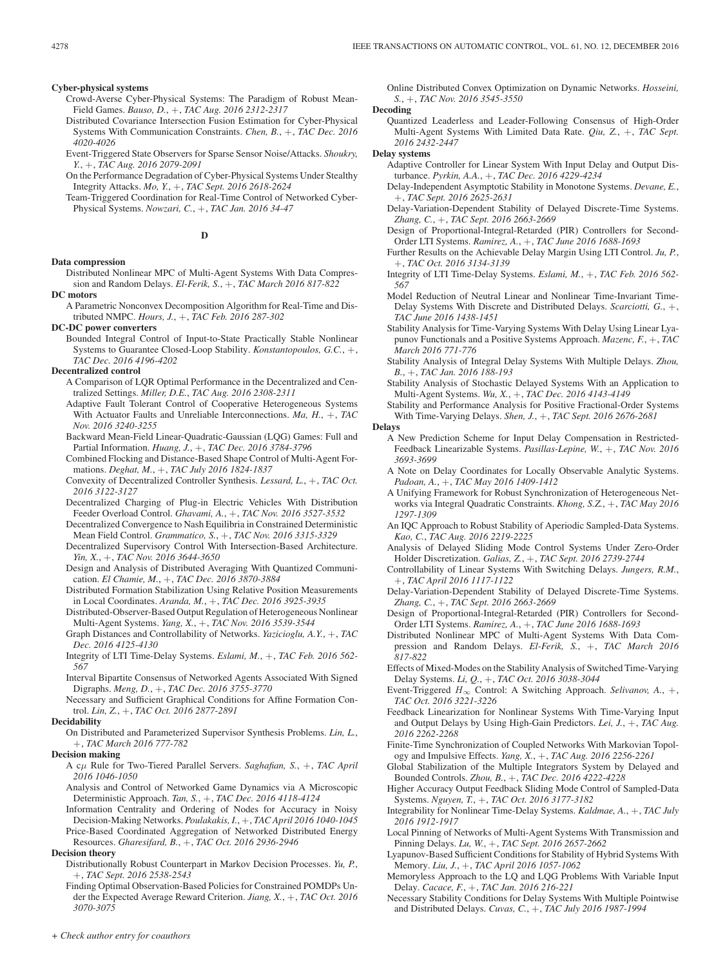#### **Cyber-physical systems**

- Crowd-Averse Cyber-Physical Systems: The Paradigm of Robust Mean-Field Games. *Bauso, D.*, +, *TAC Aug. 2016 2312-2317*
- Distributed Covariance Intersection Fusion Estimation for Cyber-Physical Systems With Communication Constraints. *Chen, B.*, +, *TAC Dec. 2016 4020-4026*
- Event-Triggered State Observers for Sparse Sensor Noise/Attacks. *Shoukry, Y.*, +, *TAC Aug. 2016 2079-2091*
- On the Performance Degradation of Cyber-Physical Systems Under Stealthy Integrity Attacks. *Mo, Y.*, +, *TAC Sept. 2016 2618-2624*
- Team-Triggered Coordination for Real-Time Control of Networked Cyber-Physical Systems. *Nowzari, C.*, +, *TAC Jan. 2016 34-47*

**D**

## **Data compression**

Distributed Nonlinear MPC of Multi-Agent Systems With Data Compression and Random Delays. *El-Ferik, S.*, +, *TAC March 2016 817-822*

**DC motors**

- A Parametric Nonconvex Decomposition Algorithm for Real-Time and Distributed NMPC. *Hours, J.*, +, *TAC Feb. 2016 287-302*
- **DC-DC power converters**
	- Bounded Integral Control of Input-to-State Practically Stable Nonlinear Systems to Guarantee Closed-Loop Stability. *Konstantopoulos, G.C.*, +, *TAC Dec. 2016 4196-4202*

# **Decentralized control**

- A Comparison of LQR Optimal Performance in the Decentralized and Centralized Settings. *Miller, D.E.*, *TAC Aug. 2016 2308-2311*
- Adaptive Fault Tolerant Control of Cooperative Heterogeneous Systems With Actuator Faults and Unreliable Interconnections. *Ma, H.*, +, *TAC Nov. 2016 3240-3255*
- Backward Mean-Field Linear-Quadratic-Gaussian (LQG) Games: Full and Partial Information. *Huang, J.*, +, *TAC Dec. 2016 3784-3796*
- Combined Flocking and Distance-Based Shape Control of Multi-Agent Formations. *Deghat, M.*, +, *TAC July 2016 1824-1837*
- Convexity of Decentralized Controller Synthesis. *Lessard, L.*, +, *TAC Oct. 2016 3122-3127*
- Decentralized Charging of Plug-in Electric Vehicles With Distribution Feeder Overload Control. *Ghavami, A.*, +, *TAC Nov. 2016 3527-3532*
- Decentralized Convergence to Nash Equilibria in Constrained Deterministic Mean Field Control. *Grammatico, S.*, +, *TAC Nov. 2016 3315-3329*
- Decentralized Supervisory Control With Intersection-Based Architecture. *Yin, X.*, +, *TAC Nov. 2016 3644-3650*
- Design and Analysis of Distributed Averaging With Quantized Communication. *El Chamie, M.*, +, *TAC Dec. 2016 3870-3884*
- Distributed Formation Stabilization Using Relative Position Measurements in Local Coordinates. *Aranda, M.*, +, *TAC Dec. 2016 3925-3935*
- Distributed-Observer-Based Output Regulation of Heterogeneous Nonlinear Multi-Agent Systems. *Yang, X.*, +, *TAC Nov. 2016 3539-3544*
- Graph Distances and Controllability of Networks. *Yazicioglu, A.Y.*, +, *TAC Dec. 2016 4125-4130*
- Integrity of LTI Time-Delay Systems. *Eslami, M.*, +, *TAC Feb. 2016 562- 567*
- Interval Bipartite Consensus of Networked Agents Associated With Signed Digraphs. *Meng, D.*, +, *TAC Dec. 2016 3755-3770*
- Necessary and Sufficient Graphical Conditions for Affine Formation Control. *Lin, Z.*, +, *TAC Oct. 2016 2877-2891*

#### **Decidability**

On Distributed and Parameterized Supervisor Synthesis Problems. *Lin, L.*, +, *TAC March 2016 777-782*

#### **Decision making**

- A cμ Rule for Two-Tiered Parallel Servers. *Saghafian, S.*, +, *TAC April 2016 1046-1050*
- Analysis and Control of Networked Game Dynamics via A Microscopic Deterministic Approach. *Tan, S.*, +, *TAC Dec. 2016 4118-4124*
- Information Centrality and Ordering of Nodes for Accuracy in Noisy Decision-Making Networks. *Poulakakis, I.*, +, *TAC April 2016 1040-1045*
- Price-Based Coordinated Aggregation of Networked Distributed Energy Resources. *Gharesifard, B.*, +, *TAC Oct. 2016 2936-2946*

# **Decision theory**

- Distributionally Robust Counterpart in Markov Decision Processes. *Yu, P.*, +, *TAC Sept. 2016 2538-2543*
- Finding Optimal Observation-Based Policies for Constrained POMDPs Under the Expected Average Reward Criterion. *Jiang, X.*, +, *TAC Oct. 2016 3070-3075*

Online Distributed Convex Optimization on Dynamic Networks. *Hosseini, S.*, +, *TAC Nov. 2016 3545-3550*

**Decoding**

Quantized Leaderless and Leader-Following Consensus of High-Order Multi-Agent Systems With Limited Data Rate. *Qiu, Z.*, +, *TAC Sept. 2016 2432-2447*

#### **Delay systems**

- Adaptive Controller for Linear System With Input Delay and Output Disturbance. *Pyrkin, A.A.*, +, *TAC Dec. 2016 4229-4234*
- Delay-Independent Asymptotic Stability in Monotone Systems. *Devane, E.*, +, *TAC Sept. 2016 2625-2631*
- Delay-Variation-Dependent Stability of Delayed Discrete-Time Systems. *Zhang, C.*, +, *TAC Sept. 2016 2663-2669*
- Design of Proportional-Integral-Retarded (PIR) Controllers for Second-Order LTI Systems. *Ramirez, A.*, +, *TAC June 2016 1688-1693*
- Further Results on the Achievable Delay Margin Using LTI Control. *Ju, P.*, +, *TAC Oct. 2016 3134-3139*
- Integrity of LTI Time-Delay Systems. *Eslami, M.*, +, *TAC Feb. 2016 562- 567*
- Model Reduction of Neutral Linear and Nonlinear Time-Invariant Time-Delay Systems With Discrete and Distributed Delays. *Scarciotti, G.*, +, *TAC June 2016 1438-1451*
- Stability Analysis for Time-Varying Systems With Delay Using Linear Lyapunov Functionals and a Positive Systems Approach. *Mazenc, F.*, +, *TAC March 2016 771-776*
- Stability Analysis of Integral Delay Systems With Multiple Delays. *Zhou, B.*, +, *TAC Jan. 2016 188-193*
- Stability Analysis of Stochastic Delayed Systems With an Application to Multi-Agent Systems. *Wu, X.*, +, *TAC Dec. 2016 4143-4149*
- Stability and Performance Analysis for Positive Fractional-Order Systems With Time-Varying Delays. *Shen, J.*, +, *TAC Sept. 2016 2676-2681*

# **Delays**

- A New Prediction Scheme for Input Delay Compensation in Restricted-Feedback Linearizable Systems. *Pasillas-Lepine, W.*, +, *TAC Nov. 2016 3693-3699*
- A Note on Delay Coordinates for Locally Observable Analytic Systems. *Padoan, A.*, +, *TAC May 2016 1409-1412*
- A Unifying Framework for Robust Synchronization of Heterogeneous Networks via Integral Quadratic Constraints. *Khong, S.Z.*, +, *TAC May 2016 1297-1309*
- An IQC Approach to Robust Stability of Aperiodic Sampled-Data Systems. *Kao, C.*, *TAC Aug. 2016 2219-2225*
- Analysis of Delayed Sliding Mode Control Systems Under Zero-Order Holder Discretization. *Galias, Z.*, +, *TAC Sept. 2016 2739-2744*
- Controllability of Linear Systems With Switching Delays. *Jungers, R.M.*, +, *TAC April 2016 1117-1122*
- Delay-Variation-Dependent Stability of Delayed Discrete-Time Systems. *Zhang, C.*, +, *TAC Sept. 2016 2663-2669*
- Design of Proportional-Integral-Retarded (PIR) Controllers for Second-Order LTI Systems. *Ramirez, A.*, +, *TAC June 2016 1688-1693*
- Distributed Nonlinear MPC of Multi-Agent Systems With Data Compression and Random Delays. *El-Ferik, S.*, +, *TAC March 2016 817-822*
- Effects of Mixed-Modes on the Stability Analysis of Switched Time-Varying Delay Systems. *Li, Q.*, +, *TAC Oct. 2016 3038-3044*
- Event-Triggered H<sup>∞</sup> Control: A Switching Approach. *Selivanov, A.*, +, *TAC Oct. 2016 3221-3226*
- Feedback Linearization for Nonlinear Systems With Time-Varying Input and Output Delays by Using High-Gain Predictors. *Lei, J.*, +, *TAC Aug. 2016 2262-2268*
- Finite-Time Synchronization of Coupled Networks With Markovian Topology and Impulsive Effects. *Yang, X.*, +, *TAC Aug. 2016 2256-2261*
- Global Stabilization of the Multiple Integrators System by Delayed and Bounded Controls. *Zhou, B.*, +, *TAC Dec. 2016 4222-4228*
- Higher Accuracy Output Feedback Sliding Mode Control of Sampled-Data Systems. *Nguyen, T.*, +, *TAC Oct. 2016 3177-3182*
- Integrability for Nonlinear Time-Delay Systems. *Kaldmae, A.*, +, *TAC July 2016 1912-1917*
- Local Pinning of Networks of Multi-Agent Systems With Transmission and Pinning Delays. *Lu, W.*, +, *TAC Sept. 2016 2657-2662*
- Lyapunov-Based Sufficient Conditions for Stability of Hybrid Systems With Memory. *Liu, J.*, +, *TAC April 2016 1057-1062*
- Memoryless Approach to the LQ and LQG Problems With Variable Input Delay. *Cacace, F.*, +, *TAC Jan. 2016 216-221*
- Necessary Stability Conditions for Delay Systems With Multiple Pointwise and Distributed Delays. *Cuvas, C.*, +, *TAC July 2016 1987-1994*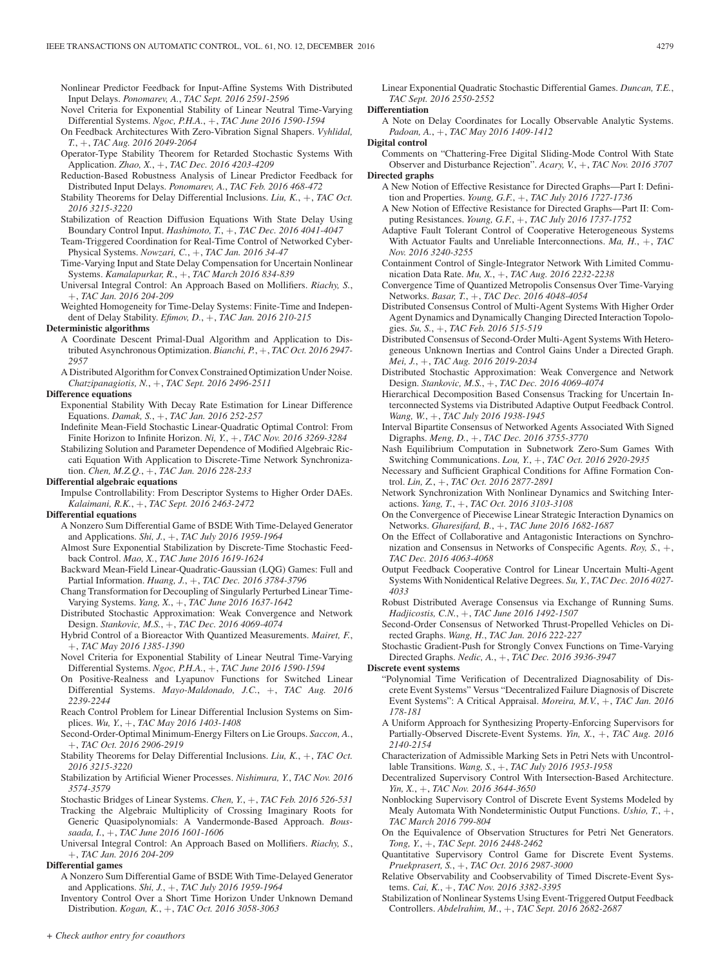Nonlinear Predictor Feedback for Input-Affine Systems With Distributed Input Delays. *Ponomarev, A.*, *TAC Sept. 2016 2591-2596*

- Novel Criteria for Exponential Stability of Linear Neutral Time-Varying Differential Systems. *Ngoc, P.H.A.*, +, *TAC June 2016 1590-1594*
- On Feedback Architectures With Zero-Vibration Signal Shapers. *Vyhlidal, T.*, +, *TAC Aug. 2016 2049-2064*
- Operator-Type Stability Theorem for Retarded Stochastic Systems With Application. *Zhao, X.*, +, *TAC Dec. 2016 4203-4209*
- Reduction-Based Robustness Analysis of Linear Predictor Feedback for Distributed Input Delays. *Ponomarev, A.*, *TAC Feb. 2016 468-472*
- Stability Theorems for Delay Differential Inclusions. *Liu, K.*, +, *TAC Oct. 2016 3215-3220*
- Stabilization of Reaction Diffusion Equations With State Delay Using Boundary Control Input. *Hashimoto, T.*, +, *TAC Dec. 2016 4041-4047*
- Team-Triggered Coordination for Real-Time Control of Networked Cyber-Physical Systems. *Nowzari, C.*, +, *TAC Jan. 2016 34-47*
- Time-Varying Input and State Delay Compensation for Uncertain Nonlinear Systems. *Kamalapurkar, R.*, +, *TAC March 2016 834-839*
- Universal Integral Control: An Approach Based on Mollifiers. *Riachy, S.*, +, *TAC Jan. 2016 204-209*
- Weighted Homogeneity for Time-Delay Systems: Finite-Time and Independent of Delay Stability. *Efimov, D.*, +, *TAC Jan. 2016 210-215*

#### **Deterministic algorithms**

- A Coordinate Descent Primal-Dual Algorithm and Application to Distributed Asynchronous Optimization. *Bianchi, P.*, +, *TAC Oct. 2016 2947- 2957*
- A Distributed Algorithm for Convex Constrained Optimization Under Noise. *Chatzipanagiotis, N.*, +, *TAC Sept. 2016 2496-2511*

# **Difference equations**

- Exponential Stability With Decay Rate Estimation for Linear Difference Equations. *Damak, S.*, +, *TAC Jan. 2016 252-257*
- Indefinite Mean-Field Stochastic Linear-Quadratic Optimal Control: From Finite Horizon to Infinite Horizon. *Ni, Y.*, +, *TAC Nov. 2016 3269-3284*
- Stabilizing Solution and Parameter Dependence of Modified Algebraic Riccati Equation With Application to Discrete-Time Network Synchronization. *Chen, M.Z.Q.*, +, *TAC Jan. 2016 228-233*

**Differential algebraic equations**

Impulse Controllability: From Descriptor Systems to Higher Order DAEs. *Kalaimani, R.K.*, +, *TAC Sept. 2016 2463-2472*

### **Differential equations**

- A Nonzero Sum Differential Game of BSDE With Time-Delayed Generator and Applications. *Shi, J.*, +, *TAC July 2016 1959-1964*
- Almost Sure Exponential Stabilization by Discrete-Time Stochastic Feedback Control. *Mao, X.*, *TAC June 2016 1619-1624*
- Backward Mean-Field Linear-Quadratic-Gaussian (LQG) Games: Full and Partial Information. *Huang, J.*, +, *TAC Dec. 2016 3784-3796*
- Chang Transformation for Decoupling of Singularly Perturbed Linear Time-Varying Systems. *Yang, X.*, +, *TAC June 2016 1637-1642*
- Distributed Stochastic Approximation: Weak Convergence and Network Design. *Stankovic, M.S.*, +, *TAC Dec. 2016 4069-4074*
- Hybrid Control of a Bioreactor With Quantized Measurements. *Mairet, F.*, +, *TAC May 2016 1385-1390*
- Novel Criteria for Exponential Stability of Linear Neutral Time-Varying Differential Systems. *Ngoc, P.H.A.*, +, *TAC June 2016 1590-1594*
- On Positive-Realness and Lyapunov Functions for Switched Linear Differential Systems. *Mayo-Maldonado, J.C.*, +, *TAC Aug. 2016 2239-2244*
- Reach Control Problem for Linear Differential Inclusion Systems on Simplices. *Wu, Y.*, +, *TAC May 2016 1403-1408*
- Second-Order-Optimal Minimum-Energy Filters on Lie Groups. *Saccon, A.*, +, *TAC Oct. 2016 2906-2919*
- Stability Theorems for Delay Differential Inclusions. *Liu, K.*, +, *TAC Oct. 2016 3215-3220*
- Stabilization by Artificial Wiener Processes. *Nishimura, Y.*, *TAC Nov. 2016 3574-3579*
- Stochastic Bridges of Linear Systems. *Chen, Y.*, +, *TAC Feb. 2016 526-531*
- Tracking the Algebraic Multiplicity of Crossing Imaginary Roots for Generic Quasipolynomials: A Vandermonde-Based Approach. *Boussaada, I.*, +, *TAC June 2016 1601-1606*
- Universal Integral Control: An Approach Based on Mollifiers. *Riachy, S.*, +, *TAC Jan. 2016 204-209*

# **Differential games**

A Nonzero Sum Differential Game of BSDE With Time-Delayed Generator and Applications. *Shi, J.*, +, *TAC July 2016 1959-1964*

Inventory Control Over a Short Time Horizon Under Unknown Demand Distribution. *Kogan, K.*, +, *TAC Oct. 2016 3058-3063*

Linear Exponential Quadratic Stochastic Differential Games. *Duncan, T.E.*, *TAC Sept. 2016 2550-2552*

**Differentiation**

A Note on Delay Coordinates for Locally Observable Analytic Systems. *Padoan, A.*, +, *TAC May 2016 1409-1412*

**Digital control**

- Comments on "Chattering-Free Digital Sliding-Mode Control With State Observer and Disturbance Rejection". *Acary, V.*, +, *TAC Nov. 2016 3707* **Directed graphs**
	- A New Notion of Effective Resistance for Directed Graphs—Part I: Definition and Properties. *Young, G.F.*, +, *TAC July 2016 1727-1736*
	- A New Notion of Effective Resistance for Directed Graphs—Part II: Computing Resistances. *Young, G.F.*, +, *TAC July 2016 1737-1752*
	- Adaptive Fault Tolerant Control of Cooperative Heterogeneous Systems With Actuator Faults and Unreliable Interconnections. *Ma, H.*, +, *TAC Nov. 2016 3240-3255*
	- Containment Control of Single-Integrator Network With Limited Communication Data Rate. *Mu, X.*, +, *TAC Aug. 2016 2232-2238*
	- Convergence Time of Quantized Metropolis Consensus Over Time-Varying Networks. *Basar, T.*, +, *TAC Dec. 2016 4048-4054*
	- Distributed Consensus Control of Multi-Agent Systems With Higher Order Agent Dynamics and Dynamically Changing Directed Interaction Topologies. *Su, S.*, +, *TAC Feb. 2016 515-519*
	- Distributed Consensus of Second-Order Multi-Agent Systems With Heterogeneous Unknown Inertias and Control Gains Under a Directed Graph. *Mei, J.*, +, *TAC Aug. 2016 2019-2034*
	- Distributed Stochastic Approximation: Weak Convergence and Network Design. *Stankovic, M.S.*, +, *TAC Dec. 2016 4069-4074*
	- Hierarchical Decomposition Based Consensus Tracking for Uncertain Interconnected Systems via Distributed Adaptive Output Feedback Control. *Wang, W.*, +, *TAC July 2016 1938-1945*
	- Interval Bipartite Consensus of Networked Agents Associated With Signed Digraphs. *Meng, D.*, +, *TAC Dec. 2016 3755-3770*
	- Nash Equilibrium Computation in Subnetwork Zero-Sum Games With Switching Communications. *Lou, Y.*, +, *TAC Oct. 2016 2920-2935*
	- Necessary and Sufficient Graphical Conditions for Affine Formation Control. *Lin, Z.*, +, *TAC Oct. 2016 2877-2891*
	- Network Synchronization With Nonlinear Dynamics and Switching Interactions. *Yang, T.*, +, *TAC Oct. 2016 3103-3108*
	- On the Convergence of Piecewise Linear Strategic Interaction Dynamics on Networks. *Gharesifard, B.*, +, *TAC June 2016 1682-1687*
	- On the Effect of Collaborative and Antagonistic Interactions on Synchronization and Consensus in Networks of Conspecific Agents. *Roy, S.*, +, *TAC Dec. 2016 4063-4068*
	- Output Feedback Cooperative Control for Linear Uncertain Multi-Agent Systems With Nonidentical Relative Degrees. *Su, Y.*, *TAC Dec. 2016 4027- 4033*
	- Robust Distributed Average Consensus via Exchange of Running Sums. *Hadjicostis, C.N.*, +, *TAC June 2016 1492-1507*
	- Second-Order Consensus of Networked Thrust-Propelled Vehicles on Directed Graphs. *Wang, H.*, *TAC Jan. 2016 222-227*
	- Stochastic Gradient-Push for Strongly Convex Functions on Time-Varying Directed Graphs. *Nedic, A.*, +, *TAC Dec. 2016 3936-3947*

**Discrete event systems**

- "Polynomial Time Verification of Decentralized Diagnosability of Discrete Event Systems" Versus "Decentralized Failure Diagnosis of Discrete Event Systems": A Critical Appraisal. *Moreira, M.V.*, +, *TAC Jan. 2016 178-181*
- A Uniform Approach for Synthesizing Property-Enforcing Supervisors for Partially-Observed Discrete-Event Systems. *Yin, X.*, +, *TAC Aug. 2016 2140-2154*
- Characterization of Admissible Marking Sets in Petri Nets with Uncontrollable Transitions. *Wang, S.*, +, *TAC July 2016 1953-1958*
- Decentralized Supervisory Control With Intersection-Based Architecture. *Yin, X.*, +, *TAC Nov. 2016 3644-3650*
- Nonblocking Supervisory Control of Discrete Event Systems Modeled by Mealy Automata With Nondeterministic Output Functions. *Ushio, T.*, +, *TAC March 2016 799-804*
- On the Equivalence of Observation Structures for Petri Net Generators. *Tong, Y.*, +, *TAC Sept. 2016 2448-2462*
- Quantitative Supervisory Control Game for Discrete Event Systems. *Pruekprasert, S.*, +, *TAC Oct. 2016 2987-3000*
- Relative Observability and Coobservability of Timed Discrete-Event Systems. *Cai, K.*, +, *TAC Nov. 2016 3382-3395*
- Stabilization of Nonlinear Systems Using Event-Triggered Output Feedback Controllers. *Abdelrahim, M.*, +, *TAC Sept. 2016 2682-2687*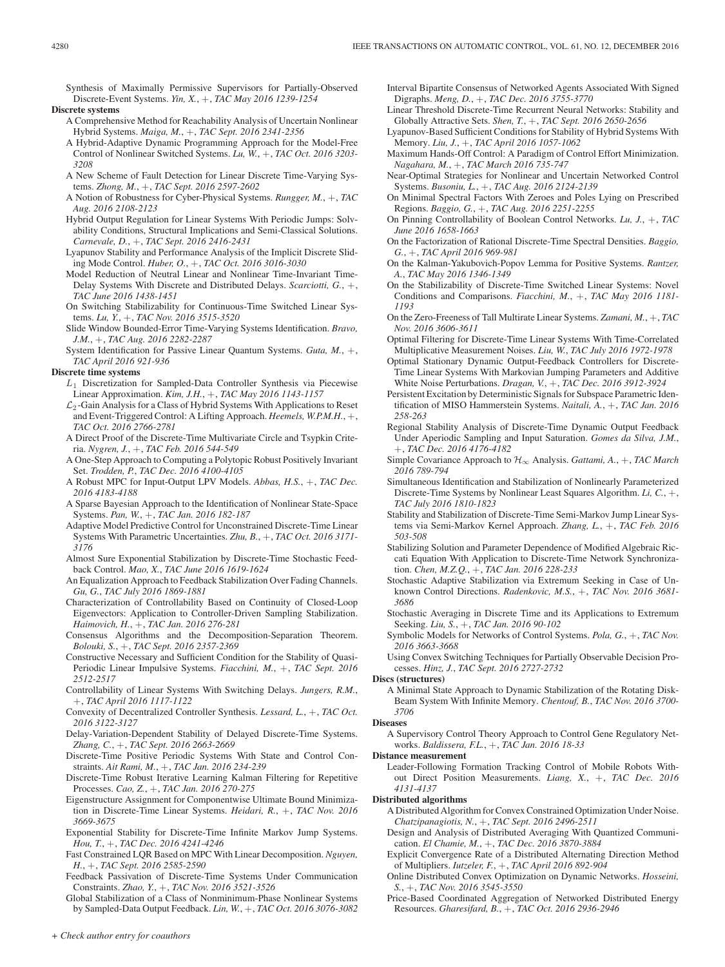Synthesis of Maximally Permissive Supervisors for Partially-Observed Discrete-Event Systems. *Yin, X.*, +, *TAC May 2016 1239-1254*

# **Discrete systems**

- A Comprehensive Method for Reachability Analysis of Uncertain Nonlinear Hybrid Systems. *Maiga, M.*, +, *TAC Sept. 2016 2341-2356*
- A Hybrid-Adaptive Dynamic Programming Approach for the Model-Free Control of Nonlinear Switched Systems. *Lu, W.*, +, *TAC Oct. 2016 3203- 3208*
- A New Scheme of Fault Detection for Linear Discrete Time-Varying Systems. *Zhong, M.*, +, *TAC Sept. 2016 2597-2602*
- A Notion of Robustness for Cyber-Physical Systems. *Rungger, M.*, +, *TAC Aug. 2016 2108-2123*
- Hybrid Output Regulation for Linear Systems With Periodic Jumps: Solvability Conditions, Structural Implications and Semi-Classical Solutions. *Carnevale, D.*, +, *TAC Sept. 2016 2416-2431*
- Lyapunov Stability and Performance Analysis of the Implicit Discrete Sliding Mode Control. *Huber, O.*, +, *TAC Oct. 2016 3016-3030*

Model Reduction of Neutral Linear and Nonlinear Time-Invariant Time-Delay Systems With Discrete and Distributed Delays. *Scarciotti, G.*, +, *TAC June 2016 1438-1451*

- On Switching Stabilizability for Continuous-Time Switched Linear Systems. *Lu, Y.*, +, *TAC Nov. 2016 3515-3520*
- Slide Window Bounded-Error Time-Varying Systems Identification. *Bravo, J.M.*, +, *TAC Aug. 2016 2282-2287*
- System Identification for Passive Linear Quantum Systems. *Guta, M.*, +, *TAC April 2016 921-936*

#### **Discrete time systems**

- $L_1$  Discretization for Sampled-Data Controller Synthesis via Piecewise Linear Approximation. *Kim, J.H.*, +, *TAC May 2016 1143-1157*
- $\mathcal{L}_2$ -Gain Analysis for a Class of Hybrid Systems With Applications to Reset and Event-Triggered Control: A Lifting Approach. *Heemels, W.P.M.H.*, +, *TAC Oct. 2016 2766-2781*
- A Direct Proof of the Discrete-Time Multivariate Circle and Tsypkin Criteria. *Nygren, J.*, +, *TAC Feb. 2016 544-549*
- A One-Step Approach to Computing a Polytopic Robust Positively Invariant Set. *Trodden, P.*, *TAC Dec. 2016 4100-4105*
- A Robust MPC for Input-Output LPV Models. *Abbas, H.S.*, +, *TAC Dec. 2016 4183-4188*
- A Sparse Bayesian Approach to the Identification of Nonlinear State-Space Systems. *Pan, W.*, +, *TAC Jan. 2016 182-187*
- Adaptive Model Predictive Control for Unconstrained Discrete-Time Linear Systems With Parametric Uncertainties. *Zhu, B.*, +, *TAC Oct. 2016 3171- 3176*
- Almost Sure Exponential Stabilization by Discrete-Time Stochastic Feedback Control. *Mao, X.*, *TAC June 2016 1619-1624*
- An Equalization Approach to Feedback Stabilization Over Fading Channels. *Gu, G.*, *TAC July 2016 1869-1881*
- Characterization of Controllability Based on Continuity of Closed-Loop Eigenvectors: Application to Controller-Driven Sampling Stabilization. *Haimovich, H.*, +, *TAC Jan. 2016 276-281*
- Consensus Algorithms and the Decomposition-Separation Theorem. *Bolouki, S.*, +, *TAC Sept. 2016 2357-2369*
- Constructive Necessary and Sufficient Condition for the Stability of Quasi-Periodic Linear Impulsive Systems. *Fiacchini, M.*, +, *TAC Sept. 2016 2512-2517*
- Controllability of Linear Systems With Switching Delays. *Jungers, R.M.*, +, *TAC April 2016 1117-1122*
- Convexity of Decentralized Controller Synthesis. *Lessard, L.*, +, *TAC Oct. 2016 3122-3127*
- Delay-Variation-Dependent Stability of Delayed Discrete-Time Systems. *Zhang, C.*, +, *TAC Sept. 2016 2663-2669*
- Discrete-Time Positive Periodic Systems With State and Control Constraints. *Ait Rami, M.*, +, *TAC Jan. 2016 234-239*
- Discrete-Time Robust Iterative Learning Kalman Filtering for Repetitive Processes. *Cao, Z.*, +, *TAC Jan. 2016 270-275*
- Eigenstructure Assignment for Componentwise Ultimate Bound Minimization in Discrete-Time Linear Systems. *Heidari, R.*, +, *TAC Nov. 2016 3669-3675*
- Exponential Stability for Discrete-Time Infinite Markov Jump Systems. *Hou, T.*, +, *TAC Dec. 2016 4241-4246*
- Fast Constrained LQR Based on MPC With Linear Decomposition. *Nguyen, H.*, +, *TAC Sept. 2016 2585-2590*
- Feedback Passivation of Discrete-Time Systems Under Communication Constraints. *Zhao, Y.*, +, *TAC Nov. 2016 3521-3526*
- Global Stabilization of a Class of Nonminimum-Phase Nonlinear Systems by Sampled-Data Output Feedback. *Lin, W.*, +, *TAC Oct. 2016 3076-3082*

Interval Bipartite Consensus of Networked Agents Associated With Signed Digraphs. *Meng, D.*, +, *TAC Dec. 2016 3755-3770*

- Linear Threshold Discrete-Time Recurrent Neural Networks: Stability and Globally Attractive Sets. *Shen, T.*, +, *TAC Sept. 2016 2650-2656*
- Lyapunov-Based Sufficient Conditions for Stability of Hybrid Systems With Memory. *Liu, J.*, +, *TAC April 2016 1057-1062*
- Maximum Hands-Off Control: A Paradigm of Control Effort Minimization. *Nagahara, M.*, +, *TAC March 2016 735-747*
- Near-Optimal Strategies for Nonlinear and Uncertain Networked Control Systems. *Busoniu, L.*, +, *TAC Aug. 2016 2124-2139*
- On Minimal Spectral Factors With Zeroes and Poles Lying on Prescribed Regions. *Baggio, G.*, +, *TAC Aug. 2016 2251-2255*
- On Pinning Controllability of Boolean Control Networks. *Lu, J.*, +, *TAC June 2016 1658-1663*
- On the Factorization of Rational Discrete-Time Spectral Densities. *Baggio, G.*, +, *TAC April 2016 969-981*
- On the Kalman-Yakubovich-Popov Lemma for Positive Systems. *Rantzer, A.*, *TAC May 2016 1346-1349*
- On the Stabilizability of Discrete-Time Switched Linear Systems: Novel Conditions and Comparisons. *Fiacchini, M.*, +, *TAC May 2016 1181- 1193*
- On the Zero-Freeness of Tall Multirate Linear Systems. *Zamani, M.*, +, *TAC Nov. 2016 3606-3611*
- Optimal Filtering for Discrete-Time Linear Systems With Time-Correlated Multiplicative Measurement Noises. *Liu, W.*, *TAC July 2016 1972-1978*
- Optimal Stationary Dynamic Output-Feedback Controllers for Discrete-Time Linear Systems With Markovian Jumping Parameters and Additive White Noise Perturbations. *Dragan, V.*, +, *TAC Dec. 2016 3912-3924*
- Persistent Excitation by Deterministic Signals for Subspace Parametric Identification of MISO Hammerstein Systems. *Naitali, A.*, +, *TAC Jan. 2016 258-263*
- Regional Stability Analysis of Discrete-Time Dynamic Output Feedback Under Aperiodic Sampling and Input Saturation. *Gomes da Silva, J.M.*, +, *TAC Dec. 2016 4176-4182*
- Simple Covariance Approach to H∞ Analysis. *Gattami, A.*, +, *TAC March 2016 789-794*
- Simultaneous Identification and Stabilization of Nonlinearly Parameterized Discrete-Time Systems by Nonlinear Least Squares Algorithm. *Li, C.*, +, *TAC July 2016 1810-1823*
- Stability and Stabilization of Discrete-Time Semi-Markov Jump Linear Systems via Semi-Markov Kernel Approach. *Zhang, L.*, +, *TAC Feb. 2016 503-508*
- Stabilizing Solution and Parameter Dependence of Modified Algebraic Riccati Equation With Application to Discrete-Time Network Synchronization. *Chen, M.Z.Q.*, +, *TAC Jan. 2016 228-233*
- Stochastic Adaptive Stabilization via Extremum Seeking in Case of Unknown Control Directions. *Radenkovic, M.S.*, +, *TAC Nov. 2016 3681- 3686*
- Stochastic Averaging in Discrete Time and its Applications to Extremum Seeking. *Liu, S.*, +, *TAC Jan. 2016 90-102*
- Symbolic Models for Networks of Control Systems. *Pola, G.*, +, *TAC Nov. 2016 3663-3668*
- Using Convex Switching Techniques for Partially Observable Decision Processes. *Hinz, J.*, *TAC Sept. 2016 2727-2732*

#### **Discs (structures)**

A Minimal State Approach to Dynamic Stabilization of the Rotating Disk-Beam System With Infinite Memory. *Chentouf, B.*, *TAC Nov. 2016 3700- 3706*

#### **Diseases**

A Supervisory Control Theory Approach to Control Gene Regulatory Networks. *Baldissera, F.L.*, +, *TAC Jan. 2016 18-33*

#### **Distance measurement**

Leader-Following Formation Tracking Control of Mobile Robots Without Direct Position Measurements. *Liang, X.*, +, *TAC Dec. 2016 4131-4137*

# **Distributed algorithms**

- A Distributed Algorithm for Convex Constrained Optimization Under Noise. *Chatzipanagiotis, N.*, +, *TAC Sept. 2016 2496-2511*
- Design and Analysis of Distributed Averaging With Quantized Communication. *El Chamie, M.*, +, *TAC Dec. 2016 3870-3884*
- Explicit Convergence Rate of a Distributed Alternating Direction Method of Multipliers. *Iutzeler, F.*, +, *TAC April 2016 892-904*
- Online Distributed Convex Optimization on Dynamic Networks. *Hosseini, S.*, +, *TAC Nov. 2016 3545-3550*
- Price-Based Coordinated Aggregation of Networked Distributed Energy Resources. *Gharesifard, B.*, +, *TAC Oct. 2016 2936-2946*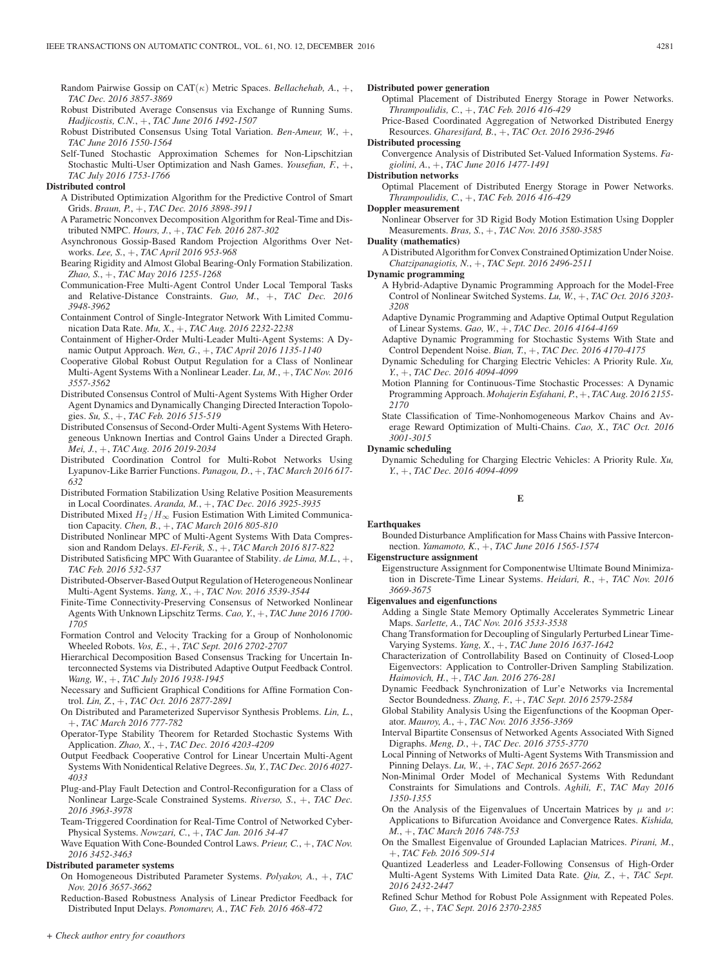- Random Pairwise Gossip on CAT(κ) Metric Spaces. *Bellachehab, A.*, +, *TAC Dec. 2016 3857-3869*
- Robust Distributed Average Consensus via Exchange of Running Sums. *Hadjicostis, C.N.*, +, *TAC June 2016 1492-1507*
- Robust Distributed Consensus Using Total Variation. *Ben-Ameur, W.*, +, *TAC June 2016 1550-1564*
- Self-Tuned Stochastic Approximation Schemes for Non-Lipschitzian Stochastic Multi-User Optimization and Nash Games. *Yousefian, F.*, +, *TAC July 2016 1753-1766*

# **Distributed control**

- A Distributed Optimization Algorithm for the Predictive Control of Smart Grids. *Braun, P.*, +, *TAC Dec. 2016 3898-3911*
- A Parametric Nonconvex Decomposition Algorithm for Real-Time and Distributed NMPC. *Hours, J.*, +, *TAC Feb. 2016 287-302*
- Asynchronous Gossip-Based Random Projection Algorithms Over Networks. *Lee, S.*, +, *TAC April 2016 953-968*
- Bearing Rigidity and Almost Global Bearing-Only Formation Stabilization. *Zhao, S.*, +, *TAC May 2016 1255-1268*
- Communication-Free Multi-Agent Control Under Local Temporal Tasks and Relative-Distance Constraints. *Guo, M.*, +, *TAC Dec. 2016 3948-3962*
- Containment Control of Single-Integrator Network With Limited Communication Data Rate. *Mu, X.*, +, *TAC Aug. 2016 2232-2238*
- Containment of Higher-Order Multi-Leader Multi-Agent Systems: A Dynamic Output Approach. *Wen, G.*, +, *TAC April 2016 1135-1140*
- Cooperative Global Robust Output Regulation for a Class of Nonlinear Multi-Agent Systems With a Nonlinear Leader. *Lu, M.*, +, *TAC Nov. 2016 3557-3562*
- Distributed Consensus Control of Multi-Agent Systems With Higher Order Agent Dynamics and Dynamically Changing Directed Interaction Topologies. *Su, S.*, +, *TAC Feb. 2016 515-519*
- Distributed Consensus of Second-Order Multi-Agent Systems With Heterogeneous Unknown Inertias and Control Gains Under a Directed Graph. *Mei, J.*, +, *TAC Aug. 2016 2019-2034*
- Distributed Coordination Control for Multi-Robot Networks Using Lyapunov-Like Barrier Functions. *Panagou, D.*, +, *TAC March 2016 617- 632*
- Distributed Formation Stabilization Using Relative Position Measurements in Local Coordinates. *Aranda, M.*, +, *TAC Dec. 2016 3925-3935*
- Distributed Mixed  $H_2/H_\infty$  Fusion Estimation With Limited Communication Capacity. *Chen, B.*, +, *TAC March 2016 805-810*
- Distributed Nonlinear MPC of Multi-Agent Systems With Data Compression and Random Delays. *El-Ferik, S.*, +, *TAC March 2016 817-822*
- Distributed Satisficing MPC With Guarantee of Stability. *de Lima, M.L.*, +, *TAC Feb. 2016 532-537*
- Distributed-Observer-Based Output Regulation of Heterogeneous Nonlinear Multi-Agent Systems. *Yang, X.*, +, *TAC Nov. 2016 3539-3544*
- Finite-Time Connectivity-Preserving Consensus of Networked Nonlinear Agents With Unknown Lipschitz Terms. *Cao, Y.*, +, *TAC June 2016 1700- 1705*
- Formation Control and Velocity Tracking for a Group of Nonholonomic Wheeled Robots. *Vos, E.*, +, *TAC Sept. 2016 2702-2707*
- Hierarchical Decomposition Based Consensus Tracking for Uncertain Interconnected Systems via Distributed Adaptive Output Feedback Control. *Wang, W.*, +, *TAC July 2016 1938-1945*
- Necessary and Sufficient Graphical Conditions for Affine Formation Control. *Lin, Z.*, +, *TAC Oct. 2016 2877-2891*
- On Distributed and Parameterized Supervisor Synthesis Problems. *Lin, L.*, +, *TAC March 2016 777-782*
- Operator-Type Stability Theorem for Retarded Stochastic Systems With Application. *Zhao, X.*, +, *TAC Dec. 2016 4203-4209*
- Output Feedback Cooperative Control for Linear Uncertain Multi-Agent Systems With Nonidentical Relative Degrees. *Su, Y.*, *TAC Dec. 2016 4027- 4033*
- Plug-and-Play Fault Detection and Control-Reconfiguration for a Class of Nonlinear Large-Scale Constrained Systems. *Riverso, S.*, +, *TAC Dec. 2016 3963-3978*
- Team-Triggered Coordination for Real-Time Control of Networked Cyber-Physical Systems. *Nowzari, C.*, +, *TAC Jan. 2016 34-47*
- Wave Equation With Cone-Bounded Control Laws. *Prieur, C.*, +, *TAC Nov. 2016 3452-3463*

# **Distributed parameter systems**

- On Homogeneous Distributed Parameter Systems. *Polyakov, A.*, +, *TAC Nov. 2016 3657-3662*
- Reduction-Based Robustness Analysis of Linear Predictor Feedback for Distributed Input Delays. *Ponomarev, A.*, *TAC Feb. 2016 468-472*

#### **Distributed power generation**

- Optimal Placement of Distributed Energy Storage in Power Networks. *Thrampoulidis, C.*, +, *TAC Feb. 2016 416-429*
- Price-Based Coordinated Aggregation of Networked Distributed Energy Resources. *Gharesifard, B.*, +, *TAC Oct. 2016 2936-2946*

# **Distributed processing**

Convergence Analysis of Distributed Set-Valued Information Systems. *Fagiolini, A.*, +, *TAC June 2016 1477-1491*

## **Distribution networks**

Optimal Placement of Distributed Energy Storage in Power Networks. *Thrampoulidis, C.*, +, *TAC Feb. 2016 416-429*

## **Doppler measurement**

Nonlinear Observer for 3D Rigid Body Motion Estimation Using Doppler Measurements. *Bras, S.*, +, *TAC Nov. 2016 3580-3585*

## **Duality (mathematics)**

A Distributed Algorithm for Convex Constrained Optimization Under Noise. *Chatzipanagiotis, N.*, +, *TAC Sept. 2016 2496-2511*

## **Dynamic programming**

- A Hybrid-Adaptive Dynamic Programming Approach for the Model-Free Control of Nonlinear Switched Systems. *Lu, W.*, +, *TAC Oct. 2016 3203- 3208*
- Adaptive Dynamic Programming and Adaptive Optimal Output Regulation of Linear Systems. *Gao, W.*, +, *TAC Dec. 2016 4164-4169*
- Adaptive Dynamic Programming for Stochastic Systems With State and Control Dependent Noise. *Bian, T.*, +, *TAC Dec. 2016 4170-4175*
- Dynamic Scheduling for Charging Electric Vehicles: A Priority Rule. *Xu, Y.*, +, *TAC Dec. 2016 4094-4099*
- Motion Planning for Continuous-Time Stochastic Processes: A Dynamic Programming Approach. *Mohajerin Esfahani, P.*, +, *TAC Aug. 2016 2155- 2170*

State Classification of Time-Nonhomogeneous Markov Chains and Average Reward Optimization of Multi-Chains. *Cao, X.*, *TAC Oct. 2016 3001-3015*

#### **Dynamic scheduling**

Dynamic Scheduling for Charging Electric Vehicles: A Priority Rule. *Xu, Y.*, +, *TAC Dec. 2016 4094-4099*

#### **E**

# **Earthquakes**

Bounded Disturbance Amplification for Mass Chains with Passive Interconnection. *Yamamoto, K.*, +, *TAC June 2016 1565-1574*

# **Eigenstructure assignment**

Eigenstructure Assignment for Componentwise Ultimate Bound Minimization in Discrete-Time Linear Systems. *Heidari, R.*, +, *TAC Nov. 2016 3669-3675*

## **Eigenvalues and eigenfunctions**

- Adding a Single State Memory Optimally Accelerates Symmetric Linear Maps. *Sarlette, A.*, *TAC Nov. 2016 3533-3538*
- Chang Transformation for Decoupling of Singularly Perturbed Linear Time-Varying Systems. *Yang, X.*, +, *TAC June 2016 1637-1642*
- Characterization of Controllability Based on Continuity of Closed-Loop Eigenvectors: Application to Controller-Driven Sampling Stabilization. *Haimovich, H.*, +, *TAC Jan. 2016 276-281*
- Dynamic Feedback Synchronization of Lur'e Networks via Incremental Sector Boundedness. *Zhang, F.*, +, *TAC Sept. 2016 2579-2584*
- Global Stability Analysis Using the Eigenfunctions of the Koopman Operator. *Mauroy, A.*, +, *TAC Nov. 2016 3356-3369*
- Interval Bipartite Consensus of Networked Agents Associated With Signed Digraphs. *Meng, D.*, +, *TAC Dec. 2016 3755-3770*
- Local Pinning of Networks of Multi-Agent Systems With Transmission and Pinning Delays. *Lu, W.*, +, *TAC Sept. 2016 2657-2662*
- Non-Minimal Order Model of Mechanical Systems With Redundant Constraints for Simulations and Controls. *Aghili, F.*, *TAC May 2016 1350-1355*
- On the Analysis of the Eigenvalues of Uncertain Matrices by  $\mu$  and  $\nu$ : Applications to Bifurcation Avoidance and Convergence Rates. *Kishida, M.*, +, *TAC March 2016 748-753*
- On the Smallest Eigenvalue of Grounded Laplacian Matrices. *Pirani, M.*, +, *TAC Feb. 2016 509-514*
- Quantized Leaderless and Leader-Following Consensus of High-Order Multi-Agent Systems With Limited Data Rate. *Qiu, Z.*, +, *TAC Sept. 2016 2432-2447*
- Refined Schur Method for Robust Pole Assignment with Repeated Poles. *Guo, Z.*, +, *TAC Sept. 2016 2370-2385*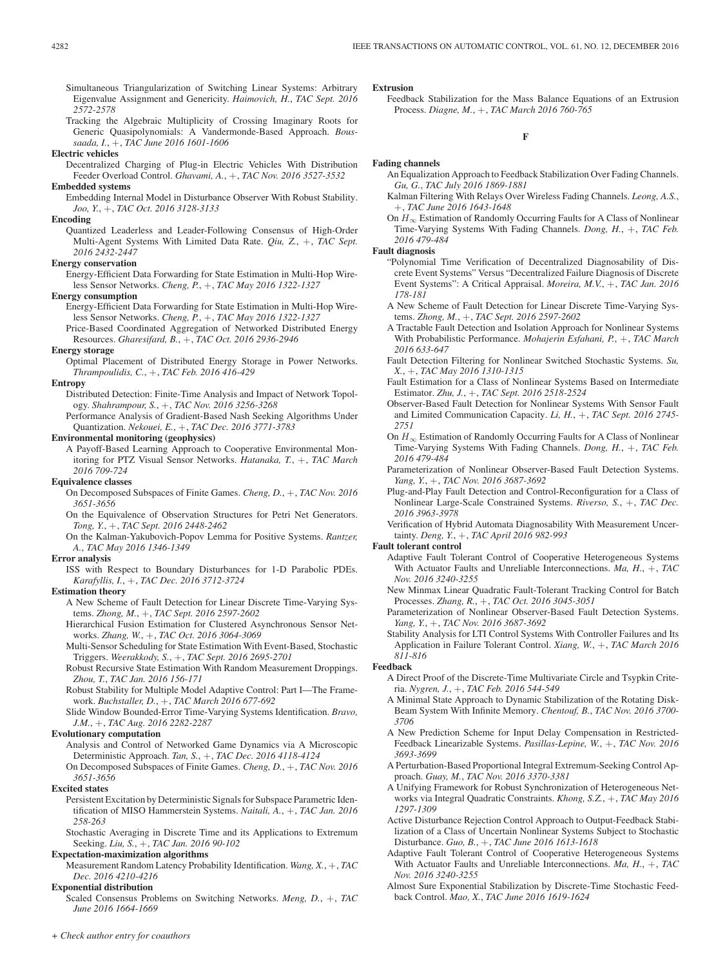- Simultaneous Triangularization of Switching Linear Systems: Arbitrary Eigenvalue Assignment and Genericity. *Haimovich, H.*, *TAC Sept. 2016 2572-2578*
- Tracking the Algebraic Multiplicity of Crossing Imaginary Roots for Generic Quasipolynomials: A Vandermonde-Based Approach. *Boussaada, I.*, +, *TAC June 2016 1601-1606*

**Electric vehicles**

Decentralized Charging of Plug-in Electric Vehicles With Distribution Feeder Overload Control. *Ghavami, A.*, +, *TAC Nov. 2016 3527-3532* **Embedded systems**

Embedding Internal Model in Disturbance Observer With Robust Stability. *Joo, Y.*, +, *TAC Oct. 2016 3128-3133*

**Encoding**

Quantized Leaderless and Leader-Following Consensus of High-Order Multi-Agent Systems With Limited Data Rate. *Qiu, Z.*, +, *TAC Sept. 2016 2432-2447*

# **Energy conservation**

Energy-Efficient Data Forwarding for State Estimation in Multi-Hop Wireless Sensor Networks. *Cheng, P.*, +, *TAC May 2016 1322-1327*

**Energy consumption**

- Energy-Efficient Data Forwarding for State Estimation in Multi-Hop Wireless Sensor Networks. *Cheng, P.*, +, *TAC May 2016 1322-1327*
- Price-Based Coordinated Aggregation of Networked Distributed Energy Resources. *Gharesifard, B.*, +, *TAC Oct. 2016 2936-2946*

#### **Energy storage**

Optimal Placement of Distributed Energy Storage in Power Networks. *Thrampoulidis, C.*, +, *TAC Feb. 2016 416-429*

#### **Entropy**

- Distributed Detection: Finite-Time Analysis and Impact of Network Topology. *Shahrampour, S.*, +, *TAC Nov. 2016 3256-3268*
- Performance Analysis of Gradient-Based Nash Seeking Algorithms Under Quantization. *Nekouei, E.*, +, *TAC Dec. 2016 3771-3783*

#### **Environmental monitoring (geophysics)**

A Payoff-Based Learning Approach to Cooperative Environmental Monitoring for PTZ Visual Sensor Networks. *Hatanaka, T.*, +, *TAC March 2016 709-724*

#### **Equivalence classes**

- On Decomposed Subspaces of Finite Games. *Cheng, D.*, +, *TAC Nov. 2016 3651-3656* On the Equivalence of Observation Structures for Petri Net Generators.
- *Tong, Y.*, +, *TAC Sept. 2016 2448-2462*
- On the Kalman-Yakubovich-Popov Lemma for Positive Systems. *Rantzer, A.*, *TAC May 2016 1346-1349*

#### **Error analysis**

ISS with Respect to Boundary Disturbances for 1-D Parabolic PDEs. *Karafyllis, I.*, +, *TAC Dec. 2016 3712-3724*

# **Estimation theory**

- A New Scheme of Fault Detection for Linear Discrete Time-Varying Systems. *Zhong, M.*, +, *TAC Sept. 2016 2597-2602*
- Hierarchical Fusion Estimation for Clustered Asynchronous Sensor Networks. *Zhang, W.*, +, *TAC Oct. 2016 3064-3069*
- Multi-Sensor Scheduling for State Estimation With Event-Based, Stochastic Triggers. *Weerakkody, S.*, +, *TAC Sept. 2016 2695-2701*
- Robust Recursive State Estimation With Random Measurement Droppings. *Zhou, T.*, *TAC Jan. 2016 156-171*
- Robust Stability for Multiple Model Adaptive Control: Part I—The Framework. *Buchstaller, D.*, +, *TAC March 2016 677-692*
- Slide Window Bounded-Error Time-Varying Systems Identification. *Bravo, J.M.*, +, *TAC Aug. 2016 2282-2287*

#### **Evolutionary computation**

- Analysis and Control of Networked Game Dynamics via A Microscopic Deterministic Approach. *Tan, S.*, +, *TAC Dec. 2016 4118-4124*
- On Decomposed Subspaces of Finite Games. *Cheng, D.*, +, *TAC Nov. 2016 3651-3656*
- **Excited states**
	- Persistent Excitation by Deterministic Signals for Subspace Parametric Identification of MISO Hammerstein Systems. *Naitali, A.*, +, *TAC Jan. 2016 258-263*

Stochastic Averaging in Discrete Time and its Applications to Extremum Seeking. *Liu, S.*, +, *TAC Jan. 2016 90-102*

# **Expectation-maximization algorithms**

Measurement Random Latency Probability Identification. *Wang, X.*, +, *TAC Dec. 2016 4210-4216*

# **Exponential distribution**

Scaled Consensus Problems on Switching Networks. *Meng, D.*, +, *TAC June 2016 1664-1669*

#### **Extrusion**

Feedback Stabilization for the Mass Balance Equations of an Extrusion Process. *Diagne, M.*, +, *TAC March 2016 760-765*

# **F**

## **Fading channels**

- An Equalization Approach to Feedback Stabilization Over Fading Channels. *Gu, G.*, *TAC July 2016 1869-1881*
- Kalman Filtering With Relays Over Wireless Fading Channels. *Leong, A.S.*, +, *TAC June 2016 1643-1648*
- On  $H_{\infty}$  Estimation of Randomly Occurring Faults for A Class of Nonlinear Time-Varying Systems With Fading Channels. *Dong, H.*, +, *TAC Feb. 2016 479-484*

#### **Fault diagnosis**

- "Polynomial Time Verification of Decentralized Diagnosability of Discrete Event Systems" Versus "Decentralized Failure Diagnosis of Discrete Event Systems": A Critical Appraisal. *Moreira, M.V.*, +, *TAC Jan. 2016 178-181*
- A New Scheme of Fault Detection for Linear Discrete Time-Varying Systems. *Zhong, M.*, +, *TAC Sept. 2016 2597-2602*
- A Tractable Fault Detection and Isolation Approach for Nonlinear Systems With Probabilistic Performance. *Mohajerin Esfahani, P.*, +, *TAC March 2016 633-647*
- Fault Detection Filtering for Nonlinear Switched Stochastic Systems. *Su, X.*, +, *TAC May 2016 1310-1315*
- Fault Estimation for a Class of Nonlinear Systems Based on Intermediate Estimator. *Zhu, J.*, +, *TAC Sept. 2016 2518-2524*
- Observer-Based Fault Detection for Nonlinear Systems With Sensor Fault and Limited Communication Capacity. *Li, H.*, +, *TAC Sept. 2016 2745- 2751*
- On  $H_{\infty}$  Estimation of Randomly Occurring Faults for A Class of Nonlinear Time-Varying Systems With Fading Channels. *Dong, H.*, +, *TAC Feb. 2016 479-484*
- Parameterization of Nonlinear Observer-Based Fault Detection Systems. *Yang, Y.*, +, *TAC Nov. 2016 3687-3692*
- Plug-and-Play Fault Detection and Control-Reconfiguration for a Class of Nonlinear Large-Scale Constrained Systems. *Riverso, S.*, +, *TAC Dec. 2016 3963-3978*
- Verification of Hybrid Automata Diagnosability With Measurement Uncertainty. *Deng, Y.*, +, *TAC April 2016 982-993*
- **Fault tolerant control**
	- Adaptive Fault Tolerant Control of Cooperative Heterogeneous Systems With Actuator Faults and Unreliable Interconnections. *Ma, H.*, +, *TAC Nov. 2016 3240-3255*
	- New Minmax Linear Quadratic Fault-Tolerant Tracking Control for Batch Processes. *Zhang, R.*, +, *TAC Oct. 2016 3045-3051*
	- Parameterization of Nonlinear Observer-Based Fault Detection Systems. *Yang, Y.*, +, *TAC Nov. 2016 3687-3692*
	- Stability Analysis for LTI Control Systems With Controller Failures and Its Application in Failure Tolerant Control. *Xiang, W.*, +, *TAC March 2016 811-816*

#### **Feedback**

- A Direct Proof of the Discrete-Time Multivariate Circle and Tsypkin Criteria. *Nygren, J.*, +, *TAC Feb. 2016 544-549*
- A Minimal State Approach to Dynamic Stabilization of the Rotating Disk-Beam System With Infinite Memory. *Chentouf, B.*, *TAC Nov. 2016 3700- 3706*
- A New Prediction Scheme for Input Delay Compensation in Restricted-Feedback Linearizable Systems. *Pasillas-Lepine, W.*, +, *TAC Nov. 2016 3693-3699*
- A Perturbation-Based Proportional Integral Extremum-Seeking Control Approach. *Guay, M.*, *TAC Nov. 2016 3370-3381*
- A Unifying Framework for Robust Synchronization of Heterogeneous Networks via Integral Quadratic Constraints. *Khong, S.Z.*, +, *TAC May 2016 1297-1309*
- Active Disturbance Rejection Control Approach to Output-Feedback Stabilization of a Class of Uncertain Nonlinear Systems Subject to Stochastic Disturbance. *Guo, B.*, +, *TAC June 2016 1613-1618*
- Adaptive Fault Tolerant Control of Cooperative Heterogeneous Systems With Actuator Faults and Unreliable Interconnections. *Ma, H.*, +, *TAC Nov. 2016 3240-3255*
- Almost Sure Exponential Stabilization by Discrete-Time Stochastic Feedback Control. *Mao, X.*, *TAC June 2016 1619-1624*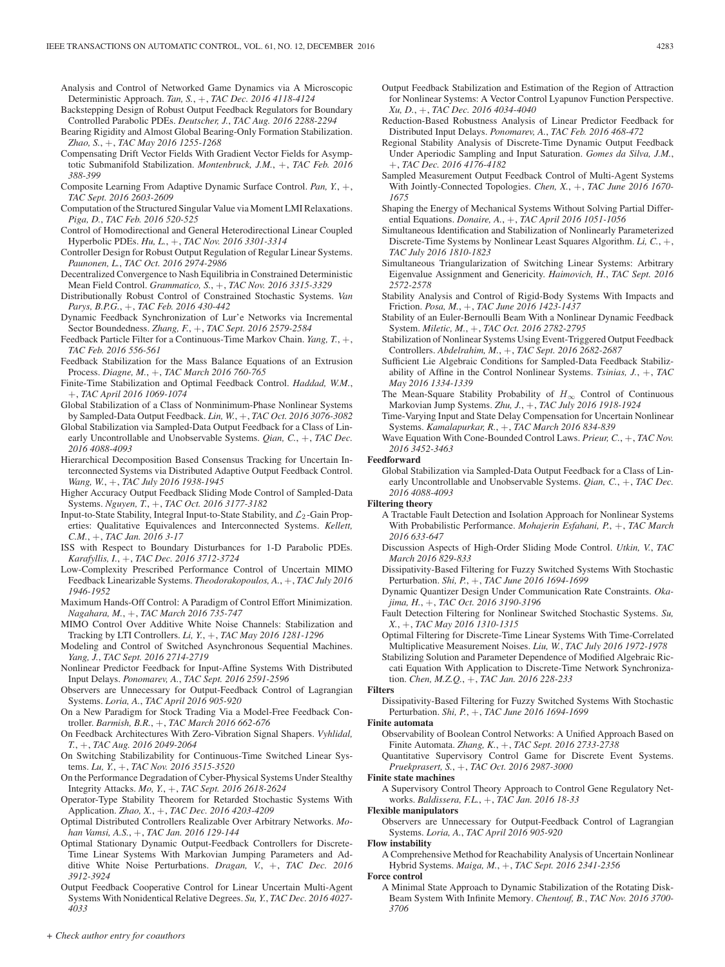Analysis and Control of Networked Game Dynamics via A Microscopic Deterministic Approach. *Tan, S.*, +, *TAC Dec. 2016 4118-4124*

- Backstepping Design of Robust Output Feedback Regulators for Boundary Controlled Parabolic PDEs. *Deutscher, J.*, *TAC Aug. 2016 2288-2294*
- Bearing Rigidity and Almost Global Bearing-Only Formation Stabilization. *Zhao, S.*, +, *TAC May 2016 1255-1268*
- Compensating Drift Vector Fields With Gradient Vector Fields for Asymptotic Submanifold Stabilization. *Montenbruck, J.M.*, +, *TAC Feb. 2016 388-399*
- Composite Learning From Adaptive Dynamic Surface Control. *Pan, Y.*, +, *TAC Sept. 2016 2603-2609*
- Computation of the Structured Singular Value via Moment LMI Relaxations. *Piga, D.*, *TAC Feb. 2016 520-525*
- Control of Homodirectional and General Heterodirectional Linear Coupled Hyperbolic PDEs. *Hu, L.*, +, *TAC Nov. 2016 3301-3314*
- Controller Design for Robust Output Regulation of Regular Linear Systems. *Paunonen, L.*, *TAC Oct. 2016 2974-2986*
- Decentralized Convergence to Nash Equilibria in Constrained Deterministic Mean Field Control. *Grammatico, S.*, +, *TAC Nov. 2016 3315-3329*
- Distributionally Robust Control of Constrained Stochastic Systems. *Van Parys, B.P.G.*, +, *TAC Feb. 2016 430-442*
- Dynamic Feedback Synchronization of Lur'e Networks via Incremental Sector Boundedness. *Zhang, F.*, +, *TAC Sept. 2016 2579-2584*
- Feedback Particle Filter for a Continuous-Time Markov Chain. *Yang, T.*, +, *TAC Feb. 2016 556-561*
- Feedback Stabilization for the Mass Balance Equations of an Extrusion Process. *Diagne, M.*, +, *TAC March 2016 760-765*
- Finite-Time Stabilization and Optimal Feedback Control. *Haddad, W.M.*, +, *TAC April 2016 1069-1074*
- Global Stabilization of a Class of Nonminimum-Phase Nonlinear Systems by Sampled-Data Output Feedback. *Lin, W.*, +, *TAC Oct. 2016 3076-3082*
- Global Stabilization via Sampled-Data Output Feedback for a Class of Linearly Uncontrollable and Unobservable Systems. *Qian, C.*, +, *TAC Dec. 2016 4088-4093*
- Hierarchical Decomposition Based Consensus Tracking for Uncertain Interconnected Systems via Distributed Adaptive Output Feedback Control. *Wang, W.*, +, *TAC July 2016 1938-1945*
- Higher Accuracy Output Feedback Sliding Mode Control of Sampled-Data Systems. *Nguyen, T.*, +, *TAC Oct. 2016 3177-3182*
- Input-to-State Stability, Integral Input-to-State Stability, and  $\mathcal{L}_2$ -Gain Properties: Qualitative Equivalences and Interconnected Systems. *Kellett, C.M.*, +, *TAC Jan. 2016 3-17*
- ISS with Respect to Boundary Disturbances for 1-D Parabolic PDEs. *Karafyllis, I.*, +, *TAC Dec. 2016 3712-3724*
- Low-Complexity Prescribed Performance Control of Uncertain MIMO Feedback Linearizable Systems. *Theodorakopoulos, A.*, +, *TAC July 2016 1946-1952*
- Maximum Hands-Off Control: A Paradigm of Control Effort Minimization. *Nagahara, M.*, +, *TAC March 2016 735-747*
- MIMO Control Over Additive White Noise Channels: Stabilization and Tracking by LTI Controllers. *Li, Y.*, +, *TAC May 2016 1281-1296*
- Modeling and Control of Switched Asynchronous Sequential Machines. *Yang, J.*, *TAC Sept. 2016 2714-2719*
- Nonlinear Predictor Feedback for Input-Affine Systems With Distributed Input Delays. *Ponomarev, A.*, *TAC Sept. 2016 2591-2596*
- Observers are Unnecessary for Output-Feedback Control of Lagrangian Systems. *Loria, A.*, *TAC April 2016 905-920*
- On a New Paradigm for Stock Trading Via a Model-Free Feedback Controller. *Barmish, B.R.*, +, *TAC March 2016 662-676*
- On Feedback Architectures With Zero-Vibration Signal Shapers. *Vyhlidal, T.*, +, *TAC Aug. 2016 2049-2064*
- On Switching Stabilizability for Continuous-Time Switched Linear Systems. *Lu, Y.*, +, *TAC Nov. 2016 3515-3520*
- On the Performance Degradation of Cyber-Physical Systems Under Stealthy Integrity Attacks. *Mo, Y.*, +, *TAC Sept. 2016 2618-2624*
- Operator-Type Stability Theorem for Retarded Stochastic Systems With Application. *Zhao, X.*, +, *TAC Dec. 2016 4203-4209*
- Optimal Distributed Controllers Realizable Over Arbitrary Networks. *Mohan Vamsi, A.S.*, +, *TAC Jan. 2016 129-144*
- Optimal Stationary Dynamic Output-Feedback Controllers for Discrete-Time Linear Systems With Markovian Jumping Parameters and Additive White Noise Perturbations. *Dragan, V.*, +, *TAC Dec. 2016 3912-3924*
- Output Feedback Cooperative Control for Linear Uncertain Multi-Agent Systems With Nonidentical Relative Degrees. *Su, Y.*, *TAC Dec. 2016 4027- 4033*
- Output Feedback Stabilization and Estimation of the Region of Attraction for Nonlinear Systems: A Vector Control Lyapunov Function Perspective. *Xu, D.*, +, *TAC Dec. 2016 4034-4040*
- Reduction-Based Robustness Analysis of Linear Predictor Feedback for Distributed Input Delays. *Ponomarev, A.*, *TAC Feb. 2016 468-472*
- Regional Stability Analysis of Discrete-Time Dynamic Output Feedback Under Aperiodic Sampling and Input Saturation. *Gomes da Silva, J.M.*, +, *TAC Dec. 2016 4176-4182*
- Sampled Measurement Output Feedback Control of Multi-Agent Systems With Jointly-Connected Topologies. *Chen, X.*, +, *TAC June 2016 1670- 1675*
- Shaping the Energy of Mechanical Systems Without Solving Partial Differential Equations. *Donaire, A.*, +, *TAC April 2016 1051-1056*
- Simultaneous Identification and Stabilization of Nonlinearly Parameterized Discrete-Time Systems by Nonlinear Least Squares Algorithm. *Li, C.*, +, *TAC July 2016 1810-1823*
- Simultaneous Triangularization of Switching Linear Systems: Arbitrary Eigenvalue Assignment and Genericity. *Haimovich, H.*, *TAC Sept. 2016 2572-2578*
- Stability Analysis and Control of Rigid-Body Systems With Impacts and Friction. *Posa, M.*, +, *TAC June 2016 1423-1437*
- Stability of an Euler-Bernoulli Beam With a Nonlinear Dynamic Feedback System. *Miletic, M.*, +, *TAC Oct. 2016 2782-2795*
- Stabilization of Nonlinear Systems Using Event-Triggered Output Feedback Controllers. *Abdelrahim, M.*, +, *TAC Sept. 2016 2682-2687*
- Sufficient Lie Algebraic Conditions for Sampled-Data Feedback Stabilizability of Affine in the Control Nonlinear Systems. *Tsinias, J.*, +, *TAC May 2016 1334-1339*
- The Mean-Square Stability Probability of  $H_{\infty}$  Control of Continuous Markovian Jump Systems. *Zhu, J.*, +, *TAC July 2016 1918-1924*
- Time-Varying Input and State Delay Compensation for Uncertain Nonlinear Systems. *Kamalapurkar, R.*, +, *TAC March 2016 834-839*
- Wave Equation With Cone-Bounded Control Laws. *Prieur, C.*, +, *TAC Nov. 2016 3452-3463*

# **Feedforward**

Global Stabilization via Sampled-Data Output Feedback for a Class of Linearly Uncontrollable and Unobservable Systems. *Qian, C.*, +, *TAC Dec. 2016 4088-4093*

# **Filtering theory**

- A Tractable Fault Detection and Isolation Approach for Nonlinear Systems With Probabilistic Performance. *Mohajerin Esfahani, P.*, +, *TAC March 2016 633-647*
- Discussion Aspects of High-Order Sliding Mode Control. *Utkin, V.*, *TAC March 2016 829-833*
- Dissipativity-Based Filtering for Fuzzy Switched Systems With Stochastic Perturbation. *Shi, P.*, +, *TAC June 2016 1694-1699*
- Dynamic Quantizer Design Under Communication Rate Constraints. *Okajima, H.*, +, *TAC Oct. 2016 3190-3196*
- Fault Detection Filtering for Nonlinear Switched Stochastic Systems. *Su, X.*, +, *TAC May 2016 1310-1315*
- Optimal Filtering for Discrete-Time Linear Systems With Time-Correlated Multiplicative Measurement Noises. *Liu, W.*, *TAC July 2016 1972-1978*
- Stabilizing Solution and Parameter Dependence of Modified Algebraic Riccati Equation With Application to Discrete-Time Network Synchronization. *Chen, M.Z.Q.*, +, *TAC Jan. 2016 228-233*

## **Filters**

Dissipativity-Based Filtering for Fuzzy Switched Systems With Stochastic Perturbation. *Shi, P.*, +, *TAC June 2016 1694-1699*

#### **Finite automata**

- Observability of Boolean Control Networks: A Unified Approach Based on Finite Automata. *Zhang, K.*, +, *TAC Sept. 2016 2733-2738*
- Quantitative Supervisory Control Game for Discrete Event Systems. *Pruekprasert, S.*, +, *TAC Oct. 2016 2987-3000*

#### **Finite state machines**

A Supervisory Control Theory Approach to Control Gene Regulatory Networks. *Baldissera, F.L.*, +, *TAC Jan. 2016 18-33*

#### **Flexible manipulators**

Observers are Unnecessary for Output-Feedback Control of Lagrangian Systems. *Loria, A.*, *TAC April 2016 905-920*

# **Flow instability**

A Comprehensive Method for Reachability Analysis of Uncertain Nonlinear Hybrid Systems. *Maiga, M.*, +, *TAC Sept. 2016 2341-2356*

#### **Force control**

A Minimal State Approach to Dynamic Stabilization of the Rotating Disk-Beam System With Infinite Memory. *Chentouf, B.*, *TAC Nov. 2016 3700- 3706*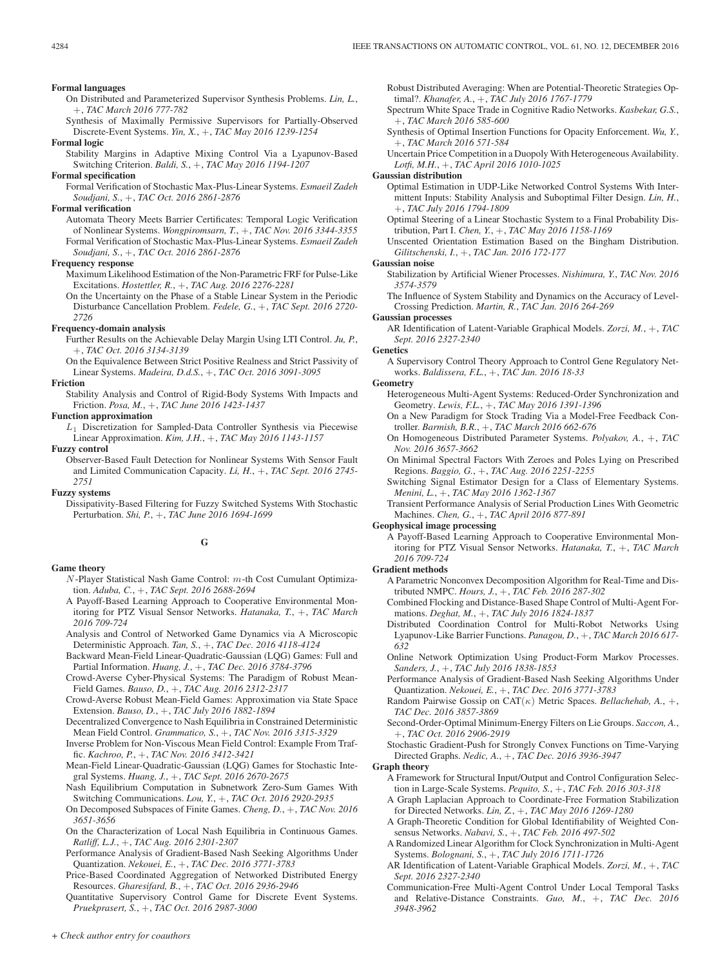- On Distributed and Parameterized Supervisor Synthesis Problems. *Lin, L.*, +, *TAC March 2016 777-782*
- Synthesis of Maximally Permissive Supervisors for Partially-Observed Discrete-Event Systems. *Yin, X.*, +, *TAC May 2016 1239-1254*
- **Formal logic**
- Stability Margins in Adaptive Mixing Control Via a Lyapunov-Based Switching Criterion. *Baldi, S.*, +, *TAC May 2016 1194-1207*

#### **Formal specification**

Formal Verification of Stochastic Max-Plus-Linear Systems. *Esmaeil Zadeh Soudjani, S.*, +, *TAC Oct. 2016 2861-2876*

#### **Formal verification**

Automata Theory Meets Barrier Certificates: Temporal Logic Verification of Nonlinear Systems. *Wongpiromsarn, T.*, +, *TAC Nov. 2016 3344-3355* Formal Verification of Stochastic Max-Plus-Linear Systems. *Esmaeil Zadeh Soudjani, S.*, +, *TAC Oct. 2016 2861-2876*

#### **Frequency response**

- Maximum Likelihood Estimation of the Non-Parametric FRF for Pulse-Like Excitations. *Hostettler, R.*, +, *TAC Aug. 2016 2276-2281*
- On the Uncertainty on the Phase of a Stable Linear System in the Periodic Disturbance Cancellation Problem. *Fedele, G.*, +, *TAC Sept. 2016 2720- 2726*

# **Frequency-domain analysis**

Further Results on the Achievable Delay Margin Using LTI Control. *Ju, P.*, +, *TAC Oct. 2016 3134-3139*

On the Equivalence Between Strict Positive Realness and Strict Passivity of

Linear Systems. *Madeira, D.d.S.*, +, *TAC Oct. 2016 3091-3095*

# **Friction**

Stability Analysis and Control of Rigid-Body Systems With Impacts and Friction. *Posa, M.*, +, *TAC June 2016 1423-1437*

## **Function approximation**

 $L_1$  Discretization for Sampled-Data Controller Synthesis via Piecewise Linear Approximation. *Kim, J.H.*, +, *TAC May 2016 1143-1157*

**Fuzzy control**

Observer-Based Fault Detection for Nonlinear Systems With Sensor Fault and Limited Communication Capacity. *Li, H.*, +, *TAC Sept. 2016 2745- 2751*

**Fuzzy systems**

Dissipativity-Based Filtering for Fuzzy Switched Systems With Stochastic Perturbation. *Shi, P.*, +, *TAC June 2016 1694-1699*

# **G**

## **Game theory**

- N -Player Statistical Nash Game Control: m-th Cost Cumulant Optimization. *Aduba, C.*, +, *TAC Sept. 2016 2688-2694*
- A Payoff-Based Learning Approach to Cooperative Environmental Monitoring for PTZ Visual Sensor Networks. *Hatanaka, T.*, +, *TAC March 2016 709-724*
- Analysis and Control of Networked Game Dynamics via A Microscopic Deterministic Approach. *Tan, S.*, +, *TAC Dec. 2016 4118-4124*

Backward Mean-Field Linear-Quadratic-Gaussian (LQG) Games: Full and Partial Information. *Huang, J.*, +, *TAC Dec. 2016 3784-3796*

- Crowd-Averse Cyber-Physical Systems: The Paradigm of Robust Mean-Field Games. *Bauso, D.*, +, *TAC Aug. 2016 2312-2317*
- Crowd-Averse Robust Mean-Field Games: Approximation via State Space Extension. *Bauso, D.*, +, *TAC July 2016 1882-1894*
- Decentralized Convergence to Nash Equilibria in Constrained Deterministic Mean Field Control. *Grammatico, S.*, +, *TAC Nov. 2016 3315-3329*

Inverse Problem for Non-Viscous Mean Field Control: Example From Traffic. *Kachroo, P.*, +, *TAC Nov. 2016 3412-3421*

- Mean-Field Linear-Quadratic-Gaussian (LQG) Games for Stochastic Integral Systems. *Huang, J.*, +, *TAC Sept. 2016 2670-2675*
- Nash Equilibrium Computation in Subnetwork Zero-Sum Games With Switching Communications. *Lou, Y.*, +, *TAC Oct. 2016 2920-2935*
- On Decomposed Subspaces of Finite Games. *Cheng, D.*, +, *TAC Nov. 2016 3651-3656*
- On the Characterization of Local Nash Equilibria in Continuous Games. *Ratliff, L.J.*, +, *TAC Aug. 2016 2301-2307*
- Performance Analysis of Gradient-Based Nash Seeking Algorithms Under Quantization. *Nekouei, E.*, +, *TAC Dec. 2016 3771-3783*
- Price-Based Coordinated Aggregation of Networked Distributed Energy Resources. *Gharesifard, B.*, +, *TAC Oct. 2016 2936-2946*

Quantitative Supervisory Control Game for Discrete Event Systems. *Pruekprasert, S.*, +, *TAC Oct. 2016 2987-3000*

Robust Distributed Averaging: When are Potential-Theoretic Strategies Optimal?. *Khanafer, A.*, +, *TAC July 2016 1767-1779*

- Spectrum White Space Trade in Cognitive Radio Networks. *Kasbekar, G.S.*, +, *TAC March 2016 585-600*
- Synthesis of Optimal Insertion Functions for Opacity Enforcement. *Wu, Y.*, +, *TAC March 2016 571-584*
- Uncertain Price Competition in a Duopoly With Heterogeneous Availability. *Lotfi, M.H.*, +, *TAC April 2016 1010-1025*

#### **Gaussian distribution**

Optimal Estimation in UDP-Like Networked Control Systems With Intermittent Inputs: Stability Analysis and Suboptimal Filter Design. *Lin, H.*, +, *TAC July 2016 1794-1809*

Optimal Steering of a Linear Stochastic System to a Final Probability Distribution, Part I. *Chen, Y.*, +, *TAC May 2016 1158-1169*

Unscented Orientation Estimation Based on the Bingham Distribution. *Gilitschenski, I.*, +, *TAC Jan. 2016 172-177*

#### **Gaussian noise**

Stabilization by Artificial Wiener Processes. *Nishimura, Y.*, *TAC Nov. 2016 3574-3579*

The Influence of System Stability and Dynamics on the Accuracy of Level-Crossing Prediction. *Martin, R.*, *TAC Jan. 2016 264-269*

#### **Gaussian processes**

AR Identification of Latent-Variable Graphical Models. *Zorzi, M.*, +, *TAC Sept. 2016 2327-2340*

**Genetics**

A Supervisory Control Theory Approach to Control Gene Regulatory Networks. *Baldissera, F.L.*, +, *TAC Jan. 2016 18-33*

# **Geometry**

- Heterogeneous Multi-Agent Systems: Reduced-Order Synchronization and Geometry. *Lewis, F.L.*, +, *TAC May 2016 1391-1396*
- On a New Paradigm for Stock Trading Via a Model-Free Feedback Controller. *Barmish, B.R.*, +, *TAC March 2016 662-676*
- On Homogeneous Distributed Parameter Systems. *Polyakov, A.*, +, *TAC Nov. 2016 3657-3662*
- On Minimal Spectral Factors With Zeroes and Poles Lying on Prescribed Regions. *Baggio, G.*, +, *TAC Aug. 2016 2251-2255*
- Switching Signal Estimator Design for a Class of Elementary Systems. *Menini, L.*, +, *TAC May 2016 1362-1367*
- Transient Performance Analysis of Serial Production Lines With Geometric Machines. *Chen, G.*, +, *TAC April 2016 877-891*

#### **Geophysical image processing**

A Payoff-Based Learning Approach to Cooperative Environmental Monitoring for PTZ Visual Sensor Networks. *Hatanaka, T.*, +, *TAC March 2016 709-724*

#### **Gradient methods**

- A Parametric Nonconvex Decomposition Algorithm for Real-Time and Distributed NMPC. *Hours, J.*, +, *TAC Feb. 2016 287-302*
- Combined Flocking and Distance-Based Shape Control of Multi-Agent Formations. *Deghat, M.*, +, *TAC July 2016 1824-1837*
- Distributed Coordination Control for Multi-Robot Networks Using Lyapunov-Like Barrier Functions. *Panagou, D.*, +, *TAC March 2016 617- 632*
- Online Network Optimization Using Product-Form Markov Processes. *Sanders, J.*, +, *TAC July 2016 1838-1853*
- Performance Analysis of Gradient-Based Nash Seeking Algorithms Under Quantization. *Nekouei, E.*, +, *TAC Dec. 2016 3771-3783*
- Random Pairwise Gossip on CAT(κ) Metric Spaces. *Bellachehab, A.*, +, *TAC Dec. 2016 3857-3869*
- Second-Order-Optimal Minimum-Energy Filters on Lie Groups. *Saccon, A.*, +, *TAC Oct. 2016 2906-2919*
- Stochastic Gradient-Push for Strongly Convex Functions on Time-Varying Directed Graphs. *Nedic, A.*, +, *TAC Dec. 2016 3936-3947*

# **Graph theory**

- A Framework for Structural Input/Output and Control Configuration Selection in Large-Scale Systems. *Pequito, S.*, +, *TAC Feb. 2016 303-318*
- A Graph Laplacian Approach to Coordinate-Free Formation Stabilization
- for Directed Networks. *Lin, Z.*, +, *TAC May 2016 1269-1280* A Graph-Theoretic Condition for Global Identifiability of Weighted Con-
- sensus Networks. *Nabavi, S.*, +, *TAC Feb. 2016 497-502* A Randomized Linear Algorithm for Clock Synchronization in Multi-Agent
- Systems. *Bolognani, S.*, +, *TAC July 2016 1711-1726*
- AR Identification of Latent-Variable Graphical Models. *Zorzi, M.*, +, *TAC Sept. 2016 2327-2340*
- Communication-Free Multi-Agent Control Under Local Temporal Tasks and Relative-Distance Constraints. *Guo, M.*, +, *TAC Dec. 2016 3948-3962*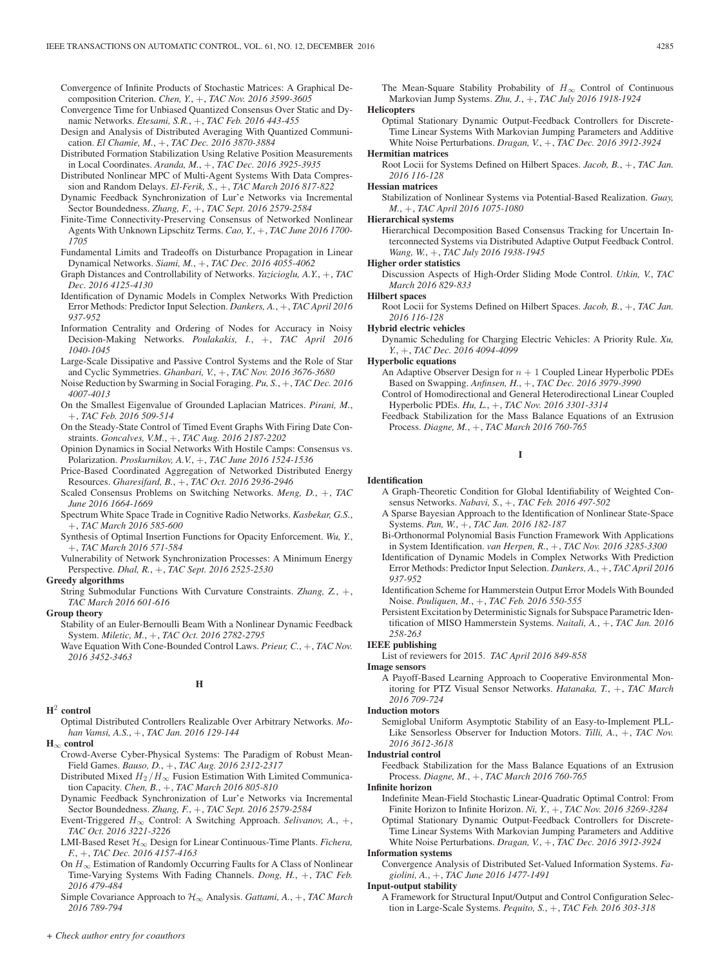Convergence of Infinite Products of Stochastic Matrices: A Graphical Decomposition Criterion. *Chen, Y.*, +, *TAC Nov. 2016 3599-3605*

- Convergence Time for Unbiased Quantized Consensus Over Static and Dynamic Networks. *Etesami, S.R.*, +, *TAC Feb. 2016 443-455*
- Design and Analysis of Distributed Averaging With Quantized Communication. *El Chamie, M.*, +, *TAC Dec. 2016 3870-3884*
- Distributed Formation Stabilization Using Relative Position Measurements in Local Coordinates. *Aranda, M.*, +, *TAC Dec. 2016 3925-3935*
- Distributed Nonlinear MPC of Multi-Agent Systems With Data Compression and Random Delays. *El-Ferik, S.*, +, *TAC March 2016 817-822*
- Dynamic Feedback Synchronization of Lur'e Networks via Incremental Sector Boundedness. *Zhang, F.*, +, *TAC Sept. 2016 2579-2584*
- Finite-Time Connectivity-Preserving Consensus of Networked Nonlinear Agents With Unknown Lipschitz Terms. *Cao, Y.*, +, *TAC June 2016 1700- 1705*
- Fundamental Limits and Tradeoffs on Disturbance Propagation in Linear Dynamical Networks. *Siami, M.*, +, *TAC Dec. 2016 4055-4062*
- Graph Distances and Controllability of Networks. *Yazicioglu, A.Y.*, +, *TAC Dec. 2016 4125-4130*
- Identification of Dynamic Models in Complex Networks With Prediction Error Methods: Predictor Input Selection. *Dankers, A.*, +, *TAC April 2016 937-952*
- Information Centrality and Ordering of Nodes for Accuracy in Noisy Decision-Making Networks. *Poulakakis, I.*, +, *TAC April 2016 1040-1045*
- Large-Scale Dissipative and Passive Control Systems and the Role of Star and Cyclic Symmetries. *Ghanbari, V.*, +, *TAC Nov. 2016 3676-3680*
- Noise Reduction by Swarming in Social Foraging. *Pu, S.*, +, *TAC Dec. 2016 4007-4013*
- On the Smallest Eigenvalue of Grounded Laplacian Matrices. *Pirani, M.*, +, *TAC Feb. 2016 509-514*
- On the Steady-State Control of Timed Event Graphs With Firing Date Constraints. *Goncalves, V.M.*, +, *TAC Aug. 2016 2187-2202*
- Opinion Dynamics in Social Networks With Hostile Camps: Consensus vs. Polarization. *Proskurnikov, A.V.*, +, *TAC June 2016 1524-1536*
- Price-Based Coordinated Aggregation of Networked Distributed Energy Resources. *Gharesifard, B.*, +, *TAC Oct. 2016 2936-2946*
- Scaled Consensus Problems on Switching Networks. *Meng, D.*, +, *TAC June 2016 1664-1669*
- Spectrum White Space Trade in Cognitive Radio Networks. *Kasbekar, G.S.*, +, *TAC March 2016 585-600*
- Synthesis of Optimal Insertion Functions for Opacity Enforcement. *Wu, Y.*, +, *TAC March 2016 571-584*
- Vulnerability of Network Synchronization Processes: A Minimum Energy Perspective. *Dhal, R.*, +, *TAC Sept. 2016 2525-2530*

#### **Greedy algorithms**

String Submodular Functions With Curvature Constraints. *Zhang, Z.*, +, *TAC March 2016 601-616*

#### **Group theory**

- Stability of an Euler-Bernoulli Beam With a Nonlinear Dynamic Feedback System. *Miletic, M.*, +, *TAC Oct. 2016 2782-2795*
- Wave Equation With Cone-Bounded Control Laws. *Prieur, C.*, +, *TAC Nov. 2016 3452-3463*

# **H**

# **H**<sup>2</sup> **control**

Optimal Distributed Controllers Realizable Over Arbitrary Networks. *Mohan Vamsi, A.S.*, +, *TAC Jan. 2016 129-144*

**H**<sup>∞</sup> **control**

- Crowd-Averse Cyber-Physical Systems: The Paradigm of Robust Mean-Field Games. *Bauso, D.*, +, *TAC Aug. 2016 2312-2317*
- Distributed Mixed  $H_2/H_\infty$  Fusion Estimation With Limited Communication Capacity. *Chen, B.*, +, *TAC March 2016 805-810*
- Dynamic Feedback Synchronization of Lur'e Networks via Incremental Sector Boundedness. *Zhang, F.*, +, *TAC Sept. 2016 2579-2584*
- Event-Triggered  $H_{\infty}$  Control: A Switching Approach. *Selivanov*, A., +, *TAC Oct. 2016 3221-3226*
- LMI-Based Reset H∞ Design for Linear Continuous-Time Plants. *Fichera, F.*, +, *TAC Dec. 2016 4157-4163*
- On  $H_{\infty}$  Estimation of Randomly Occurring Faults for A Class of Nonlinear Time-Varying Systems With Fading Channels. *Dong, H.*, +, *TAC Feb. 2016 479-484*
- Simple Covariance Approach to H∞ Analysis. *Gattami, A.*, +, *TAC March 2016 789-794*

The Mean-Square Stability Probability of  $H_{\infty}$  Control of Continuous Markovian Jump Systems. *Zhu, J.*, +, *TAC July 2016 1918-1924*

# **Helicopters**

Optimal Stationary Dynamic Output-Feedback Controllers for Discrete-Time Linear Systems With Markovian Jumping Parameters and Additive White Noise Perturbations. *Dragan, V.*, +, *TAC Dec. 2016 3912-3924*

# **Hermitian matrices**

Root Locii for Systems Defined on Hilbert Spaces. *Jacob, B.*, +, *TAC Jan. 2016 116-128*

# **Hessian matrices**

Stabilization of Nonlinear Systems via Potential-Based Realization. *Guay, M.*, +, *TAC April 2016 1075-1080*

#### **Hierarchical systems**

Hierarchical Decomposition Based Consensus Tracking for Uncertain Interconnected Systems via Distributed Adaptive Output Feedback Control. *Wang, W.*, +, *TAC July 2016 1938-1945*

#### **Higher order statistics**

Discussion Aspects of High-Order Sliding Mode Control. *Utkin, V.*, *TAC March 2016 829-833*

#### **Hilbert spaces**

Root Locii for Systems Defined on Hilbert Spaces. *Jacob, B.*, +, *TAC Jan. 2016 116-128*

#### **Hybrid electric vehicles**

Dynamic Scheduling for Charging Electric Vehicles: A Priority Rule. *Xu, Y.*, +, *TAC Dec. 2016 4094-4099*

#### **Hyperbolic equations**

- An Adaptive Observer Design for  $n + 1$  Coupled Linear Hyperbolic PDEs Based on Swapping. *Anfinsen, H.*, +, *TAC Dec. 2016 3979-3990*
- Control of Homodirectional and General Heterodirectional Linear Coupled Hyperbolic PDEs. *Hu, L.*, +, *TAC Nov. 2016 3301-3314*
- Feedback Stabilization for the Mass Balance Equations of an Extrusion Process. *Diagne, M.*, +, *TAC March 2016 760-765*

# **I**

# **Identification**

- A Graph-Theoretic Condition for Global Identifiability of Weighted Consensus Networks. *Nabavi, S.*, +, *TAC Feb. 2016 497-502*
- A Sparse Bayesian Approach to the Identification of Nonlinear State-Space Systems. *Pan, W.*, +, *TAC Jan. 2016 182-187*
- Bi-Orthonormal Polynomial Basis Function Framework With Applications in System Identification. *van Herpen, R.*, +, *TAC Nov. 2016 3285-3300*
- Identification of Dynamic Models in Complex Networks With Prediction Error Methods: Predictor Input Selection. *Dankers, A.*, +, *TAC April 2016 937-952*
- Identification Scheme for Hammerstein Output Error Models With Bounded Noise. *Pouliquen, M.*, +, *TAC Feb. 2016 550-555*
- Persistent Excitation by Deterministic Signals for Subspace Parametric Identification of MISO Hammerstein Systems. *Naitali, A.*, +, *TAC Jan. 2016 258-263*

# **IEEE publishing**

List of reviewers for 2015. *TAC April 2016 849-858*

#### **Image sensors**

A Payoff-Based Learning Approach to Cooperative Environmental Monitoring for PTZ Visual Sensor Networks. *Hatanaka, T.*, +, *TAC March 2016 709-724*

#### **Induction motors**

Semiglobal Uniform Asymptotic Stability of an Easy-to-Implement PLL-Like Sensorless Observer for Induction Motors. *Tilli, A.*, +, *TAC Nov. 2016 3612-3618*

#### **Industrial control**

Feedback Stabilization for the Mass Balance Equations of an Extrusion Process. *Diagne, M.*, +, *TAC March 2016 760-765*

#### **Infinite horizon**

Indefinite Mean-Field Stochastic Linear-Quadratic Optimal Control: From Finite Horizon to Infinite Horizon. *Ni, Y.*, +, *TAC Nov. 2016 3269-3284*

Optimal Stationary Dynamic Output-Feedback Controllers for Discrete-Time Linear Systems With Markovian Jumping Parameters and Additive White Noise Perturbations. *Dragan, V.*, +, *TAC Dec. 2016 3912-3924*

#### **Information systems**

Convergence Analysis of Distributed Set-Valued Information Systems. *Fagiolini, A.*, +, *TAC June 2016 1477-1491*

#### **Input-output stability**

A Framework for Structural Input/Output and Control Configuration Selection in Large-Scale Systems. *Pequito, S.*, +, *TAC Feb. 2016 303-318*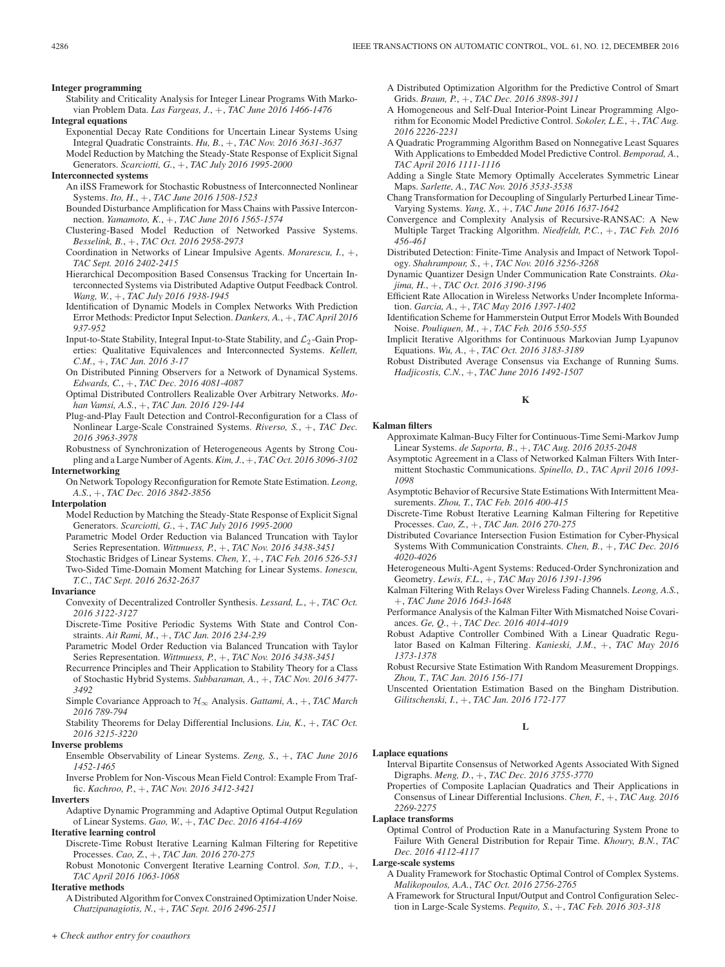Stability and Criticality Analysis for Integer Linear Programs With Markovian Problem Data. *Las Fargeas, J.*, +, *TAC June 2016 1466-1476*

#### **Integral equations**

Exponential Decay Rate Conditions for Uncertain Linear Systems Using Integral Quadratic Constraints. *Hu, B.*, +, *TAC Nov. 2016 3631-3637* Model Reduction by Matching the Steady-State Response of Explicit Signal

Generators. *Scarciotti, G.*, +, *TAC July 2016 1995-2000*

#### **Interconnected systems**

- An iISS Framework for Stochastic Robustness of Interconnected Nonlinear Systems. *Ito, H.*, +, *TAC June 2016 1508-1523*
- Bounded Disturbance Amplification for Mass Chains with Passive Interconnection. *Yamamoto, K.*, +, *TAC June 2016 1565-1574*
- Clustering-Based Model Reduction of Networked Passive Systems. *Besselink, B.*, +, *TAC Oct. 2016 2958-2973*
- Coordination in Networks of Linear Impulsive Agents. *Morarescu, I.*, +, *TAC Sept. 2016 2402-2415*
- Hierarchical Decomposition Based Consensus Tracking for Uncertain Interconnected Systems via Distributed Adaptive Output Feedback Control. *Wang, W.*, +, *TAC July 2016 1938-1945*

Identification of Dynamic Models in Complex Networks With Prediction Error Methods: Predictor Input Selection. *Dankers, A.*, +, *TAC April 2016 937-952*

- Input-to-State Stability, Integral Input-to-State Stability, and  $\mathcal{L}_2$ -Gain Properties: Qualitative Equivalences and Interconnected Systems. *Kellett, C.M.*, +, *TAC Jan. 2016 3-17*
- On Distributed Pinning Observers for a Network of Dynamical Systems. *Edwards, C.*, +, *TAC Dec. 2016 4081-4087*
- Optimal Distributed Controllers Realizable Over Arbitrary Networks. *Mohan Vamsi, A.S.*, +, *TAC Jan. 2016 129-144*
- Plug-and-Play Fault Detection and Control-Reconfiguration for a Class of Nonlinear Large-Scale Constrained Systems. *Riverso, S.*, +, *TAC Dec. 2016 3963-3978*
- Robustness of Synchronization of Heterogeneous Agents by Strong Coupling and a Large Number of Agents.*Kim, J.*, +, *TAC Oct. 2016 3096-3102*

## **Internetworking**

On Network Topology Reconfiguration for Remote State Estimation. *Leong, A.S.*, +, *TAC Dec. 2016 3842-3856*

#### **Interpolation**

- Model Reduction by Matching the Steady-State Response of Explicit Signal Generators. *Scarciotti, G.*, +, *TAC July 2016 1995-2000*
- Parametric Model Order Reduction via Balanced Truncation with Taylor Series Representation. *Wittmuess, P.*, +, *TAC Nov. 2016 3438-3451*
- Stochastic Bridges of Linear Systems. *Chen, Y.*, +, *TAC Feb. 2016 526-531* Two-Sided Time-Domain Moment Matching for Linear Systems. *Ionescu, T.C.*, *TAC Sept. 2016 2632-2637*

#### **Invariance**

- Convexity of Decentralized Controller Synthesis. *Lessard, L.*, +, *TAC Oct. 2016 3122-3127*
- Discrete-Time Positive Periodic Systems With State and Control Constraints. *Ait Rami, M.*, +, *TAC Jan. 2016 234-239*
- Parametric Model Order Reduction via Balanced Truncation with Taylor Series Representation. *Wittmuess, P.*, +, *TAC Nov. 2016 3438-3451*
- Recurrence Principles and Their Application to Stability Theory for a Class of Stochastic Hybrid Systems. *Subbaraman, A.*, +, *TAC Nov. 2016 3477- 3492*
- Simple Covariance Approach to  $H_{\infty}$  Analysis. *Gattami, A.*, +, *TAC March 2016 789-794*
- Stability Theorems for Delay Differential Inclusions. *Liu, K.*, +, *TAC Oct. 2016 3215-3220*

# **Inverse problems**

Ensemble Observability of Linear Systems. *Zeng, S.*, +, *TAC June 2016 1452-1465*

Inverse Problem for Non-Viscous Mean Field Control: Example From Traffic. *Kachroo, P.*, +, *TAC Nov. 2016 3412-3421*

#### **Inverters**

Adaptive Dynamic Programming and Adaptive Optimal Output Regulation of Linear Systems. *Gao, W.*, +, *TAC Dec. 2016 4164-4169*

# **Iterative learning control**

Discrete-Time Robust Iterative Learning Kalman Filtering for Repetitive Processes. *Cao, Z.*, +, *TAC Jan. 2016 270-275*

Robust Monotonic Convergent Iterative Learning Control. *Son, T.D.*, +, *TAC April 2016 1063-1068*

# **Iterative methods**

A Distributed Algorithm for Convex Constrained Optimization Under Noise. *Chatzipanagiotis, N.*, +, *TAC Sept. 2016 2496-2511*

- A Distributed Optimization Algorithm for the Predictive Control of Smart Grids. *Braun, P.*, +, *TAC Dec. 2016 3898-3911*
- A Homogeneous and Self-Dual Interior-Point Linear Programming Algorithm for Economic Model Predictive Control. *Sokoler, L.E.*, +, *TAC Aug. 2016 2226-2231*
- A Quadratic Programming Algorithm Based on Nonnegative Least Squares With Applications to Embedded Model Predictive Control. *Bemporad, A.*, *TAC April 2016 1111-1116*
- Adding a Single State Memory Optimally Accelerates Symmetric Linear Maps. *Sarlette, A.*, *TAC Nov. 2016 3533-3538*
- Chang Transformation for Decoupling of Singularly Perturbed Linear Time-Varying Systems. *Yang, X.*, +, *TAC June 2016 1637-1642*
- Convergence and Complexity Analysis of Recursive-RANSAC: A New Multiple Target Tracking Algorithm. *Niedfeldt, P.C.*, +, *TAC Feb. 2016 456-461*
- Distributed Detection: Finite-Time Analysis and Impact of Network Topology. *Shahrampour, S.*, +, *TAC Nov. 2016 3256-3268*
- Dynamic Quantizer Design Under Communication Rate Constraints. *Okajima, H.*, +, *TAC Oct. 2016 3190-3196*
- Efficient Rate Allocation in Wireless Networks Under Incomplete Information. *Garcia, A.*, +, *TAC May 2016 1397-1402*
- Identification Scheme for Hammerstein Output Error Models With Bounded Noise. *Pouliquen, M.*, +, *TAC Feb. 2016 550-555*
- Implicit Iterative Algorithms for Continuous Markovian Jump Lyapunov Equations. *Wu, A.*, +, *TAC Oct. 2016 3183-3189*
- Robust Distributed Average Consensus via Exchange of Running Sums. *Hadjicostis, C.N.*, +, *TAC June 2016 1492-1507*

## **K**

#### **Kalman filters**

- Approximate Kalman-Bucy Filter for Continuous-Time Semi-Markov Jump Linear Systems. *de Saporta, B.*, +, *TAC Aug. 2016 2035-2048*
- Asymptotic Agreement in a Class of Networked Kalman Filters With Intermittent Stochastic Communications. *Spinello, D.*, *TAC April 2016 1093- 1098*
- Asymptotic Behavior of Recursive State Estimations With Intermittent Measurements. *Zhou, T.*, *TAC Feb. 2016 400-415*
- Discrete-Time Robust Iterative Learning Kalman Filtering for Repetitive Processes. *Cao, Z.*, +, *TAC Jan. 2016 270-275*
- Distributed Covariance Intersection Fusion Estimation for Cyber-Physical Systems With Communication Constraints. *Chen, B.*, +, *TAC Dec. 2016 4020-4026*
- Heterogeneous Multi-Agent Systems: Reduced-Order Synchronization and Geometry. *Lewis, F.L.*, +, *TAC May 2016 1391-1396*
- Kalman Filtering With Relays Over Wireless Fading Channels. *Leong, A.S.*, +, *TAC June 2016 1643-1648*
- Performance Analysis of the Kalman Filter With Mismatched Noise Covariances. *Ge, Q.*, +, *TAC Dec. 2016 4014-4019*
- Robust Adaptive Controller Combined With a Linear Quadratic Regulator Based on Kalman Filtering. *Kanieski, J.M.*, +, *TAC May 2016 1373-1378*
- Robust Recursive State Estimation With Random Measurement Droppings. *Zhou, T.*, *TAC Jan. 2016 156-171*

Unscented Orientation Estimation Based on the Bingham Distribution. *Gilitschenski, I.*, +, *TAC Jan. 2016 172-177*

# **L**

# **Laplace equations**

- Interval Bipartite Consensus of Networked Agents Associated With Signed Digraphs. *Meng, D.*, +, *TAC Dec. 2016 3755-3770*
- Properties of Composite Laplacian Quadratics and Their Applications in Consensus of Linear Differential Inclusions. *Chen, F.*, +, *TAC Aug. 2016 2269-2275*

#### **Laplace transforms**

Optimal Control of Production Rate in a Manufacturing System Prone to Failure With General Distribution for Repair Time. *Khoury, B.N.*, *TAC Dec. 2016 4112-4117*

## **Large-scale systems**

- A Duality Framework for Stochastic Optimal Control of Complex Systems. *Malikopoulos, A.A.*, *TAC Oct. 2016 2756-2765*
- A Framework for Structural Input/Output and Control Configuration Selection in Large-Scale Systems. *Pequito, S.*, +, *TAC Feb. 2016 303-318*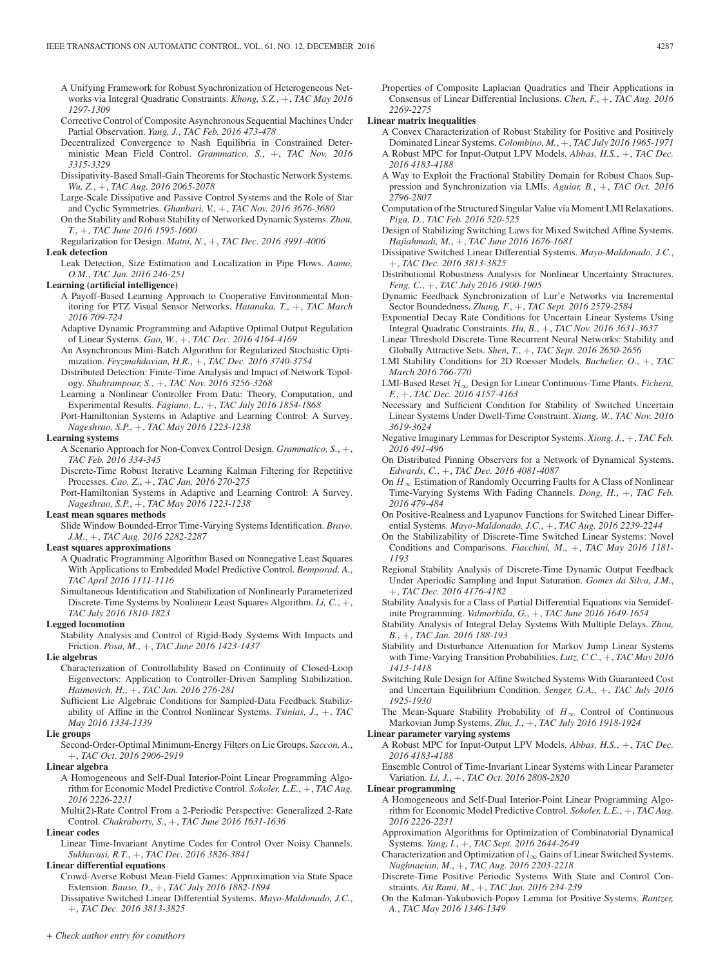- Corrective Control of Composite Asynchronous Sequential Machines Under Partial Observation. *Yang, J.*, *TAC Feb. 2016 473-478*
- Decentralized Convergence to Nash Equilibria in Constrained Deterministic Mean Field Control. *Grammatico, S.*, +, *TAC Nov. 2016 3315-3329*
- Dissipativity-Based Small-Gain Theorems for Stochastic Network Systems. *Wu, Z.*, +, *TAC Aug. 2016 2065-2078*
- Large-Scale Dissipative and Passive Control Systems and the Role of Star and Cyclic Symmetries. *Ghanbari, V.*, +, *TAC Nov. 2016 3676-3680*
- On the Stability and Robust Stability of Networked Dynamic Systems. *Zhou, T.*, +, *TAC June 2016 1595-1600*
- Regularization for Design. *Matni, N.*, +, *TAC Dec. 2016 3991-4006*
- **Leak detection**
	- Leak Detection, Size Estimation and Localization in Pipe Flows. *Aamo, O.M.*, *TAC Jan. 2016 246-251*

## **Learning (artificial intelligence)**

- A Payoff-Based Learning Approach to Cooperative Environmental Monitoring for PTZ Visual Sensor Networks. *Hatanaka, T.*, +, *TAC March 2016 709-724*
- Adaptive Dynamic Programming and Adaptive Optimal Output Regulation of Linear Systems. *Gao, W.*, +, *TAC Dec. 2016 4164-4169*
- An Asynchronous Mini-Batch Algorithm for Regularized Stochastic Optimization. *Feyzmahdavian, H.R.*, +, *TAC Dec. 2016 3740-3754*
- Distributed Detection: Finite-Time Analysis and Impact of Network Topology. *Shahrampour, S.*, +, *TAC Nov. 2016 3256-3268*
- Learning a Nonlinear Controller From Data: Theory, Computation, and Experimental Results. *Fagiano, L.*, +, *TAC July 2016 1854-1868*
- Port-Hamiltonian Systems in Adaptive and Learning Control: A Survey. *Nageshrao, S.P.*, +, *TAC May 2016 1223-1238*

#### **Learning systems**

- A Scenario Approach for Non-Convex Control Design. *Grammatico, S.*, +, *TAC Feb. 2016 334-345*
- Discrete-Time Robust Iterative Learning Kalman Filtering for Repetitive Processes. *Cao, Z.*, +, *TAC Jan. 2016 270-275*
- Port-Hamiltonian Systems in Adaptive and Learning Control: A Survey. *Nageshrao, S.P.*, +, *TAC May 2016 1223-1238*

# **Least mean squares methods**

Slide Window Bounded-Error Time-Varying Systems Identification. *Bravo, J.M.*, +, *TAC Aug. 2016 2282-2287*

# **Least squares approximations**

- A Quadratic Programming Algorithm Based on Nonnegative Least Squares With Applications to Embedded Model Predictive Control. *Bemporad, A.*, *TAC April 2016 1111-1116*
- Simultaneous Identification and Stabilization of Nonlinearly Parameterized Discrete-Time Systems by Nonlinear Least Squares Algorithm. *Li, C.*, +, *TAC July 2016 1810-1823*

# **Legged locomotion**

Stability Analysis and Control of Rigid-Body Systems With Impacts and Friction. *Posa, M.*, +, *TAC June 2016 1423-1437*

# **Lie algebras**

- Characterization of Controllability Based on Continuity of Closed-Loop Eigenvectors: Application to Controller-Driven Sampling Stabilization. *Haimovich, H.*, +, *TAC Jan. 2016 276-281*
- Sufficient Lie Algebraic Conditions for Sampled-Data Feedback Stabilizability of Affine in the Control Nonlinear Systems. *Tsinias, J.*, +, *TAC May 2016 1334-1339*

#### **Lie groups**

Second-Order-Optimal Minimum-Energy Filters on Lie Groups. *Saccon, A.*, +, *TAC Oct. 2016 2906-2919*

#### **Linear algebra**

A Homogeneous and Self-Dual Interior-Point Linear Programming Algorithm for Economic Model Predictive Control. *Sokoler, L.E.*, +, *TAC Aug. 2016 2226-2231*

Multi(2)-Rate Control From a 2-Periodic Perspective: Generalized 2-Rate Control. *Chakraborty, S.*, +, *TAC June 2016 1631-1636*

# **Linear codes**

Linear Time-Invariant Anytime Codes for Control Over Noisy Channels. *Sukhavasi, R.T.*, +, *TAC Dec. 2016 3826-3841*

#### **Linear differential equations**

- Crowd-Averse Robust Mean-Field Games: Approximation via State Space Extension. *Bauso, D.*, +, *TAC July 2016 1882-1894*
- Dissipative Switched Linear Differential Systems. *Mayo-Maldonado, J.C.*, +, *TAC Dec. 2016 3813-3825*

Properties of Composite Laplacian Quadratics and Their Applications in Consensus of Linear Differential Inclusions. *Chen, F.*, +, *TAC Aug. 2016 2269-2275*

#### **Linear matrix inequalities**

- A Convex Characterization of Robust Stability for Positive and Positively Dominated Linear Systems. *Colombino, M.*, +, *TAC July 2016 1965-1971* A Robust MPC for Input-Output LPV Models. *Abbas, H.S.*, +, *TAC Dec.*
- *2016 4183-4188* A Way to Exploit the Fractional Stability Domain for Robust Chaos Sup-
- pression and Synchronization via LMIs. *Aguiar, B.*, +, *TAC Oct. 2016 2796-2807*
- Computation of the Structured Singular Value via Moment LMI Relaxations. *Piga, D.*, *TAC Feb. 2016 520-525*
- Design of Stabilizing Switching Laws for Mixed Switched Affine Systems. *Hajiahmadi, M.*, +, *TAC June 2016 1676-1681*
- Dissipative Switched Linear Differential Systems. *Mayo-Maldonado, J.C.*, +, *TAC Dec. 2016 3813-3825*
- Distributional Robustness Analysis for Nonlinear Uncertainty Structures. *Feng, C.*, +, *TAC July 2016 1900-1905*
- Dynamic Feedback Synchronization of Lur'e Networks via Incremental Sector Boundedness. *Zhang, F.*, +, *TAC Sept. 2016 2579-2584*
- Exponential Decay Rate Conditions for Uncertain Linear Systems Using Integral Quadratic Constraints. *Hu, B.*, +, *TAC Nov. 2016 3631-3637*
- Linear Threshold Discrete-Time Recurrent Neural Networks: Stability and Globally Attractive Sets. *Shen, T.*, +, *TAC Sept. 2016 2650-2656*
- LMI Stability Conditions for 2D Roesser Models. *Bachelier, O.*, +, *TAC March 2016 766-770*
- LMI-Based Reset H∞ Design for Linear Continuous-Time Plants. *Fichera, F.*, +, *TAC Dec. 2016 4157-4163*
- Necessary and Sufficient Condition for Stability of Switched Uncertain Linear Systems Under Dwell-Time Constraint. *Xiang, W.*, *TAC Nov. 2016 3619-3624*
- Negative Imaginary Lemmas for Descriptor Systems. *Xiong, J.*, +, *TAC Feb. 2016 491-496*
- On Distributed Pinning Observers for a Network of Dynamical Systems. *Edwards, C.*, +, *TAC Dec. 2016 4081-4087*
- On  $H_{\infty}$  Estimation of Randomly Occurring Faults for A Class of Nonlinear Time-Varying Systems With Fading Channels. *Dong, H.*, +, *TAC Feb. 2016 479-484*
- On Positive-Realness and Lyapunov Functions for Switched Linear Differential Systems. *Mayo-Maldonado, J.C.*, +, *TAC Aug. 2016 2239-2244*
- On the Stabilizability of Discrete-Time Switched Linear Systems: Novel Conditions and Comparisons. *Fiacchini, M.*, +, *TAC May 2016 1181- 1193*
- Regional Stability Analysis of Discrete-Time Dynamic Output Feedback Under Aperiodic Sampling and Input Saturation. *Gomes da Silva, J.M.*, +, *TAC Dec. 2016 4176-4182*
- Stability Analysis for a Class of Partial Differential Equations via Semidefinite Programming. *Valmorbida, G.*, +, *TAC June 2016 1649-1654*
- Stability Analysis of Integral Delay Systems With Multiple Delays. *Zhou, B.*, +, *TAC Jan. 2016 188-193*
- Stability and Disturbance Attenuation for Markov Jump Linear Systems with Time-Varying Transition Probabilities. *Lutz, C.C.*, +, *TAC May 2016 1413-1418*
- Switching Rule Design for Affine Switched Systems With Guaranteed Cost and Uncertain Equilibrium Condition. *Senger, G.A.*, +, *TAC July 2016 1925-1930*
- The Mean-Square Stability Probability of  $H_{\infty}$  Control of Continuous Markovian Jump Systems. *Zhu, J.*, +, *TAC July 2016 1918-1924*

# **Linear parameter varying systems**

- A Robust MPC for Input-Output LPV Models. *Abbas, H.S.*, +, *TAC Dec. 2016 4183-4188*
- Ensemble Control of Time-Invariant Linear Systems with Linear Parameter Variation. *Li, J.*, +, *TAC Oct. 2016 2808-2820*

#### **Linear programming**

- A Homogeneous and Self-Dual Interior-Point Linear Programming Algorithm for Economic Model Predictive Control. *Sokoler, L.E.*, +, *TAC Aug. 2016 2226-2231*
- Approximation Algorithms for Optimization of Combinatorial Dynamical Systems. *Yang, I.*, +, *TAC Sept. 2016 2644-2649*
- Characterization and Optimization of  $l_{\infty}$  Gains of Linear Switched Systems. *Naghnaeian, M.*, +, *TAC Aug. 2016 2203-2218*
- Discrete-Time Positive Periodic Systems With State and Control Constraints. *Ait Rami, M.*, +, *TAC Jan. 2016 234-239*
- On the Kalman-Yakubovich-Popov Lemma for Positive Systems. *Rantzer, A.*, *TAC May 2016 1346-1349*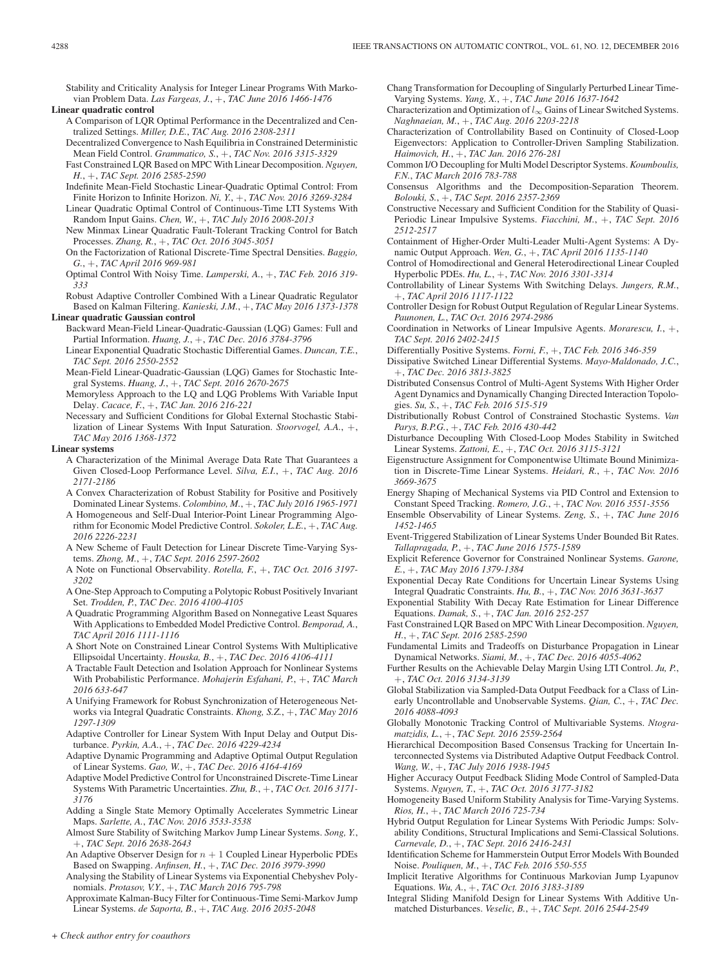Stability and Criticality Analysis for Integer Linear Programs With Markovian Problem Data. *Las Fargeas, J.*, +, *TAC June 2016 1466-1476*

**Linear quadratic control**

- A Comparison of LQR Optimal Performance in the Decentralized and Centralized Settings. *Miller, D.E.*, *TAC Aug. 2016 2308-2311*
- Decentralized Convergence to Nash Equilibria in Constrained Deterministic Mean Field Control. *Grammatico, S.*, +, *TAC Nov. 2016 3315-3329*
- Fast Constrained LQR Based on MPC With Linear Decomposition. *Nguyen, H.*, +, *TAC Sept. 2016 2585-2590*
- Indefinite Mean-Field Stochastic Linear-Quadratic Optimal Control: From Finite Horizon to Infinite Horizon. *Ni, Y.*, +, *TAC Nov. 2016 3269-3284*
- Linear Quadratic Optimal Control of Continuous-Time LTI Systems With Random Input Gains. *Chen, W.*, +, *TAC July 2016 2008-2013*
- New Minmax Linear Quadratic Fault-Tolerant Tracking Control for Batch Processes. *Zhang, R.*, +, *TAC Oct. 2016 3045-3051*
- On the Factorization of Rational Discrete-Time Spectral Densities. *Baggio, G.*, +, *TAC April 2016 969-981*
- Optimal Control With Noisy Time. *Lamperski, A.*, +, *TAC Feb. 2016 319- 333*

Robust Adaptive Controller Combined With a Linear Quadratic Regulator Based on Kalman Filtering. *Kanieski, J.M.*, +, *TAC May 2016 1373-1378*

# **Linear quadratic Gaussian control**

- Backward Mean-Field Linear-Quadratic-Gaussian (LQG) Games: Full and Partial Information. *Huang, J.*, +, *TAC Dec. 2016 3784-3796*
- Linear Exponential Quadratic Stochastic Differential Games. *Duncan, T.E.*, *TAC Sept. 2016 2550-2552*
- Mean-Field Linear-Quadratic-Gaussian (LQG) Games for Stochastic Integral Systems. *Huang, J.*, +, *TAC Sept. 2016 2670-2675*
- Memoryless Approach to the LQ and LQG Problems With Variable Input Delay. *Cacace, F.*, +, *TAC Jan. 2016 216-221*
- Necessary and Sufficient Conditions for Global External Stochastic Stabilization of Linear Systems With Input Saturation. *Stoorvogel, A.A.*, +, *TAC May 2016 1368-1372*

#### **Linear systems**

- A Characterization of the Minimal Average Data Rate That Guarantees a Given Closed-Loop Performance Level. *Silva, E.I.*, +, *TAC Aug. 2016 2171-2186*
- A Convex Characterization of Robust Stability for Positive and Positively Dominated Linear Systems. *Colombino, M.*, +, *TAC July 2016 1965-1971*
- A Homogeneous and Self-Dual Interior-Point Linear Programming Algorithm for Economic Model Predictive Control. *Sokoler, L.E.*, +, *TAC Aug. 2016 2226-2231*
- A New Scheme of Fault Detection for Linear Discrete Time-Varying Systems. *Zhong, M.*, +, *TAC Sept. 2016 2597-2602*
- A Note on Functional Observability. *Rotella, F.*, +, *TAC Oct. 2016 3197- 3202*
- A One-Step Approach to Computing a Polytopic Robust Positively Invariant Set. *Trodden, P.*, *TAC Dec. 2016 4100-4105*
- A Quadratic Programming Algorithm Based on Nonnegative Least Squares With Applications to Embedded Model Predictive Control. *Bemporad, A.*, *TAC April 2016 1111-1116*
- A Short Note on Constrained Linear Control Systems With Multiplicative Ellipsoidal Uncertainty. *Houska, B.*, +, *TAC Dec. 2016 4106-4111*
- A Tractable Fault Detection and Isolation Approach for Nonlinear Systems With Probabilistic Performance. *Mohajerin Esfahani, P.*, +, *TAC March 2016 633-647*
- A Unifying Framework for Robust Synchronization of Heterogeneous Networks via Integral Quadratic Constraints. *Khong, S.Z.*, +, *TAC May 2016 1297-1309*
- Adaptive Controller for Linear System With Input Delay and Output Disturbance. *Pyrkin, A.A.*, +, *TAC Dec. 2016 4229-4234*
- Adaptive Dynamic Programming and Adaptive Optimal Output Regulation of Linear Systems. *Gao, W.*, +, *TAC Dec. 2016 4164-4169*
- Adaptive Model Predictive Control for Unconstrained Discrete-Time Linear Systems With Parametric Uncertainties. *Zhu, B.*, +, *TAC Oct. 2016 3171- 3176*
- Adding a Single State Memory Optimally Accelerates Symmetric Linear Maps. *Sarlette, A.*, *TAC Nov. 2016 3533-3538*
- Almost Sure Stability of Switching Markov Jump Linear Systems. *Song, Y.*, +, *TAC Sept. 2016 2638-2643*
- An Adaptive Observer Design for  $n + 1$  Coupled Linear Hyperbolic PDEs Based on Swapping. *Anfinsen, H.*, +, *TAC Dec. 2016 3979-3990*
- Analysing the Stability of Linear Systems via Exponential Chebyshev Polynomials. *Protasov, V.Y.*, +, *TAC March 2016 795-798*
- Approximate Kalman-Bucy Filter for Continuous-Time Semi-Markov Jump Linear Systems. *de Saporta, B.*, +, *TAC Aug. 2016 2035-2048*

Chang Transformation for Decoupling of Singularly Perturbed Linear Time-Varying Systems. *Yang, X.*, +, *TAC June 2016 1637-1642*

- Characterization and Optimization of  $l_{\infty}$  Gains of Linear Switched Systems. *Naghnaeian, M.*, +, *TAC Aug. 2016 2203-2218*
- Characterization of Controllability Based on Continuity of Closed-Loop Eigenvectors: Application to Controller-Driven Sampling Stabilization. *Haimovich, H.*, +, *TAC Jan. 2016 276-281*
- Common I/O Decoupling for Multi Model Descriptor Systems. *Koumboulis, F.N.*, *TAC March 2016 783-788*
- Consensus Algorithms and the Decomposition-Separation Theorem. *Bolouki, S.*, +, *TAC Sept. 2016 2357-2369*
- Constructive Necessary and Sufficient Condition for the Stability of Quasi-Periodic Linear Impulsive Systems. *Fiacchini, M.*, +, *TAC Sept. 2016 2512-2517*
- Containment of Higher-Order Multi-Leader Multi-Agent Systems: A Dynamic Output Approach. *Wen, G.*, +, *TAC April 2016 1135-1140*
- Control of Homodirectional and General Heterodirectional Linear Coupled Hyperbolic PDEs. *Hu, L.*, +, *TAC Nov. 2016 3301-3314*
- Controllability of Linear Systems With Switching Delays. *Jungers, R.M.*, +, *TAC April 2016 1117-1122*
- Controller Design for Robust Output Regulation of Regular Linear Systems. *Paunonen, L.*, *TAC Oct. 2016 2974-2986*
- Coordination in Networks of Linear Impulsive Agents. *Morarescu, I.*, +, *TAC Sept. 2016 2402-2415*
- Differentially Positive Systems. *Forni, F.*, +, *TAC Feb. 2016 346-359*
- Dissipative Switched Linear Differential Systems. *Mayo-Maldonado, J.C.*, +, *TAC Dec. 2016 3813-3825*
- Distributed Consensus Control of Multi-Agent Systems With Higher Order Agent Dynamics and Dynamically Changing Directed Interaction Topologies. *Su, S.*, +, *TAC Feb. 2016 515-519*
- Distributionally Robust Control of Constrained Stochastic Systems. *Van Parys, B.P.G.*, +, *TAC Feb. 2016 430-442*
- Disturbance Decoupling With Closed-Loop Modes Stability in Switched Linear Systems. *Zattoni, E.*, +, *TAC Oct. 2016 3115-3121*
- Eigenstructure Assignment for Componentwise Ultimate Bound Minimization in Discrete-Time Linear Systems. *Heidari, R.*, +, *TAC Nov. 2016 3669-3675*
- Energy Shaping of Mechanical Systems via PID Control and Extension to Constant Speed Tracking. *Romero, J.G.*, +, *TAC Nov. 2016 3551-3556*
- Ensemble Observability of Linear Systems. *Zeng, S.*, +, *TAC June 2016 1452-1465*
- Event-Triggered Stabilization of Linear Systems Under Bounded Bit Rates. *Tallapragada, P.*, +, *TAC June 2016 1575-1589*
- Explicit Reference Governor for Constrained Nonlinear Systems. *Garone, E.*, +, *TAC May 2016 1379-1384*
- Exponential Decay Rate Conditions for Uncertain Linear Systems Using Integral Quadratic Constraints. *Hu, B.*, +, *TAC Nov. 2016 3631-3637*
- Exponential Stability With Decay Rate Estimation for Linear Difference Equations. *Damak, S.*, +, *TAC Jan. 2016 252-257*
- Fast Constrained LQR Based on MPC With Linear Decomposition. *Nguyen, H.*, +, *TAC Sept. 2016 2585-2590*
- Fundamental Limits and Tradeoffs on Disturbance Propagation in Linear Dynamical Networks. *Siami, M.*, +, *TAC Dec. 2016 4055-4062*
- Further Results on the Achievable Delay Margin Using LTI Control. *Ju, P.*, +, *TAC Oct. 2016 3134-3139*
- Global Stabilization via Sampled-Data Output Feedback for a Class of Linearly Uncontrollable and Unobservable Systems. *Qian, C.*, +, *TAC Dec. 2016 4088-4093*
- Globally Monotonic Tracking Control of Multivariable Systems. *Ntogramatzidis, L.*, +, *TAC Sept. 2016 2559-2564*
- Hierarchical Decomposition Based Consensus Tracking for Uncertain Interconnected Systems via Distributed Adaptive Output Feedback Control. *Wang, W.*, +, *TAC July 2016 1938-1945*
- Higher Accuracy Output Feedback Sliding Mode Control of Sampled-Data Systems. *Nguyen, T.*, +, *TAC Oct. 2016 3177-3182*
- Homogeneity Based Uniform Stability Analysis for Time-Varying Systems. *Rios, H.*, +, *TAC March 2016 725-734*
- Hybrid Output Regulation for Linear Systems With Periodic Jumps: Solvability Conditions, Structural Implications and Semi-Classical Solutions. *Carnevale, D.*, +, *TAC Sept. 2016 2416-2431*
- Identification Scheme for Hammerstein Output Error Models With Bounded Noise. *Pouliquen, M.*, +, *TAC Feb. 2016 550-555*
- Implicit Iterative Algorithms for Continuous Markovian Jump Lyapunov Equations. *Wu, A.*, +, *TAC Oct. 2016 3183-3189*
- Integral Sliding Manifold Design for Linear Systems With Additive Unmatched Disturbances. *Veselic, B.*, +, *TAC Sept. 2016 2544-2549*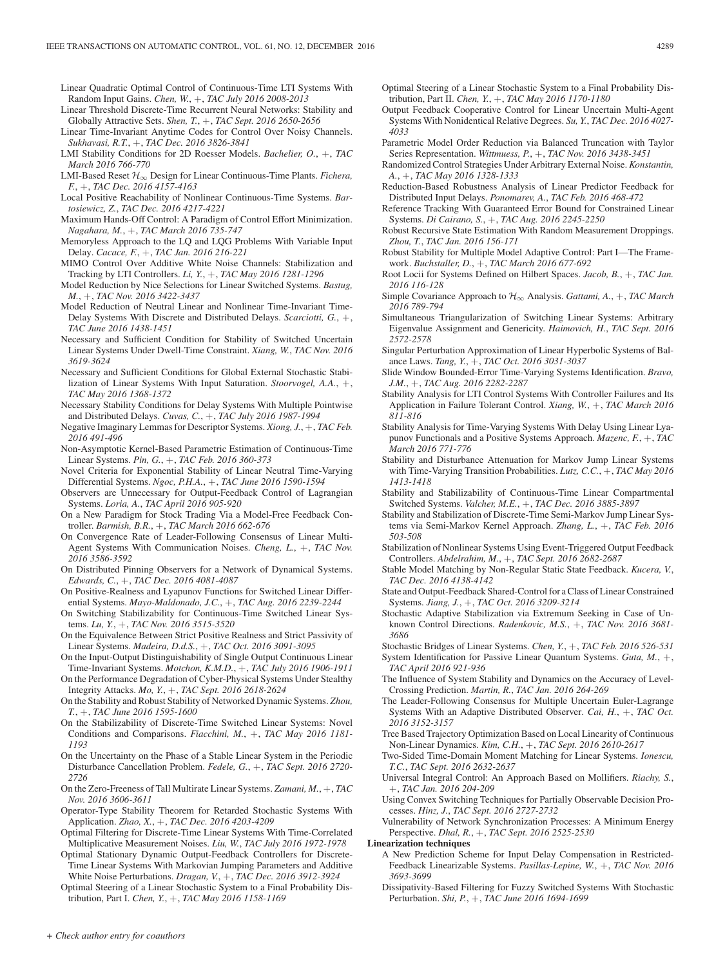Linear Quadratic Optimal Control of Continuous-Time LTI Systems With Random Input Gains. *Chen, W.*, +, *TAC July 2016 2008-2013*

- Linear Threshold Discrete-Time Recurrent Neural Networks: Stability and Globally Attractive Sets. *Shen, T.*, +, *TAC Sept. 2016 2650-2656*
- Linear Time-Invariant Anytime Codes for Control Over Noisy Channels. *Sukhavasi, R.T.*, +, *TAC Dec. 2016 3826-3841*
- LMI Stability Conditions for 2D Roesser Models. *Bachelier, O.*, +, *TAC March 2016 766-770*
- LMI-Based Reset H∞ Design for Linear Continuous-Time Plants. *Fichera, F.*, +, *TAC Dec. 2016 4157-4163*
- Local Positive Reachability of Nonlinear Continuous-Time Systems. *Bartosiewicz, Z.*, *TAC Dec. 2016 4217-4221*
- Maximum Hands-Off Control: A Paradigm of Control Effort Minimization. *Nagahara, M.*, +, *TAC March 2016 735-747*
- Memoryless Approach to the LQ and LQG Problems With Variable Input Delay. *Cacace, F.*, +, *TAC Jan. 2016 216-221*
- MIMO Control Over Additive White Noise Channels: Stabilization and Tracking by LTI Controllers. *Li, Y.*, +, *TAC May 2016 1281-1296*
- Model Reduction by Nice Selections for Linear Switched Systems. *Bastug, M.*, +, *TAC Nov. 2016 3422-3437*
- Model Reduction of Neutral Linear and Nonlinear Time-Invariant Time-Delay Systems With Discrete and Distributed Delays. *Scarciotti, G.*, +, *TAC June 2016 1438-1451*
- Necessary and Sufficient Condition for Stability of Switched Uncertain Linear Systems Under Dwell-Time Constraint. *Xiang, W.*, *TAC Nov. 2016 3619-3624*
- Necessary and Sufficient Conditions for Global External Stochastic Stabilization of Linear Systems With Input Saturation. *Stoorvogel, A.A.*, +, *TAC May 2016 1368-1372*
- Necessary Stability Conditions for Delay Systems With Multiple Pointwise and Distributed Delays. *Cuvas, C.*, +, *TAC July 2016 1987-1994*
- Negative Imaginary Lemmas for Descriptor Systems. *Xiong, J.*, +, *TAC Feb. 2016 491-496*
- Non-Asymptotic Kernel-Based Parametric Estimation of Continuous-Time Linear Systems. *Pin, G.*, +, *TAC Feb. 2016 360-373*
- Novel Criteria for Exponential Stability of Linear Neutral Time-Varying Differential Systems. *Ngoc, P.H.A.*, +, *TAC June 2016 1590-1594*
- Observers are Unnecessary for Output-Feedback Control of Lagrangian Systems. *Loria, A.*, *TAC April 2016 905-920*
- On a New Paradigm for Stock Trading Via a Model-Free Feedback Controller. *Barmish, B.R.*, +, *TAC March 2016 662-676*
- On Convergence Rate of Leader-Following Consensus of Linear Multi-Agent Systems With Communication Noises. *Cheng, L.*, +, *TAC Nov. 2016 3586-3592*
- On Distributed Pinning Observers for a Network of Dynamical Systems. *Edwards, C.*, +, *TAC Dec. 2016 4081-4087*
- On Positive-Realness and Lyapunov Functions for Switched Linear Differential Systems. *Mayo-Maldonado, J.C.*, +, *TAC Aug. 2016 2239-2244*
- On Switching Stabilizability for Continuous-Time Switched Linear Systems. *Lu, Y.*, +, *TAC Nov. 2016 3515-3520*
- On the Equivalence Between Strict Positive Realness and Strict Passivity of Linear Systems. *Madeira, D.d.S.*, +, *TAC Oct. 2016 3091-3095*
- On the Input-Output Distinguishability of Single Output Continuous Linear Time-Invariant Systems. *Motchon, K.M.D.*, +, *TAC July 2016 1906-1911*
- On the Performance Degradation of Cyber-Physical Systems Under Stealthy Integrity Attacks. *Mo, Y.*, +, *TAC Sept. 2016 2618-2624*
- On the Stability and Robust Stability of Networked Dynamic Systems. *Zhou, T.*, +, *TAC June 2016 1595-1600*
- On the Stabilizability of Discrete-Time Switched Linear Systems: Novel Conditions and Comparisons. *Fiacchini, M.*, +, *TAC May 2016 1181- 1193*
- On the Uncertainty on the Phase of a Stable Linear System in the Periodic Disturbance Cancellation Problem. *Fedele, G.*, +, *TAC Sept. 2016 2720- 2726*
- On the Zero-Freeness of Tall Multirate Linear Systems. *Zamani, M.*, +, *TAC Nov. 2016 3606-3611*
- Operator-Type Stability Theorem for Retarded Stochastic Systems With Application. *Zhao, X.*, +, *TAC Dec. 2016 4203-4209*
- Optimal Filtering for Discrete-Time Linear Systems With Time-Correlated Multiplicative Measurement Noises. *Liu, W.*, *TAC July 2016 1972-1978*
- Optimal Stationary Dynamic Output-Feedback Controllers for Discrete-Time Linear Systems With Markovian Jumping Parameters and Additive White Noise Perturbations. *Dragan, V.*, +, *TAC Dec. 2016 3912-3924*
- Optimal Steering of a Linear Stochastic System to a Final Probability Distribution, Part I. *Chen, Y.*, +, *TAC May 2016 1158-1169*
- Optimal Steering of a Linear Stochastic System to a Final Probability Distribution, Part II. *Chen, Y.*, +, *TAC May 2016 1170-1180*
- Output Feedback Cooperative Control for Linear Uncertain Multi-Agent Systems With Nonidentical Relative Degrees. *Su, Y.*, *TAC Dec. 2016 4027- 4033*
- Parametric Model Order Reduction via Balanced Truncation with Taylor Series Representation. *Wittmuess, P.*, +, *TAC Nov. 2016 3438-3451*
- Randomized Control Strategies Under Arbitrary External Noise. *Konstantin, A.*, +, *TAC May 2016 1328-1333*
- Reduction-Based Robustness Analysis of Linear Predictor Feedback for Distributed Input Delays. *Ponomarev, A.*, *TAC Feb. 2016 468-472*
- Reference Tracking With Guaranteed Error Bound for Constrained Linear Systems. *Di Cairano, S.*, +, *TAC Aug. 2016 2245-2250*
- Robust Recursive State Estimation With Random Measurement Droppings. *Zhou, T.*, *TAC Jan. 2016 156-171*
- Robust Stability for Multiple Model Adaptive Control: Part I—The Framework. *Buchstaller, D.*, +, *TAC March 2016 677-692*
- Root Locii for Systems Defined on Hilbert Spaces. *Jacob, B.*, +, *TAC Jan. 2016 116-128*
- Simple Covariance Approach to  $\mathcal{H}_{\infty}$  Analysis. *Gattami, A.*, +, *TAC March 2016 789-794*
- Simultaneous Triangularization of Switching Linear Systems: Arbitrary Eigenvalue Assignment and Genericity. *Haimovich, H.*, *TAC Sept. 2016 2572-2578*
- Singular Perturbation Approximation of Linear Hyperbolic Systems of Balance Laws. *Tang, Y.*, +, *TAC Oct. 2016 3031-3037*
- Slide Window Bounded-Error Time-Varying Systems Identification. *Bravo, J.M.*, +, *TAC Aug. 2016 2282-2287*
- Stability Analysis for LTI Control Systems With Controller Failures and Its Application in Failure Tolerant Control. *Xiang, W.*, +, *TAC March 2016 811-816*
- Stability Analysis for Time-Varying Systems With Delay Using Linear Lyapunov Functionals and a Positive Systems Approach. *Mazenc, F.*, +, *TAC March 2016 771-776*
- Stability and Disturbance Attenuation for Markov Jump Linear Systems with Time-Varying Transition Probabilities. *Lutz, C.C.*, +, *TAC May 2016 1413-1418*
- Stability and Stabilizability of Continuous-Time Linear Compartmental Switched Systems. *Valcher, M.E.*, +, *TAC Dec. 2016 3885-3897*
- Stability and Stabilization of Discrete-Time Semi-Markov Jump Linear Systems via Semi-Markov Kernel Approach. *Zhang, L.*, +, *TAC Feb. 2016 503-508*
- Stabilization of Nonlinear Systems Using Event-Triggered Output Feedback Controllers. *Abdelrahim, M.*, +, *TAC Sept. 2016 2682-2687*
- Stable Model Matching by Non-Regular Static State Feedback. *Kucera, V.*, *TAC Dec. 2016 4138-4142*
- State and Output-Feedback Shared-Control for a Class of Linear Constrained Systems. *Jiang, J.*, +, *TAC Oct. 2016 3209-3214*
- Stochastic Adaptive Stabilization via Extremum Seeking in Case of Unknown Control Directions. *Radenkovic, M.S.*, +, *TAC Nov. 2016 3681- 3686*
- Stochastic Bridges of Linear Systems. *Chen, Y.*, +, *TAC Feb. 2016 526-531*
- System Identification for Passive Linear Quantum Systems. *Guta, M.*, +, *TAC April 2016 921-936*
- The Influence of System Stability and Dynamics on the Accuracy of Level-Crossing Prediction. *Martin, R.*, *TAC Jan. 2016 264-269*
- The Leader-Following Consensus for Multiple Uncertain Euler-Lagrange Systems With an Adaptive Distributed Observer. *Cai, H.*, +, *TAC Oct. 2016 3152-3157*
- Tree Based Trajectory Optimization Based on Local Linearity of Continuous Non-Linear Dynamics. *Kim, C.H.*, +, *TAC Sept. 2016 2610-2617*
- Two-Sided Time-Domain Moment Matching for Linear Systems. *Ionescu, T.C.*, *TAC Sept. 2016 2632-2637*
- Universal Integral Control: An Approach Based on Mollifiers. *Riachy, S.*, +, *TAC Jan. 2016 204-209*
- Using Convex Switching Techniques for Partially Observable Decision Processes. *Hinz, J.*, *TAC Sept. 2016 2727-2732*

Vulnerability of Network Synchronization Processes: A Minimum Energy Perspective. *Dhal, R.*, +, *TAC Sept. 2016 2525-2530*

#### **Linearization techniques**

- A New Prediction Scheme for Input Delay Compensation in Restricted-Feedback Linearizable Systems. *Pasillas-Lepine, W.*, +, *TAC Nov. 2016 3693-3699*
- Dissipativity-Based Filtering for Fuzzy Switched Systems With Stochastic Perturbation. *Shi, P.*, +, *TAC June 2016 1694-1699*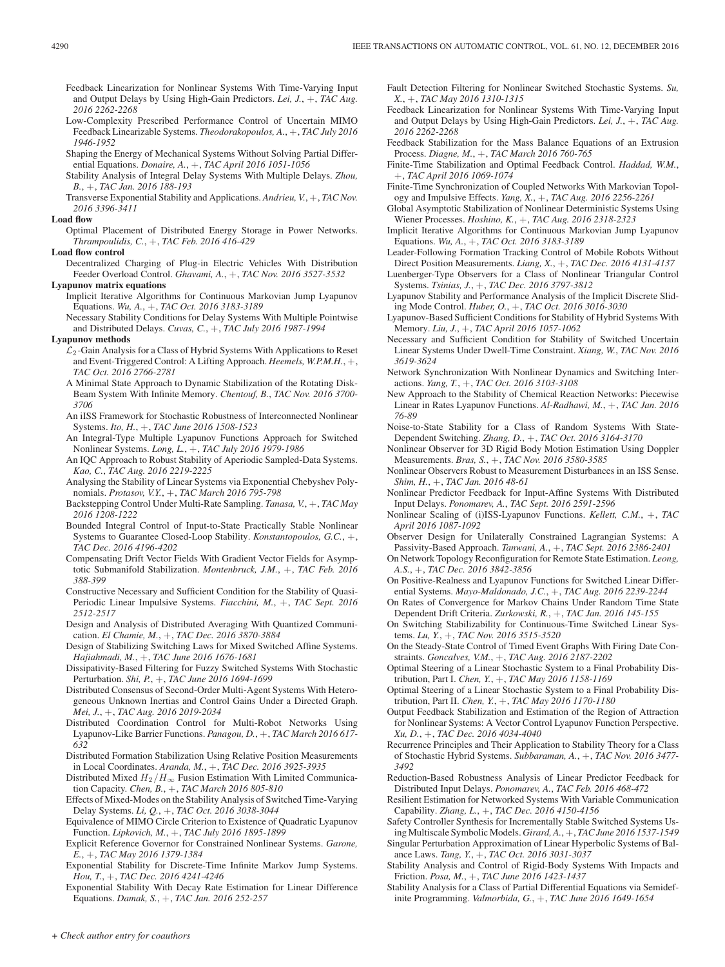- Feedback Linearization for Nonlinear Systems With Time-Varying Input and Output Delays by Using High-Gain Predictors. *Lei, J.*, +, *TAC Aug. 2016 2262-2268*
- Low-Complexity Prescribed Performance Control of Uncertain MIMO Feedback Linearizable Systems. *Theodorakopoulos, A.*, +, *TAC July 2016 1946-1952*
- Shaping the Energy of Mechanical Systems Without Solving Partial Differential Equations. *Donaire, A.*, +, *TAC April 2016 1051-1056*
- Stability Analysis of Integral Delay Systems With Multiple Delays. *Zhou, B.*, +, *TAC Jan. 2016 188-193*
- Transverse Exponential Stability and Applications. *Andrieu, V.*, +, *TAC Nov. 2016 3396-3411*

# **Load flow**

Optimal Placement of Distributed Energy Storage in Power Networks. *Thrampoulidis, C.*, +, *TAC Feb. 2016 416-429*

# **Load flow control**

Decentralized Charging of Plug-in Electric Vehicles With Distribution Feeder Overload Control. *Ghavami, A.*, +, *TAC Nov. 2016 3527-3532*

## **Lyapunov matrix equations**

- Implicit Iterative Algorithms for Continuous Markovian Jump Lyapunov Equations. *Wu, A.*, +, *TAC Oct. 2016 3183-3189*
- Necessary Stability Conditions for Delay Systems With Multiple Pointwise and Distributed Delays. *Cuvas, C.*, +, *TAC July 2016 1987-1994*

#### **Lyapunov methods**

- $\mathcal{L}_2$ -Gain Analysis for a Class of Hybrid Systems With Applications to Reset and Event-Triggered Control: A Lifting Approach. *Heemels, W.P.M.H.*, +, *TAC Oct. 2016 2766-2781*
- A Minimal State Approach to Dynamic Stabilization of the Rotating Disk-Beam System With Infinite Memory. *Chentouf, B.*, *TAC Nov. 2016 3700- 3706*
- An iISS Framework for Stochastic Robustness of Interconnected Nonlinear Systems. *Ito, H.*, +, *TAC June 2016 1508-1523*
- An Integral-Type Multiple Lyapunov Functions Approach for Switched Nonlinear Systems. *Long, L.*, +, *TAC July 2016 1979-1986*
- An IQC Approach to Robust Stability of Aperiodic Sampled-Data Systems. *Kao, C.*, *TAC Aug. 2016 2219-2225*
- Analysing the Stability of Linear Systems via Exponential Chebyshev Polynomials. *Protasov, V.Y.*, +, *TAC March 2016 795-798*
- Backstepping Control Under Multi-Rate Sampling. *Tanasa, V.*, +, *TAC May 2016 1208-1222*
- Bounded Integral Control of Input-to-State Practically Stable Nonlinear Systems to Guarantee Closed-Loop Stability. *Konstantopoulos, G.C.*, +, *TAC Dec. 2016 4196-4202*
- Compensating Drift Vector Fields With Gradient Vector Fields for Asymptotic Submanifold Stabilization. *Montenbruck, J.M.*, +, *TAC Feb. 2016 388-399*
- Constructive Necessary and Sufficient Condition for the Stability of Quasi-Periodic Linear Impulsive Systems. *Fiacchini, M.*, +, *TAC Sept. 2016 2512-2517*
- Design and Analysis of Distributed Averaging With Quantized Communication. *El Chamie, M.*, +, *TAC Dec. 2016 3870-3884*
- Design of Stabilizing Switching Laws for Mixed Switched Affine Systems. *Hajiahmadi, M.*, +, *TAC June 2016 1676-1681*
- Dissipativity-Based Filtering for Fuzzy Switched Systems With Stochastic Perturbation. *Shi, P.*, +, *TAC June 2016 1694-1699*
- Distributed Consensus of Second-Order Multi-Agent Systems With Heterogeneous Unknown Inertias and Control Gains Under a Directed Graph. *Mei, J.*, +, *TAC Aug. 2016 2019-2034*
- Distributed Coordination Control for Multi-Robot Networks Using Lyapunov-Like Barrier Functions. *Panagou, D.*, +, *TAC March 2016 617- 632*
- Distributed Formation Stabilization Using Relative Position Measurements in Local Coordinates. *Aranda, M.*, +, *TAC Dec. 2016 3925-3935*
- Distributed Mixed  $H_2/H_\infty$  Fusion Estimation With Limited Communication Capacity. *Chen, B.*, +, *TAC March 2016 805-810*
- Effects of Mixed-Modes on the Stability Analysis of Switched Time-Varying Delay Systems. *Li, Q.*, +, *TAC Oct. 2016 3038-3044*
- Equivalence of MIMO Circle Criterion to Existence of Quadratic Lyapunov Function. *Lipkovich, M.*, +, *TAC July 2016 1895-1899*
- Explicit Reference Governor for Constrained Nonlinear Systems. *Garone, E.*, +, *TAC May 2016 1379-1384*
- Exponential Stability for Discrete-Time Infinite Markov Jump Systems. *Hou, T.*, +, *TAC Dec. 2016 4241-4246*
- Exponential Stability With Decay Rate Estimation for Linear Difference Equations. *Damak, S.*, +, *TAC Jan. 2016 252-257*
- Fault Detection Filtering for Nonlinear Switched Stochastic Systems. *Su, X.*, +, *TAC May 2016 1310-1315*
- Feedback Linearization for Nonlinear Systems With Time-Varying Input and Output Delays by Using High-Gain Predictors. *Lei, J.*, +, *TAC Aug. 2016 2262-2268*
- Feedback Stabilization for the Mass Balance Equations of an Extrusion Process. *Diagne, M.*, +, *TAC March 2016 760-765*
- Finite-Time Stabilization and Optimal Feedback Control. *Haddad, W.M.*, +, *TAC April 2016 1069-1074*
- Finite-Time Synchronization of Coupled Networks With Markovian Topology and Impulsive Effects. *Yang, X.*, +, *TAC Aug. 2016 2256-2261*
- Global Asymptotic Stabilization of Nonlinear Deterministic Systems Using Wiener Processes. *Hoshino, K.*, +, *TAC Aug. 2016 2318-2323*
- Implicit Iterative Algorithms for Continuous Markovian Jump Lyapunov Equations. *Wu, A.*, +, *TAC Oct. 2016 3183-3189*
- Leader-Following Formation Tracking Control of Mobile Robots Without Direct Position Measurements. *Liang, X.*, +, *TAC Dec. 2016 4131-4137*
- Luenberger-Type Observers for a Class of Nonlinear Triangular Control Systems. *Tsinias, J.*, +, *TAC Dec. 2016 3797-3812*
- Lyapunov Stability and Performance Analysis of the Implicit Discrete Sliding Mode Control. *Huber, O.*, +, *TAC Oct. 2016 3016-3030*
- Lyapunov-Based Sufficient Conditions for Stability of Hybrid Systems With Memory. *Liu, J.*, +, *TAC April 2016 1057-1062*
- Necessary and Sufficient Condition for Stability of Switched Uncertain Linear Systems Under Dwell-Time Constraint. *Xiang, W.*, *TAC Nov. 2016 3619-3624*
- Network Synchronization With Nonlinear Dynamics and Switching Interactions. *Yang, T.*, +, *TAC Oct. 2016 3103-3108*
- New Approach to the Stability of Chemical Reaction Networks: Piecewise Linear in Rates Lyapunov Functions. *Al-Radhawi, M.*, +, *TAC Jan. 2016 76-89*
- Noise-to-State Stability for a Class of Random Systems With State-Dependent Switching. *Zhang, D.*, +, *TAC Oct. 2016 3164-3170*
- Nonlinear Observer for 3D Rigid Body Motion Estimation Using Doppler Measurements. *Bras, S.*, +, *TAC Nov. 2016 3580-3585*
- Nonlinear Observers Robust to Measurement Disturbances in an ISS Sense. *Shim, H.*, +, *TAC Jan. 2016 48-61*
- Nonlinear Predictor Feedback for Input-Affine Systems With Distributed Input Delays. *Ponomarev, A.*, *TAC Sept. 2016 2591-2596*
- Nonlinear Scaling of (i)ISS-Lyapunov Functions. *Kellett, C.M.*, +, *TAC April 2016 1087-1092*
- Observer Design for Unilaterally Constrained Lagrangian Systems: A Passivity-Based Approach. *Tanwani, A.*, +, *TAC Sept. 2016 2386-2401*
- On Network Topology Reconfiguration for Remote State Estimation. *Leong, A.S.*, +, *TAC Dec. 2016 3842-3856*
- On Positive-Realness and Lyapunov Functions for Switched Linear Differential Systems. *Mayo-Maldonado, J.C.*, +, *TAC Aug. 2016 2239-2244*
- On Rates of Convergence for Markov Chains Under Random Time State Dependent Drift Criteria. *Zurkowski, R.*, +, *TAC Jan. 2016 145-155*
- On Switching Stabilizability for Continuous-Time Switched Linear Systems. *Lu, Y.*, +, *TAC Nov. 2016 3515-3520*
- On the Steady-State Control of Timed Event Graphs With Firing Date Constraints. *Goncalves, V.M.*, +, *TAC Aug. 2016 2187-2202*
- Optimal Steering of a Linear Stochastic System to a Final Probability Distribution, Part I. *Chen, Y.*, +, *TAC May 2016 1158-1169*
- Optimal Steering of a Linear Stochastic System to a Final Probability Distribution, Part II. *Chen, Y.*, +, *TAC May 2016 1170-1180*
- Output Feedback Stabilization and Estimation of the Region of Attraction for Nonlinear Systems: A Vector Control Lyapunov Function Perspective. *Xu, D.*, +, *TAC Dec. 2016 4034-4040*
- Recurrence Principles and Their Application to Stability Theory for a Class of Stochastic Hybrid Systems. *Subbaraman, A.*, +, *TAC Nov. 2016 3477- 3492*
- Reduction-Based Robustness Analysis of Linear Predictor Feedback for Distributed Input Delays. *Ponomarev, A.*, *TAC Feb. 2016 468-472*
- Resilient Estimation for Networked Systems With Variable Communication Capability. *Zhang, L.*, +, *TAC Dec. 2016 4150-4156*
- Safety Controller Synthesis for Incrementally Stable Switched Systems Using Multiscale Symbolic Models. *Girard, A.*,+, *TAC June 2016 1537-1549*
- Singular Perturbation Approximation of Linear Hyperbolic Systems of Balance Laws. *Tang, Y.*, +, *TAC Oct. 2016 3031-3037*
- Stability Analysis and Control of Rigid-Body Systems With Impacts and Friction. *Posa, M.*, +, *TAC June 2016 1423-1437*
- Stability Analysis for a Class of Partial Differential Equations via Semidefinite Programming. *Valmorbida, G.*, +, *TAC June 2016 1649-1654*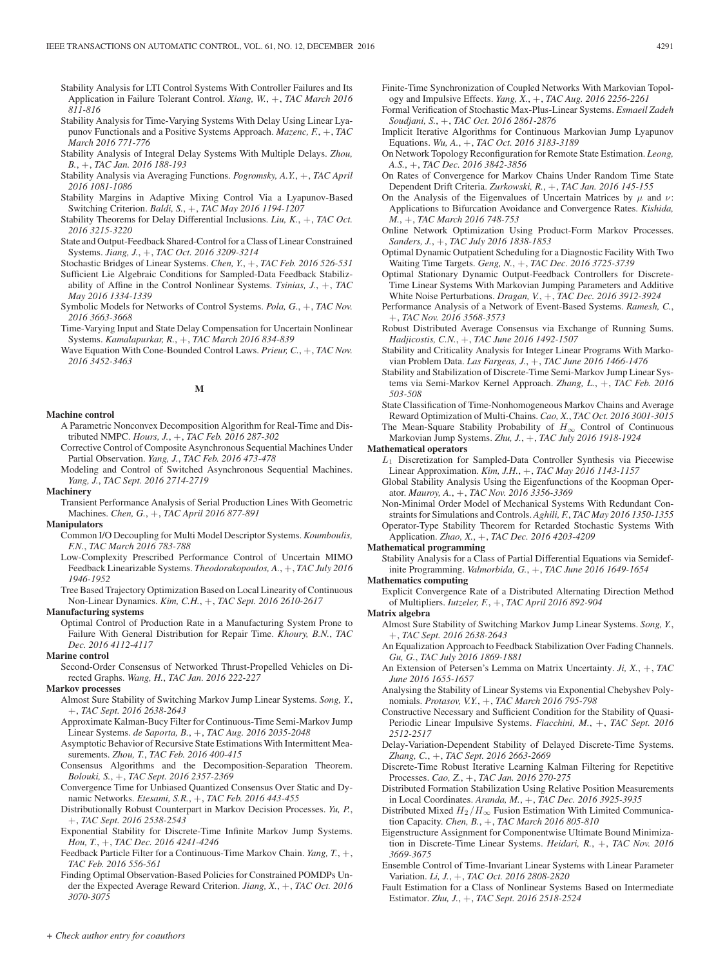- Stability Analysis for LTI Control Systems With Controller Failures and Its Application in Failure Tolerant Control. *Xiang, W.*, +, *TAC March 2016 811-816*
- Stability Analysis for Time-Varying Systems With Delay Using Linear Lyapunov Functionals and a Positive Systems Approach. *Mazenc, F.*, +, *TAC March 2016 771-776*
- Stability Analysis of Integral Delay Systems With Multiple Delays. *Zhou, B.*, +, *TAC Jan. 2016 188-193*
- Stability Analysis via Averaging Functions. *Pogromsky, A.Y.*, +, *TAC April 2016 1081-1086*
- Stability Margins in Adaptive Mixing Control Via a Lyapunov-Based Switching Criterion. *Baldi, S.*, +, *TAC May 2016 1194-1207*
- Stability Theorems for Delay Differential Inclusions. *Liu, K.*, +, *TAC Oct. 2016 3215-3220*
- State and Output-Feedback Shared-Control for a Class of Linear Constrained Systems. *Jiang, J.*, +, *TAC Oct. 2016 3209-3214*

Stochastic Bridges of Linear Systems. *Chen, Y.*, +, *TAC Feb. 2016 526-531*

- Sufficient Lie Algebraic Conditions for Sampled-Data Feedback Stabilizability of Affine in the Control Nonlinear Systems. *Tsinias, J.*, +, *TAC May 2016 1334-1339*
- Symbolic Models for Networks of Control Systems. *Pola, G.*, +, *TAC Nov. 2016 3663-3668*
- Time-Varying Input and State Delay Compensation for Uncertain Nonlinear Systems. *Kamalapurkar, R.*, +, *TAC March 2016 834-839*
- Wave Equation With Cone-Bounded Control Laws. *Prieur, C.*, +, *TAC Nov. 2016 3452-3463*

**M**

#### **Machine control**

- A Parametric Nonconvex Decomposition Algorithm for Real-Time and Distributed NMPC. *Hours, J.*, +, *TAC Feb. 2016 287-302*
- Corrective Control of Composite Asynchronous Sequential Machines Under Partial Observation. *Yang, J.*, *TAC Feb. 2016 473-478*
- Modeling and Control of Switched Asynchronous Sequential Machines. *Yang, J.*, *TAC Sept. 2016 2714-2719*

#### **Machinery**

Transient Performance Analysis of Serial Production Lines With Geometric Machines. *Chen, G.*, +, *TAC April 2016 877-891*

## **Manipulators**

- Common I/O Decoupling for Multi Model Descriptor Systems. *Koumboulis, F.N.*, *TAC March 2016 783-788*
- Low-Complexity Prescribed Performance Control of Uncertain MIMO Feedback Linearizable Systems. *Theodorakopoulos, A.*, +, *TAC July 2016 1946-1952*
- Tree Based Trajectory Optimization Based on Local Linearity of Continuous Non-Linear Dynamics. *Kim, C.H.*, +, *TAC Sept. 2016 2610-2617*

#### **Manufacturing systems**

Optimal Control of Production Rate in a Manufacturing System Prone to Failure With General Distribution for Repair Time. *Khoury, B.N.*, *TAC Dec. 2016 4112-4117*

#### **Marine control**

Second-Order Consensus of Networked Thrust-Propelled Vehicles on Directed Graphs. *Wang, H.*, *TAC Jan. 2016 222-227*

## **Markov processes**

- Almost Sure Stability of Switching Markov Jump Linear Systems. *Song, Y.*, +, *TAC Sept. 2016 2638-2643*
- Approximate Kalman-Bucy Filter for Continuous-Time Semi-Markov Jump Linear Systems. *de Saporta, B.*, +, *TAC Aug. 2016 2035-2048*
- Asymptotic Behavior of Recursive State Estimations With Intermittent Measurements. *Zhou, T.*, *TAC Feb. 2016 400-415*
- Consensus Algorithms and the Decomposition-Separation Theorem. *Bolouki, S.*, +, *TAC Sept. 2016 2357-2369*
- Convergence Time for Unbiased Quantized Consensus Over Static and Dynamic Networks. *Etesami, S.R.*, +, *TAC Feb. 2016 443-455*
- Distributionally Robust Counterpart in Markov Decision Processes. *Yu, P.*, +, *TAC Sept. 2016 2538-2543*
- Exponential Stability for Discrete-Time Infinite Markov Jump Systems. *Hou, T.*, +, *TAC Dec. 2016 4241-4246*
- Feedback Particle Filter for a Continuous-Time Markov Chain. *Yang, T.*, +, *TAC Feb. 2016 556-561*
- Finding Optimal Observation-Based Policies for Constrained POMDPs Under the Expected Average Reward Criterion. *Jiang, X.*, +, *TAC Oct. 2016 3070-3075*
- Finite-Time Synchronization of Coupled Networks With Markovian Topology and Impulsive Effects. *Yang, X.*, +, *TAC Aug. 2016 2256-2261*
- Formal Verification of Stochastic Max-Plus-Linear Systems. *Esmaeil Zadeh Soudjani, S.*, +, *TAC Oct. 2016 2861-2876*
- Implicit Iterative Algorithms for Continuous Markovian Jump Lyapunov Equations. *Wu, A.*, +, *TAC Oct. 2016 3183-3189*
- On Network Topology Reconfiguration for Remote State Estimation. *Leong, A.S.*, +, *TAC Dec. 2016 3842-3856*
- On Rates of Convergence for Markov Chains Under Random Time State Dependent Drift Criteria. *Zurkowski, R.*, +, *TAC Jan. 2016 145-155*
- On the Analysis of the Eigenvalues of Uncertain Matrices by  $\mu$  and  $\nu$ : Applications to Bifurcation Avoidance and Convergence Rates. *Kishida, M.*, +, *TAC March 2016 748-753*
- Online Network Optimization Using Product-Form Markov Processes. *Sanders, J.*, +, *TAC July 2016 1838-1853*
- Optimal Dynamic Outpatient Scheduling for a Diagnostic Facility With Two Waiting Time Targets. *Geng, N.*, +, *TAC Dec. 2016 3725-3739*
- Optimal Stationary Dynamic Output-Feedback Controllers for Discrete-Time Linear Systems With Markovian Jumping Parameters and Additive White Noise Perturbations. *Dragan, V.*, +, *TAC Dec. 2016 3912-3924*
- Performance Analysis of a Network of Event-Based Systems. *Ramesh, C.*, +, *TAC Nov. 2016 3568-3573*
- Robust Distributed Average Consensus via Exchange of Running Sums. *Hadjicostis, C.N.*, +, *TAC June 2016 1492-1507*
- Stability and Criticality Analysis for Integer Linear Programs With Markovian Problem Data. *Las Fargeas, J.*, +, *TAC June 2016 1466-1476*
- Stability and Stabilization of Discrete-Time Semi-Markov Jump Linear Systems via Semi-Markov Kernel Approach. *Zhang, L.*, +, *TAC Feb. 2016 503-508*
- State Classification of Time-Nonhomogeneous Markov Chains and Average Reward Optimization of Multi-Chains. *Cao, X.*, *TAC Oct. 2016 3001-3015*
- The Mean-Square Stability Probability of  $H_{\infty}$  Control of Continuous Markovian Jump Systems. *Zhu, J.*, +, *TAC July 2016 1918-1924*

#### **Mathematical operators**

- $L_1$  Discretization for Sampled-Data Controller Synthesis via Piecewise Linear Approximation. *Kim, J.H.*, +, *TAC May 2016 1143-1157*
- Global Stability Analysis Using the Eigenfunctions of the Koopman Operator. *Mauroy, A.*, +, *TAC Nov. 2016 3356-3369*
- Non-Minimal Order Model of Mechanical Systems With Redundant Constraints for Simulations and Controls. *Aghili, F.*, *TAC May 2016 1350-1355* Operator-Type Stability Theorem for Retarded Stochastic Systems With Application. *Zhao, X.*, +, *TAC Dec. 2016 4203-4209*

## **Mathematical programming**

Stability Analysis for a Class of Partial Differential Equations via Semidefinite Programming. *Valmorbida, G.*, +, *TAC June 2016 1649-1654*

# **Mathematics computing**

Explicit Convergence Rate of a Distributed Alternating Direction Method of Multipliers. *Iutzeler, F.*, +, *TAC April 2016 892-904*

#### **Matrix algebra**

- Almost Sure Stability of Switching Markov Jump Linear Systems. *Song, Y.*, +, *TAC Sept. 2016 2638-2643*
- An Equalization Approach to Feedback Stabilization Over Fading Channels. *Gu, G.*, *TAC July 2016 1869-1881*
- An Extension of Petersen's Lemma on Matrix Uncertainty. *Ji, X.*, +, *TAC June 2016 1655-1657*
- Analysing the Stability of Linear Systems via Exponential Chebyshev Polynomials. *Protasov, V.Y.*, +, *TAC March 2016 795-798*
- Constructive Necessary and Sufficient Condition for the Stability of Quasi-Periodic Linear Impulsive Systems. *Fiacchini, M.*, +, *TAC Sept. 2016 2512-2517*
- Delay-Variation-Dependent Stability of Delayed Discrete-Time Systems. *Zhang, C.*, +, *TAC Sept. 2016 2663-2669*
- Discrete-Time Robust Iterative Learning Kalman Filtering for Repetitive Processes. *Cao, Z.*, +, *TAC Jan. 2016 270-275*
- Distributed Formation Stabilization Using Relative Position Measurements in Local Coordinates. *Aranda, M.*, +, *TAC Dec. 2016 3925-3935*
- Distributed Mixed  $H_2/H_{\infty}$  Fusion Estimation With Limited Communication Capacity. *Chen, B.*, +, *TAC March 2016 805-810*
- Eigenstructure Assignment for Componentwise Ultimate Bound Minimization in Discrete-Time Linear Systems. *Heidari, R.*, +, *TAC Nov. 2016 3669-3675*
- Ensemble Control of Time-Invariant Linear Systems with Linear Parameter Variation. *Li, J.*, +, *TAC Oct. 2016 2808-2820*
- Fault Estimation for a Class of Nonlinear Systems Based on Intermediate Estimator. *Zhu, J.*, +, *TAC Sept. 2016 2518-2524*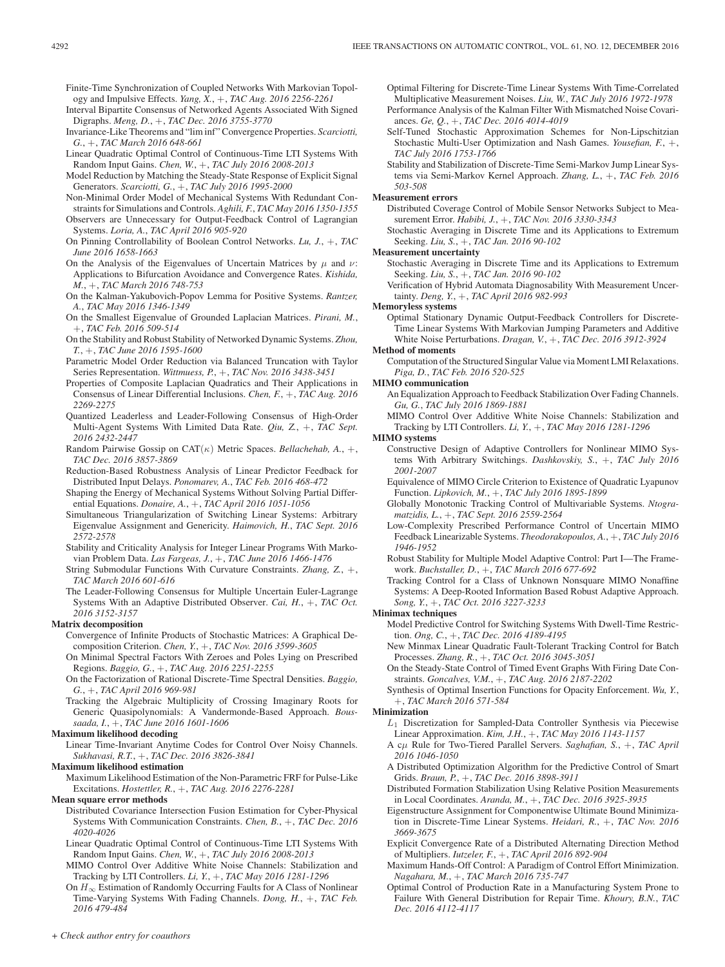Finite-Time Synchronization of Coupled Networks With Markovian Topology and Impulsive Effects. *Yang, X.*, +, *TAC Aug. 2016 2256-2261*

- Interval Bipartite Consensus of Networked Agents Associated With Signed Digraphs. *Meng, D.*, +, *TAC Dec. 2016 3755-3770*
- Invariance-Like Theorems and "lim inf" Convergence Properties. *Scarciotti, G.*, +, *TAC March 2016 648-661*
- Linear Quadratic Optimal Control of Continuous-Time LTI Systems With Random Input Gains. *Chen, W.*, +, *TAC July 2016 2008-2013*
- Model Reduction by Matching the Steady-State Response of Explicit Signal Generators. *Scarciotti, G.*, +, *TAC July 2016 1995-2000*
- Non-Minimal Order Model of Mechanical Systems With Redundant Constraints for Simulations and Controls. *Aghili, F.*, *TAC May 2016 1350-1355*
- Observers are Unnecessary for Output-Feedback Control of Lagrangian Systems. *Loria, A.*, *TAC April 2016 905-920*
- On Pinning Controllability of Boolean Control Networks. *Lu, J.*, +, *TAC June 2016 1658-1663*
- On the Analysis of the Eigenvalues of Uncertain Matrices by  $\mu$  and  $\nu$ : Applications to Bifurcation Avoidance and Convergence Rates. *Kishida, M.*, +, *TAC March 2016 748-753*
- On the Kalman-Yakubovich-Popov Lemma for Positive Systems. *Rantzer, A.*, *TAC May 2016 1346-1349*
- On the Smallest Eigenvalue of Grounded Laplacian Matrices. *Pirani, M.*, +, *TAC Feb. 2016 509-514*
- On the Stability and Robust Stability of Networked Dynamic Systems. *Zhou, T.*, +, *TAC June 2016 1595-1600*
- Parametric Model Order Reduction via Balanced Truncation with Taylor Series Representation. *Wittmuess, P.*, +, *TAC Nov. 2016 3438-3451*
- Properties of Composite Laplacian Quadratics and Their Applications in Consensus of Linear Differential Inclusions. *Chen, F.*, +, *TAC Aug. 2016 2269-2275*
- Quantized Leaderless and Leader-Following Consensus of High-Order Multi-Agent Systems With Limited Data Rate. *Qiu, Z.*, +, *TAC Sept. 2016 2432-2447*
- Random Pairwise Gossip on CAT(κ) Metric Spaces. *Bellachehab, A.*, +, *TAC Dec. 2016 3857-3869*
- Reduction-Based Robustness Analysis of Linear Predictor Feedback for Distributed Input Delays. *Ponomarev, A.*, *TAC Feb. 2016 468-472*
- Shaping the Energy of Mechanical Systems Without Solving Partial Differential Equations. *Donaire, A.*, +, *TAC April 2016 1051-1056*
- Simultaneous Triangularization of Switching Linear Systems: Arbitrary Eigenvalue Assignment and Genericity. *Haimovich, H.*, *TAC Sept. 2016 2572-2578*
- Stability and Criticality Analysis for Integer Linear Programs With Markovian Problem Data. *Las Fargeas, J.*, +, *TAC June 2016 1466-1476*
- String Submodular Functions With Curvature Constraints. *Zhang, Z.*, +, *TAC March 2016 601-616*
- The Leader-Following Consensus for Multiple Uncertain Euler-Lagrange Systems With an Adaptive Distributed Observer. *Cai, H.*, +, *TAC Oct. 2016 3152-3157*

# **Matrix decomposition**

Convergence of Infinite Products of Stochastic Matrices: A Graphical Decomposition Criterion. *Chen, Y.*, +, *TAC Nov. 2016 3599-3605*

On Minimal Spectral Factors With Zeroes and Poles Lying on Prescribed Regions. *Baggio, G.*, +, *TAC Aug. 2016 2251-2255*

- On the Factorization of Rational Discrete-Time Spectral Densities. *Baggio, G.*, +, *TAC April 2016 969-981*
- Tracking the Algebraic Multiplicity of Crossing Imaginary Roots for Generic Quasipolynomials: A Vandermonde-Based Approach. *Boussaada, I.*, +, *TAC June 2016 1601-1606*

#### **Maximum likelihood decoding**

Linear Time-Invariant Anytime Codes for Control Over Noisy Channels. *Sukhavasi, R.T.*, +, *TAC Dec. 2016 3826-3841*

# **Maximum likelihood estimation**

Maximum Likelihood Estimation of the Non-Parametric FRF for Pulse-Like Excitations. *Hostettler, R.*, +, *TAC Aug. 2016 2276-2281*

# **Mean square error methods**

- Distributed Covariance Intersection Fusion Estimation for Cyber-Physical Systems With Communication Constraints. *Chen, B.*, +, *TAC Dec. 2016 4020-4026*
- Linear Quadratic Optimal Control of Continuous-Time LTI Systems With Random Input Gains. *Chen, W.*, +, *TAC July 2016 2008-2013*
- MIMO Control Over Additive White Noise Channels: Stabilization and Tracking by LTI Controllers. *Li, Y.*, +, *TAC May 2016 1281-1296*
- On  $H_{\infty}$  Estimation of Randomly Occurring Faults for A Class of Nonlinear Time-Varying Systems With Fading Channels. *Dong, H.*, +, *TAC Feb. 2016 479-484*

Optimal Filtering for Discrete-Time Linear Systems With Time-Correlated Multiplicative Measurement Noises. *Liu, W.*, *TAC July 2016 1972-1978* Performance Analysis of the Kalman Filter With Mismatched Noise Covariances. *Ge, Q.*, +, *TAC Dec. 2016 4014-4019*

Self-Tuned Stochastic Approximation Schemes for Non-Lipschitzian Stochastic Multi-User Optimization and Nash Games. *Yousefian, F.*, +, *TAC July 2016 1753-1766*

Stability and Stabilization of Discrete-Time Semi-Markov Jump Linear Systems via Semi-Markov Kernel Approach. *Zhang, L.*, +, *TAC Feb. 2016 503-508*

#### **Measurement errors**

Distributed Coverage Control of Mobile Sensor Networks Subject to Measurement Error. *Habibi, J.*, +, *TAC Nov. 2016 3330-3343*

Stochastic Averaging in Discrete Time and its Applications to Extremum Seeking. *Liu, S.*, +, *TAC Jan. 2016 90-102*

## **Measurement uncertainty**

Stochastic Averaging in Discrete Time and its Applications to Extremum Seeking. *Liu, S.*, +, *TAC Jan. 2016 90-102*

Verification of Hybrid Automata Diagnosability With Measurement Uncertainty. *Deng, Y.*, +, *TAC April 2016 982-993*

#### **Memoryless systems**

Optimal Stationary Dynamic Output-Feedback Controllers for Discrete-Time Linear Systems With Markovian Jumping Parameters and Additive White Noise Perturbations. *Dragan, V.*, +, *TAC Dec. 2016 3912-3924*

# **Method of moments**

Computation of the Structured Singular Value via Moment LMI Relaxations. *Piga, D.*, *TAC Feb. 2016 520-525*

# **MIMO communication**

- An Equalization Approach to Feedback Stabilization Over Fading Channels. *Gu, G.*, *TAC July 2016 1869-1881*
- MIMO Control Over Additive White Noise Channels: Stabilization and Tracking by LTI Controllers. *Li, Y.*, +, *TAC May 2016 1281-1296*

# **MIMO systems**

- Constructive Design of Adaptive Controllers for Nonlinear MIMO Systems With Arbitrary Switchings. *Dashkovskiy, S.*, +, *TAC July 2016 2001-2007*
- Equivalence of MIMO Circle Criterion to Existence of Quadratic Lyapunov Function. *Lipkovich, M.*, +, *TAC July 2016 1895-1899*
- Globally Monotonic Tracking Control of Multivariable Systems. *Ntogramatzidis, L.*, +, *TAC Sept. 2016 2559-2564*
- Low-Complexity Prescribed Performance Control of Uncertain MIMO Feedback Linearizable Systems. *Theodorakopoulos, A.*, +, *TAC July 2016 1946-1952*
- Robust Stability for Multiple Model Adaptive Control: Part I—The Framework. *Buchstaller, D.*, +, *TAC March 2016 677-692*
- Tracking Control for a Class of Unknown Nonsquare MIMO Nonaffine Systems: A Deep-Rooted Information Based Robust Adaptive Approach. *Song, Y.*, +, *TAC Oct. 2016 3227-3233*

# **Minimax techniques**

- Model Predictive Control for Switching Systems With Dwell-Time Restriction. *Ong, C.*, +, *TAC Dec. 2016 4189-4195*
- New Minmax Linear Quadratic Fault-Tolerant Tracking Control for Batch Processes. *Zhang, R.*, +, *TAC Oct. 2016 3045-3051*
- On the Steady-State Control of Timed Event Graphs With Firing Date Constraints. *Goncalves, V.M.*, +, *TAC Aug. 2016 2187-2202*
- Synthesis of Optimal Insertion Functions for Opacity Enforcement. *Wu, Y.*, +, *TAC March 2016 571-584*

# **Minimization**

- L1 Discretization for Sampled-Data Controller Synthesis via Piecewise Linear Approximation. *Kim, J.H.*, +, *TAC May 2016 1143-1157*
- A cμ Rule for Two-Tiered Parallel Servers. *Saghafian, S.*, +, *TAC April 2016 1046-1050*
- A Distributed Optimization Algorithm for the Predictive Control of Smart Grids. *Braun, P.*, +, *TAC Dec. 2016 3898-3911*
- Distributed Formation Stabilization Using Relative Position Measurements in Local Coordinates. *Aranda, M.*, +, *TAC Dec. 2016 3925-3935*
- Eigenstructure Assignment for Componentwise Ultimate Bound Minimization in Discrete-Time Linear Systems. *Heidari, R.*, +, *TAC Nov. 2016 3669-3675*
- Explicit Convergence Rate of a Distributed Alternating Direction Method of Multipliers. *Iutzeler, F.*, +, *TAC April 2016 892-904*
- Maximum Hands-Off Control: A Paradigm of Control Effort Minimization. *Nagahara, M.*, +, *TAC March 2016 735-747*
- Optimal Control of Production Rate in a Manufacturing System Prone to Failure With General Distribution for Repair Time. *Khoury, B.N.*, *TAC Dec. 2016 4112-4117*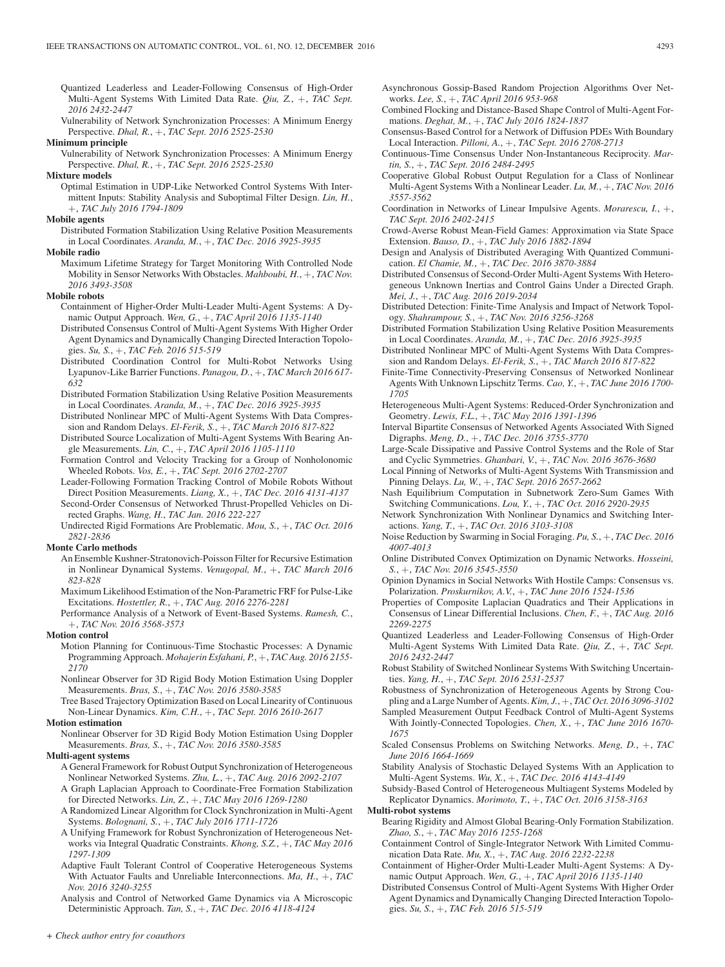- Quantized Leaderless and Leader-Following Consensus of High-Order Multi-Agent Systems With Limited Data Rate. *Qiu, Z.*, +, *TAC Sept. 2016 2432-2447*
- Vulnerability of Network Synchronization Processes: A Minimum Energy Perspective. *Dhal, R.*, +, *TAC Sept. 2016 2525-2530*

**Minimum principle**

Vulnerability of Network Synchronization Processes: A Minimum Energy Perspective. *Dhal, R.*, +, *TAC Sept. 2016 2525-2530*

#### **Mixture models**

Optimal Estimation in UDP-Like Networked Control Systems With Intermittent Inputs: Stability Analysis and Suboptimal Filter Design. *Lin, H.*, +, *TAC July 2016 1794-1809*

#### **Mobile agents**

Distributed Formation Stabilization Using Relative Position Measurements in Local Coordinates. *Aranda, M.*, +, *TAC Dec. 2016 3925-3935*

#### **Mobile radio**

Maximum Lifetime Strategy for Target Monitoring With Controlled Node Mobility in Sensor Networks With Obstacles. *Mahboubi, H.*, +, *TAC Nov. 2016 3493-3508*

#### **Mobile robots**

- Containment of Higher-Order Multi-Leader Multi-Agent Systems: A Dynamic Output Approach. *Wen, G.*, +, *TAC April 2016 1135-1140*
- Distributed Consensus Control of Multi-Agent Systems With Higher Order Agent Dynamics and Dynamically Changing Directed Interaction Topologies. *Su, S.*, +, *TAC Feb. 2016 515-519*
- Distributed Coordination Control for Multi-Robot Networks Using Lyapunov-Like Barrier Functions. *Panagou, D.*, +, *TAC March 2016 617- 632*
- Distributed Formation Stabilization Using Relative Position Measurements in Local Coordinates. *Aranda, M.*, +, *TAC Dec. 2016 3925-3935*
- Distributed Nonlinear MPC of Multi-Agent Systems With Data Compression and Random Delays. *El-Ferik, S.*, +, *TAC March 2016 817-822*
- Distributed Source Localization of Multi-Agent Systems With Bearing Angle Measurements. *Lin, C.*, +, *TAC April 2016 1105-1110*
- Formation Control and Velocity Tracking for a Group of Nonholonomic Wheeled Robots. *Vos, E.*, +, *TAC Sept. 2016 2702-2707*
- Leader-Following Formation Tracking Control of Mobile Robots Without Direct Position Measurements. *Liang, X.*, +, *TAC Dec. 2016 4131-4137* Second-Order Consensus of Networked Thrust-Propelled Vehicles on Di-

rected Graphs. *Wang, H.*, *TAC Jan. 2016 222-227* Undirected Rigid Formations Are Problematic. *Mou, S.*, +, *TAC Oct. 2016 2821-2836*

#### **Monte Carlo methods**

- An Ensemble Kushner-Stratonovich-Poisson Filter for Recursive Estimation in Nonlinear Dynamical Systems. *Venugopal, M.*, +, *TAC March 2016 823-828*
- Maximum Likelihood Estimation of the Non-Parametric FRF for Pulse-Like Excitations. *Hostettler, R.*, +, *TAC Aug. 2016 2276-2281*
- Performance Analysis of a Network of Event-Based Systems. *Ramesh, C.*, +, *TAC Nov. 2016 3568-3573*

# **Motion control**

- Motion Planning for Continuous-Time Stochastic Processes: A Dynamic Programming Approach. *Mohajerin Esfahani, P.*, +, *TAC Aug. 2016 2155- 2170*
- Nonlinear Observer for 3D Rigid Body Motion Estimation Using Doppler Measurements. *Bras, S.*, +, *TAC Nov. 2016 3580-3585*

Tree Based Trajectory Optimization Based on Local Linearity of Continuous Non-Linear Dynamics. *Kim, C.H.*, +, *TAC Sept. 2016 2610-2617*

# **Motion estimation**

Nonlinear Observer for 3D Rigid Body Motion Estimation Using Doppler Measurements. *Bras, S.*, +, *TAC Nov. 2016 3580-3585*

# **Multi-agent systems**

- A General Framework for Robust Output Synchronization of Heterogeneous Nonlinear Networked Systems. *Zhu, L.*, +, *TAC Aug. 2016 2092-2107*
- A Graph Laplacian Approach to Coordinate-Free Formation Stabilization for Directed Networks. *Lin, Z.*, +, *TAC May 2016 1269-1280*
- A Randomized Linear Algorithm for Clock Synchronization in Multi-Agent Systems. *Bolognani, S.*, +, *TAC July 2016 1711-1726*
- A Unifying Framework for Robust Synchronization of Heterogeneous Networks via Integral Quadratic Constraints. *Khong, S.Z.*, +, *TAC May 2016 1297-1309*
- Adaptive Fault Tolerant Control of Cooperative Heterogeneous Systems With Actuator Faults and Unreliable Interconnections. *Ma, H.*, +, *TAC Nov. 2016 3240-3255*
- Analysis and Control of Networked Game Dynamics via A Microscopic Deterministic Approach. *Tan, S.*, +, *TAC Dec. 2016 4118-4124*
- Asynchronous Gossip-Based Random Projection Algorithms Over Networks. *Lee, S.*, +, *TAC April 2016 953-968*
- Combined Flocking and Distance-Based Shape Control of Multi-Agent Formations. *Deghat, M.*, +, *TAC July 2016 1824-1837*
- Consensus-Based Control for a Network of Diffusion PDEs With Boundary Local Interaction. *Pilloni, A.*, +, *TAC Sept. 2016 2708-2713*
- Continuous-Time Consensus Under Non-Instantaneous Reciprocity. *Martin, S.*, +, *TAC Sept. 2016 2484-2495*
- Cooperative Global Robust Output Regulation for a Class of Nonlinear Multi-Agent Systems With a Nonlinear Leader. *Lu, M.*, +, *TAC Nov. 2016 3557-3562*
- Coordination in Networks of Linear Impulsive Agents. *Morarescu, I.*, +, *TAC Sept. 2016 2402-2415*
- Crowd-Averse Robust Mean-Field Games: Approximation via State Space Extension. *Bauso, D.*, +, *TAC July 2016 1882-1894*
- Design and Analysis of Distributed Averaging With Quantized Communication. *El Chamie, M.*, +, *TAC Dec. 2016 3870-3884*
- Distributed Consensus of Second-Order Multi-Agent Systems With Heterogeneous Unknown Inertias and Control Gains Under a Directed Graph. *Mei, J.*, +, *TAC Aug. 2016 2019-2034*
- Distributed Detection: Finite-Time Analysis and Impact of Network Topology. *Shahrampour, S.*, +, *TAC Nov. 2016 3256-3268*
- Distributed Formation Stabilization Using Relative Position Measurements in Local Coordinates. *Aranda, M.*, +, *TAC Dec. 2016 3925-3935*
- Distributed Nonlinear MPC of Multi-Agent Systems With Data Compression and Random Delays. *El-Ferik, S.*, +, *TAC March 2016 817-822*
- Finite-Time Connectivity-Preserving Consensus of Networked Nonlinear Agents With Unknown Lipschitz Terms. *Cao, Y.*, +, *TAC June 2016 1700- 1705*
- Heterogeneous Multi-Agent Systems: Reduced-Order Synchronization and Geometry. *Lewis, F.L.*, +, *TAC May 2016 1391-1396*
- Interval Bipartite Consensus of Networked Agents Associated With Signed Digraphs. *Meng, D.*, +, *TAC Dec. 2016 3755-3770*
- Large-Scale Dissipative and Passive Control Systems and the Role of Star and Cyclic Symmetries. *Ghanbari, V.*, +, *TAC Nov. 2016 3676-3680*
- Local Pinning of Networks of Multi-Agent Systems With Transmission and Pinning Delays. *Lu, W.*, +, *TAC Sept. 2016 2657-2662*
- Nash Equilibrium Computation in Subnetwork Zero-Sum Games With Switching Communications. *Lou, Y.*, +, *TAC Oct. 2016 2920-2935*
- Network Synchronization With Nonlinear Dynamics and Switching Interactions. *Yang, T.*, +, *TAC Oct. 2016 3103-3108*
- Noise Reduction by Swarming in Social Foraging. *Pu, S.*, +, *TAC Dec. 2016 4007-4013*
- Online Distributed Convex Optimization on Dynamic Networks. *Hosseini, S.*, +, *TAC Nov. 2016 3545-3550*
- Opinion Dynamics in Social Networks With Hostile Camps: Consensus vs. Polarization. *Proskurnikov, A.V.*, +, *TAC June 2016 1524-1536*
- Properties of Composite Laplacian Quadratics and Their Applications in Consensus of Linear Differential Inclusions. *Chen, F.*, +, *TAC Aug. 2016 2269-2275*
- Quantized Leaderless and Leader-Following Consensus of High-Order Multi-Agent Systems With Limited Data Rate. *Qiu, Z.*, +, *TAC Sept. 2016 2432-2447*
- Robust Stability of Switched Nonlinear Systems With Switching Uncertainties. *Yang, H.*, +, *TAC Sept. 2016 2531-2537*
- Robustness of Synchronization of Heterogeneous Agents by Strong Coupling and a Large Number of Agents.*Kim, J.*, +, *TAC Oct. 2016 3096-3102*
- Sampled Measurement Output Feedback Control of Multi-Agent Systems With Jointly-Connected Topologies. *Chen, X.*, +, *TAC June 2016 1670- 1675*
- Scaled Consensus Problems on Switching Networks. *Meng, D.*, +, *TAC June 2016 1664-1669*
- Stability Analysis of Stochastic Delayed Systems With an Application to Multi-Agent Systems. *Wu, X.*, +, *TAC Dec. 2016 4143-4149*

Subsidy-Based Control of Heterogeneous Multiagent Systems Modeled by Replicator Dynamics. *Morimoto, T.*, +, *TAC Oct. 2016 3158-3163*

#### **Multi-robot systems**

- Bearing Rigidity and Almost Global Bearing-Only Formation Stabilization. *Zhao, S.*, +, *TAC May 2016 1255-1268*
- Containment Control of Single-Integrator Network With Limited Communication Data Rate. *Mu, X.*, +, *TAC Aug. 2016 2232-2238*
- Containment of Higher-Order Multi-Leader Multi-Agent Systems: A Dynamic Output Approach. *Wen, G.*, +, *TAC April 2016 1135-1140*
- Distributed Consensus Control of Multi-Agent Systems With Higher Order Agent Dynamics and Dynamically Changing Directed Interaction Topologies. *Su, S.*, +, *TAC Feb. 2016 515-519*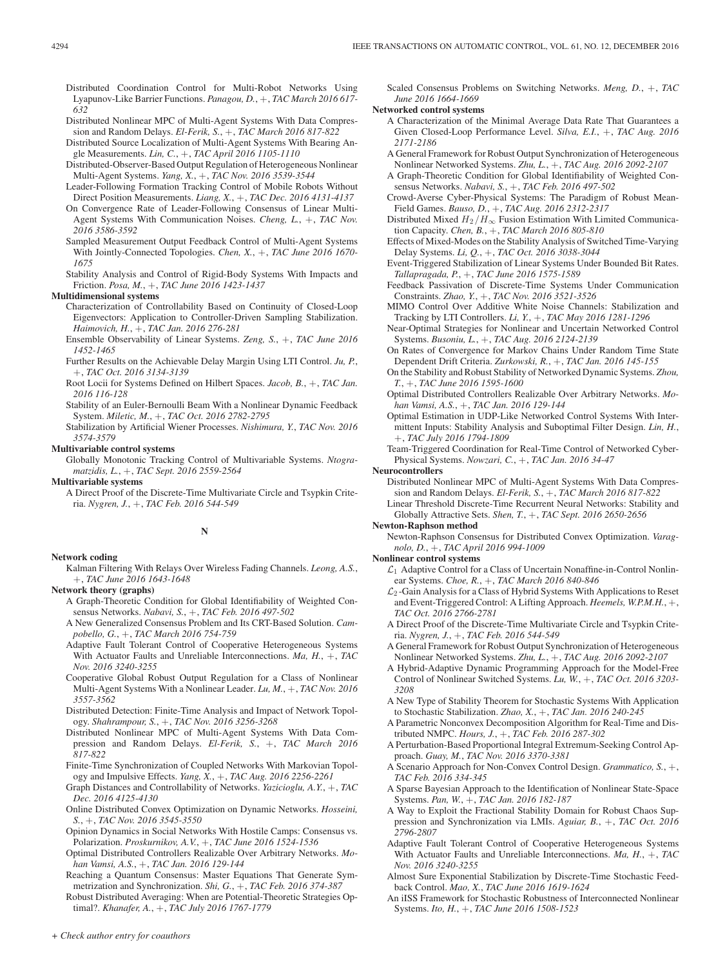- Distributed Nonlinear MPC of Multi-Agent Systems With Data Compression and Random Delays. *El-Ferik, S.*, +, *TAC March 2016 817-822*
- Distributed Source Localization of Multi-Agent Systems With Bearing Angle Measurements. *Lin, C.*, +, *TAC April 2016 1105-1110*
- Distributed-Observer-Based Output Regulation of Heterogeneous Nonlinear Multi-Agent Systems. *Yang, X.*, +, *TAC Nov. 2016 3539-3544*
- Leader-Following Formation Tracking Control of Mobile Robots Without Direct Position Measurements. *Liang, X.*, +, *TAC Dec. 2016 4131-4137*
- On Convergence Rate of Leader-Following Consensus of Linear Multi-Agent Systems With Communication Noises. *Cheng, L.*, +, *TAC Nov. 2016 3586-3592*
- Sampled Measurement Output Feedback Control of Multi-Agent Systems With Jointly-Connected Topologies. *Chen, X.*, +, *TAC June 2016 1670- 1675*
- Stability Analysis and Control of Rigid-Body Systems With Impacts and Friction. *Posa, M.*, +, *TAC June 2016 1423-1437*

# **Multidimensional systems**

- Characterization of Controllability Based on Continuity of Closed-Loop Eigenvectors: Application to Controller-Driven Sampling Stabilization. *Haimovich, H.*, +, *TAC Jan. 2016 276-281*
- Ensemble Observability of Linear Systems. *Zeng, S.*, +, *TAC June 2016 1452-1465*
- Further Results on the Achievable Delay Margin Using LTI Control. *Ju, P.*, +, *TAC Oct. 2016 3134-3139*
- Root Locii for Systems Defined on Hilbert Spaces. *Jacob, B.*, +, *TAC Jan. 2016 116-128*
- Stability of an Euler-Bernoulli Beam With a Nonlinear Dynamic Feedback System. *Miletic, M.*, +, *TAC Oct. 2016 2782-2795*
- Stabilization by Artificial Wiener Processes. *Nishimura, Y.*, *TAC Nov. 2016 3574-3579*

# **Multivariable control systems**

Globally Monotonic Tracking Control of Multivariable Systems. *Ntogramatzidis, L.*, +, *TAC Sept. 2016 2559-2564*

**Multivariable systems**

A Direct Proof of the Discrete-Time Multivariate Circle and Tsypkin Criteria. *Nygren, J.*, +, *TAC Feb. 2016 544-549*

## **N**

# **Network coding**

Kalman Filtering With Relays Over Wireless Fading Channels. *Leong, A.S.*, +, *TAC June 2016 1643-1648*

# **Network theory (graphs)**

- A Graph-Theoretic Condition for Global Identifiability of Weighted Consensus Networks. *Nabavi, S.*, +, *TAC Feb. 2016 497-502*
- A New Generalized Consensus Problem and Its CRT-Based Solution. *Campobello, G.*, +, *TAC March 2016 754-759*
- Adaptive Fault Tolerant Control of Cooperative Heterogeneous Systems With Actuator Faults and Unreliable Interconnections. *Ma, H.*, +, *TAC Nov. 2016 3240-3255*
- Cooperative Global Robust Output Regulation for a Class of Nonlinear Multi-Agent Systems With a Nonlinear Leader. *Lu, M.*, +, *TAC Nov. 2016 3557-3562*
- Distributed Detection: Finite-Time Analysis and Impact of Network Topology. *Shahrampour, S.*, +, *TAC Nov. 2016 3256-3268*
- Distributed Nonlinear MPC of Multi-Agent Systems With Data Compression and Random Delays. *El-Ferik, S.*, +, *TAC March 2016 817-822*
- Finite-Time Synchronization of Coupled Networks With Markovian Topology and Impulsive Effects. *Yang, X.*, +, *TAC Aug. 2016 2256-2261*
- Graph Distances and Controllability of Networks. *Yazicioglu, A.Y.*, +, *TAC Dec. 2016 4125-4130*
- Online Distributed Convex Optimization on Dynamic Networks. *Hosseini, S.*, +, *TAC Nov. 2016 3545-3550*
- Opinion Dynamics in Social Networks With Hostile Camps: Consensus vs. Polarization. *Proskurnikov, A.V.*, +, *TAC June 2016 1524-1536*
- Optimal Distributed Controllers Realizable Over Arbitrary Networks. *Mohan Vamsi, A.S.*, +, *TAC Jan. 2016 129-144*
- Reaching a Quantum Consensus: Master Equations That Generate Symmetrization and Synchronization. *Shi, G.*, +, *TAC Feb. 2016 374-387*
- Robust Distributed Averaging: When are Potential-Theoretic Strategies Optimal?. *Khanafer, A.*, +, *TAC July 2016 1767-1779*

Scaled Consensus Problems on Switching Networks. *Meng, D.*, +, *TAC June 2016 1664-1669*

## **Networked control systems**

- A Characterization of the Minimal Average Data Rate That Guarantees a Given Closed-Loop Performance Level. *Silva, E.I.*, +, *TAC Aug. 2016 2171-2186*
- A General Framework for Robust Output Synchronization of Heterogeneous Nonlinear Networked Systems. *Zhu, L.*, +, *TAC Aug. 2016 2092-2107*
- A Graph-Theoretic Condition for Global Identifiability of Weighted Consensus Networks. *Nabavi, S.*, +, *TAC Feb. 2016 497-502*
- Crowd-Averse Cyber-Physical Systems: The Paradigm of Robust Mean-Field Games. *Bauso, D.*, +, *TAC Aug. 2016 2312-2317*
- Distributed Mixed  $H_2/H_\infty$  Fusion Estimation With Limited Communication Capacity. *Chen, B.*, +, *TAC March 2016 805-810*
- Effects of Mixed-Modes on the Stability Analysis of Switched Time-Varying Delay Systems. *Li, Q.*, +, *TAC Oct. 2016 3038-3044*
- Event-Triggered Stabilization of Linear Systems Under Bounded Bit Rates. *Tallapragada, P.*, +, *TAC June 2016 1575-1589*
- Feedback Passivation of Discrete-Time Systems Under Communication Constraints. *Zhao, Y.*, +, *TAC Nov. 2016 3521-3526*
- MIMO Control Over Additive White Noise Channels: Stabilization and Tracking by LTI Controllers. *Li, Y.*, +, *TAC May 2016 1281-1296*
- Near-Optimal Strategies for Nonlinear and Uncertain Networked Control Systems. *Busoniu, L.*, +, *TAC Aug. 2016 2124-2139*
- On Rates of Convergence for Markov Chains Under Random Time State Dependent Drift Criteria. *Zurkowski, R.*, +, *TAC Jan. 2016 145-155*
- On the Stability and Robust Stability of Networked Dynamic Systems. *Zhou, T.*, +, *TAC June 2016 1595-1600*
- Optimal Distributed Controllers Realizable Over Arbitrary Networks. *Mohan Vamsi, A.S.*, +, *TAC Jan. 2016 129-144*
- Optimal Estimation in UDP-Like Networked Control Systems With Intermittent Inputs: Stability Analysis and Suboptimal Filter Design. *Lin, H.*, +, *TAC July 2016 1794-1809*
- Team-Triggered Coordination for Real-Time Control of Networked Cyber-Physical Systems. *Nowzari, C.*, +, *TAC Jan. 2016 34-47*

**Neurocontrollers**

- Distributed Nonlinear MPC of Multi-Agent Systems With Data Compression and Random Delays. *El-Ferik, S.*, +, *TAC March 2016 817-822*
- Linear Threshold Discrete-Time Recurrent Neural Networks: Stability and Globally Attractive Sets. *Shen, T.*, +, *TAC Sept. 2016 2650-2656*

# **Newton-Raphson method**

- Newton-Raphson Consensus for Distributed Convex Optimization. *Varagnolo, D.*, +, *TAC April 2016 994-1009*
- **Nonlinear control systems**  $\mathcal{L}_1$  Adaptive Control for a Class of Uncertain Nonaffine-in-Control Nonlinear Systems. *Choe, R.*, +, *TAC March 2016 840-846*
	- $\mathcal{L}_2$ -Gain Analysis for a Class of Hybrid Systems With Applications to Reset and Event-Triggered Control: A Lifting Approach. *Heemels, W.P.M.H.*, +, *TAC Oct. 2016 2766-2781*
	- A Direct Proof of the Discrete-Time Multivariate Circle and Tsypkin Criteria. *Nygren, J.*, +, *TAC Feb. 2016 544-549*
	- A General Framework for Robust Output Synchronization of Heterogeneous Nonlinear Networked Systems. *Zhu, L.*, +, *TAC Aug. 2016 2092-2107*
	- A Hybrid-Adaptive Dynamic Programming Approach for the Model-Free Control of Nonlinear Switched Systems. *Lu, W.*, +, *TAC Oct. 2016 3203- 3208*
	- A New Type of Stability Theorem for Stochastic Systems With Application to Stochastic Stabilization. *Zhao, X.*, +, *TAC Jan. 2016 240-245*
	- A Parametric Nonconvex Decomposition Algorithm for Real-Time and Distributed NMPC. *Hours, J.*, +, *TAC Feb. 2016 287-302*
	- A Perturbation-Based Proportional Integral Extremum-Seeking Control Approach. *Guay, M.*, *TAC Nov. 2016 3370-3381*
	- A Scenario Approach for Non-Convex Control Design. *Grammatico, S.*, +, *TAC Feb. 2016 334-345*
	- A Sparse Bayesian Approach to the Identification of Nonlinear State-Space Systems. *Pan, W.*, +, *TAC Jan. 2016 182-187*
	- A Way to Exploit the Fractional Stability Domain for Robust Chaos Suppression and Synchronization via LMIs. *Aguiar, B.*, +, *TAC Oct. 2016 2796-2807*
	- Adaptive Fault Tolerant Control of Cooperative Heterogeneous Systems With Actuator Faults and Unreliable Interconnections. *Ma, H.*, +, *TAC Nov. 2016 3240-3255*
	- Almost Sure Exponential Stabilization by Discrete-Time Stochastic Feedback Control. *Mao, X.*, *TAC June 2016 1619-1624*
	- An iISS Framework for Stochastic Robustness of Interconnected Nonlinear Systems. *Ito, H.*, +, *TAC June 2016 1508-1523*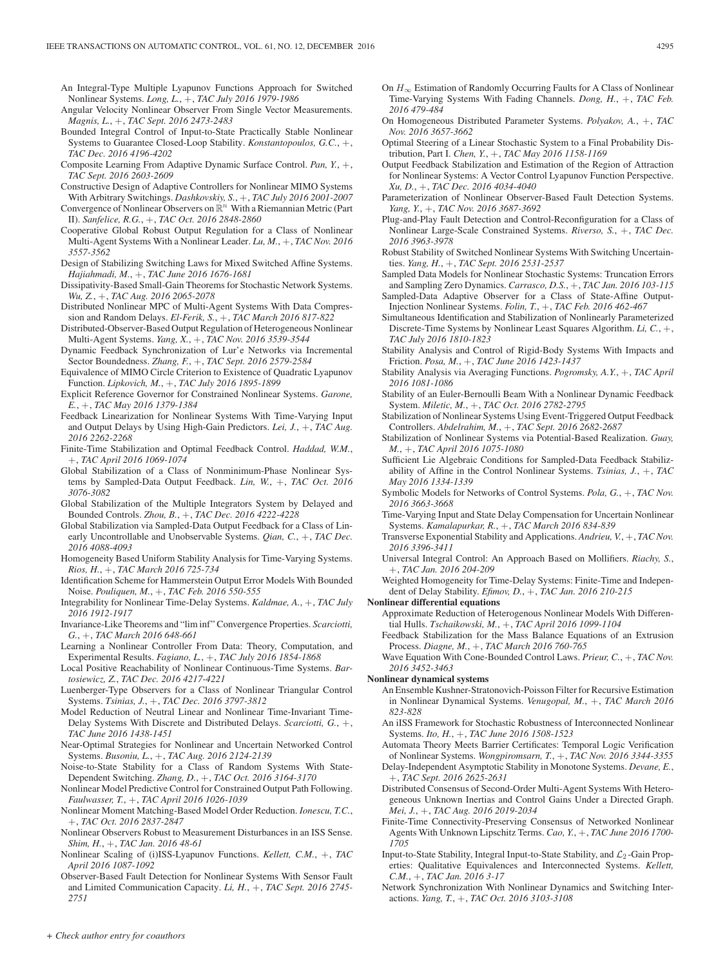An Integral-Type Multiple Lyapunov Functions Approach for Switched Nonlinear Systems. *Long, L.*, +, *TAC July 2016 1979-1986*

- Angular Velocity Nonlinear Observer From Single Vector Measurements. *Magnis, L.*, +, *TAC Sept. 2016 2473-2483*
- Bounded Integral Control of Input-to-State Practically Stable Nonlinear Systems to Guarantee Closed-Loop Stability. *Konstantopoulos, G.C.*, +, *TAC Dec. 2016 4196-4202*
- Composite Learning From Adaptive Dynamic Surface Control. *Pan, Y.*, +, *TAC Sept. 2016 2603-2609*
- Constructive Design of Adaptive Controllers for Nonlinear MIMO Systems With Arbitrary Switchings. *Dashkovskiy, S.*, +, *TAC July 2016 2001-2007*
- Convergence of Nonlinear Observers on  $\mathbb{R}^n$  With a Riemannian Metric (Part II). *Sanfelice, R.G.*, +, *TAC Oct. 2016 2848-2860*
- Cooperative Global Robust Output Regulation for a Class of Nonlinear Multi-Agent Systems With a Nonlinear Leader. *Lu, M.*, +, *TAC Nov. 2016 3557-3562*
- Design of Stabilizing Switching Laws for Mixed Switched Affine Systems. *Hajiahmadi, M.*, +, *TAC June 2016 1676-1681*
- Dissipativity-Based Small-Gain Theorems for Stochastic Network Systems. *Wu, Z.*, +, *TAC Aug. 2016 2065-2078*
- Distributed Nonlinear MPC of Multi-Agent Systems With Data Compression and Random Delays. *El-Ferik, S.*, +, *TAC March 2016 817-822*
- Distributed-Observer-Based Output Regulation of Heterogeneous Nonlinear Multi-Agent Systems. *Yang, X.*, +, *TAC Nov. 2016 3539-3544*
- Dynamic Feedback Synchronization of Lur'e Networks via Incremental Sector Boundedness. *Zhang, F.*, +, *TAC Sept. 2016 2579-2584*
- Equivalence of MIMO Circle Criterion to Existence of Quadratic Lyapunov Function. *Lipkovich, M.*, +, *TAC July 2016 1895-1899*
- Explicit Reference Governor for Constrained Nonlinear Systems. *Garone, E.*, +, *TAC May 2016 1379-1384*
- Feedback Linearization for Nonlinear Systems With Time-Varying Input and Output Delays by Using High-Gain Predictors. *Lei, J.*, +, *TAC Aug. 2016 2262-2268*
- Finite-Time Stabilization and Optimal Feedback Control. *Haddad, W.M.*, +, *TAC April 2016 1069-1074*
- Global Stabilization of a Class of Nonminimum-Phase Nonlinear Systems by Sampled-Data Output Feedback. *Lin, W.*, +, *TAC Oct. 2016 3076-3082*
- Global Stabilization of the Multiple Integrators System by Delayed and Bounded Controls. *Zhou, B.*, +, *TAC Dec. 2016 4222-4228*
- Global Stabilization via Sampled-Data Output Feedback for a Class of Linearly Uncontrollable and Unobservable Systems. *Qian, C.*, +, *TAC Dec. 2016 4088-4093*
- Homogeneity Based Uniform Stability Analysis for Time-Varying Systems. *Rios, H.*, +, *TAC March 2016 725-734*
- Identification Scheme for Hammerstein Output Error Models With Bounded Noise. *Pouliquen, M.*, +, *TAC Feb. 2016 550-555*
- Integrability for Nonlinear Time-Delay Systems. *Kaldmae, A.*, +, *TAC July 2016 1912-1917*
- Invariance-Like Theorems and "lim inf" Convergence Properties. *Scarciotti, G.*, +, *TAC March 2016 648-661*
- Learning a Nonlinear Controller From Data: Theory, Computation, and Experimental Results. *Fagiano, L.*, +, *TAC July 2016 1854-1868*
- Local Positive Reachability of Nonlinear Continuous-Time Systems. *Bartosiewicz, Z.*, *TAC Dec. 2016 4217-4221*
- Luenberger-Type Observers for a Class of Nonlinear Triangular Control Systems. *Tsinias, J.*, +, *TAC Dec. 2016 3797-3812*
- Model Reduction of Neutral Linear and Nonlinear Time-Invariant Time-Delay Systems With Discrete and Distributed Delays. *Scarciotti, G.*, +, *TAC June 2016 1438-1451*
- Near-Optimal Strategies for Nonlinear and Uncertain Networked Control Systems. *Busoniu, L.*, +, *TAC Aug. 2016 2124-2139*
- Noise-to-State Stability for a Class of Random Systems With State-Dependent Switching. *Zhang, D.*, +, *TAC Oct. 2016 3164-3170*
- Nonlinear Model Predictive Control for Constrained Output Path Following. *Faulwasser, T.*, +, *TAC April 2016 1026-1039*
- Nonlinear Moment Matching-Based Model Order Reduction. *Ionescu, T.C.*, +, *TAC Oct. 2016 2837-2847*
- Nonlinear Observers Robust to Measurement Disturbances in an ISS Sense. *Shim, H.*, +, *TAC Jan. 2016 48-61*
- Nonlinear Scaling of (i)ISS-Lyapunov Functions. *Kellett, C.M.*, +, *TAC April 2016 1087-1092*
- Observer-Based Fault Detection for Nonlinear Systems With Sensor Fault and Limited Communication Capacity. *Li, H.*, +, *TAC Sept. 2016 2745- 2751*
- On  $H_{\infty}$  Estimation of Randomly Occurring Faults for A Class of Nonlinear Time-Varying Systems With Fading Channels. *Dong, H.*, +, *TAC Feb. 2016 479-484*
- On Homogeneous Distributed Parameter Systems. *Polyakov, A.*, +, *TAC Nov. 2016 3657-3662*
- Optimal Steering of a Linear Stochastic System to a Final Probability Distribution, Part I. *Chen, Y.*, +, *TAC May 2016 1158-1169*
- Output Feedback Stabilization and Estimation of the Region of Attraction for Nonlinear Systems: A Vector Control Lyapunov Function Perspective. *Xu, D.*, +, *TAC Dec. 2016 4034-4040*
- Parameterization of Nonlinear Observer-Based Fault Detection Systems. *Yang, Y.*, +, *TAC Nov. 2016 3687-3692*
- Plug-and-Play Fault Detection and Control-Reconfiguration for a Class of Nonlinear Large-Scale Constrained Systems. *Riverso, S.*, +, *TAC Dec. 2016 3963-3978*
- Robust Stability of Switched Nonlinear Systems With Switching Uncertainties. *Yang, H.*, +, *TAC Sept. 2016 2531-2537*
- Sampled Data Models for Nonlinear Stochastic Systems: Truncation Errors and Sampling Zero Dynamics. *Carrasco, D.S.*, +, *TAC Jan. 2016 103-115*
- Sampled-Data Adaptive Observer for a Class of State-Affine Output-Injection Nonlinear Systems. *Folin, T.*, +, *TAC Feb. 2016 462-467*
- Simultaneous Identification and Stabilization of Nonlinearly Parameterized Discrete-Time Systems by Nonlinear Least Squares Algorithm. *Li, C.*, +, *TAC July 2016 1810-1823*
- Stability Analysis and Control of Rigid-Body Systems With Impacts and Friction. *Posa, M.*, +, *TAC June 2016 1423-1437*
- Stability Analysis via Averaging Functions. *Pogromsky, A.Y.*, +, *TAC April 2016 1081-1086*
- Stability of an Euler-Bernoulli Beam With a Nonlinear Dynamic Feedback System. *Miletic, M.*, +, *TAC Oct. 2016 2782-2795*
- Stabilization of Nonlinear Systems Using Event-Triggered Output Feedback Controllers. *Abdelrahim, M.*, +, *TAC Sept. 2016 2682-2687*
- Stabilization of Nonlinear Systems via Potential-Based Realization. *Guay, M.*, +, *TAC April 2016 1075-1080*
- Sufficient Lie Algebraic Conditions for Sampled-Data Feedback Stabilizability of Affine in the Control Nonlinear Systems. *Tsinias, J.*, +, *TAC May 2016 1334-1339*
- Symbolic Models for Networks of Control Systems. *Pola, G.*, +, *TAC Nov. 2016 3663-3668*
- Time-Varying Input and State Delay Compensation for Uncertain Nonlinear Systems. *Kamalapurkar, R.*, +, *TAC March 2016 834-839*
- Transverse Exponential Stability and Applications. *Andrieu, V.*, +, *TAC Nov. 2016 3396-3411*
- Universal Integral Control: An Approach Based on Mollifiers. *Riachy, S.*, +, *TAC Jan. 2016 204-209*
- Weighted Homogeneity for Time-Delay Systems: Finite-Time and Independent of Delay Stability. *Efimov, D.*, +, *TAC Jan. 2016 210-215*

#### **Nonlinear differential equations**

- Approximate Reduction of Heterogenous Nonlinear Models With Differential Hulls. *Tschaikowski, M.*, +, *TAC April 2016 1099-1104*
- Feedback Stabilization for the Mass Balance Equations of an Extrusion Process. *Diagne, M.*, +, *TAC March 2016 760-765*
- Wave Equation With Cone-Bounded Control Laws. *Prieur, C.*, +, *TAC Nov. 2016 3452-3463*

#### **Nonlinear dynamical systems**

- An Ensemble Kushner-Stratonovich-Poisson Filter for Recursive Estimation in Nonlinear Dynamical Systems. *Venugopal, M.*, +, *TAC March 2016 823-828*
- An iISS Framework for Stochastic Robustness of Interconnected Nonlinear Systems. *Ito, H.*, +, *TAC June 2016 1508-1523*
- Automata Theory Meets Barrier Certificates: Temporal Logic Verification of Nonlinear Systems. *Wongpiromsarn, T.*, +, *TAC Nov. 2016 3344-3355*
- Delay-Independent Asymptotic Stability in Monotone Systems. *Devane, E.*, +, *TAC Sept. 2016 2625-2631*
- Distributed Consensus of Second-Order Multi-Agent Systems With Heterogeneous Unknown Inertias and Control Gains Under a Directed Graph. *Mei, J.*, +, *TAC Aug. 2016 2019-2034*
- Finite-Time Connectivity-Preserving Consensus of Networked Nonlinear Agents With Unknown Lipschitz Terms. *Cao, Y.*, +, *TAC June 2016 1700- 1705*
- Input-to-State Stability, Integral Input-to-State Stability, and  $\mathcal{L}_2$ -Gain Properties: Qualitative Equivalences and Interconnected Systems. *Kellett, C.M.*, +, *TAC Jan. 2016 3-17*
- Network Synchronization With Nonlinear Dynamics and Switching Interactions. *Yang, T.*, +, *TAC Oct. 2016 3103-3108*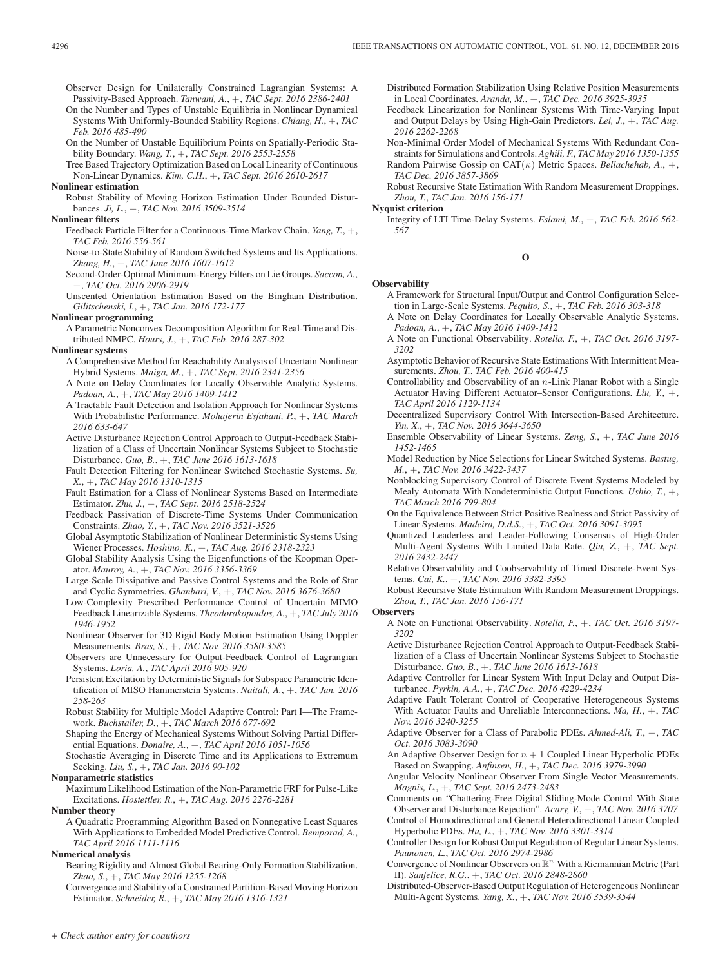Observer Design for Unilaterally Constrained Lagrangian Systems: A Passivity-Based Approach. *Tanwani, A.*, +, *TAC Sept. 2016 2386-2401*

- On the Number and Types of Unstable Equilibria in Nonlinear Dynamical Systems With Uniformly-Bounded Stability Regions. *Chiang, H.*, +, *TAC Feb. 2016 485-490*
- On the Number of Unstable Equilibrium Points on Spatially-Periodic Stability Boundary. *Wang, T.*, +, *TAC Sept. 2016 2553-2558*
- Tree Based Trajectory Optimization Based on Local Linearity of Continuous Non-Linear Dynamics. *Kim, C.H.*, +, *TAC Sept. 2016 2610-2617*

# **Nonlinear estimation**

Robust Stability of Moving Horizon Estimation Under Bounded Disturbances. *Ji, L.*, +, *TAC Nov. 2016 3509-3514*

# **Nonlinear filters**

- Feedback Particle Filter for a Continuous-Time Markov Chain. *Yang, T.*, +, *TAC Feb. 2016 556-561*
- Noise-to-State Stability of Random Switched Systems and Its Applications. *Zhang, H.*, +, *TAC June 2016 1607-1612*
- Second-Order-Optimal Minimum-Energy Filters on Lie Groups. *Saccon, A.*, +, *TAC Oct. 2016 2906-2919*
- Unscented Orientation Estimation Based on the Bingham Distribution. *Gilitschenski, I.*, +, *TAC Jan. 2016 172-177*

#### **Nonlinear programming**

A Parametric Nonconvex Decomposition Algorithm for Real-Time and Distributed NMPC. *Hours, J.*, +, *TAC Feb. 2016 287-302*

# **Nonlinear systems**

- A Comprehensive Method for Reachability Analysis of Uncertain Nonlinear Hybrid Systems. *Maiga, M.*, +, *TAC Sept. 2016 2341-2356*
- A Note on Delay Coordinates for Locally Observable Analytic Systems. *Padoan, A.*, +, *TAC May 2016 1409-1412*
- A Tractable Fault Detection and Isolation Approach for Nonlinear Systems With Probabilistic Performance. *Mohajerin Esfahani, P.*, +, *TAC March 2016 633-647*
- Active Disturbance Rejection Control Approach to Output-Feedback Stabilization of a Class of Uncertain Nonlinear Systems Subject to Stochastic Disturbance. *Guo, B.*, +, *TAC June 2016 1613-1618*
- Fault Detection Filtering for Nonlinear Switched Stochastic Systems. *Su, X.*, +, *TAC May 2016 1310-1315*
- Fault Estimation for a Class of Nonlinear Systems Based on Intermediate Estimator. *Zhu, J.*, +, *TAC Sept. 2016 2518-2524*
- Feedback Passivation of Discrete-Time Systems Under Communication Constraints. *Zhao, Y.*, +, *TAC Nov. 2016 3521-3526*
- Global Asymptotic Stabilization of Nonlinear Deterministic Systems Using Wiener Processes. *Hoshino, K.*, +, *TAC Aug. 2016 2318-2323*
- Global Stability Analysis Using the Eigenfunctions of the Koopman Operator. *Mauroy, A.*, +, *TAC Nov. 2016 3356-3369*
- Large-Scale Dissipative and Passive Control Systems and the Role of Star and Cyclic Symmetries. *Ghanbari, V.*, +, *TAC Nov. 2016 3676-3680*
- Low-Complexity Prescribed Performance Control of Uncertain MIMO Feedback Linearizable Systems. *Theodorakopoulos, A.*, +, *TAC July 2016 1946-1952*
- Nonlinear Observer for 3D Rigid Body Motion Estimation Using Doppler Measurements. *Bras, S.*, +, *TAC Nov. 2016 3580-3585*

Observers are Unnecessary for Output-Feedback Control of Lagrangian Systems. *Loria, A.*, *TAC April 2016 905-920*

- Persistent Excitation by Deterministic Signals for Subspace Parametric Identification of MISO Hammerstein Systems. *Naitali, A.*, +, *TAC Jan. 2016 258-263*
- Robust Stability for Multiple Model Adaptive Control: Part I—The Framework. *Buchstaller, D.*, +, *TAC March 2016 677-692*
- Shaping the Energy of Mechanical Systems Without Solving Partial Differential Equations. *Donaire, A.*, +, *TAC April 2016 1051-1056*
- Stochastic Averaging in Discrete Time and its Applications to Extremum Seeking. *Liu, S.*, +, *TAC Jan. 2016 90-102*

**Nonparametric statistics**

Maximum Likelihood Estimation of the Non-Parametric FRF for Pulse-Like Excitations. *Hostettler, R.*, +, *TAC Aug. 2016 2276-2281*

**Number theory**

A Quadratic Programming Algorithm Based on Nonnegative Least Squares With Applications to Embedded Model Predictive Control. *Bemporad, A.*, *TAC April 2016 1111-1116*

## **Numerical analysis**

Bearing Rigidity and Almost Global Bearing-Only Formation Stabilization. *Zhao, S.*, +, *TAC May 2016 1255-1268*

Convergence and Stability of a Constrained Partition-Based Moving Horizon Estimator. *Schneider, R.*, +, *TAC May 2016 1316-1321*

Distributed Formation Stabilization Using Relative Position Measurements in Local Coordinates. *Aranda, M.*, +, *TAC Dec. 2016 3925-3935*

- Feedback Linearization for Nonlinear Systems With Time-Varying Input and Output Delays by Using High-Gain Predictors. *Lei, J.*, +, *TAC Aug. 2016 2262-2268*
- Non-Minimal Order Model of Mechanical Systems With Redundant Constraints for Simulations and Controls. *Aghili, F.*, *TAC May 2016 1350-1355* Random Pairwise Gossip on CAT(κ) Metric Spaces. *Bellachehab, A.*, +, *TAC Dec. 2016 3857-3869*

Robust Recursive State Estimation With Random Measurement Droppings. *Zhou, T.*, *TAC Jan. 2016 156-171*

## **Nyquist criterion**

Integrity of LTI Time-Delay Systems. *Eslami, M.*, +, *TAC Feb. 2016 562- 567*

**O**

#### **Observability**

- A Framework for Structural Input/Output and Control Configuration Selection in Large-Scale Systems. *Pequito, S.*, +, *TAC Feb. 2016 303-318*
- A Note on Delay Coordinates for Locally Observable Analytic Systems. *Padoan, A.*, +, *TAC May 2016 1409-1412*
- A Note on Functional Observability. *Rotella, F.*, +, *TAC Oct. 2016 3197- 3202*
- Asymptotic Behavior of Recursive State Estimations With Intermittent Measurements. *Zhou, T.*, *TAC Feb. 2016 400-415*
- Controllability and Observability of an  $n$ -Link Planar Robot with a Single Actuator Having Different Actuator–Sensor Configurations. *Liu, Y.*, +, *TAC April 2016 1129-1134*
- Decentralized Supervisory Control With Intersection-Based Architecture. *Yin, X.*, +, *TAC Nov. 2016 3644-3650*
- Ensemble Observability of Linear Systems. *Zeng, S.*, +, *TAC June 2016 1452-1465*
- Model Reduction by Nice Selections for Linear Switched Systems. *Bastug, M.*, +, *TAC Nov. 2016 3422-3437*
- Nonblocking Supervisory Control of Discrete Event Systems Modeled by Mealy Automata With Nondeterministic Output Functions. *Ushio, T.*, +, *TAC March 2016 799-804*
- On the Equivalence Between Strict Positive Realness and Strict Passivity of Linear Systems. *Madeira, D.d.S.*, +, *TAC Oct. 2016 3091-3095*
- Quantized Leaderless and Leader-Following Consensus of High-Order Multi-Agent Systems With Limited Data Rate. *Qiu, Z.*, +, *TAC Sept. 2016 2432-2447*
- Relative Observability and Coobservability of Timed Discrete-Event Systems. *Cai, K.*, +, *TAC Nov. 2016 3382-3395*
- Robust Recursive State Estimation With Random Measurement Droppings. *Zhou, T.*, *TAC Jan. 2016 156-171*

# **Observers**

- A Note on Functional Observability. *Rotella, F.*, +, *TAC Oct. 2016 3197- 3202*
- Active Disturbance Rejection Control Approach to Output-Feedback Stabilization of a Class of Uncertain Nonlinear Systems Subject to Stochastic Disturbance. *Guo, B.*, +, *TAC June 2016 1613-1618*
- Adaptive Controller for Linear System With Input Delay and Output Disturbance. *Pyrkin, A.A.*, +, *TAC Dec. 2016 4229-4234*
- Adaptive Fault Tolerant Control of Cooperative Heterogeneous Systems With Actuator Faults and Unreliable Interconnections. *Ma, H.*, +, *TAC Nov. 2016 3240-3255*
- Adaptive Observer for a Class of Parabolic PDEs. *Ahmed-Ali, T.*, +, *TAC Oct. 2016 3083-3090*
- An Adaptive Observer Design for  $n + 1$  Coupled Linear Hyperbolic PDEs Based on Swapping. *Anfinsen, H.*, +, *TAC Dec. 2016 3979-3990*
- Angular Velocity Nonlinear Observer From Single Vector Measurements. *Magnis, L.*, +, *TAC Sept. 2016 2473-2483*
- Comments on "Chattering-Free Digital Sliding-Mode Control With State Observer and Disturbance Rejection". *Acary, V.*, +, *TAC Nov. 2016 3707*
- Control of Homodirectional and General Heterodirectional Linear Coupled Hyperbolic PDEs. *Hu, L.*, +, *TAC Nov. 2016 3301-3314*

Controller Design for Robust Output Regulation of Regular Linear Systems. *Paunonen, L.*, *TAC Oct. 2016 2974-2986*

- Convergence of Nonlinear Observers on  $\mathbb{R}^n$  With a Riemannian Metric (Part II). *Sanfelice, R.G.*, +, *TAC Oct. 2016 2848-2860*
- Distributed-Observer-Based Output Regulation of Heterogeneous Nonlinear Multi-Agent Systems. *Yang, X.*, +, *TAC Nov. 2016 3539-3544*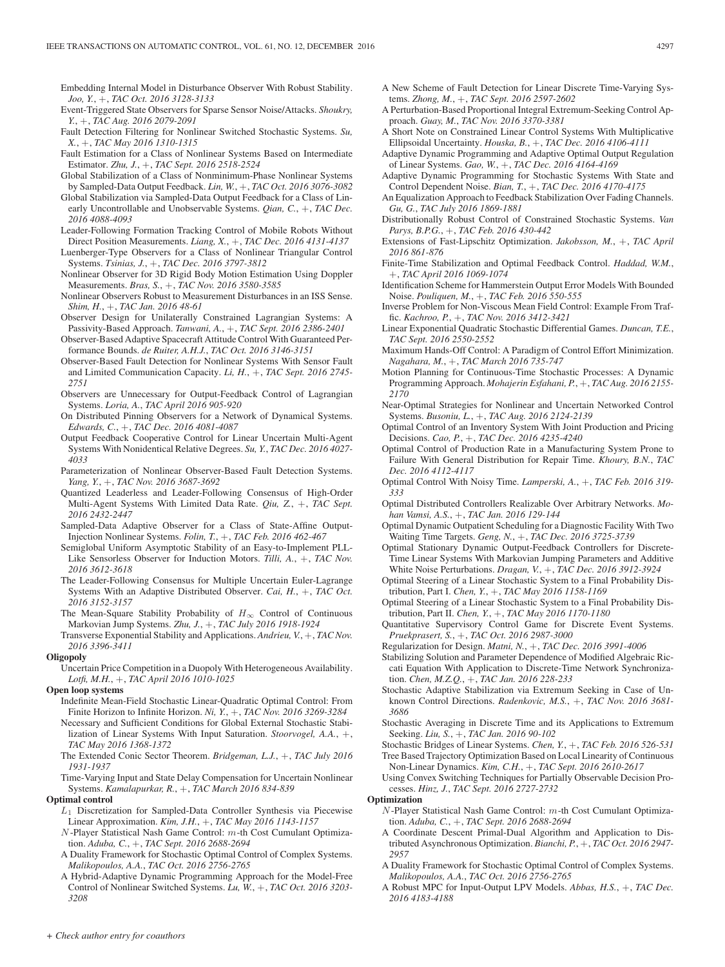Embedding Internal Model in Disturbance Observer With Robust Stability. *Joo, Y.*, +, *TAC Oct. 2016 3128-3133*

- Event-Triggered State Observers for Sparse Sensor Noise/Attacks. *Shoukry, Y.*, +, *TAC Aug. 2016 2079-2091*
- Fault Detection Filtering for Nonlinear Switched Stochastic Systems. *Su, X.*, +, *TAC May 2016 1310-1315*
- Fault Estimation for a Class of Nonlinear Systems Based on Intermediate Estimator. *Zhu, J.*, +, *TAC Sept. 2016 2518-2524*
- Global Stabilization of a Class of Nonminimum-Phase Nonlinear Systems by Sampled-Data Output Feedback. *Lin, W.*, +, *TAC Oct. 2016 3076-3082*
- Global Stabilization via Sampled-Data Output Feedback for a Class of Linearly Uncontrollable and Unobservable Systems. *Qian, C.*, +, *TAC Dec. 2016 4088-4093*
- Leader-Following Formation Tracking Control of Mobile Robots Without Direct Position Measurements. *Liang, X.*, +, *TAC Dec. 2016 4131-4137*
- Luenberger-Type Observers for a Class of Nonlinear Triangular Control Systems. *Tsinias, J.*, +, *TAC Dec. 2016 3797-3812*
- Nonlinear Observer for 3D Rigid Body Motion Estimation Using Doppler Measurements. *Bras, S.*, +, *TAC Nov. 2016 3580-3585*
- Nonlinear Observers Robust to Measurement Disturbances in an ISS Sense. *Shim, H.*, +, *TAC Jan. 2016 48-61*
- Observer Design for Unilaterally Constrained Lagrangian Systems: A Passivity-Based Approach. *Tanwani, A.*, +, *TAC Sept. 2016 2386-2401*
- Observer-Based Adaptive Spacecraft Attitude Control With Guaranteed Performance Bounds. *de Ruiter, A.H.J.*, *TAC Oct. 2016 3146-3151*
- Observer-Based Fault Detection for Nonlinear Systems With Sensor Fault and Limited Communication Capacity. *Li, H.*, +, *TAC Sept. 2016 2745- 2751*
- Observers are Unnecessary for Output-Feedback Control of Lagrangian Systems. *Loria, A.*, *TAC April 2016 905-920*
- On Distributed Pinning Observers for a Network of Dynamical Systems. *Edwards, C.*, +, *TAC Dec. 2016 4081-4087*
- Output Feedback Cooperative Control for Linear Uncertain Multi-Agent Systems With Nonidentical Relative Degrees. *Su, Y.*, *TAC Dec. 2016 4027- 4033*
- Parameterization of Nonlinear Observer-Based Fault Detection Systems. *Yang, Y.*, +, *TAC Nov. 2016 3687-3692*
- Quantized Leaderless and Leader-Following Consensus of High-Order Multi-Agent Systems With Limited Data Rate. *Qiu, Z.*, +, *TAC Sept. 2016 2432-2447*
- Sampled-Data Adaptive Observer for a Class of State-Affine Output-Injection Nonlinear Systems. *Folin, T.*, +, *TAC Feb. 2016 462-467*
- Semiglobal Uniform Asymptotic Stability of an Easy-to-Implement PLL-Like Sensorless Observer for Induction Motors. *Tilli, A.*, +, *TAC Nov. 2016 3612-3618*
- The Leader-Following Consensus for Multiple Uncertain Euler-Lagrange Systems With an Adaptive Distributed Observer. *Cai, H.*, +, *TAC Oct. 2016 3152-3157*
- The Mean-Square Stability Probability of  $H_{\infty}$  Control of Continuous Markovian Jump Systems. *Zhu, J.*, +, *TAC July 2016 1918-1924*
- Transverse Exponential Stability and Applications. *Andrieu, V.*, +, *TAC Nov. 2016 3396-3411*

## **Oligopoly**

Uncertain Price Competition in a Duopoly With Heterogeneous Availability. *Lotfi, M.H.*, +, *TAC April 2016 1010-1025*

- **Open loop systems**
	- Indefinite Mean-Field Stochastic Linear-Quadratic Optimal Control: From Finite Horizon to Infinite Horizon. *Ni, Y.*, +, *TAC Nov. 2016 3269-3284*
	- Necessary and Sufficient Conditions for Global External Stochastic Stabilization of Linear Systems With Input Saturation. *Stoorvogel, A.A.*, +, *TAC May 2016 1368-1372*
	- The Extended Conic Sector Theorem. *Bridgeman, L.J.*, +, *TAC July 2016 1931-1937*
	- Time-Varying Input and State Delay Compensation for Uncertain Nonlinear Systems. *Kamalapurkar, R.*, +, *TAC March 2016 834-839*

# **Optimal control**

- $L_1$  Discretization for Sampled-Data Controller Synthesis via Piecewise Linear Approximation. *Kim, J.H.*, +, *TAC May 2016 1143-1157*
- $N$ -Player Statistical Nash Game Control:  $m$ -th Cost Cumulant Optimization. *Aduba, C.*, +, *TAC Sept. 2016 2688-2694*
- A Duality Framework for Stochastic Optimal Control of Complex Systems. *Malikopoulos, A.A.*, *TAC Oct. 2016 2756-2765*
- A Hybrid-Adaptive Dynamic Programming Approach for the Model-Free Control of Nonlinear Switched Systems. *Lu, W.*, +, *TAC Oct. 2016 3203- 3208*
- A New Scheme of Fault Detection for Linear Discrete Time-Varying Systems. *Zhong, M.*, +, *TAC Sept. 2016 2597-2602*
- A Perturbation-Based Proportional Integral Extremum-Seeking Control Approach. *Guay, M.*, *TAC Nov. 2016 3370-3381*
- A Short Note on Constrained Linear Control Systems With Multiplicative Ellipsoidal Uncertainty. *Houska, B.*, +, *TAC Dec. 2016 4106-4111*
- Adaptive Dynamic Programming and Adaptive Optimal Output Regulation of Linear Systems. *Gao, W.*, +, *TAC Dec. 2016 4164-4169*
- Adaptive Dynamic Programming for Stochastic Systems With State and Control Dependent Noise. *Bian, T.*, +, *TAC Dec. 2016 4170-4175*
- An Equalization Approach to Feedback Stabilization Over Fading Channels. *Gu, G.*, *TAC July 2016 1869-1881*
- Distributionally Robust Control of Constrained Stochastic Systems. *Van Parys, B.P.G.*, +, *TAC Feb. 2016 430-442*
- Extensions of Fast-Lipschitz Optimization. *Jakobsson, M.*, +, *TAC April 2016 861-876*
- Finite-Time Stabilization and Optimal Feedback Control. *Haddad, W.M.*, +, *TAC April 2016 1069-1074*
- Identification Scheme for Hammerstein Output Error Models With Bounded Noise. *Pouliquen, M.*, +, *TAC Feb. 2016 550-555*
- Inverse Problem for Non-Viscous Mean Field Control: Example From Traffic. *Kachroo, P.*, +, *TAC Nov. 2016 3412-3421*
- Linear Exponential Quadratic Stochastic Differential Games. *Duncan, T.E.*, *TAC Sept. 2016 2550-2552*
- Maximum Hands-Off Control: A Paradigm of Control Effort Minimization. *Nagahara, M.*, +, *TAC March 2016 735-747*
- Motion Planning for Continuous-Time Stochastic Processes: A Dynamic Programming Approach. *Mohajerin Esfahani, P.*, +, *TAC Aug. 2016 2155- 2170*
- Near-Optimal Strategies for Nonlinear and Uncertain Networked Control Systems. *Busoniu, L.*, +, *TAC Aug. 2016 2124-2139*
- Optimal Control of an Inventory System With Joint Production and Pricing Decisions. *Cao, P.*, +, *TAC Dec. 2016 4235-4240*
- Optimal Control of Production Rate in a Manufacturing System Prone to Failure With General Distribution for Repair Time. *Khoury, B.N.*, *TAC Dec. 2016 4112-4117*
- Optimal Control With Noisy Time. *Lamperski, A.*, +, *TAC Feb. 2016 319- 333*
- Optimal Distributed Controllers Realizable Over Arbitrary Networks. *Mohan Vamsi, A.S.*, +, *TAC Jan. 2016 129-144*
- Optimal Dynamic Outpatient Scheduling for a Diagnostic Facility With Two Waiting Time Targets. *Geng, N.*, +, *TAC Dec. 2016 3725-3739*
- Optimal Stationary Dynamic Output-Feedback Controllers for Discrete-Time Linear Systems With Markovian Jumping Parameters and Additive White Noise Perturbations. *Dragan, V.*, +, *TAC Dec. 2016 3912-3924*
- Optimal Steering of a Linear Stochastic System to a Final Probability Distribution, Part I. *Chen, Y.*, +, *TAC May 2016 1158-1169*
- Optimal Steering of a Linear Stochastic System to a Final Probability Distribution, Part II. *Chen, Y.*, +, *TAC May 2016 1170-1180*
- Quantitative Supervisory Control Game for Discrete Event Systems. *Pruekprasert, S.*, +, *TAC Oct. 2016 2987-3000*
- Regularization for Design. *Matni, N.*, +, *TAC Dec. 2016 3991-4006*
- Stabilizing Solution and Parameter Dependence of Modified Algebraic Riccati Equation With Application to Discrete-Time Network Synchronization. *Chen, M.Z.Q.*, +, *TAC Jan. 2016 228-233*
- Stochastic Adaptive Stabilization via Extremum Seeking in Case of Unknown Control Directions. *Radenkovic, M.S.*, +, *TAC Nov. 2016 3681- 3686*
- Stochastic Averaging in Discrete Time and its Applications to Extremum Seeking. *Liu, S.*, +, *TAC Jan. 2016 90-102*
- Stochastic Bridges of Linear Systems. *Chen, Y.*, +, *TAC Feb. 2016 526-531* Tree Based Trajectory Optimization Based on Local Linearity of Continuous
- Non-Linear Dynamics. *Kim, C.H.*, +, *TAC Sept. 2016 2610-2617*
- Using Convex Switching Techniques for Partially Observable Decision Processes. *Hinz, J.*, *TAC Sept. 2016 2727-2732*

## **Optimization**

- $N$ -Player Statistical Nash Game Control:  $m$ -th Cost Cumulant Optimization. *Aduba, C.*, +, *TAC Sept. 2016 2688-2694*
- A Coordinate Descent Primal-Dual Algorithm and Application to Distributed Asynchronous Optimization. *Bianchi, P.*, +, *TAC Oct. 2016 2947- 2957*
- A Duality Framework for Stochastic Optimal Control of Complex Systems. *Malikopoulos, A.A.*, *TAC Oct. 2016 2756-2765*
- A Robust MPC for Input-Output LPV Models. *Abbas, H.S.*, +, *TAC Dec. 2016 4183-4188*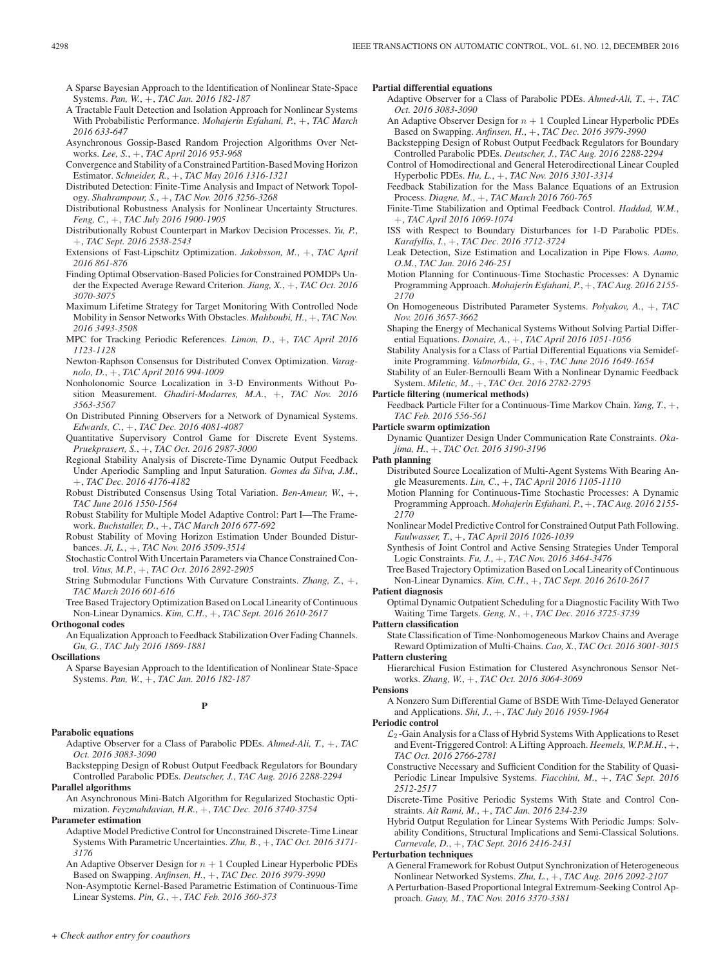- A Sparse Bayesian Approach to the Identification of Nonlinear State-Space Systems. *Pan, W.*, +, *TAC Jan. 2016 182-187*
- A Tractable Fault Detection and Isolation Approach for Nonlinear Systems With Probabilistic Performance. *Mohajerin Esfahani, P.*, +, *TAC March 2016 633-647*
- Asynchronous Gossip-Based Random Projection Algorithms Over Networks. *Lee, S.*, +, *TAC April 2016 953-968*
- Convergence and Stability of a Constrained Partition-Based Moving Horizon Estimator. *Schneider, R.*, +, *TAC May 2016 1316-1321*
- Distributed Detection: Finite-Time Analysis and Impact of Network Topology. *Shahrampour, S.*, +, *TAC Nov. 2016 3256-3268*
- Distributional Robustness Analysis for Nonlinear Uncertainty Structures. *Feng, C.*, +, *TAC July 2016 1900-1905*
- Distributionally Robust Counterpart in Markov Decision Processes. *Yu, P.*, +, *TAC Sept. 2016 2538-2543*
- Extensions of Fast-Lipschitz Optimization. *Jakobsson, M.*, +, *TAC April 2016 861-876*
- Finding Optimal Observation-Based Policies for Constrained POMDPs Under the Expected Average Reward Criterion. *Jiang, X.*, +, *TAC Oct. 2016 3070-3075*
- Maximum Lifetime Strategy for Target Monitoring With Controlled Node Mobility in Sensor Networks With Obstacles. *Mahboubi, H.*, +, *TAC Nov. 2016 3493-3508*
- MPC for Tracking Periodic References. *Limon, D.*, +, *TAC April 2016 1123-1128*
- Newton-Raphson Consensus for Distributed Convex Optimization. *Varagnolo, D.*, +, *TAC April 2016 994-1009*
- Nonholonomic Source Localization in 3-D Environments Without Position Measurement. *Ghadiri-Modarres, M.A.*, +, *TAC Nov. 2016 3563-3567*
- On Distributed Pinning Observers for a Network of Dynamical Systems. *Edwards, C.*, +, *TAC Dec. 2016 4081-4087*
- Quantitative Supervisory Control Game for Discrete Event Systems. *Pruekprasert, S.*, +, *TAC Oct. 2016 2987-3000*
- Regional Stability Analysis of Discrete-Time Dynamic Output Feedback Under Aperiodic Sampling and Input Saturation. *Gomes da Silva, J.M.*, +, *TAC Dec. 2016 4176-4182*
- Robust Distributed Consensus Using Total Variation. *Ben-Ameur, W.*, +, *TAC June 2016 1550-1564*
- Robust Stability for Multiple Model Adaptive Control: Part I—The Framework. *Buchstaller, D.*, +, *TAC March 2016 677-692*
- Robust Stability of Moving Horizon Estimation Under Bounded Disturbances. *Ji, L.*, +, *TAC Nov. 2016 3509-3514*
- Stochastic Control With Uncertain Parameters via Chance Constrained Control. *Vitus, M.P.*, +, *TAC Oct. 2016 2892-2905*
- String Submodular Functions With Curvature Constraints. *Zhang, Z.*, +, *TAC March 2016 601-616*
- Tree Based Trajectory Optimization Based on Local Linearity of Continuous Non-Linear Dynamics. *Kim, C.H.*, +, *TAC Sept. 2016 2610-2617*

# **Orthogonal codes**

An Equalization Approach to Feedback Stabilization Over Fading Channels. *Gu, G.*, *TAC July 2016 1869-1881*

## **Oscillations**

A Sparse Bayesian Approach to the Identification of Nonlinear State-Space Systems. *Pan, W.*, +, *TAC Jan. 2016 182-187*

# **P**

#### **Parabolic equations**

Adaptive Observer for a Class of Parabolic PDEs. *Ahmed-Ali, T.*, +, *TAC Oct. 2016 3083-3090*

Backstepping Design of Robust Output Feedback Regulators for Boundary Controlled Parabolic PDEs. *Deutscher, J.*, *TAC Aug. 2016 2288-2294*

# **Parallel algorithms**

An Asynchronous Mini-Batch Algorithm for Regularized Stochastic Optimization. *Feyzmahdavian, H.R.*, +, *TAC Dec. 2016 3740-3754*

#### **Parameter estimation**

- Adaptive Model Predictive Control for Unconstrained Discrete-Time Linear Systems With Parametric Uncertainties. *Zhu, B.*, +, *TAC Oct. 2016 3171- 3176*
- An Adaptive Observer Design for  $n + 1$  Coupled Linear Hyperbolic PDEs Based on Swapping. *Anfinsen, H.*, +, *TAC Dec. 2016 3979-3990*
- Non-Asymptotic Kernel-Based Parametric Estimation of Continuous-Time Linear Systems. *Pin, G.*, +, *TAC Feb. 2016 360-373*

## **Partial differential equations**

- Adaptive Observer for a Class of Parabolic PDEs. *Ahmed-Ali, T.*, +, *TAC Oct. 2016 3083-3090*
- An Adaptive Observer Design for  $n + 1$  Coupled Linear Hyperbolic PDEs Based on Swapping. *Anfinsen, H.*, +, *TAC Dec. 2016 3979-3990*
- Backstepping Design of Robust Output Feedback Regulators for Boundary Controlled Parabolic PDEs. *Deutscher, J.*, *TAC Aug. 2016 2288-2294*
- Control of Homodirectional and General Heterodirectional Linear Coupled Hyperbolic PDEs. *Hu, L.*, +, *TAC Nov. 2016 3301-3314*
- Feedback Stabilization for the Mass Balance Equations of an Extrusion Process. *Diagne, M.*, +, *TAC March 2016 760-765*
- Finite-Time Stabilization and Optimal Feedback Control. *Haddad, W.M.*, +, *TAC April 2016 1069-1074*
- ISS with Respect to Boundary Disturbances for 1-D Parabolic PDEs. *Karafyllis, I.*, +, *TAC Dec. 2016 3712-3724*
- Leak Detection, Size Estimation and Localization in Pipe Flows. *Aamo, O.M.*, *TAC Jan. 2016 246-251*
- Motion Planning for Continuous-Time Stochastic Processes: A Dynamic Programming Approach. *Mohajerin Esfahani, P.*, +, *TAC Aug. 2016 2155- 2170*
- On Homogeneous Distributed Parameter Systems. *Polyakov, A.*, +, *TAC Nov. 2016 3657-3662*
- Shaping the Energy of Mechanical Systems Without Solving Partial Differential Equations. *Donaire, A.*, +, *TAC April 2016 1051-1056*
- Stability Analysis for a Class of Partial Differential Equations via Semidefinite Programming. *Valmorbida, G.*, +, *TAC June 2016 1649-1654*
- Stability of an Euler-Bernoulli Beam With a Nonlinear Dynamic Feedback System. *Miletic, M.*, +, *TAC Oct. 2016 2782-2795*

#### **Particle filtering (numerical methods)**

Feedback Particle Filter for a Continuous-Time Markov Chain. *Yang, T.*, +, *TAC Feb. 2016 556-561*

- **Particle swarm optimization**
	- Dynamic Quantizer Design Under Communication Rate Constraints. *Okajima, H.*, +, *TAC Oct. 2016 3190-3196*
- **Path planning**
	- Distributed Source Localization of Multi-Agent Systems With Bearing Angle Measurements. *Lin, C.*, +, *TAC April 2016 1105-1110*
	- Motion Planning for Continuous-Time Stochastic Processes: A Dynamic Programming Approach. *Mohajerin Esfahani, P.*, +, *TAC Aug. 2016 2155- 2170*
	- Nonlinear Model Predictive Control for Constrained Output Path Following. *Faulwasser, T.*, +, *TAC April 2016 1026-1039*
	- Synthesis of Joint Control and Active Sensing Strategies Under Temporal Logic Constraints. *Fu, J.*, +, *TAC Nov. 2016 3464-3476*
	- Tree Based Trajectory Optimization Based on Local Linearity of Continuous Non-Linear Dynamics. *Kim, C.H.*, +, *TAC Sept. 2016 2610-2617*

#### **Patient diagnosis**

Optimal Dynamic Outpatient Scheduling for a Diagnostic Facility With Two Waiting Time Targets. *Geng, N.*, +, *TAC Dec. 2016 3725-3739*

# **Pattern classification**

- State Classification of Time-Nonhomogeneous Markov Chains and Average Reward Optimization of Multi-Chains. *Cao, X.*, *TAC Oct. 2016 3001-3015* **Pattern clustering**
	- Hierarchical Fusion Estimation for Clustered Asynchronous Sensor Networks. *Zhang, W.*, +, *TAC Oct. 2016 3064-3069*

## **Pensions**

A Nonzero Sum Differential Game of BSDE With Time-Delayed Generator and Applications. *Shi, J.*, +, *TAC July 2016 1959-1964*

#### **Periodic control**

- $\mathcal{L}_2$ -Gain Analysis for a Class of Hybrid Systems With Applications to Reset and Event-Triggered Control: A Lifting Approach. *Heemels, W.P.M.H.*, +, *TAC Oct. 2016 2766-2781*
- Constructive Necessary and Sufficient Condition for the Stability of Quasi-Periodic Linear Impulsive Systems. *Fiacchini, M.*, +, *TAC Sept. 2016 2512-2517*
- Discrete-Time Positive Periodic Systems With State and Control Constraints. *Ait Rami, M.*, +, *TAC Jan. 2016 234-239*
- Hybrid Output Regulation for Linear Systems With Periodic Jumps: Solvability Conditions, Structural Implications and Semi-Classical Solutions. *Carnevale, D.*, +, *TAC Sept. 2016 2416-2431*

#### **Perturbation techniques**

- A General Framework for Robust Output Synchronization of Heterogeneous Nonlinear Networked Systems. *Zhu, L.*, +, *TAC Aug. 2016 2092-2107*
- A Perturbation-Based Proportional Integral Extremum-Seeking Control Approach. *Guay, M.*, *TAC Nov. 2016 3370-3381*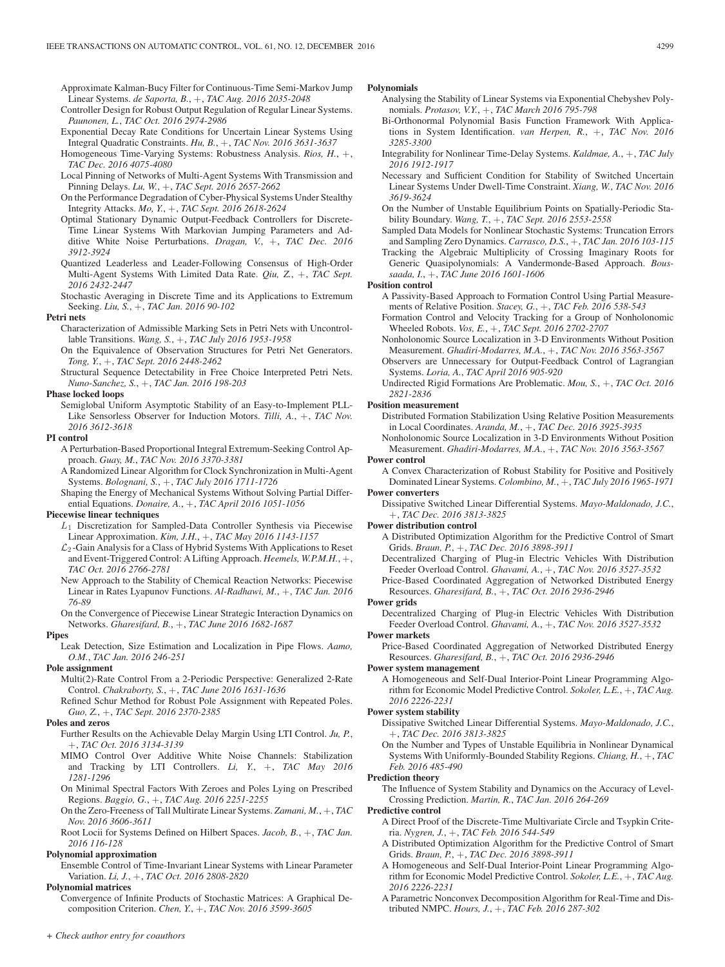Approximate Kalman-Bucy Filter for Continuous-Time Semi-Markov Jump Linear Systems. *de Saporta, B.*, +, *TAC Aug. 2016 2035-2048*

- Controller Design for Robust Output Regulation of Regular Linear Systems. *Paunonen, L.*, *TAC Oct. 2016 2974-2986*
- Exponential Decay Rate Conditions for Uncertain Linear Systems Using Integral Quadratic Constraints. *Hu, B.*, +, *TAC Nov. 2016 3631-3637*

Homogeneous Time-Varying Systems: Robustness Analysis. *Rios, H.*, +, *TAC Dec. 2016 4075-4080*

- Local Pinning of Networks of Multi-Agent Systems With Transmission and Pinning Delays. *Lu, W.*, +, *TAC Sept. 2016 2657-2662*
- On the Performance Degradation of Cyber-Physical Systems Under Stealthy Integrity Attacks. *Mo, Y.*, +, *TAC Sept. 2016 2618-2624*
- Optimal Stationary Dynamic Output-Feedback Controllers for Discrete-Time Linear Systems With Markovian Jumping Parameters and Additive White Noise Perturbations. *Dragan, V.*, +, *TAC Dec. 2016 3912-3924*
- Quantized Leaderless and Leader-Following Consensus of High-Order Multi-Agent Systems With Limited Data Rate. *Qiu, Z.*, +, *TAC Sept. 2016 2432-2447*
- Stochastic Averaging in Discrete Time and its Applications to Extremum Seeking. *Liu, S.*, +, *TAC Jan. 2016 90-102*

#### **Petri nets**

- Characterization of Admissible Marking Sets in Petri Nets with Uncontrollable Transitions. *Wang, S.*, +, *TAC July 2016 1953-1958*
- On the Equivalence of Observation Structures for Petri Net Generators. *Tong, Y.*, +, *TAC Sept. 2016 2448-2462*
- Structural Sequence Detectability in Free Choice Interpreted Petri Nets. *Nuno-Sanchez, S.*, +, *TAC Jan. 2016 198-203*

# **Phase locked loops**

Semiglobal Uniform Asymptotic Stability of an Easy-to-Implement PLL-Like Sensorless Observer for Induction Motors. *Tilli, A.*, +, *TAC Nov. 2016 3612-3618*

#### **PI control**

- A Perturbation-Based Proportional Integral Extremum-Seeking Control Approach. *Guay, M.*, *TAC Nov. 2016 3370-3381*
- A Randomized Linear Algorithm for Clock Synchronization in Multi-Agent Systems. *Bolognani, S.*, +, *TAC July 2016 1711-1726*
- Shaping the Energy of Mechanical Systems Without Solving Partial Differential Equations. *Donaire, A.*, +, *TAC April 2016 1051-1056*

## **Piecewise linear techniques**

- $L_1$  Discretization for Sampled-Data Controller Synthesis via Piecewise Linear Approximation. *Kim, J.H.*, +, *TAC May 2016 1143-1157*
- $\mathcal{L}_2$ -Gain Analysis for a Class of Hybrid Systems With Applications to Reset and Event-Triggered Control: A Lifting Approach. *Heemels, W.P.M.H.*, +, *TAC Oct. 2016 2766-2781*
- New Approach to the Stability of Chemical Reaction Networks: Piecewise Linear in Rates Lyapunov Functions. *Al-Radhawi, M.*, +, *TAC Jan. 2016 76-89*
- On the Convergence of Piecewise Linear Strategic Interaction Dynamics on Networks. *Gharesifard, B.*, +, *TAC June 2016 1682-1687*

# **Pipes**

Leak Detection, Size Estimation and Localization in Pipe Flows. *Aamo, O.M.*, *TAC Jan. 2016 246-251*

#### **Pole assignment**

- Multi(2)-Rate Control From a 2-Periodic Perspective: Generalized 2-Rate Control. *Chakraborty, S.*, +, *TAC June 2016 1631-1636*
- Refined Schur Method for Robust Pole Assignment with Repeated Poles. *Guo, Z.*, +, *TAC Sept. 2016 2370-2385*

## **Poles and zeros**

- Further Results on the Achievable Delay Margin Using LTI Control. *Ju, P.*, +, *TAC Oct. 2016 3134-3139*
- MIMO Control Over Additive White Noise Channels: Stabilization and Tracking by LTI Controllers. *Li, Y.*, +, *TAC May 2016 1281-1296*
- On Minimal Spectral Factors With Zeroes and Poles Lying on Prescribed Regions. *Baggio, G.*, +, *TAC Aug. 2016 2251-2255*
- On the Zero-Freeness of Tall Multirate Linear Systems. *Zamani, M.*, +, *TAC Nov. 2016 3606-3611*
- Root Locii for Systems Defined on Hilbert Spaces. *Jacob, B.*, +, *TAC Jan. 2016 116-128*

# **Polynomial approximation**

Ensemble Control of Time-Invariant Linear Systems with Linear Parameter Variation. *Li, J.*, +, *TAC Oct. 2016 2808-2820*

## **Polynomial matrices**

Convergence of Infinite Products of Stochastic Matrices: A Graphical Decomposition Criterion. *Chen, Y.*, +, *TAC Nov. 2016 3599-3605*

## **Polynomials**

- Analysing the Stability of Linear Systems via Exponential Chebyshev Polynomials. *Protasov, V.Y.*, +, *TAC March 2016 795-798*
- Bi-Orthonormal Polynomial Basis Function Framework With Applications in System Identification. *van Herpen, R.*, +, *TAC Nov. 2016 3285-3300*
- Integrability for Nonlinear Time-Delay Systems. *Kaldmae, A.*, +, *TAC July 2016 1912-1917*
- Necessary and Sufficient Condition for Stability of Switched Uncertain Linear Systems Under Dwell-Time Constraint. *Xiang, W.*, *TAC Nov. 2016 3619-3624*
- On the Number of Unstable Equilibrium Points on Spatially-Periodic Stability Boundary. *Wang, T.*, +, *TAC Sept. 2016 2553-2558*
- Sampled Data Models for Nonlinear Stochastic Systems: Truncation Errors and Sampling Zero Dynamics. *Carrasco, D.S.*, +, *TAC Jan. 2016 103-115*
- Tracking the Algebraic Multiplicity of Crossing Imaginary Roots for Generic Quasipolynomials: A Vandermonde-Based Approach. *Boussaada, I.*, +, *TAC June 2016 1601-1606*

#### **Position control**

- A Passivity-Based Approach to Formation Control Using Partial Measurements of Relative Position. *Stacey, G.*, +, *TAC Feb. 2016 538-543*
- Formation Control and Velocity Tracking for a Group of Nonholonomic Wheeled Robots. *Vos, E.*, +, *TAC Sept. 2016 2702-2707*
- Nonholonomic Source Localization in 3-D Environments Without Position Measurement. *Ghadiri-Modarres, M.A.*, +, *TAC Nov. 2016 3563-3567*
- Observers are Unnecessary for Output-Feedback Control of Lagrangian Systems. *Loria, A.*, *TAC April 2016 905-920*
- Undirected Rigid Formations Are Problematic. *Mou, S.*, +, *TAC Oct. 2016 2821-2836*

#### **Position measurement**

- Distributed Formation Stabilization Using Relative Position Measurements in Local Coordinates. *Aranda, M.*, +, *TAC Dec. 2016 3925-3935*
- Nonholonomic Source Localization in 3-D Environments Without Position Measurement. *Ghadiri-Modarres, M.A.*, +, *TAC Nov. 2016 3563-3567* **Power control**

# A Convex Characterization of Robust Stability for Positive and Positively Dominated Linear Systems. *Colombino, M.*, +, *TAC July 2016 1965-1971*

#### **Power converters**

Dissipative Switched Linear Differential Systems. *Mayo-Maldonado, J.C.*, +, *TAC Dec. 2016 3813-3825*

# **Power distribution control**

- A Distributed Optimization Algorithm for the Predictive Control of Smart Grids. *Braun, P.*, +, *TAC Dec. 2016 3898-3911*
- Decentralized Charging of Plug-in Electric Vehicles With Distribution Feeder Overload Control. *Ghavami, A.*, +, *TAC Nov. 2016 3527-3532*
- Price-Based Coordinated Aggregation of Networked Distributed Energy Resources. *Gharesifard, B.*, +, *TAC Oct. 2016 2936-2946*

# **Power grids**

Decentralized Charging of Plug-in Electric Vehicles With Distribution Feeder Overload Control. *Ghavami, A.*, +, *TAC Nov. 2016 3527-3532*

# **Power markets**

Price-Based Coordinated Aggregation of Networked Distributed Energy Resources. *Gharesifard, B.*, +, *TAC Oct. 2016 2936-2946*

# **Power system management**

A Homogeneous and Self-Dual Interior-Point Linear Programming Algorithm for Economic Model Predictive Control. *Sokoler, L.E.*, +, *TAC Aug. 2016 2226-2231*

#### **Power system stability**

- Dissipative Switched Linear Differential Systems. *Mayo-Maldonado, J.C.*, +, *TAC Dec. 2016 3813-3825*
- On the Number and Types of Unstable Equilibria in Nonlinear Dynamical Systems With Uniformly-Bounded Stability Regions. *Chiang, H.*, +, *TAC Feb. 2016 485-490*

#### **Prediction theory**

The Influence of System Stability and Dynamics on the Accuracy of Level-Crossing Prediction. *Martin, R.*, *TAC Jan. 2016 264-269*

# **Predictive control**

- A Direct Proof of the Discrete-Time Multivariate Circle and Tsypkin Criteria. *Nygren, J.*, +, *TAC Feb. 2016 544-549*
- A Distributed Optimization Algorithm for the Predictive Control of Smart Grids. *Braun, P.*, +, *TAC Dec. 2016 3898-3911*
- A Homogeneous and Self-Dual Interior-Point Linear Programming Algorithm for Economic Model Predictive Control. *Sokoler, L.E.*, +, *TAC Aug. 2016 2226-2231*
- A Parametric Nonconvex Decomposition Algorithm for Real-Time and Distributed NMPC. *Hours, J.*, +, *TAC Feb. 2016 287-302*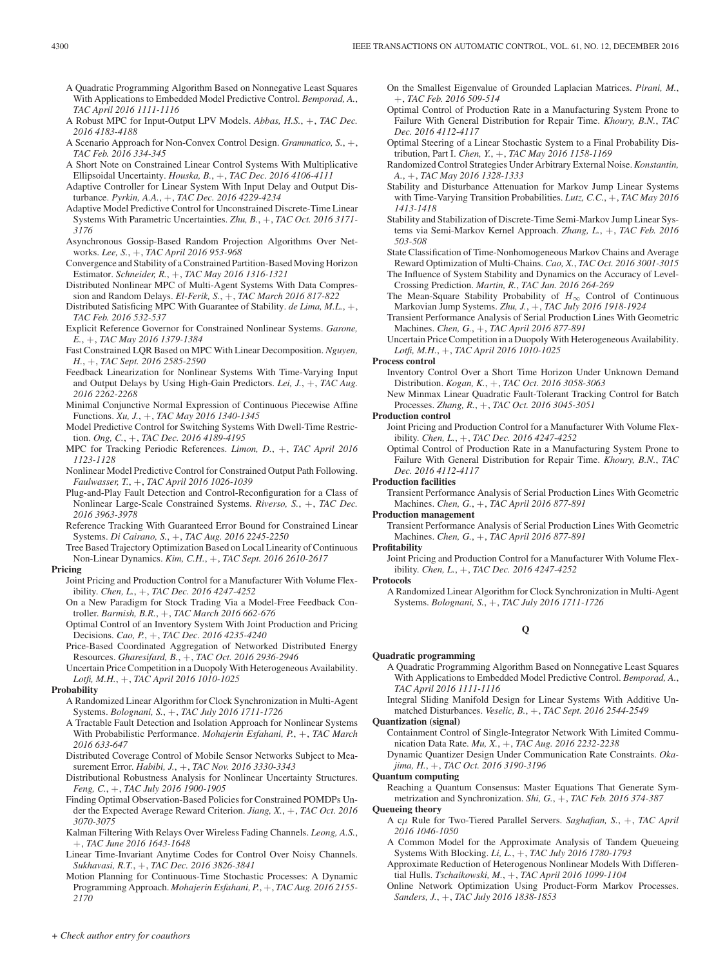- A Quadratic Programming Algorithm Based on Nonnegative Least Squares With Applications to Embedded Model Predictive Control. *Bemporad, A.*, *TAC April 2016 1111-1116*
- A Robust MPC for Input-Output LPV Models. *Abbas, H.S.*, +, *TAC Dec. 2016 4183-4188*
- A Scenario Approach for Non-Convex Control Design. *Grammatico, S.*, +, *TAC Feb. 2016 334-345*
- A Short Note on Constrained Linear Control Systems With Multiplicative Ellipsoidal Uncertainty. *Houska, B.*, +, *TAC Dec. 2016 4106-4111*
- Adaptive Controller for Linear System With Input Delay and Output Disturbance. *Pyrkin, A.A.*, +, *TAC Dec. 2016 4229-4234*
- Adaptive Model Predictive Control for Unconstrained Discrete-Time Linear Systems With Parametric Uncertainties. *Zhu, B.*, +, *TAC Oct. 2016 3171- 3176*
- Asynchronous Gossip-Based Random Projection Algorithms Over Networks. *Lee, S.*, +, *TAC April 2016 953-968*
- Convergence and Stability of a Constrained Partition-Based Moving Horizon Estimator. *Schneider, R.*, +, *TAC May 2016 1316-1321*
- Distributed Nonlinear MPC of Multi-Agent Systems With Data Compression and Random Delays. *El-Ferik, S.*, +, *TAC March 2016 817-822*
- Distributed Satisficing MPC With Guarantee of Stability. *de Lima, M.L.*, +, *TAC Feb. 2016 532-537*
- Explicit Reference Governor for Constrained Nonlinear Systems. *Garone, E.*, +, *TAC May 2016 1379-1384*
- Fast Constrained LQR Based on MPC With Linear Decomposition. *Nguyen, H.*, +, *TAC Sept. 2016 2585-2590*
- Feedback Linearization for Nonlinear Systems With Time-Varying Input and Output Delays by Using High-Gain Predictors. *Lei, J.*, +, *TAC Aug. 2016 2262-2268*
- Minimal Conjunctive Normal Expression of Continuous Piecewise Affine Functions. *Xu, J.*, +, *TAC May 2016 1340-1345*
- Model Predictive Control for Switching Systems With Dwell-Time Restriction. *Ong, C.*, +, *TAC Dec. 2016 4189-4195*
- MPC for Tracking Periodic References. *Limon, D.*, +, *TAC April 2016 1123-1128*
- Nonlinear Model Predictive Control for Constrained Output Path Following. *Faulwasser, T.*, +, *TAC April 2016 1026-1039*
- Plug-and-Play Fault Detection and Control-Reconfiguration for a Class of Nonlinear Large-Scale Constrained Systems. *Riverso, S.*, +, *TAC Dec. 2016 3963-3978*
- Reference Tracking With Guaranteed Error Bound for Constrained Linear Systems. *Di Cairano, S.*, +, *TAC Aug. 2016 2245-2250*
- Tree Based Trajectory Optimization Based on Local Linearity of Continuous Non-Linear Dynamics. *Kim, C.H.*, +, *TAC Sept. 2016 2610-2617*
- **Pricing**
	- Joint Pricing and Production Control for a Manufacturer With Volume Flexibility. *Chen, L.*, +, *TAC Dec. 2016 4247-4252*
	- On a New Paradigm for Stock Trading Via a Model-Free Feedback Controller. *Barmish, B.R.*, +, *TAC March 2016 662-676*
	- Optimal Control of an Inventory System With Joint Production and Pricing Decisions. *Cao, P.*, +, *TAC Dec. 2016 4235-4240*
	- Price-Based Coordinated Aggregation of Networked Distributed Energy Resources. *Gharesifard, B.*, +, *TAC Oct. 2016 2936-2946*
	- Uncertain Price Competition in a Duopoly With Heterogeneous Availability. *Lotfi, M.H.*, +, *TAC April 2016 1010-1025*
- **Probability**
	- A Randomized Linear Algorithm for Clock Synchronization in Multi-Agent Systems. *Bolognani, S.*, +, *TAC July 2016 1711-1726*
	- A Tractable Fault Detection and Isolation Approach for Nonlinear Systems With Probabilistic Performance. *Mohajerin Esfahani, P.*, +, *TAC March 2016 633-647*
	- Distributed Coverage Control of Mobile Sensor Networks Subject to Measurement Error. *Habibi, J.*, +, *TAC Nov. 2016 3330-3343*
	- Distributional Robustness Analysis for Nonlinear Uncertainty Structures. *Feng, C.*, +, *TAC July 2016 1900-1905*
	- Finding Optimal Observation-Based Policies for Constrained POMDPs Under the Expected Average Reward Criterion. *Jiang, X.*, +, *TAC Oct. 2016 3070-3075*
	- Kalman Filtering With Relays Over Wireless Fading Channels. *Leong, A.S.*, +, *TAC June 2016 1643-1648*
	- Linear Time-Invariant Anytime Codes for Control Over Noisy Channels. *Sukhavasi, R.T.*, +, *TAC Dec. 2016 3826-3841*
	- Motion Planning for Continuous-Time Stochastic Processes: A Dynamic Programming Approach. *Mohajerin Esfahani, P.*, +, *TAC Aug. 2016 2155- 2170*
- On the Smallest Eigenvalue of Grounded Laplacian Matrices. *Pirani, M.*, +, *TAC Feb. 2016 509-514*
- Optimal Control of Production Rate in a Manufacturing System Prone to Failure With General Distribution for Repair Time. *Khoury, B.N.*, *TAC Dec. 2016 4112-4117*
- Optimal Steering of a Linear Stochastic System to a Final Probability Distribution, Part I. *Chen, Y.*, +, *TAC May 2016 1158-1169*
- Randomized Control Strategies Under Arbitrary External Noise. *Konstantin, A.*, +, *TAC May 2016 1328-1333*
- Stability and Disturbance Attenuation for Markov Jump Linear Systems with Time-Varying Transition Probabilities. *Lutz, C.C.*, +, *TAC May 2016 1413-1418*
- Stability and Stabilization of Discrete-Time Semi-Markov Jump Linear Systems via Semi-Markov Kernel Approach. *Zhang, L.*, +, *TAC Feb. 2016 503-508*
- State Classification of Time-Nonhomogeneous Markov Chains and Average Reward Optimization of Multi-Chains. *Cao, X.*, *TAC Oct. 2016 3001-3015*
- The Influence of System Stability and Dynamics on the Accuracy of Level-Crossing Prediction. *Martin, R.*, *TAC Jan. 2016 264-269*
- The Mean-Square Stability Probability of  $H_{\infty}$  Control of Continuous Markovian Jump Systems. *Zhu, J.*, +, *TAC July 2016 1918-1924*
- Transient Performance Analysis of Serial Production Lines With Geometric Machines. *Chen, G.*, +, *TAC April 2016 877-891*

Uncertain Price Competition in a Duopoly With Heterogeneous Availability. *Lotfi, M.H.*, +, *TAC April 2016 1010-1025*

# **Process control**

- Inventory Control Over a Short Time Horizon Under Unknown Demand Distribution. *Kogan, K.*, +, *TAC Oct. 2016 3058-3063*
- New Minmax Linear Quadratic Fault-Tolerant Tracking Control for Batch Processes. *Zhang, R.*, +, *TAC Oct. 2016 3045-3051*

# **Production control**

- Joint Pricing and Production Control for a Manufacturer With Volume Flexibility. *Chen, L.*, +, *TAC Dec. 2016 4247-4252*
- Optimal Control of Production Rate in a Manufacturing System Prone to Failure With General Distribution for Repair Time. *Khoury, B.N.*, *TAC Dec. 2016 4112-4117*

## **Production facilities**

Transient Performance Analysis of Serial Production Lines With Geometric Machines. *Chen, G.*, +, *TAC April 2016 877-891*

**Production management**

Transient Performance Analysis of Serial Production Lines With Geometric Machines. *Chen, G.*, +, *TAC April 2016 877-891*

# **Profitability**

Joint Pricing and Production Control for a Manufacturer With Volume Flexibility. *Chen, L.*, +, *TAC Dec. 2016 4247-4252*

# **Protocols**

A Randomized Linear Algorithm for Clock Synchronization in Multi-Agent Systems. *Bolognani, S.*, +, *TAC July 2016 1711-1726*

# **Q**

# **Quadratic programming**

- A Quadratic Programming Algorithm Based on Nonnegative Least Squares With Applications to Embedded Model Predictive Control. *Bemporad, A.*, *TAC April 2016 1111-1116*
- Integral Sliding Manifold Design for Linear Systems With Additive Unmatched Disturbances. *Veselic, B.*, +, *TAC Sept. 2016 2544-2549*

# **Quantization (signal)**

- Containment Control of Single-Integrator Network With Limited Communication Data Rate. *Mu, X.*, +, *TAC Aug. 2016 2232-2238*
- Dynamic Quantizer Design Under Communication Rate Constraints. *Okajima, H.*, +, *TAC Oct. 2016 3190-3196*

# **Quantum computing**

Reaching a Quantum Consensus: Master Equations That Generate Symmetrization and Synchronization. *Shi, G.*, +, *TAC Feb. 2016 374-387*

# **Queueing theory**

- A cμ Rule for Two-Tiered Parallel Servers. *Saghafian, S.*, +, *TAC April 2016 1046-1050*
- A Common Model for the Approximate Analysis of Tandem Queueing Systems With Blocking. *Li, L.*, +, *TAC July 2016 1780-1793*
- Approximate Reduction of Heterogenous Nonlinear Models With Differential Hulls. *Tschaikowski, M.*, +, *TAC April 2016 1099-1104*
- Online Network Optimization Using Product-Form Markov Processes. *Sanders, J.*, +, *TAC July 2016 1838-1853*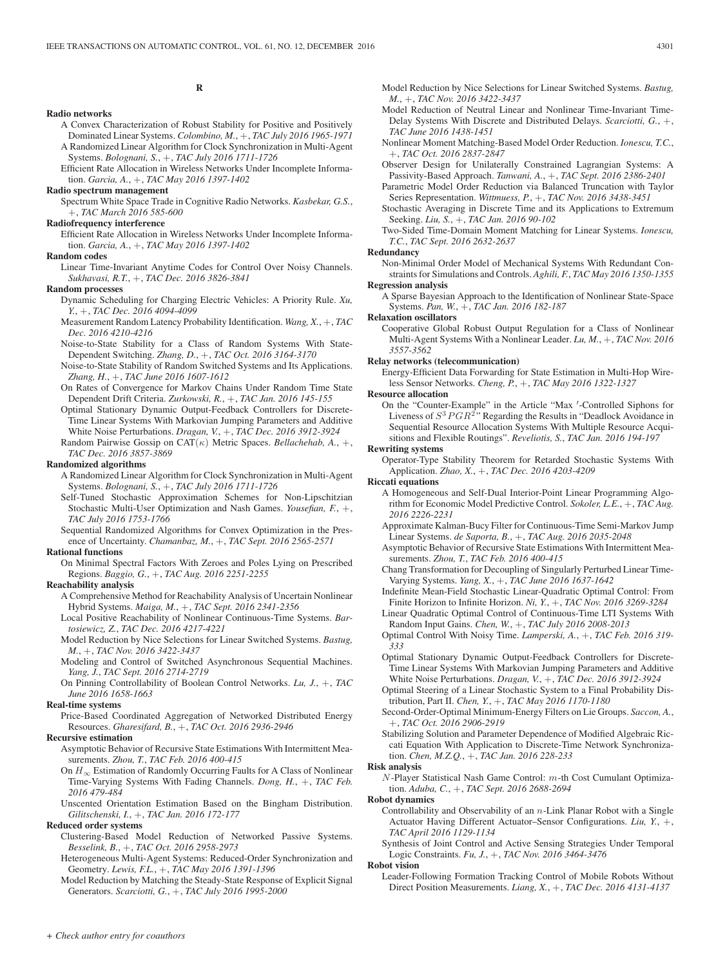# **R**

#### **Radio networks**

- A Convex Characterization of Robust Stability for Positive and Positively Dominated Linear Systems. *Colombino, M.*, +, *TAC July 2016 1965-1971* A Randomized Linear Algorithm for Clock Synchronization in Multi-Agent Systems. *Bolognani, S.*, +, *TAC July 2016 1711-1726*
- Efficient Rate Allocation in Wireless Networks Under Incomplete Information. *Garcia, A.*, +, *TAC May 2016 1397-1402*

#### **Radio spectrum management**

Spectrum White Space Trade in Cognitive Radio Networks. *Kasbekar, G.S.*, +, *TAC March 2016 585-600*

#### **Radiofrequency interference**

Efficient Rate Allocation in Wireless Networks Under Incomplete Information. *Garcia, A.*, +, *TAC May 2016 1397-1402*

#### **Random codes**

Linear Time-Invariant Anytime Codes for Control Over Noisy Channels. *Sukhavasi, R.T.*, +, *TAC Dec. 2016 3826-3841*

#### **Random processes**

- Dynamic Scheduling for Charging Electric Vehicles: A Priority Rule. *Xu, Y.*, +, *TAC Dec. 2016 4094-4099*
- Measurement Random Latency Probability Identification. *Wang, X.*, +, *TAC Dec. 2016 4210-4216*
- Noise-to-State Stability for a Class of Random Systems With State-Dependent Switching. *Zhang, D.*, +, *TAC Oct. 2016 3164-3170*
- Noise-to-State Stability of Random Switched Systems and Its Applications. *Zhang, H.*, +, *TAC June 2016 1607-1612*
- On Rates of Convergence for Markov Chains Under Random Time State Dependent Drift Criteria. *Zurkowski, R.*, +, *TAC Jan. 2016 145-155*
- Optimal Stationary Dynamic Output-Feedback Controllers for Discrete-Time Linear Systems With Markovian Jumping Parameters and Additive White Noise Perturbations. *Dragan, V.*, +, *TAC Dec. 2016 3912-3924*
- Random Pairwise Gossip on  $CAT(\kappa)$  Metric Spaces. *Bellachehab*, A.,  $+$ , *TAC Dec. 2016 3857-3869*

# **Randomized algorithms**

- A Randomized Linear Algorithm for Clock Synchronization in Multi-Agent Systems. *Bolognani, S.*, +, *TAC July 2016 1711-1726*
- Self-Tuned Stochastic Approximation Schemes for Non-Lipschitzian Stochastic Multi-User Optimization and Nash Games. *Yousefian, F.*, +, *TAC July 2016 1753-1766*
- Sequential Randomized Algorithms for Convex Optimization in the Presence of Uncertainty. *Chamanbaz, M.*, +, *TAC Sept. 2016 2565-2571*

#### **Rational functions**

On Minimal Spectral Factors With Zeroes and Poles Lying on Prescribed Regions. *Baggio, G.*, +, *TAC Aug. 2016 2251-2255*

#### **Reachability analysis**

- A Comprehensive Method for Reachability Analysis of Uncertain Nonlinear Hybrid Systems. *Maiga, M.*, +, *TAC Sept. 2016 2341-2356*
- Local Positive Reachability of Nonlinear Continuous-Time Systems. *Bartosiewicz, Z.*, *TAC Dec. 2016 4217-4221*
- Model Reduction by Nice Selections for Linear Switched Systems. *Bastug, M.*, +, *TAC Nov. 2016 3422-3437*
- Modeling and Control of Switched Asynchronous Sequential Machines. *Yang, J.*, *TAC Sept. 2016 2714-2719*
- On Pinning Controllability of Boolean Control Networks. *Lu, J.*, +, *TAC June 2016 1658-1663*

# **Real-time systems**

Price-Based Coordinated Aggregation of Networked Distributed Energy Resources. *Gharesifard, B.*, +, *TAC Oct. 2016 2936-2946*

#### **Recursive estimation**

- Asymptotic Behavior of Recursive State Estimations With Intermittent Measurements. *Zhou, T.*, *TAC Feb. 2016 400-415*
- On  $H_{\infty}$  Estimation of Randomly Occurring Faults for A Class of Nonlinear Time-Varying Systems With Fading Channels. *Dong, H.*, +, *TAC Feb. 2016 479-484*

Unscented Orientation Estimation Based on the Bingham Distribution. *Gilitschenski, I.*, +, *TAC Jan. 2016 172-177*

# **Reduced order systems**

Clustering-Based Model Reduction of Networked Passive Systems. *Besselink, B.*, +, *TAC Oct. 2016 2958-2973*

Heterogeneous Multi-Agent Systems: Reduced-Order Synchronization and Geometry. *Lewis, F.L.*, +, *TAC May 2016 1391-1396*

Model Reduction by Matching the Steady-State Response of Explicit Signal Generators. *Scarciotti, G.*, +, *TAC July 2016 1995-2000*

- Model Reduction by Nice Selections for Linear Switched Systems. *Bastug, M.*, +, *TAC Nov. 2016 3422-3437*
- Model Reduction of Neutral Linear and Nonlinear Time-Invariant Time-Delay Systems With Discrete and Distributed Delays. *Scarciotti, G.*, +, *TAC June 2016 1438-1451*
- Nonlinear Moment Matching-Based Model Order Reduction. *Ionescu, T.C.*, +, *TAC Oct. 2016 2837-2847*
- Observer Design for Unilaterally Constrained Lagrangian Systems: A Passivity-Based Approach. *Tanwani, A.*, +, *TAC Sept. 2016 2386-2401*
- Parametric Model Order Reduction via Balanced Truncation with Taylor Series Representation. *Wittmuess, P.*, +, *TAC Nov. 2016 3438-3451*
- Stochastic Averaging in Discrete Time and its Applications to Extremum Seeking. *Liu, S.*, +, *TAC Jan. 2016 90-102*
- Two-Sided Time-Domain Moment Matching for Linear Systems. *Ionescu, T.C.*, *TAC Sept. 2016 2632-2637*

#### **Redundancy**

Non-Minimal Order Model of Mechanical Systems With Redundant Constraints for Simulations and Controls. *Aghili, F.*, *TAC May 2016 1350-1355*

# **Regression analysis**

A Sparse Bayesian Approach to the Identification of Nonlinear State-Space Systems. *Pan, W.*, +, *TAC Jan. 2016 182-187*

**Relaxation oscillators**

Cooperative Global Robust Output Regulation for a Class of Nonlinear Multi-Agent Systems With a Nonlinear Leader. *Lu, M.*, +, *TAC Nov. 2016 3557-3562*

## **Relay networks (telecommunication)**

Energy-Efficient Data Forwarding for State Estimation in Multi-Hop Wireless Sensor Networks. *Cheng, P.*, +, *TAC May 2016 1322-1327*

#### **Resource allocation**

On the "Counter-Example" in the Article "Max -Controlled Siphons for Liveness of  $S^3PGR^2$ <sup>"</sup> Regarding the Results in "Deadlock Avoidance in Sequential Resource Allocation Systems With Multiple Resource Acquisitions and Flexible Routings". *Reveliotis, S.*, *TAC Jan. 2016 194-197*

## **Rewriting systems**

Operator-Type Stability Theorem for Retarded Stochastic Systems With Application. *Zhao, X.*, +, *TAC Dec. 2016 4203-4209*

# **Riccati equations**

- A Homogeneous and Self-Dual Interior-Point Linear Programming Algorithm for Economic Model Predictive Control. *Sokoler, L.E.*, +, *TAC Aug. 2016 2226-2231*
- Approximate Kalman-Bucy Filter for Continuous-Time Semi-Markov Jump Linear Systems. *de Saporta, B.*, +, *TAC Aug. 2016 2035-2048*
- Asymptotic Behavior of Recursive State Estimations With Intermittent Measurements. *Zhou, T.*, *TAC Feb. 2016 400-415*
- Chang Transformation for Decoupling of Singularly Perturbed Linear Time-Varying Systems. *Yang, X.*, +, *TAC June 2016 1637-1642*
- Indefinite Mean-Field Stochastic Linear-Quadratic Optimal Control: From Finite Horizon to Infinite Horizon. *Ni, Y.*, +, *TAC Nov. 2016 3269-3284*
- Linear Quadratic Optimal Control of Continuous-Time LTI Systems With Random Input Gains. *Chen, W.*, +, *TAC July 2016 2008-2013*
- Optimal Control With Noisy Time. *Lamperski, A.*, +, *TAC Feb. 2016 319- 333*
- Optimal Stationary Dynamic Output-Feedback Controllers for Discrete-Time Linear Systems With Markovian Jumping Parameters and Additive White Noise Perturbations. *Dragan, V.*, +, *TAC Dec. 2016 3912-3924*
- Optimal Steering of a Linear Stochastic System to a Final Probability Distribution, Part II. *Chen, Y.*, +, *TAC May 2016 1170-1180*
- Second-Order-Optimal Minimum-Energy Filters on Lie Groups. *Saccon, A.*, +, *TAC Oct. 2016 2906-2919*
- Stabilizing Solution and Parameter Dependence of Modified Algebraic Riccati Equation With Application to Discrete-Time Network Synchronization. *Chen, M.Z.Q.*, +, *TAC Jan. 2016 228-233*

#### **Risk analysis**

N -Player Statistical Nash Game Control: m-th Cost Cumulant Optimization. *Aduba, C.*, +, *TAC Sept. 2016 2688-2694*

#### **Robot dynamics**

Controllability and Observability of an  $n$ -Link Planar Robot with a Single Actuator Having Different Actuator–Sensor Configurations. *Liu, Y.*, +, *TAC April 2016 1129-1134*

Synthesis of Joint Control and Active Sensing Strategies Under Temporal Logic Constraints. *Fu, J.*, +, *TAC Nov. 2016 3464-3476*

#### **Robot vision**

Leader-Following Formation Tracking Control of Mobile Robots Without Direct Position Measurements. *Liang, X.*, +, *TAC Dec. 2016 4131-4137*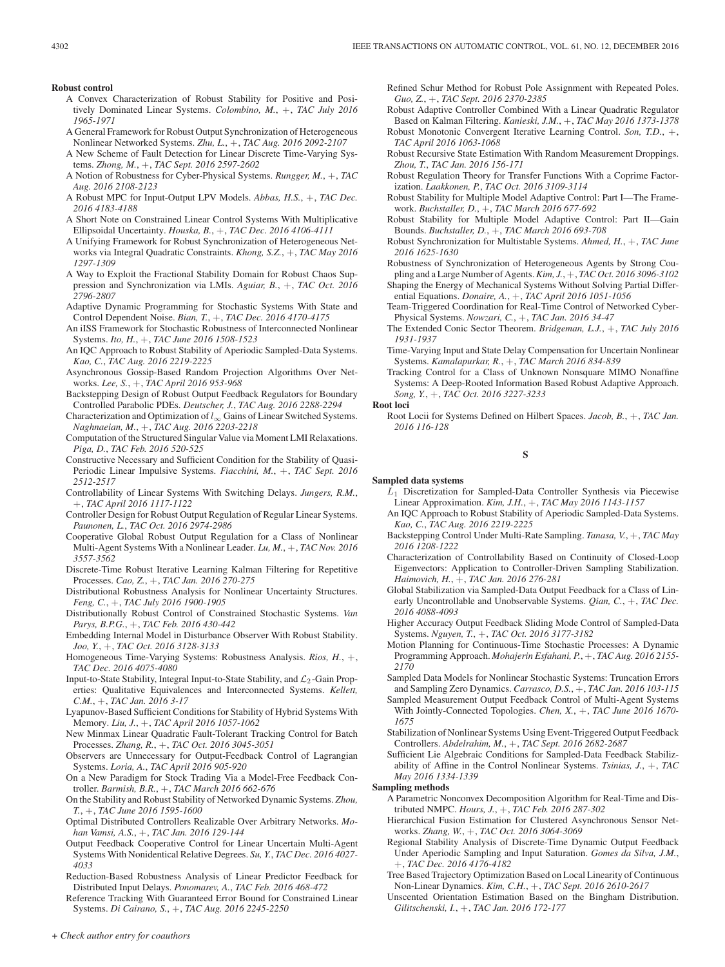#### **Robust control**

- A Convex Characterization of Robust Stability for Positive and Positively Dominated Linear Systems. *Colombino, M.*, +, *TAC July 2016 1965-1971*
- A General Framework for Robust Output Synchronization of Heterogeneous Nonlinear Networked Systems. *Zhu, L.*, +, *TAC Aug. 2016 2092-2107*
- A New Scheme of Fault Detection for Linear Discrete Time-Varying Systems. *Zhong, M.*, +, *TAC Sept. 2016 2597-2602*
- A Notion of Robustness for Cyber-Physical Systems. *Rungger, M.*, +, *TAC Aug. 2016 2108-2123*
- A Robust MPC for Input-Output LPV Models. *Abbas, H.S.*, +, *TAC Dec. 2016 4183-4188*
- A Short Note on Constrained Linear Control Systems With Multiplicative Ellipsoidal Uncertainty. *Houska, B.*, +, *TAC Dec. 2016 4106-4111*
- A Unifying Framework for Robust Synchronization of Heterogeneous Networks via Integral Quadratic Constraints. *Khong, S.Z.*, +, *TAC May 2016 1297-1309*
- A Way to Exploit the Fractional Stability Domain for Robust Chaos Suppression and Synchronization via LMIs. *Aguiar, B.*, +, *TAC Oct. 2016 2796-2807*
- Adaptive Dynamic Programming for Stochastic Systems With State and Control Dependent Noise. *Bian, T.*, +, *TAC Dec. 2016 4170-4175*
- An iISS Framework for Stochastic Robustness of Interconnected Nonlinear Systems. *Ito, H.*, +, *TAC June 2016 1508-1523*
- An IQC Approach to Robust Stability of Aperiodic Sampled-Data Systems. *Kao, C.*, *TAC Aug. 2016 2219-2225*
- Asynchronous Gossip-Based Random Projection Algorithms Over Networks. *Lee, S.*, +, *TAC April 2016 953-968*
- Backstepping Design of Robust Output Feedback Regulators for Boundary Controlled Parabolic PDEs. *Deutscher, J.*, *TAC Aug. 2016 2288-2294*
- Characterization and Optimization of  $l_{\infty}$  Gains of Linear Switched Systems. *Naghnaeian, M.*, +, *TAC Aug. 2016 2203-2218*
- Computation of the Structured Singular Value via Moment LMI Relaxations. *Piga, D.*, *TAC Feb. 2016 520-525*
- Constructive Necessary and Sufficient Condition for the Stability of Quasi-Periodic Linear Impulsive Systems. *Fiacchini, M.*, +, *TAC Sept. 2016 2512-2517*
- Controllability of Linear Systems With Switching Delays. *Jungers, R.M.*, +, *TAC April 2016 1117-1122*
- Controller Design for Robust Output Regulation of Regular Linear Systems. *Paunonen, L.*, *TAC Oct. 2016 2974-2986*
- Cooperative Global Robust Output Regulation for a Class of Nonlinear Multi-Agent Systems With a Nonlinear Leader. *Lu, M.*, +, *TAC Nov. 2016 3557-3562*
- Discrete-Time Robust Iterative Learning Kalman Filtering for Repetitive Processes. *Cao, Z.*, +, *TAC Jan. 2016 270-275*
- Distributional Robustness Analysis for Nonlinear Uncertainty Structures. *Feng, C.*, +, *TAC July 2016 1900-1905*
- Distributionally Robust Control of Constrained Stochastic Systems. *Van Parys, B.P.G.*, +, *TAC Feb. 2016 430-442*
- Embedding Internal Model in Disturbance Observer With Robust Stability. *Joo, Y.*, +, *TAC Oct. 2016 3128-3133*
- Homogeneous Time-Varying Systems: Robustness Analysis. *Rios, H.*, +, *TAC Dec. 2016 4075-4080*
- Input-to-State Stability, Integral Input-to-State Stability, and  $\mathcal{L}_2$ -Gain Properties: Qualitative Equivalences and Interconnected Systems. *Kellett, C.M.*, +, *TAC Jan. 2016 3-17*
- Lyapunov-Based Sufficient Conditions for Stability of Hybrid Systems With Memory. *Liu, J.*, +, *TAC April 2016 1057-1062*
- New Minmax Linear Quadratic Fault-Tolerant Tracking Control for Batch Processes. *Zhang, R.*, +, *TAC Oct. 2016 3045-3051*
- Observers are Unnecessary for Output-Feedback Control of Lagrangian Systems. *Loria, A.*, *TAC April 2016 905-920*
- On a New Paradigm for Stock Trading Via a Model-Free Feedback Controller. *Barmish, B.R.*, +, *TAC March 2016 662-676*
- On the Stability and Robust Stability of Networked Dynamic Systems. *Zhou, T.*, +, *TAC June 2016 1595-1600*
- Optimal Distributed Controllers Realizable Over Arbitrary Networks. *Mohan Vamsi, A.S.*, +, *TAC Jan. 2016 129-144*
- Output Feedback Cooperative Control for Linear Uncertain Multi-Agent Systems With Nonidentical Relative Degrees. *Su, Y.*, *TAC Dec. 2016 4027- 4033*
- Reduction-Based Robustness Analysis of Linear Predictor Feedback for Distributed Input Delays. *Ponomarev, A.*, *TAC Feb. 2016 468-472*
- Reference Tracking With Guaranteed Error Bound for Constrained Linear Systems. *Di Cairano, S.*, +, *TAC Aug. 2016 2245-2250*

Refined Schur Method for Robust Pole Assignment with Repeated Poles. *Guo, Z.*, +, *TAC Sept. 2016 2370-2385*

- Robust Adaptive Controller Combined With a Linear Quadratic Regulator Based on Kalman Filtering. *Kanieski, J.M.*, +, *TAC May 2016 1373-1378*
- Robust Monotonic Convergent Iterative Learning Control. *Son, T.D.*, +, *TAC April 2016 1063-1068*
- Robust Recursive State Estimation With Random Measurement Droppings. *Zhou, T.*, *TAC Jan. 2016 156-171*
- Robust Regulation Theory for Transfer Functions With a Coprime Factorization. *Laakkonen, P.*, *TAC Oct. 2016 3109-3114*
- Robust Stability for Multiple Model Adaptive Control: Part I—The Framework. *Buchstaller, D.*, +, *TAC March 2016 677-692*
- Robust Stability for Multiple Model Adaptive Control: Part II—Gain Bounds. *Buchstaller, D.*, +, *TAC March 2016 693-708*
- Robust Synchronization for Multistable Systems. *Ahmed, H.*, +, *TAC June 2016 1625-1630*
- Robustness of Synchronization of Heterogeneous Agents by Strong Coupling and a Large Number of Agents.*Kim, J.*, +, *TAC Oct. 2016 3096-3102*
- Shaping the Energy of Mechanical Systems Without Solving Partial Differential Equations. *Donaire, A.*, +, *TAC April 2016 1051-1056*
- Team-Triggered Coordination for Real-Time Control of Networked Cyber-Physical Systems. *Nowzari, C.*, +, *TAC Jan. 2016 34-47*
- The Extended Conic Sector Theorem. *Bridgeman, L.J.*, +, *TAC July 2016 1931-1937*
- Time-Varying Input and State Delay Compensation for Uncertain Nonlinear Systems. *Kamalapurkar, R.*, +, *TAC March 2016 834-839*
- Tracking Control for a Class of Unknown Nonsquare MIMO Nonaffine Systems: A Deep-Rooted Information Based Robust Adaptive Approach. *Song, Y.*, +, *TAC Oct. 2016 3227-3233*

**Root loci**

Root Locii for Systems Defined on Hilbert Spaces. *Jacob, B.*, +, *TAC Jan. 2016 116-128*

#### **S**

#### **Sampled data systems**

- $L_1$  Discretization for Sampled-Data Controller Synthesis via Piecewise Linear Approximation. *Kim, J.H.*, +, *TAC May 2016 1143-1157*
- An IQC Approach to Robust Stability of Aperiodic Sampled-Data Systems. *Kao, C.*, *TAC Aug. 2016 2219-2225*
- Backstepping Control Under Multi-Rate Sampling. *Tanasa, V.*, +, *TAC May 2016 1208-1222*
- Characterization of Controllability Based on Continuity of Closed-Loop Eigenvectors: Application to Controller-Driven Sampling Stabilization. *Haimovich, H.*, +, *TAC Jan. 2016 276-281*
- Global Stabilization via Sampled-Data Output Feedback for a Class of Linearly Uncontrollable and Unobservable Systems. *Qian, C.*, +, *TAC Dec. 2016 4088-4093*
- Higher Accuracy Output Feedback Sliding Mode Control of Sampled-Data Systems. *Nguyen, T.*, +, *TAC Oct. 2016 3177-3182*
- Motion Planning for Continuous-Time Stochastic Processes: A Dynamic Programming Approach. *Mohajerin Esfahani, P.*, +, *TAC Aug. 2016 2155- 2170*
- Sampled Data Models for Nonlinear Stochastic Systems: Truncation Errors and Sampling Zero Dynamics. *Carrasco, D.S.*, +, *TAC Jan. 2016 103-115*
- Sampled Measurement Output Feedback Control of Multi-Agent Systems With Jointly-Connected Topologies. *Chen, X.*, +, *TAC June 2016 1670- 1675*
- Stabilization of Nonlinear Systems Using Event-Triggered Output Feedback Controllers. *Abdelrahim, M.*, +, *TAC Sept. 2016 2682-2687*
- Sufficient Lie Algebraic Conditions for Sampled-Data Feedback Stabilizability of Affine in the Control Nonlinear Systems. *Tsinias, J.*, +, *TAC May 2016 1334-1339*
- **Sampling methods**
	- A Parametric Nonconvex Decomposition Algorithm for Real-Time and Distributed NMPC. *Hours, J.*, +, *TAC Feb. 2016 287-302*
	- Hierarchical Fusion Estimation for Clustered Asynchronous Sensor Networks. *Zhang, W.*, +, *TAC Oct. 2016 3064-3069*
	- Regional Stability Analysis of Discrete-Time Dynamic Output Feedback Under Aperiodic Sampling and Input Saturation. *Gomes da Silva, J.M.*, +, *TAC Dec. 2016 4176-4182*
	- Tree Based Trajectory Optimization Based on Local Linearity of Continuous Non-Linear Dynamics. *Kim, C.H.*, +, *TAC Sept. 2016 2610-2617*
	- Unscented Orientation Estimation Based on the Bingham Distribution. *Gilitschenski, I.*, +, *TAC Jan. 2016 172-177*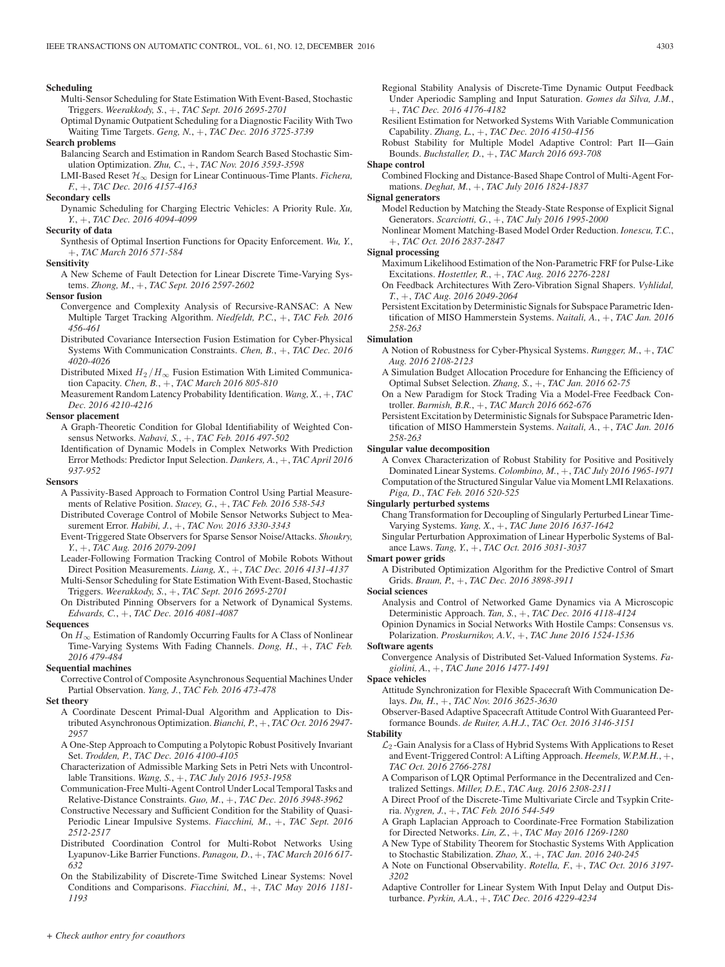#### **Scheduling**

- Multi-Sensor Scheduling for State Estimation With Event-Based, Stochastic Triggers. *Weerakkody, S.*, +, *TAC Sept. 2016 2695-2701*
- Optimal Dynamic Outpatient Scheduling for a Diagnostic Facility With Two Waiting Time Targets. *Geng, N.*, +, *TAC Dec. 2016 3725-3739*

#### **Search problems**

- Balancing Search and Estimation in Random Search Based Stochastic Simulation Optimization. *Zhu, C.*, +, *TAC Nov. 2016 3593-3598*
- LMI-Based Reset H∞ Design for Linear Continuous-Time Plants. *Fichera, F.*, +, *TAC Dec. 2016 4157-4163*

#### **Secondary cells**

Dynamic Scheduling for Charging Electric Vehicles: A Priority Rule. *Xu, Y.*, +, *TAC Dec. 2016 4094-4099*

#### **Security of data**

Synthesis of Optimal Insertion Functions for Opacity Enforcement. *Wu, Y.*, +, *TAC March 2016 571-584*

## **Sensitivity**

A New Scheme of Fault Detection for Linear Discrete Time-Varying Systems. *Zhong, M.*, +, *TAC Sept. 2016 2597-2602*

## **Sensor fusion**

- Convergence and Complexity Analysis of Recursive-RANSAC: A New Multiple Target Tracking Algorithm. *Niedfeldt, P.C.*, +, *TAC Feb. 2016 456-461*
- Distributed Covariance Intersection Fusion Estimation for Cyber-Physical Systems With Communication Constraints. *Chen, B.*, +, *TAC Dec. 2016 4020-4026*
- Distributed Mixed  $H_2/H_\infty$  Fusion Estimation With Limited Communication Capacity. *Chen, B.*, +, *TAC March 2016 805-810*
- Measurement Random Latency Probability Identification. *Wang, X.*, +, *TAC Dec. 2016 4210-4216*

#### **Sensor placement**

- A Graph-Theoretic Condition for Global Identifiability of Weighted Consensus Networks. *Nabavi, S.*, +, *TAC Feb. 2016 497-502*
- Identification of Dynamic Models in Complex Networks With Prediction Error Methods: Predictor Input Selection. *Dankers, A.*, +, *TAC April 2016 937-952*

**Sensors**

- A Passivity-Based Approach to Formation Control Using Partial Measurements of Relative Position. *Stacey, G.*, +, *TAC Feb. 2016 538-543*
- Distributed Coverage Control of Mobile Sensor Networks Subject to Measurement Error. *Habibi, J.*, +, *TAC Nov. 2016 3330-3343*
- Event-Triggered State Observers for Sparse Sensor Noise/Attacks. *Shoukry, Y.*, +, *TAC Aug. 2016 2079-2091*

Leader-Following Formation Tracking Control of Mobile Robots Without Direct Position Measurements. *Liang, X.*, +, *TAC Dec. 2016 4131-4137*

Multi-Sensor Scheduling for State Estimation With Event-Based, Stochastic Triggers. *Weerakkody, S.*, +, *TAC Sept. 2016 2695-2701*

On Distributed Pinning Observers for a Network of Dynamical Systems. *Edwards, C.*, +, *TAC Dec. 2016 4081-4087*

#### **Sequences**

On  $H_{\infty}$  Estimation of Randomly Occurring Faults for A Class of Nonlinear Time-Varying Systems With Fading Channels. *Dong, H.*, +, *TAC Feb. 2016 479-484*

#### **Sequential machines**

Corrective Control of Composite Asynchronous Sequential Machines Under Partial Observation. *Yang, J.*, *TAC Feb. 2016 473-478*

#### **Set theory**

- A Coordinate Descent Primal-Dual Algorithm and Application to Distributed Asynchronous Optimization. *Bianchi, P.*, +, *TAC Oct. 2016 2947- 2957*
- A One-Step Approach to Computing a Polytopic Robust Positively Invariant Set. *Trodden, P.*, *TAC Dec. 2016 4100-4105*
- Characterization of Admissible Marking Sets in Petri Nets with Uncontrollable Transitions. *Wang, S.*, +, *TAC July 2016 1953-1958*
- Communication-Free Multi-Agent Control Under Local Temporal Tasks and Relative-Distance Constraints. *Guo, M.*, +, *TAC Dec. 2016 3948-3962*
- Constructive Necessary and Sufficient Condition for the Stability of Quasi-Periodic Linear Impulsive Systems. *Fiacchini, M.*, +, *TAC Sept. 2016 2512-2517*
- Distributed Coordination Control for Multi-Robot Networks Using Lyapunov-Like Barrier Functions. *Panagou, D.*, +, *TAC March 2016 617- 632*
- On the Stabilizability of Discrete-Time Switched Linear Systems: Novel Conditions and Comparisons. *Fiacchini, M.*, +, *TAC May 2016 1181- 1193*
- Regional Stability Analysis of Discrete-Time Dynamic Output Feedback Under Aperiodic Sampling and Input Saturation. *Gomes da Silva, J.M.*, +, *TAC Dec. 2016 4176-4182*
- Resilient Estimation for Networked Systems With Variable Communication Capability. *Zhang, L.*, +, *TAC Dec. 2016 4150-4156*
- Robust Stability for Multiple Model Adaptive Control: Part II—Gain Bounds. *Buchstaller, D.*, +, *TAC March 2016 693-708*

# **Shape control**

Combined Flocking and Distance-Based Shape Control of Multi-Agent Formations. *Deghat, M.*, +, *TAC July 2016 1824-1837*

#### **Signal generators**

- Model Reduction by Matching the Steady-State Response of Explicit Signal Generators. *Scarciotti, G.*, +, *TAC July 2016 1995-2000*
- Nonlinear Moment Matching-Based Model Order Reduction. *Ionescu, T.C.*, +, *TAC Oct. 2016 2837-2847*

## **Signal processing**

- Maximum Likelihood Estimation of the Non-Parametric FRF for Pulse-Like Excitations. *Hostettler, R.*, +, *TAC Aug. 2016 2276-2281*
- On Feedback Architectures With Zero-Vibration Signal Shapers. *Vyhlidal, T.*, +, *TAC Aug. 2016 2049-2064*
- Persistent Excitation by Deterministic Signals for Subspace Parametric Identification of MISO Hammerstein Systems. *Naitali, A.*, +, *TAC Jan. 2016 258-263*

#### **Simulation**

- A Notion of Robustness for Cyber-Physical Systems. *Rungger, M.*, +, *TAC Aug. 2016 2108-2123*
- A Simulation Budget Allocation Procedure for Enhancing the Efficiency of Optimal Subset Selection. *Zhang, S.*, +, *TAC Jan. 2016 62-75*
- On a New Paradigm for Stock Trading Via a Model-Free Feedback Controller. *Barmish, B.R.*, +, *TAC March 2016 662-676*
- Persistent Excitation by Deterministic Signals for Subspace Parametric Identification of MISO Hammerstein Systems. *Naitali, A.*, +, *TAC Jan. 2016 258-263*

#### **Singular value decomposition**

A Convex Characterization of Robust Stability for Positive and Positively Dominated Linear Systems. *Colombino, M.*, +, *TAC July 2016 1965-1971* Computation of the Structured Singular Value via Moment LMI Relaxations. *Piga, D.*, *TAC Feb. 2016 520-525*

#### **Singularly perturbed systems**

Chang Transformation for Decoupling of Singularly Perturbed Linear Time-Varying Systems. *Yang, X.*, +, *TAC June 2016 1637-1642*

Singular Perturbation Approximation of Linear Hyperbolic Systems of Balance Laws. *Tang, Y.*, +, *TAC Oct. 2016 3031-3037*

#### **Smart power grids**

A Distributed Optimization Algorithm for the Predictive Control of Smart Grids. *Braun, P.*, +, *TAC Dec. 2016 3898-3911*

#### **Social sciences**

Analysis and Control of Networked Game Dynamics via A Microscopic Deterministic Approach. *Tan, S.*, +, *TAC Dec. 2016 4118-4124*

Opinion Dynamics in Social Networks With Hostile Camps: Consensus vs. Polarization. *Proskurnikov, A.V.*, +, *TAC June 2016 1524-1536* **Software agents**

Convergence Analysis of Distributed Set-Valued Information Systems. *Fagiolini, A.*, +, *TAC June 2016 1477-1491*

#### **Space vehicles**

- Attitude Synchronization for Flexible Spacecraft With Communication Delays. *Du, H.*, +, *TAC Nov. 2016 3625-3630*
- Observer-Based Adaptive Spacecraft Attitude Control With Guaranteed Performance Bounds. *de Ruiter, A.H.J.*, *TAC Oct. 2016 3146-3151*

## **Stability**

- $\mathcal{L}_2$ -Gain Analysis for a Class of Hybrid Systems With Applications to Reset and Event-Triggered Control: A Lifting Approach. *Heemels, W.P.M.H.*, +, *TAC Oct. 2016 2766-2781*
- A Comparison of LQR Optimal Performance in the Decentralized and Centralized Settings. *Miller, D.E.*, *TAC Aug. 2016 2308-2311*
- A Direct Proof of the Discrete-Time Multivariate Circle and Tsypkin Criteria. *Nygren, J.*, +, *TAC Feb. 2016 544-549*
- A Graph Laplacian Approach to Coordinate-Free Formation Stabilization for Directed Networks. *Lin, Z.*, +, *TAC May 2016 1269-1280*
- A New Type of Stability Theorem for Stochastic Systems With Application to Stochastic Stabilization. *Zhao, X.*, +, *TAC Jan. 2016 240-245*
- A Note on Functional Observability. *Rotella, F.*, +, *TAC Oct. 2016 3197- 3202*
- Adaptive Controller for Linear System With Input Delay and Output Disturbance. *Pyrkin, A.A.*, +, *TAC Dec. 2016 4229-4234*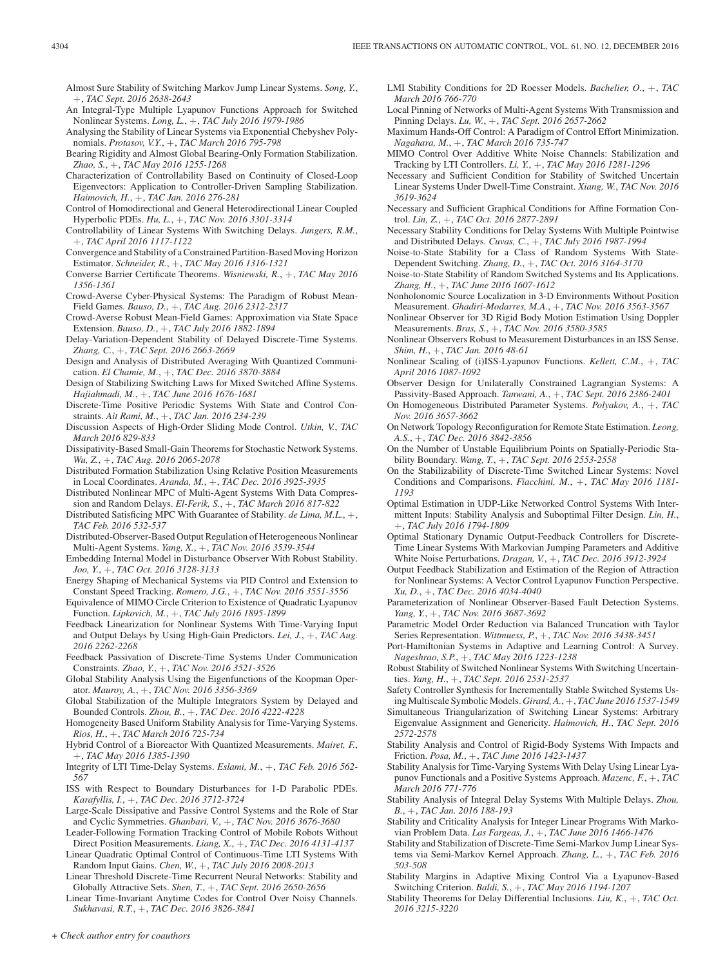Almost Sure Stability of Switching Markov Jump Linear Systems. *Song, Y.*, +, *TAC Sept. 2016 2638-2643*

- An Integral-Type Multiple Lyapunov Functions Approach for Switched Nonlinear Systems. *Long, L.*, +, *TAC July 2016 1979-1986*
- Analysing the Stability of Linear Systems via Exponential Chebyshev Polynomials. *Protasov, V.Y.*, +, *TAC March 2016 795-798*
- Bearing Rigidity and Almost Global Bearing-Only Formation Stabilization. *Zhao, S.*, +, *TAC May 2016 1255-1268*
- Characterization of Controllability Based on Continuity of Closed-Loop Eigenvectors: Application to Controller-Driven Sampling Stabilization. *Haimovich, H.*, +, *TAC Jan. 2016 276-281*
- Control of Homodirectional and General Heterodirectional Linear Coupled Hyperbolic PDEs. *Hu, L.*, +, *TAC Nov. 2016 3301-3314*
- Controllability of Linear Systems With Switching Delays. *Jungers, R.M.*, +, *TAC April 2016 1117-1122*
- Convergence and Stability of a Constrained Partition-Based Moving Horizon Estimator. *Schneider, R.*, +, *TAC May 2016 1316-1321*
- Converse Barrier Certificate Theorems. *Wisniewski, R.*, +, *TAC May 2016 1356-1361*
- Crowd-Averse Cyber-Physical Systems: The Paradigm of Robust Mean-Field Games. *Bauso, D.*, +, *TAC Aug. 2016 2312-2317*
- Crowd-Averse Robust Mean-Field Games: Approximation via State Space Extension. *Bauso, D.*, +, *TAC July 2016 1882-1894*
- Delay-Variation-Dependent Stability of Delayed Discrete-Time Systems. *Zhang, C.*, +, *TAC Sept. 2016 2663-2669*
- Design and Analysis of Distributed Averaging With Quantized Communication. *El Chamie, M.*, +, *TAC Dec. 2016 3870-3884*
- Design of Stabilizing Switching Laws for Mixed Switched Affine Systems. *Hajiahmadi, M.*, +, *TAC June 2016 1676-1681*
- Discrete-Time Positive Periodic Systems With State and Control Constraints. *Ait Rami, M.*, +, *TAC Jan. 2016 234-239*
- Discussion Aspects of High-Order Sliding Mode Control. *Utkin, V.*, *TAC March 2016 829-833*
- Dissipativity-Based Small-Gain Theorems for Stochastic Network Systems. *Wu, Z.*, +, *TAC Aug. 2016 2065-2078*
- Distributed Formation Stabilization Using Relative Position Measurements in Local Coordinates. *Aranda, M.*, +, *TAC Dec. 2016 3925-3935*
- Distributed Nonlinear MPC of Multi-Agent Systems With Data Compression and Random Delays. *El-Ferik, S.*, +, *TAC March 2016 817-822*
- Distributed Satisficing MPC With Guarantee of Stability. *de Lima, M.L.*, +, *TAC Feb. 2016 532-537*
- Distributed-Observer-Based Output Regulation of Heterogeneous Nonlinear Multi-Agent Systems. *Yang, X.*, +, *TAC Nov. 2016 3539-3544*
- Embedding Internal Model in Disturbance Observer With Robust Stability. *Joo, Y.*, +, *TAC Oct. 2016 3128-3133*
- Energy Shaping of Mechanical Systems via PID Control and Extension to Constant Speed Tracking. *Romero, J.G.*, +, *TAC Nov. 2016 3551-3556*
- Equivalence of MIMO Circle Criterion to Existence of Quadratic Lyapunov Function. *Lipkovich, M.*, +, *TAC July 2016 1895-1899*
- Feedback Linearization for Nonlinear Systems With Time-Varying Input and Output Delays by Using High-Gain Predictors. *Lei, J.*, +, *TAC Aug. 2016 2262-2268*
- Feedback Passivation of Discrete-Time Systems Under Communication Constraints. *Zhao, Y.*, +, *TAC Nov. 2016 3521-3526*
- Global Stability Analysis Using the Eigenfunctions of the Koopman Operator. *Mauroy, A.*, +, *TAC Nov. 2016 3356-3369*
- Global Stabilization of the Multiple Integrators System by Delayed and Bounded Controls. *Zhou, B.*, +, *TAC Dec. 2016 4222-4228*
- Homogeneity Based Uniform Stability Analysis for Time-Varying Systems. *Rios, H.*, +, *TAC March 2016 725-734*
- Hybrid Control of a Bioreactor With Quantized Measurements. *Mairet, F.*, +, *TAC May 2016 1385-1390*
- Integrity of LTI Time-Delay Systems. *Eslami, M.*, +, *TAC Feb. 2016 562- 567*
- ISS with Respect to Boundary Disturbances for 1-D Parabolic PDEs. *Karafyllis, I.*, +, *TAC Dec. 2016 3712-3724*
- Large-Scale Dissipative and Passive Control Systems and the Role of Star and Cyclic Symmetries. *Ghanbari, V.*, +, *TAC Nov. 2016 3676-3680*
- Leader-Following Formation Tracking Control of Mobile Robots Without Direct Position Measurements. *Liang, X.*, +, *TAC Dec. 2016 4131-4137*
- Linear Quadratic Optimal Control of Continuous-Time LTI Systems With Random Input Gains. *Chen, W.*, +, *TAC July 2016 2008-2013*
- Linear Threshold Discrete-Time Recurrent Neural Networks: Stability and Globally Attractive Sets. *Shen, T.*, +, *TAC Sept. 2016 2650-2656*
- Linear Time-Invariant Anytime Codes for Control Over Noisy Channels. *Sukhavasi, R.T.*, +, *TAC Dec. 2016 3826-3841*
- LMI Stability Conditions for 2D Roesser Models. *Bachelier, O.*, +, *TAC March 2016 766-770*
- Local Pinning of Networks of Multi-Agent Systems With Transmission and Pinning Delays. *Lu, W.*, +, *TAC Sept. 2016 2657-2662*
- Maximum Hands-Off Control: A Paradigm of Control Effort Minimization. *Nagahara, M.*, +, *TAC March 2016 735-747*
- MIMO Control Over Additive White Noise Channels: Stabilization and Tracking by LTI Controllers. *Li, Y.*, +, *TAC May 2016 1281-1296*
- Necessary and Sufficient Condition for Stability of Switched Uncertain Linear Systems Under Dwell-Time Constraint. *Xiang, W.*, *TAC Nov. 2016 3619-3624*
- Necessary and Sufficient Graphical Conditions for Affine Formation Control. *Lin, Z.*, +, *TAC Oct. 2016 2877-2891*
- Necessary Stability Conditions for Delay Systems With Multiple Pointwise and Distributed Delays. *Cuvas, C.*, +, *TAC July 2016 1987-1994*
- Noise-to-State Stability for a Class of Random Systems With State-Dependent Switching. *Zhang, D.*, +, *TAC Oct. 2016 3164-3170*
- Noise-to-State Stability of Random Switched Systems and Its Applications. *Zhang, H.*, +, *TAC June 2016 1607-1612*
- Nonholonomic Source Localization in 3-D Environments Without Position Measurement. *Ghadiri-Modarres, M.A.*, +, *TAC Nov. 2016 3563-3567*
- Nonlinear Observer for 3D Rigid Body Motion Estimation Using Doppler Measurements. *Bras, S.*, +, *TAC Nov. 2016 3580-3585*
- Nonlinear Observers Robust to Measurement Disturbances in an ISS Sense. *Shim, H.*, +, *TAC Jan. 2016 48-61*
- Nonlinear Scaling of (i)ISS-Lyapunov Functions. *Kellett, C.M.*, +, *TAC April 2016 1087-1092*
- Observer Design for Unilaterally Constrained Lagrangian Systems: A Passivity-Based Approach. *Tanwani, A.*, +, *TAC Sept. 2016 2386-2401*
- On Homogeneous Distributed Parameter Systems. *Polyakov, A.*, +, *TAC Nov. 2016 3657-3662*
- On Network Topology Reconfiguration for Remote State Estimation. *Leong, A.S.*, +, *TAC Dec. 2016 3842-3856*
- On the Number of Unstable Equilibrium Points on Spatially-Periodic Stability Boundary. *Wang, T.*, +, *TAC Sept. 2016 2553-2558*
- On the Stabilizability of Discrete-Time Switched Linear Systems: Novel Conditions and Comparisons. *Fiacchini, M.*, +, *TAC May 2016 1181- 1193*
- Optimal Estimation in UDP-Like Networked Control Systems With Intermittent Inputs: Stability Analysis and Suboptimal Filter Design. *Lin, H.*, +, *TAC July 2016 1794-1809*
- Optimal Stationary Dynamic Output-Feedback Controllers for Discrete-Time Linear Systems With Markovian Jumping Parameters and Additive White Noise Perturbations. *Dragan, V.*, +, *TAC Dec. 2016 3912-3924*
- Output Feedback Stabilization and Estimation of the Region of Attraction for Nonlinear Systems: A Vector Control Lyapunov Function Perspective. *Xu, D.*, +, *TAC Dec. 2016 4034-4040*
- Parameterization of Nonlinear Observer-Based Fault Detection Systems. *Yang, Y.*, +, *TAC Nov. 2016 3687-3692*
- Parametric Model Order Reduction via Balanced Truncation with Taylor Series Representation. *Wittmuess, P.*, +, *TAC Nov. 2016 3438-3451*
- Port-Hamiltonian Systems in Adaptive and Learning Control: A Survey. *Nageshrao, S.P.*, +, *TAC May 2016 1223-1238*
- Robust Stability of Switched Nonlinear Systems With Switching Uncertainties. *Yang, H.*, +, *TAC Sept. 2016 2531-2537*
- Safety Controller Synthesis for Incrementally Stable Switched Systems Using Multiscale Symbolic Models. *Girard, A.*,+, *TAC June 2016 1537-1549*
- Simultaneous Triangularization of Switching Linear Systems: Arbitrary Eigenvalue Assignment and Genericity. *Haimovich, H.*, *TAC Sept. 2016 2572-2578*
- Stability Analysis and Control of Rigid-Body Systems With Impacts and Friction. *Posa, M.*, +, *TAC June 2016 1423-1437*
- Stability Analysis for Time-Varying Systems With Delay Using Linear Lyapunov Functionals and a Positive Systems Approach. *Mazenc, F.*, +, *TAC March 2016 771-776*
- Stability Analysis of Integral Delay Systems With Multiple Delays. *Zhou, B.*, +, *TAC Jan. 2016 188-193*
- Stability and Criticality Analysis for Integer Linear Programs With Markovian Problem Data. *Las Fargeas, J.*, +, *TAC June 2016 1466-1476*
- Stability and Stabilization of Discrete-Time Semi-Markov Jump Linear Systems via Semi-Markov Kernel Approach. *Zhang, L.*, +, *TAC Feb. 2016 503-508*
- Stability Margins in Adaptive Mixing Control Via a Lyapunov-Based Switching Criterion. *Baldi, S.*, +, *TAC May 2016 1194-1207*
- Stability Theorems for Delay Differential Inclusions. *Liu, K.*, +, *TAC Oct. 2016 3215-3220*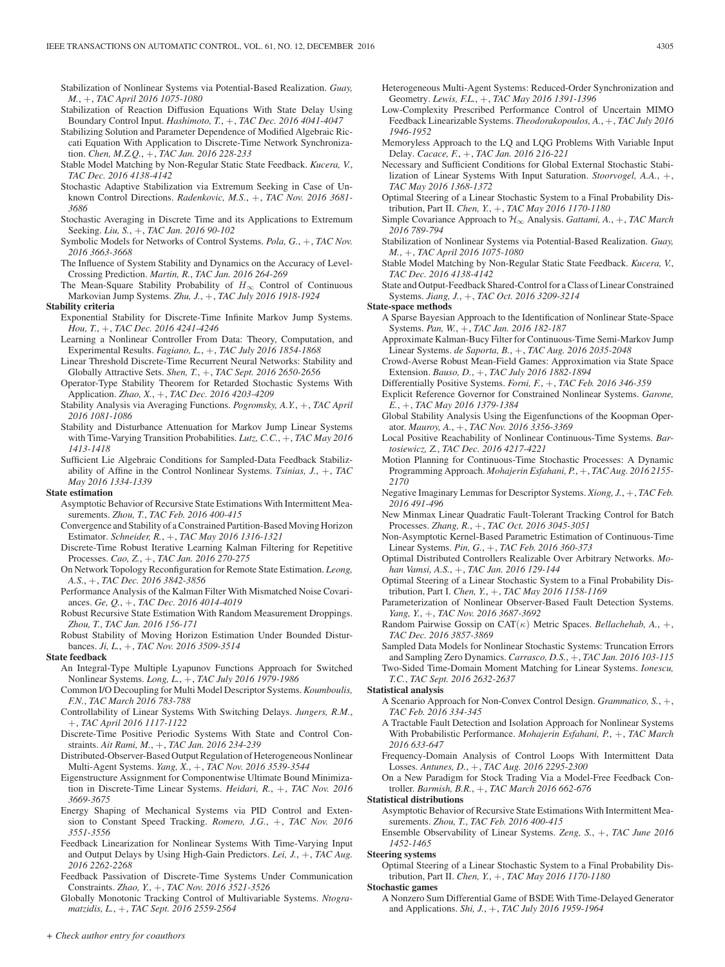Stabilization of Nonlinear Systems via Potential-Based Realization. *Guay, M.*, +, *TAC April 2016 1075-1080*

- Stabilization of Reaction Diffusion Equations With State Delay Using Boundary Control Input. *Hashimoto, T.*, +, *TAC Dec. 2016 4041-4047*
- Stabilizing Solution and Parameter Dependence of Modified Algebraic Riccati Equation With Application to Discrete-Time Network Synchronization. *Chen, M.Z.Q.*, +, *TAC Jan. 2016 228-233*
- Stable Model Matching by Non-Regular Static State Feedback. *Kucera, V.*, *TAC Dec. 2016 4138-4142*
- Stochastic Adaptive Stabilization via Extremum Seeking in Case of Unknown Control Directions. *Radenkovic, M.S.*, +, *TAC Nov. 2016 3681- 3686*
- Stochastic Averaging in Discrete Time and its Applications to Extremum Seeking. *Liu, S.*, +, *TAC Jan. 2016 90-102*
- Symbolic Models for Networks of Control Systems. *Pola, G.*, +, *TAC Nov. 2016 3663-3668*
- The Influence of System Stability and Dynamics on the Accuracy of Level-Crossing Prediction. *Martin, R.*, *TAC Jan. 2016 264-269*
- The Mean-Square Stability Probability of  $H_{\infty}$  Control of Continuous Markovian Jump Systems. *Zhu, J.*, +, *TAC July 2016 1918-1924*
- **Stability criteria**
	- Exponential Stability for Discrete-Time Infinite Markov Jump Systems. *Hou, T.*, +, *TAC Dec. 2016 4241-4246*
	- Learning a Nonlinear Controller From Data: Theory, Computation, and Experimental Results. *Fagiano, L.*, +, *TAC July 2016 1854-1868*
	- Linear Threshold Discrete-Time Recurrent Neural Networks: Stability and Globally Attractive Sets. *Shen, T.*, +, *TAC Sept. 2016 2650-2656*
	- Operator-Type Stability Theorem for Retarded Stochastic Systems With Application. *Zhao, X.*, +, *TAC Dec. 2016 4203-4209*
	- Stability Analysis via Averaging Functions. *Pogromsky, A.Y.*, +, *TAC April 2016 1081-1086*
	- Stability and Disturbance Attenuation for Markov Jump Linear Systems with Time-Varying Transition Probabilities. *Lutz, C.C.*, +, *TAC May 2016 1413-1418*
	- Sufficient Lie Algebraic Conditions for Sampled-Data Feedback Stabilizability of Affine in the Control Nonlinear Systems. *Tsinias, J.*, +, *TAC May 2016 1334-1339*

#### **State estimation**

- Asymptotic Behavior of Recursive State Estimations With Intermittent Measurements. *Zhou, T.*, *TAC Feb. 2016 400-415*
- Convergence and Stability of a Constrained Partition-Based Moving Horizon Estimator. *Schneider, R.*, +, *TAC May 2016 1316-1321*
- Discrete-Time Robust Iterative Learning Kalman Filtering for Repetitive Processes. *Cao, Z.*, +, *TAC Jan. 2016 270-275*
- On Network Topology Reconfiguration for Remote State Estimation. *Leong, A.S.*, +, *TAC Dec. 2016 3842-3856*
- Performance Analysis of the Kalman Filter With Mismatched Noise Covariances. *Ge, Q.*, +, *TAC Dec. 2016 4014-4019*
- Robust Recursive State Estimation With Random Measurement Droppings. *Zhou, T.*, *TAC Jan. 2016 156-171*
- Robust Stability of Moving Horizon Estimation Under Bounded Disturbances. *Ji, L.*, +, *TAC Nov. 2016 3509-3514*

## **State feedback**

- An Integral-Type Multiple Lyapunov Functions Approach for Switched Nonlinear Systems. *Long, L.*, +, *TAC July 2016 1979-1986*
- Common I/O Decoupling for Multi Model Descriptor Systems. *Koumboulis, F.N.*, *TAC March 2016 783-788*
- Controllability of Linear Systems With Switching Delays. *Jungers, R.M.*, +, *TAC April 2016 1117-1122*
- Discrete-Time Positive Periodic Systems With State and Control Constraints. *Ait Rami, M.*, +, *TAC Jan. 2016 234-239*
- Distributed-Observer-Based Output Regulation of Heterogeneous Nonlinear Multi-Agent Systems. *Yang, X.*, +, *TAC Nov. 2016 3539-3544*
- Eigenstructure Assignment for Componentwise Ultimate Bound Minimization in Discrete-Time Linear Systems. *Heidari, R.*, +, *TAC Nov. 2016 3669-3675*
- Energy Shaping of Mechanical Systems via PID Control and Extension to Constant Speed Tracking. *Romero, J.G.*, +, *TAC Nov. 2016 3551-3556*
- Feedback Linearization for Nonlinear Systems With Time-Varying Input and Output Delays by Using High-Gain Predictors. *Lei, J.*, +, *TAC Aug. 2016 2262-2268*
- Feedback Passivation of Discrete-Time Systems Under Communication Constraints. *Zhao, Y.*, +, *TAC Nov. 2016 3521-3526*

Globally Monotonic Tracking Control of Multivariable Systems. *Ntogramatzidis, L.*, +, *TAC Sept. 2016 2559-2564*

- Heterogeneous Multi-Agent Systems: Reduced-Order Synchronization and Geometry. *Lewis, F.L.*, +, *TAC May 2016 1391-1396*
- Low-Complexity Prescribed Performance Control of Uncertain MIMO Feedback Linearizable Systems. *Theodorakopoulos, A.*, +, *TAC July 2016 1946-1952*
- Memoryless Approach to the LQ and LQG Problems With Variable Input Delay. *Cacace, F.*, +, *TAC Jan. 2016 216-221*
- Necessary and Sufficient Conditions for Global External Stochastic Stabilization of Linear Systems With Input Saturation. *Stoorvogel, A.A.*, +, *TAC May 2016 1368-1372*
- Optimal Steering of a Linear Stochastic System to a Final Probability Distribution, Part II. *Chen, Y.*, +, *TAC May 2016 1170-1180*
- Simple Covariance Approach to H∞ Analysis. *Gattami, A.*, +, *TAC March 2016 789-794*
- Stabilization of Nonlinear Systems via Potential-Based Realization. *Guay, M.*, +, *TAC April 2016 1075-1080*
- Stable Model Matching by Non-Regular Static State Feedback. *Kucera, V.*, *TAC Dec. 2016 4138-4142*
- State and Output-Feedback Shared-Control for a Class of Linear Constrained Systems. *Jiang, J.*, +, *TAC Oct. 2016 3209-3214*

**State-space methods**

- A Sparse Bayesian Approach to the Identification of Nonlinear State-Space Systems. *Pan, W.*, +, *TAC Jan. 2016 182-187*
- Approximate Kalman-Bucy Filter for Continuous-Time Semi-Markov Jump Linear Systems. *de Saporta, B.*, +, *TAC Aug. 2016 2035-2048*
- Crowd-Averse Robust Mean-Field Games: Approximation via State Space Extension. *Bauso, D.*, +, *TAC July 2016 1882-1894*
- Differentially Positive Systems. *Forni, F.*, +, *TAC Feb. 2016 346-359*
- Explicit Reference Governor for Constrained Nonlinear Systems. *Garone, E.*, +, *TAC May 2016 1379-1384*
- Global Stability Analysis Using the Eigenfunctions of the Koopman Operator. *Mauroy, A.*, +, *TAC Nov. 2016 3356-3369*
- Local Positive Reachability of Nonlinear Continuous-Time Systems. *Bartosiewicz, Z.*, *TAC Dec. 2016 4217-4221*
- Motion Planning for Continuous-Time Stochastic Processes: A Dynamic Programming Approach. *Mohajerin Esfahani, P.*, +, *TAC Aug. 2016 2155- 2170*
- Negative Imaginary Lemmas for Descriptor Systems. *Xiong, J.*, +, *TAC Feb. 2016 491-496*
- New Minmax Linear Quadratic Fault-Tolerant Tracking Control for Batch Processes. *Zhang, R.*, +, *TAC Oct. 2016 3045-3051*
- Non-Asymptotic Kernel-Based Parametric Estimation of Continuous-Time Linear Systems. *Pin, G.*, +, *TAC Feb. 2016 360-373*
- Optimal Distributed Controllers Realizable Over Arbitrary Networks. *Mohan Vamsi, A.S.*, +, *TAC Jan. 2016 129-144*
- Optimal Steering of a Linear Stochastic System to a Final Probability Distribution, Part I. *Chen, Y.*, +, *TAC May 2016 1158-1169*
- Parameterization of Nonlinear Observer-Based Fault Detection Systems. *Yang, Y.*, +, *TAC Nov. 2016 3687-3692*
- Random Pairwise Gossip on CAT(κ) Metric Spaces. *Bellachehab, A.*, +, *TAC Dec. 2016 3857-3869*
- Sampled Data Models for Nonlinear Stochastic Systems: Truncation Errors and Sampling Zero Dynamics. *Carrasco, D.S.*, +, *TAC Jan. 2016 103-115* Two-Sided Time-Domain Moment Matching for Linear Systems. *Ionescu,*

#### *T.C.*, *TAC Sept. 2016 2632-2637* **Statistical analysis**

- A Scenario Approach for Non-Convex Control Design. *Grammatico, S.*, +, *TAC Feb. 2016 334-345*
- A Tractable Fault Detection and Isolation Approach for Nonlinear Systems With Probabilistic Performance. *Mohajerin Esfahani, P.*, +, *TAC March 2016 633-647*
- Frequency-Domain Analysis of Control Loops With Intermittent Data Losses. *Antunes, D.*, +, *TAC Aug. 2016 2295-2300*

On a New Paradigm for Stock Trading Via a Model-Free Feedback Controller. *Barmish, B.R.*, +, *TAC March 2016 662-676*

#### **Statistical distributions**

- Asymptotic Behavior of Recursive State Estimations With Intermittent Measurements. *Zhou, T.*, *TAC Feb. 2016 400-415*
- Ensemble Observability of Linear Systems. *Zeng, S.*, +, *TAC June 2016 1452-1465*

#### **Steering systems**

Optimal Steering of a Linear Stochastic System to a Final Probability Distribution, Part II. *Chen, Y.*, +, *TAC May 2016 1170-1180*

#### **Stochastic games**

A Nonzero Sum Differential Game of BSDE With Time-Delayed Generator and Applications. *Shi, J.*, +, *TAC July 2016 1959-1964*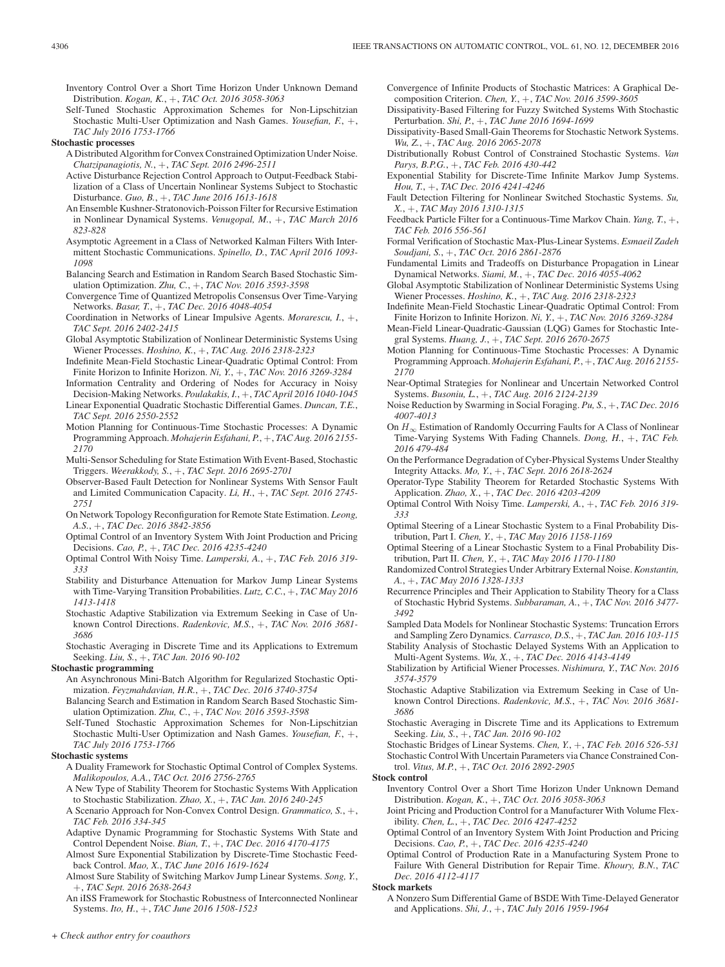Inventory Control Over a Short Time Horizon Under Unknown Demand Distribution. *Kogan, K.*, +, *TAC Oct. 2016 3058-3063*

- Self-Tuned Stochastic Approximation Schemes for Non-Lipschitzian Stochastic Multi-User Optimization and Nash Games. *Yousefian, F.*, +, *TAC July 2016 1753-1766*
- **Stochastic processes**
	- A Distributed Algorithm for Convex Constrained Optimization Under Noise. *Chatzipanagiotis, N.*, +, *TAC Sept. 2016 2496-2511*
	- Active Disturbance Rejection Control Approach to Output-Feedback Stabilization of a Class of Uncertain Nonlinear Systems Subject to Stochastic Disturbance. *Guo, B.*, +, *TAC June 2016 1613-1618*
	- An Ensemble Kushner-Stratonovich-Poisson Filter for Recursive Estimation in Nonlinear Dynamical Systems. *Venugopal, M.*, +, *TAC March 2016 823-828*
	- Asymptotic Agreement in a Class of Networked Kalman Filters With Intermittent Stochastic Communications. *Spinello, D.*, *TAC April 2016 1093- 1098*
	- Balancing Search and Estimation in Random Search Based Stochastic Simulation Optimization. *Zhu, C.*, +, *TAC Nov. 2016 3593-3598*
	- Convergence Time of Quantized Metropolis Consensus Over Time-Varying Networks. *Basar, T.*, +, *TAC Dec. 2016 4048-4054*
	- Coordination in Networks of Linear Impulsive Agents. *Morarescu, I.*, +, *TAC Sept. 2016 2402-2415*
	- Global Asymptotic Stabilization of Nonlinear Deterministic Systems Using Wiener Processes. *Hoshino, K.*, +, *TAC Aug. 2016 2318-2323*
	- Indefinite Mean-Field Stochastic Linear-Quadratic Optimal Control: From Finite Horizon to Infinite Horizon. *Ni, Y.*, +, *TAC Nov. 2016 3269-3284*
	- Information Centrality and Ordering of Nodes for Accuracy in Noisy Decision-Making Networks. *Poulakakis, I.*, +, *TAC April 2016 1040-1045*
	- Linear Exponential Quadratic Stochastic Differential Games. *Duncan, T.E.*, *TAC Sept. 2016 2550-2552*
	- Motion Planning for Continuous-Time Stochastic Processes: A Dynamic Programming Approach. *Mohajerin Esfahani, P.*, +, *TAC Aug. 2016 2155- 2170*
	- Multi-Sensor Scheduling for State Estimation With Event-Based, Stochastic Triggers. *Weerakkody, S.*, +, *TAC Sept. 2016 2695-2701*
	- Observer-Based Fault Detection for Nonlinear Systems With Sensor Fault and Limited Communication Capacity. *Li, H.*, +, *TAC Sept. 2016 2745- 2751*
	- On Network Topology Reconfiguration for Remote State Estimation. *Leong, A.S.*, +, *TAC Dec. 2016 3842-3856*
	- Optimal Control of an Inventory System With Joint Production and Pricing Decisions. *Cao, P.*, +, *TAC Dec. 2016 4235-4240*
	- Optimal Control With Noisy Time. *Lamperski, A.*, +, *TAC Feb. 2016 319- 333*
	- Stability and Disturbance Attenuation for Markov Jump Linear Systems with Time-Varying Transition Probabilities. *Lutz, C.C.*, +, *TAC May 2016 1413-1418*
	- Stochastic Adaptive Stabilization via Extremum Seeking in Case of Unknown Control Directions. *Radenkovic, M.S.*, +, *TAC Nov. 2016 3681- 3686*
	- Stochastic Averaging in Discrete Time and its Applications to Extremum Seeking. *Liu, S.*, +, *TAC Jan. 2016 90-102*

## **Stochastic programming**

- An Asynchronous Mini-Batch Algorithm for Regularized Stochastic Optimization. *Feyzmahdavian, H.R.*, +, *TAC Dec. 2016 3740-3754*
- Balancing Search and Estimation in Random Search Based Stochastic Simulation Optimization. *Zhu, C.*, +, *TAC Nov. 2016 3593-3598*
- Self-Tuned Stochastic Approximation Schemes for Non-Lipschitzian Stochastic Multi-User Optimization and Nash Games. *Yousefian, F.*, +, *TAC July 2016 1753-1766*

#### **Stochastic systems**

- A Duality Framework for Stochastic Optimal Control of Complex Systems. *Malikopoulos, A.A.*, *TAC Oct. 2016 2756-2765*
- A New Type of Stability Theorem for Stochastic Systems With Application to Stochastic Stabilization. *Zhao, X.*, +, *TAC Jan. 2016 240-245*
- A Scenario Approach for Non-Convex Control Design. *Grammatico, S.*, +, *TAC Feb. 2016 334-345*
- Adaptive Dynamic Programming for Stochastic Systems With State and Control Dependent Noise. *Bian, T.*, +, *TAC Dec. 2016 4170-4175*
- Almost Sure Exponential Stabilization by Discrete-Time Stochastic Feedback Control. *Mao, X.*, *TAC June 2016 1619-1624*
- Almost Sure Stability of Switching Markov Jump Linear Systems. *Song, Y.*, +, *TAC Sept. 2016 2638-2643*
- An iISS Framework for Stochastic Robustness of Interconnected Nonlinear Systems. *Ito, H.*, +, *TAC June 2016 1508-1523*

Convergence of Infinite Products of Stochastic Matrices: A Graphical Decomposition Criterion. *Chen, Y.*, +, *TAC Nov. 2016 3599-3605*

- Dissipativity-Based Filtering for Fuzzy Switched Systems With Stochastic Perturbation. *Shi, P.*, +, *TAC June 2016 1694-1699*
- Dissipativity-Based Small-Gain Theorems for Stochastic Network Systems. *Wu, Z.*, +, *TAC Aug. 2016 2065-2078*
- Distributionally Robust Control of Constrained Stochastic Systems. *Van Parys, B.P.G.*, +, *TAC Feb. 2016 430-442*
- Exponential Stability for Discrete-Time Infinite Markov Jump Systems. *Hou, T.*, +, *TAC Dec. 2016 4241-4246*
- Fault Detection Filtering for Nonlinear Switched Stochastic Systems. *Su, X.*, +, *TAC May 2016 1310-1315*
- Feedback Particle Filter for a Continuous-Time Markov Chain. *Yang, T.*, +, *TAC Feb. 2016 556-561*
- Formal Verification of Stochastic Max-Plus-Linear Systems. *Esmaeil Zadeh Soudjani, S.*, +, *TAC Oct. 2016 2861-2876*
- Fundamental Limits and Tradeoffs on Disturbance Propagation in Linear Dynamical Networks. *Siami, M.*, +, *TAC Dec. 2016 4055-4062*
- Global Asymptotic Stabilization of Nonlinear Deterministic Systems Using Wiener Processes. *Hoshino, K.*, +, *TAC Aug. 2016 2318-2323*
- Indefinite Mean-Field Stochastic Linear-Quadratic Optimal Control: From Finite Horizon to Infinite Horizon. *Ni, Y.*, +, *TAC Nov. 2016 3269-3284*
- Mean-Field Linear-Quadratic-Gaussian (LQG) Games for Stochastic Integral Systems. *Huang, J.*, +, *TAC Sept. 2016 2670-2675*
- Motion Planning for Continuous-Time Stochastic Processes: A Dynamic Programming Approach. *Mohajerin Esfahani, P.*, +, *TAC Aug. 2016 2155- 2170*
- Near-Optimal Strategies for Nonlinear and Uncertain Networked Control Systems. *Busoniu, L.*, +, *TAC Aug. 2016 2124-2139*
- Noise Reduction by Swarming in Social Foraging. *Pu, S.*, +, *TAC Dec. 2016 4007-4013*
- On  $H_{\infty}$  Estimation of Randomly Occurring Faults for A Class of Nonlinear Time-Varying Systems With Fading Channels. *Dong, H.*, +, *TAC Feb. 2016 479-484*
- On the Performance Degradation of Cyber-Physical Systems Under Stealthy Integrity Attacks. *Mo, Y.*, +, *TAC Sept. 2016 2618-2624*
- Operator-Type Stability Theorem for Retarded Stochastic Systems With Application. *Zhao, X.*, +, *TAC Dec. 2016 4203-4209*
- Optimal Control With Noisy Time. *Lamperski, A.*, +, *TAC Feb. 2016 319- 333*
- Optimal Steering of a Linear Stochastic System to a Final Probability Distribution, Part I. *Chen, Y.*, +, *TAC May 2016 1158-1169*
- Optimal Steering of a Linear Stochastic System to a Final Probability Distribution, Part II. *Chen, Y.*, +, *TAC May 2016 1170-1180*
- Randomized Control Strategies Under Arbitrary External Noise. *Konstantin, A.*, +, *TAC May 2016 1328-1333*
- Recurrence Principles and Their Application to Stability Theory for a Class of Stochastic Hybrid Systems. *Subbaraman, A.*, +, *TAC Nov. 2016 3477- 3492*
- Sampled Data Models for Nonlinear Stochastic Systems: Truncation Errors and Sampling Zero Dynamics. *Carrasco, D.S.*, +, *TAC Jan. 2016 103-115*
- Stability Analysis of Stochastic Delayed Systems With an Application to Multi-Agent Systems. *Wu, X.*, +, *TAC Dec. 2016 4143-4149*
- Stabilization by Artificial Wiener Processes. *Nishimura, Y.*, *TAC Nov. 2016 3574-3579*
- Stochastic Adaptive Stabilization via Extremum Seeking in Case of Unknown Control Directions. *Radenkovic, M.S.*, +, *TAC Nov. 2016 3681- 3686*
- Stochastic Averaging in Discrete Time and its Applications to Extremum Seeking. *Liu, S.*, +, *TAC Jan. 2016 90-102*
- Stochastic Bridges of Linear Systems. *Chen, Y.*, +, *TAC Feb. 2016 526-531* Stochastic Control With Uncertain Parameters via Chance Constrained Con-

trol. *Vitus, M.P.*, +, *TAC Oct. 2016 2892-2905*

- **Stock control**
	- Inventory Control Over a Short Time Horizon Under Unknown Demand Distribution. *Kogan, K.*, +, *TAC Oct. 2016 3058-3063*
	- Joint Pricing and Production Control for a Manufacturer With Volume Flexibility. *Chen, L.*, +, *TAC Dec. 2016 4247-4252*
	- Optimal Control of an Inventory System With Joint Production and Pricing Decisions. *Cao, P.*, +, *TAC Dec. 2016 4235-4240*
	- Optimal Control of Production Rate in a Manufacturing System Prone to Failure With General Distribution for Repair Time. *Khoury, B.N.*, *TAC Dec. 2016 4112-4117*
- **Stock markets**
	- A Nonzero Sum Differential Game of BSDE With Time-Delayed Generator and Applications. *Shi, J.*, +, *TAC July 2016 1959-1964*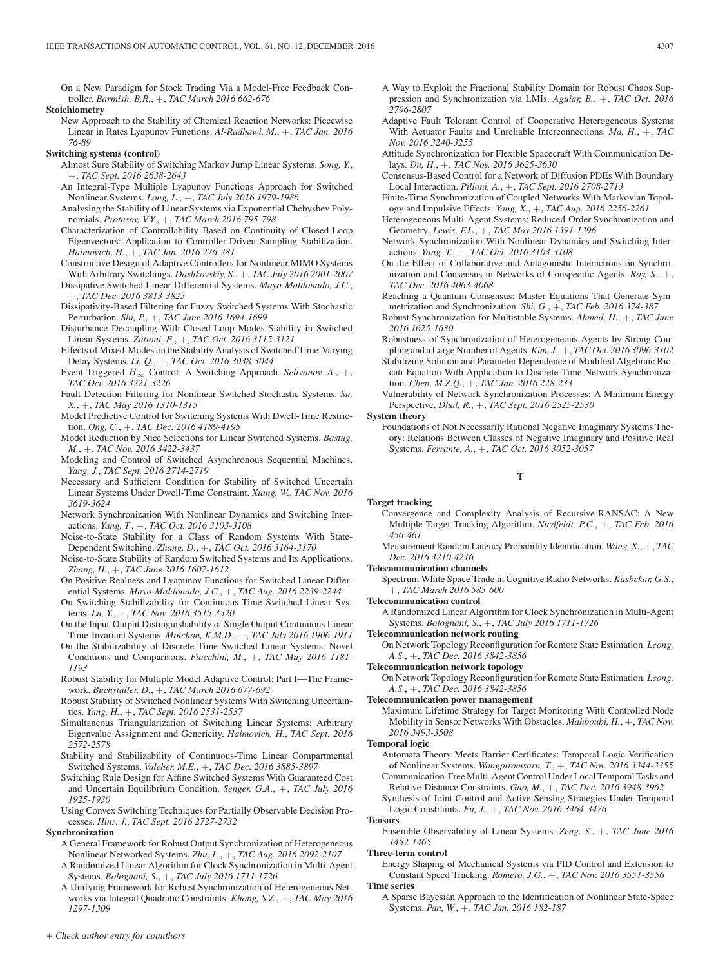On a New Paradigm for Stock Trading Via a Model-Free Feedback Controller. *Barmish, B.R.*, +, *TAC March 2016 662-676*

## **Stoichiometry**

New Approach to the Stability of Chemical Reaction Networks: Piecewise Linear in Rates Lyapunov Functions. *Al-Radhawi, M.*, +, *TAC Jan. 2016 76-89*

#### **Switching systems (control)**

- Almost Sure Stability of Switching Markov Jump Linear Systems. *Song, Y.*, +, *TAC Sept. 2016 2638-2643*
- An Integral-Type Multiple Lyapunov Functions Approach for Switched Nonlinear Systems. *Long, L.*, +, *TAC July 2016 1979-1986*
- Analysing the Stability of Linear Systems via Exponential Chebyshev Polynomials. *Protasov, V.Y.*, +, *TAC March 2016 795-798*
- Characterization of Controllability Based on Continuity of Closed-Loop Eigenvectors: Application to Controller-Driven Sampling Stabilization. *Haimovich, H.*, +, *TAC Jan. 2016 276-281*
- Constructive Design of Adaptive Controllers for Nonlinear MIMO Systems With Arbitrary Switchings. *Dashkovskiy, S.*, +, *TAC July 2016 2001-2007*
- Dissipative Switched Linear Differential Systems. *Mayo-Maldonado, J.C.*, +, *TAC Dec. 2016 3813-3825*
- Dissipativity-Based Filtering for Fuzzy Switched Systems With Stochastic Perturbation. *Shi, P.*, +, *TAC June 2016 1694-1699*
- Disturbance Decoupling With Closed-Loop Modes Stability in Switched Linear Systems. *Zattoni, E.*, +, *TAC Oct. 2016 3115-3121*
- Effects of Mixed-Modes on the Stability Analysis of Switched Time-Varying Delay Systems. *Li, Q.*, +, *TAC Oct. 2016 3038-3044*
- Event-Triggered  $H_{\infty}$  Control: A Switching Approach. *Selivanov*, A., +, *TAC Oct. 2016 3221-3226*
- Fault Detection Filtering for Nonlinear Switched Stochastic Systems. *Su, X.*, +, *TAC May 2016 1310-1315*
- Model Predictive Control for Switching Systems With Dwell-Time Restriction. *Ong, C.*, +, *TAC Dec. 2016 4189-4195*
- Model Reduction by Nice Selections for Linear Switched Systems. *Bastug, M.*, +, *TAC Nov. 2016 3422-3437*
- Modeling and Control of Switched Asynchronous Sequential Machines. *Yang, J.*, *TAC Sept. 2016 2714-2719*
- Necessary and Sufficient Condition for Stability of Switched Uncertain Linear Systems Under Dwell-Time Constraint. *Xiang, W.*, *TAC Nov. 2016 3619-3624*
- Network Synchronization With Nonlinear Dynamics and Switching Interactions. *Yang, T.*, +, *TAC Oct. 2016 3103-3108*
- Noise-to-State Stability for a Class of Random Systems With State-Dependent Switching. *Zhang, D.*, +, *TAC Oct. 2016 3164-3170*
- Noise-to-State Stability of Random Switched Systems and Its Applications. *Zhang, H.*, +, *TAC June 2016 1607-1612*
- On Positive-Realness and Lyapunov Functions for Switched Linear Differential Systems. *Mayo-Maldonado, J.C.*, +, *TAC Aug. 2016 2239-2244*
- On Switching Stabilizability for Continuous-Time Switched Linear Systems. *Lu, Y.*, +, *TAC Nov. 2016 3515-3520*
- On the Input-Output Distinguishability of Single Output Continuous Linear Time-Invariant Systems. *Motchon, K.M.D.*, +, *TAC July 2016 1906-1911*
- On the Stabilizability of Discrete-Time Switched Linear Systems: Novel Conditions and Comparisons. *Fiacchini, M.*, +, *TAC May 2016 1181- 1193*
- Robust Stability for Multiple Model Adaptive Control: Part I—The Framework. *Buchstaller, D.*, +, *TAC March 2016 677-692*
- Robust Stability of Switched Nonlinear Systems With Switching Uncertainties. *Yang, H.*, +, *TAC Sept. 2016 2531-2537*
- Simultaneous Triangularization of Switching Linear Systems: Arbitrary Eigenvalue Assignment and Genericity. *Haimovich, H.*, *TAC Sept. 2016 2572-2578*
- Stability and Stabilizability of Continuous-Time Linear Compartmental Switched Systems. *Valcher, M.E.*, +, *TAC Dec. 2016 3885-3897*
- Switching Rule Design for Affine Switched Systems With Guaranteed Cost and Uncertain Equilibrium Condition. *Senger, G.A.*, +, *TAC July 2016 1925-1930*

Using Convex Switching Techniques for Partially Observable Decision Processes. *Hinz, J.*, *TAC Sept. 2016 2727-2732*

## **Synchronization**

- A General Framework for Robust Output Synchronization of Heterogeneous Nonlinear Networked Systems. *Zhu, L.*, +, *TAC Aug. 2016 2092-2107*
- A Randomized Linear Algorithm for Clock Synchronization in Multi-Agent Systems. *Bolognani, S.*, +, *TAC July 2016 1711-1726*
- A Unifying Framework for Robust Synchronization of Heterogeneous Networks via Integral Quadratic Constraints. *Khong, S.Z.*, +, *TAC May 2016 1297-1309*
- A Way to Exploit the Fractional Stability Domain for Robust Chaos Suppression and Synchronization via LMIs. *Aguiar, B.*, +, *TAC Oct. 2016 2796-2807*
- Adaptive Fault Tolerant Control of Cooperative Heterogeneous Systems With Actuator Faults and Unreliable Interconnections. *Ma, H.*, +, *TAC Nov. 2016 3240-3255*
- Attitude Synchronization for Flexible Spacecraft With Communication Delays. *Du, H.*, +, *TAC Nov. 2016 3625-3630*
- Consensus-Based Control for a Network of Diffusion PDEs With Boundary Local Interaction. *Pilloni, A.*, +, *TAC Sept. 2016 2708-2713*
- Finite-Time Synchronization of Coupled Networks With Markovian Topology and Impulsive Effects. *Yang, X.*, +, *TAC Aug. 2016 2256-2261*
- Heterogeneous Multi-Agent Systems: Reduced-Order Synchronization and Geometry. *Lewis, F.L.*, +, *TAC May 2016 1391-1396*
- Network Synchronization With Nonlinear Dynamics and Switching Interactions. *Yang, T.*, +, *TAC Oct. 2016 3103-3108*
- On the Effect of Collaborative and Antagonistic Interactions on Synchronization and Consensus in Networks of Conspecific Agents. *Roy, S.*, +, *TAC Dec. 2016 4063-4068*
- Reaching a Quantum Consensus: Master Equations That Generate Symmetrization and Synchronization. *Shi, G.*, +, *TAC Feb. 2016 374-387*
- Robust Synchronization for Multistable Systems. *Ahmed, H.*, +, *TAC June 2016 1625-1630*
- Robustness of Synchronization of Heterogeneous Agents by Strong Coupling and a Large Number of Agents.*Kim, J.*, +, *TAC Oct. 2016 3096-3102*
- Stabilizing Solution and Parameter Dependence of Modified Algebraic Riccati Equation With Application to Discrete-Time Network Synchronization. *Chen, M.Z.Q.*, +, *TAC Jan. 2016 228-233*
- Vulnerability of Network Synchronization Processes: A Minimum Energy Perspective. *Dhal, R.*, +, *TAC Sept. 2016 2525-2530*
- **System theory**
	- Foundations of Not Necessarily Rational Negative Imaginary Systems Theory: Relations Between Classes of Negative Imaginary and Positive Real Systems. *Ferrante, A.*, +, *TAC Oct. 2016 3052-3057*

#### **T**

- **Target tracking**
	- Convergence and Complexity Analysis of Recursive-RANSAC: A New Multiple Target Tracking Algorithm. *Niedfeldt, P.C.*, +, *TAC Feb. 2016 456-461*
	- Measurement Random Latency Probability Identification. *Wang, X.*, +, *TAC Dec. 2016 4210-4216*

#### **Telecommunication channels**

- Spectrum White Space Trade in Cognitive Radio Networks. *Kasbekar, G.S.*, +, *TAC March 2016 585-600*
- **Telecommunication control**
	- A Randomized Linear Algorithm for Clock Synchronization in Multi-Agent Systems. *Bolognani, S.*, +, *TAC July 2016 1711-1726*
- **Telecommunication network routing**

On Network Topology Reconfiguration for Remote State Estimation. *Leong, A.S.*, +, *TAC Dec. 2016 3842-3856*

# **Telecommunication network topology**

On Network Topology Reconfiguration for Remote State Estimation. *Leong, A.S.*, +, *TAC Dec. 2016 3842-3856*

#### **Telecommunication power management**

Maximum Lifetime Strategy for Target Monitoring With Controlled Node Mobility in Sensor Networks With Obstacles. *Mahboubi, H.*, +, *TAC Nov. 2016 3493-3508*

# **Temporal logic**

- Automata Theory Meets Barrier Certificates: Temporal Logic Verification of Nonlinear Systems. *Wongpiromsarn, T.*, +, *TAC Nov. 2016 3344-3355* Communication-Free Multi-Agent Control Under Local Temporal Tasks and
- Relative-Distance Constraints. *Guo, M.*, +, *TAC Dec. 2016 3948-3962* Synthesis of Joint Control and Active Sensing Strategies Under Temporal Logic Constraints. *Fu, J.*, +, *TAC Nov. 2016 3464-3476*

#### **Tensors**

Ensemble Observability of Linear Systems. *Zeng, S.*, +, *TAC June 2016 1452-1465*

#### **Three-term control**

Energy Shaping of Mechanical Systems via PID Control and Extension to Constant Speed Tracking. *Romero, J.G.*, +, *TAC Nov. 2016 3551-3556*

- **Time series**
- A Sparse Bayesian Approach to the Identification of Nonlinear State-Space Systems. *Pan, W.*, +, *TAC Jan. 2016 182-187*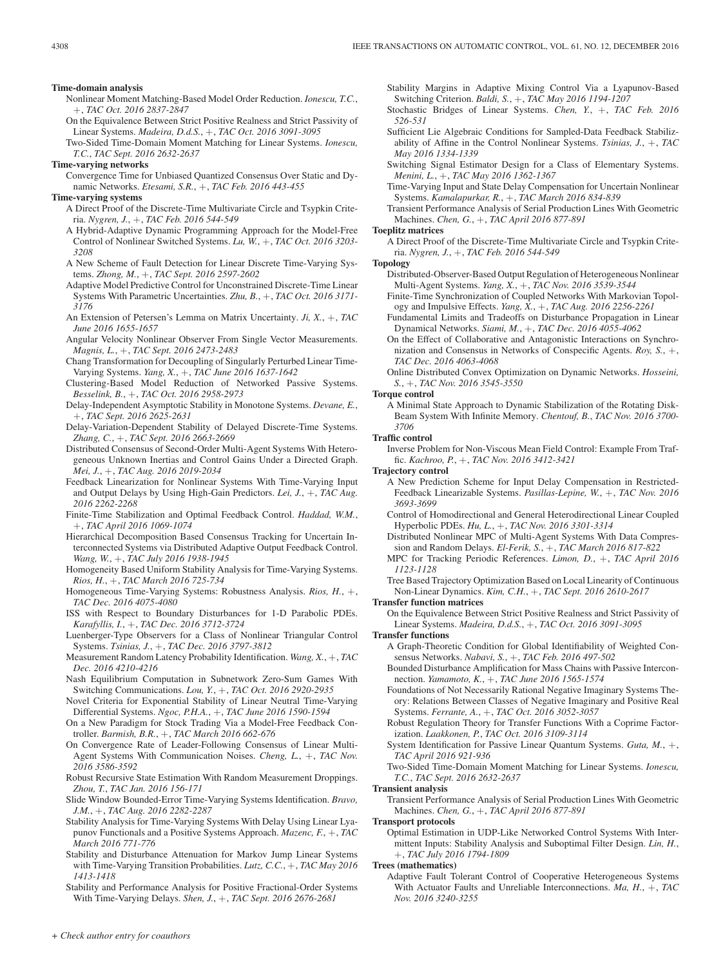#### **Time-domain analysis**

- Nonlinear Moment Matching-Based Model Order Reduction. *Ionescu, T.C.*, +, *TAC Oct. 2016 2837-2847*
- On the Equivalence Between Strict Positive Realness and Strict Passivity of Linear Systems. *Madeira, D.d.S.*, +, *TAC Oct. 2016 3091-3095*
- Two-Sided Time-Domain Moment Matching for Linear Systems. *Ionescu, T.C.*, *TAC Sept. 2016 2632-2637*
- **Time-varying networks**
- Convergence Time for Unbiased Quantized Consensus Over Static and Dynamic Networks. *Etesami, S.R.*, +, *TAC Feb. 2016 443-455*

# **Time-varying systems**

- A Direct Proof of the Discrete-Time Multivariate Circle and Tsypkin Criteria. *Nygren, J.*, +, *TAC Feb. 2016 544-549*
- A Hybrid-Adaptive Dynamic Programming Approach for the Model-Free Control of Nonlinear Switched Systems. *Lu, W.*, +, *TAC Oct. 2016 3203- 3208*
- A New Scheme of Fault Detection for Linear Discrete Time-Varying Systems. *Zhong, M.*, +, *TAC Sept. 2016 2597-2602*
- Adaptive Model Predictive Control for Unconstrained Discrete-Time Linear Systems With Parametric Uncertainties. *Zhu, B.*, +, *TAC Oct. 2016 3171- 3176*
- An Extension of Petersen's Lemma on Matrix Uncertainty. *Ji, X.*, +, *TAC June 2016 1655-1657*
- Angular Velocity Nonlinear Observer From Single Vector Measurements. *Magnis, L.*, +, *TAC Sept. 2016 2473-2483*
- Chang Transformation for Decoupling of Singularly Perturbed Linear Time-Varying Systems. *Yang, X.*, +, *TAC June 2016 1637-1642*
- Clustering-Based Model Reduction of Networked Passive Systems. *Besselink, B.*, +, *TAC Oct. 2016 2958-2973*
- Delay-Independent Asymptotic Stability in Monotone Systems. *Devane, E.*, +, *TAC Sept. 2016 2625-2631*
- Delay-Variation-Dependent Stability of Delayed Discrete-Time Systems. *Zhang, C.*, +, *TAC Sept. 2016 2663-2669*
- Distributed Consensus of Second-Order Multi-Agent Systems With Heterogeneous Unknown Inertias and Control Gains Under a Directed Graph. *Mei, J.*, +, *TAC Aug. 2016 2019-2034*
- Feedback Linearization for Nonlinear Systems With Time-Varying Input and Output Delays by Using High-Gain Predictors. *Lei, J.*, +, *TAC Aug. 2016 2262-2268*
- Finite-Time Stabilization and Optimal Feedback Control. *Haddad, W.M.*, +, *TAC April 2016 1069-1074*
- Hierarchical Decomposition Based Consensus Tracking for Uncertain Interconnected Systems via Distributed Adaptive Output Feedback Control. *Wang, W.*, +, *TAC July 2016 1938-1945*
- Homogeneity Based Uniform Stability Analysis for Time-Varying Systems. *Rios, H.*, +, *TAC March 2016 725-734*
- Homogeneous Time-Varying Systems: Robustness Analysis. *Rios, H.*, +, *TAC Dec. 2016 4075-4080*
- ISS with Respect to Boundary Disturbances for 1-D Parabolic PDEs. *Karafyllis, I.*, +, *TAC Dec. 2016 3712-3724*
- Luenberger-Type Observers for a Class of Nonlinear Triangular Control Systems. *Tsinias, J.*, +, *TAC Dec. 2016 3797-3812*
- Measurement Random Latency Probability Identification. *Wang, X.*, +, *TAC Dec. 2016 4210-4216*
- Nash Equilibrium Computation in Subnetwork Zero-Sum Games With Switching Communications. *Lou, Y.*, +, *TAC Oct. 2016 2920-2935*
- Novel Criteria for Exponential Stability of Linear Neutral Time-Varying Differential Systems. *Ngoc, P.H.A.*, +, *TAC June 2016 1590-1594*
- On a New Paradigm for Stock Trading Via a Model-Free Feedback Controller. *Barmish, B.R.*, +, *TAC March 2016 662-676*
- On Convergence Rate of Leader-Following Consensus of Linear Multi-Agent Systems With Communication Noises. *Cheng, L.*, +, *TAC Nov. 2016 3586-3592*
- Robust Recursive State Estimation With Random Measurement Droppings. *Zhou, T.*, *TAC Jan. 2016 156-171*
- Slide Window Bounded-Error Time-Varying Systems Identification. *Bravo, J.M.*, +, *TAC Aug. 2016 2282-2287*
- Stability Analysis for Time-Varying Systems With Delay Using Linear Lyapunov Functionals and a Positive Systems Approach. *Mazenc, F.*, +, *TAC March 2016 771-776*
- Stability and Disturbance Attenuation for Markov Jump Linear Systems with Time-Varying Transition Probabilities. *Lutz, C.C.*, +, *TAC May 2016 1413-1418*
- Stability and Performance Analysis for Positive Fractional-Order Systems With Time-Varying Delays. *Shen, J.*, +, *TAC Sept. 2016 2676-2681*

Stability Margins in Adaptive Mixing Control Via a Lyapunov-Based Switching Criterion. *Baldi, S.*, +, *TAC May 2016 1194-1207*

- Stochastic Bridges of Linear Systems. *Chen, Y.*, +, *TAC Feb. 2016 526-531*
- Sufficient Lie Algebraic Conditions for Sampled-Data Feedback Stabilizability of Affine in the Control Nonlinear Systems. *Tsinias, J.*, +, *TAC May 2016 1334-1339*
- Switching Signal Estimator Design for a Class of Elementary Systems. *Menini, L.*, +, *TAC May 2016 1362-1367*
- Time-Varying Input and State Delay Compensation for Uncertain Nonlinear Systems. *Kamalapurkar, R.*, +, *TAC March 2016 834-839*
- Transient Performance Analysis of Serial Production Lines With Geometric Machines. *Chen, G.*, +, *TAC April 2016 877-891*

#### **Toeplitz matrices**

A Direct Proof of the Discrete-Time Multivariate Circle and Tsypkin Criteria. *Nygren, J.*, +, *TAC Feb. 2016 544-549*

#### **Topology**

- Distributed-Observer-Based Output Regulation of Heterogeneous Nonlinear Multi-Agent Systems. *Yang, X.*, +, *TAC Nov. 2016 3539-3544*
- Finite-Time Synchronization of Coupled Networks With Markovian Topology and Impulsive Effects. *Yang, X.*, +, *TAC Aug. 2016 2256-2261*
- Fundamental Limits and Tradeoffs on Disturbance Propagation in Linear Dynamical Networks. *Siami, M.*, +, *TAC Dec. 2016 4055-4062*
- On the Effect of Collaborative and Antagonistic Interactions on Synchronization and Consensus in Networks of Conspecific Agents. *Roy, S.*, +, *TAC Dec. 2016 4063-4068*
- Online Distributed Convex Optimization on Dynamic Networks. *Hosseini, S.*, +, *TAC Nov. 2016 3545-3550*

# **Torque control**

A Minimal State Approach to Dynamic Stabilization of the Rotating Disk-Beam System With Infinite Memory. *Chentouf, B.*, *TAC Nov. 2016 3700- 3706*

#### **Traffic control**

Inverse Problem for Non-Viscous Mean Field Control: Example From Traffic. *Kachroo, P.*, +, *TAC Nov. 2016 3412-3421*

# **Trajectory control**

- A New Prediction Scheme for Input Delay Compensation in Restricted-Feedback Linearizable Systems. *Pasillas-Lepine, W.*, +, *TAC Nov. 2016 3693-3699*
- Control of Homodirectional and General Heterodirectional Linear Coupled Hyperbolic PDEs. *Hu, L.*, +, *TAC Nov. 2016 3301-3314*
- Distributed Nonlinear MPC of Multi-Agent Systems With Data Compression and Random Delays. *El-Ferik, S.*, +, *TAC March 2016 817-822*
- MPC for Tracking Periodic References. *Limon, D.*, +, *TAC April 2016 1123-1128*
- Tree Based Trajectory Optimization Based on Local Linearity of Continuous Non-Linear Dynamics. *Kim, C.H.*, +, *TAC Sept. 2016 2610-2617*

# **Transfer function matrices**

On the Equivalence Between Strict Positive Realness and Strict Passivity of Linear Systems. *Madeira, D.d.S.*, +, *TAC Oct. 2016 3091-3095*

#### **Transfer functions**

- A Graph-Theoretic Condition for Global Identifiability of Weighted Consensus Networks. *Nabavi, S.*, +, *TAC Feb. 2016 497-502*
- Bounded Disturbance Amplification for Mass Chains with Passive Interconnection. *Yamamoto, K.*, +, *TAC June 2016 1565-1574*
- Foundations of Not Necessarily Rational Negative Imaginary Systems Theory: Relations Between Classes of Negative Imaginary and Positive Real Systems. *Ferrante, A.*, +, *TAC Oct. 2016 3052-3057*
- Robust Regulation Theory for Transfer Functions With a Coprime Factorization. *Laakkonen, P.*, *TAC Oct. 2016 3109-3114*
- System Identification for Passive Linear Quantum Systems. *Guta, M.*, +, *TAC April 2016 921-936*
- Two-Sided Time-Domain Moment Matching for Linear Systems. *Ionescu, T.C.*, *TAC Sept. 2016 2632-2637*
- **Transient analysis**
	- Transient Performance Analysis of Serial Production Lines With Geometric Machines. *Chen, G.*, +, *TAC April 2016 877-891*

**Transport protocols**

Optimal Estimation in UDP-Like Networked Control Systems With Intermittent Inputs: Stability Analysis and Suboptimal Filter Design. *Lin, H.*, +, *TAC July 2016 1794-1809*

#### **Trees (mathematics)**

Adaptive Fault Tolerant Control of Cooperative Heterogeneous Systems With Actuator Faults and Unreliable Interconnections. *Ma, H.*, +, *TAC Nov. 2016 3240-3255*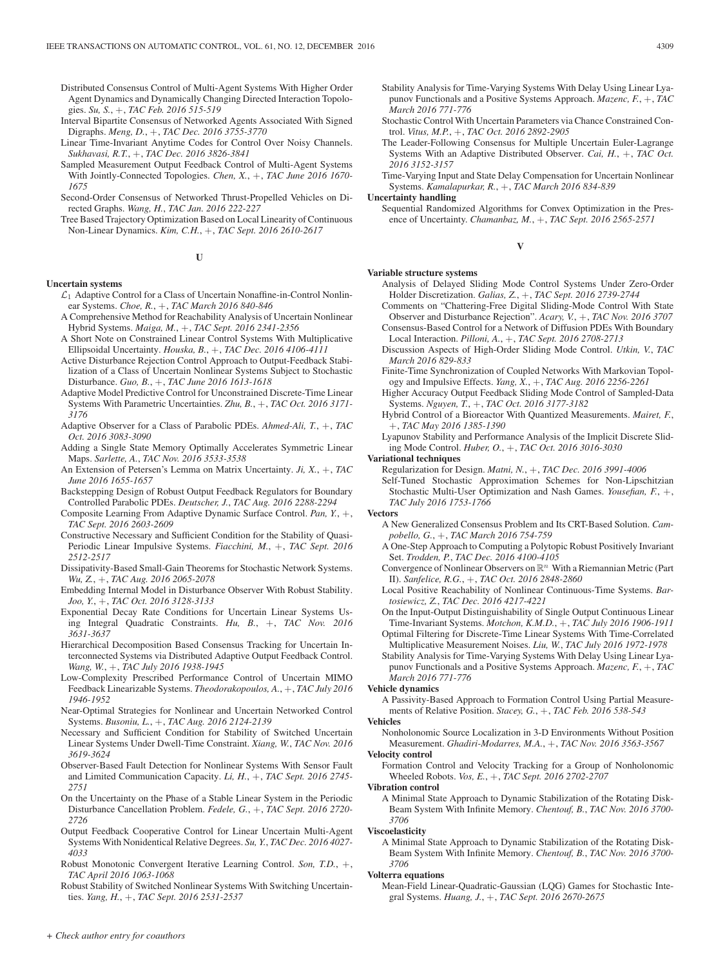- Distributed Consensus Control of Multi-Agent Systems With Higher Order Agent Dynamics and Dynamically Changing Directed Interaction Topologies. *Su, S.*, +, *TAC Feb. 2016 515-519*
- Interval Bipartite Consensus of Networked Agents Associated With Signed Digraphs. *Meng, D.*, +, *TAC Dec. 2016 3755-3770*
- Linear Time-Invariant Anytime Codes for Control Over Noisy Channels. *Sukhavasi, R.T.*, +, *TAC Dec. 2016 3826-3841*
- Sampled Measurement Output Feedback Control of Multi-Agent Systems With Jointly-Connected Topologies. *Chen, X.*, +, *TAC June 2016 1670- 1675*
- Second-Order Consensus of Networked Thrust-Propelled Vehicles on Directed Graphs. *Wang, H.*, *TAC Jan. 2016 222-227*
- Tree Based Trajectory Optimization Based on Local Linearity of Continuous Non-Linear Dynamics. *Kim, C.H.*, +, *TAC Sept. 2016 2610-2617*

## **U**

# **Uncertain systems**

- $\mathcal{L}_1$  Adaptive Control for a Class of Uncertain Nonaffine-in-Control Nonlinear Systems. *Choe, R.*, +, *TAC March 2016 840-846*
- A Comprehensive Method for Reachability Analysis of Uncertain Nonlinear Hybrid Systems. *Maiga, M.*, +, *TAC Sept. 2016 2341-2356*
- A Short Note on Constrained Linear Control Systems With Multiplicative Ellipsoidal Uncertainty. *Houska, B.*, +, *TAC Dec. 2016 4106-4111*
- Active Disturbance Rejection Control Approach to Output-Feedback Stabilization of a Class of Uncertain Nonlinear Systems Subject to Stochastic Disturbance. *Guo, B.*, +, *TAC June 2016 1613-1618*
- Adaptive Model Predictive Control for Unconstrained Discrete-Time Linear Systems With Parametric Uncertainties. *Zhu, B.*, +, *TAC Oct. 2016 3171- 3176*
- Adaptive Observer for a Class of Parabolic PDEs. *Ahmed-Ali, T.*, +, *TAC Oct. 2016 3083-3090*
- Adding a Single State Memory Optimally Accelerates Symmetric Linear Maps. *Sarlette, A.*, *TAC Nov. 2016 3533-3538*
- An Extension of Petersen's Lemma on Matrix Uncertainty. *Ji, X.*, +, *TAC June 2016 1655-1657*
- Backstepping Design of Robust Output Feedback Regulators for Boundary Controlled Parabolic PDEs. *Deutscher, J.*, *TAC Aug. 2016 2288-2294*
- Composite Learning From Adaptive Dynamic Surface Control. *Pan, Y.*, +, *TAC Sept. 2016 2603-2609*
- Constructive Necessary and Sufficient Condition for the Stability of Quasi-Periodic Linear Impulsive Systems. *Fiacchini, M.*, +, *TAC Sept. 2016 2512-2517*
- Dissipativity-Based Small-Gain Theorems for Stochastic Network Systems. *Wu, Z.*, +, *TAC Aug. 2016 2065-2078*
- Embedding Internal Model in Disturbance Observer With Robust Stability. *Joo, Y.*, +, *TAC Oct. 2016 3128-3133*
- Exponential Decay Rate Conditions for Uncertain Linear Systems Using Integral Quadratic Constraints. *Hu, B.*, +, *TAC Nov. 2016 3631-3637*
- Hierarchical Decomposition Based Consensus Tracking for Uncertain Interconnected Systems via Distributed Adaptive Output Feedback Control. *Wang, W.*, +, *TAC July 2016 1938-1945*
- Low-Complexity Prescribed Performance Control of Uncertain MIMO Feedback Linearizable Systems. *Theodorakopoulos, A.*, +, *TAC July 2016 1946-1952*
- Near-Optimal Strategies for Nonlinear and Uncertain Networked Control Systems. *Busoniu, L.*, +, *TAC Aug. 2016 2124-2139*
- Necessary and Sufficient Condition for Stability of Switched Uncertain Linear Systems Under Dwell-Time Constraint. *Xiang, W.*, *TAC Nov. 2016 3619-3624*
- Observer-Based Fault Detection for Nonlinear Systems With Sensor Fault and Limited Communication Capacity. *Li, H.*, +, *TAC Sept. 2016 2745- 2751*
- On the Uncertainty on the Phase of a Stable Linear System in the Periodic Disturbance Cancellation Problem. *Fedele, G.*, +, *TAC Sept. 2016 2720- 2726*
- Output Feedback Cooperative Control for Linear Uncertain Multi-Agent Systems With Nonidentical Relative Degrees. *Su, Y.*, *TAC Dec. 2016 4027- 4033*
- Robust Monotonic Convergent Iterative Learning Control. *Son, T.D.*, +, *TAC April 2016 1063-1068*
- Robust Stability of Switched Nonlinear Systems With Switching Uncertainties. *Yang, H.*, +, *TAC Sept. 2016 2531-2537*
- Stability Analysis for Time-Varying Systems With Delay Using Linear Lyapunov Functionals and a Positive Systems Approach. *Mazenc, F.*, +, *TAC March 2016 771-776*
- Stochastic Control With Uncertain Parameters via Chance Constrained Control. *Vitus, M.P.*, +, *TAC Oct. 2016 2892-2905*
- The Leader-Following Consensus for Multiple Uncertain Euler-Lagrange Systems With an Adaptive Distributed Observer. *Cai, H.*, +, *TAC Oct. 2016 3152-3157*
- Time-Varying Input and State Delay Compensation for Uncertain Nonlinear Systems. *Kamalapurkar, R.*, +, *TAC March 2016 834-839*

**Uncertainty handling**

Sequential Randomized Algorithms for Convex Optimization in the Presence of Uncertainty. *Chamanbaz, M.*, +, *TAC Sept. 2016 2565-2571*

# **V**

## **Variable structure systems**

- Analysis of Delayed Sliding Mode Control Systems Under Zero-Order Holder Discretization. *Galias, Z.*, +, *TAC Sept. 2016 2739-2744*
- Comments on "Chattering-Free Digital Sliding-Mode Control With State Observer and Disturbance Rejection". *Acary, V.*, +, *TAC Nov. 2016 3707*
- Consensus-Based Control for a Network of Diffusion PDEs With Boundary Local Interaction. *Pilloni, A.*, +, *TAC Sept. 2016 2708-2713*
- Discussion Aspects of High-Order Sliding Mode Control. *Utkin, V.*, *TAC March 2016 829-833*
- Finite-Time Synchronization of Coupled Networks With Markovian Topology and Impulsive Effects. *Yang, X.*, +, *TAC Aug. 2016 2256-2261*
- Higher Accuracy Output Feedback Sliding Mode Control of Sampled-Data Systems. *Nguyen, T.*, +, *TAC Oct. 2016 3177-3182*
- Hybrid Control of a Bioreactor With Quantized Measurements. *Mairet, F.*, +, *TAC May 2016 1385-1390*
- Lyapunov Stability and Performance Analysis of the Implicit Discrete Sliding Mode Control. *Huber, O.*, +, *TAC Oct. 2016 3016-3030*
- **Variational techniques**

Regularization for Design. *Matni, N.*, +, *TAC Dec. 2016 3991-4006*

Self-Tuned Stochastic Approximation Schemes for Non-Lipschitzian Stochastic Multi-User Optimization and Nash Games. *Yousefian, F.*, +, *TAC July 2016 1753-1766*

**Vectors**

- A New Generalized Consensus Problem and Its CRT-Based Solution. *Campobello, G.*, +, *TAC March 2016 754-759*
- A One-Step Approach to Computing a Polytopic Robust Positively Invariant Set. *Trodden, P.*, *TAC Dec. 2016 4100-4105*
- Convergence of Nonlinear Observers on  $\mathbb{R}^n$  With a Riemannian Metric (Part II). *Sanfelice, R.G.*, +, *TAC Oct. 2016 2848-2860*
- Local Positive Reachability of Nonlinear Continuous-Time Systems. *Bartosiewicz, Z.*, *TAC Dec. 2016 4217-4221*

On the Input-Output Distinguishability of Single Output Continuous Linear Time-Invariant Systems. *Motchon, K.M.D.*, +, *TAC July 2016 1906-1911*

- Optimal Filtering for Discrete-Time Linear Systems With Time-Correlated Multiplicative Measurement Noises. *Liu, W.*, *TAC July 2016 1972-1978*
- Stability Analysis for Time-Varying Systems With Delay Using Linear Lyapunov Functionals and a Positive Systems Approach. *Mazenc, F.*, +, *TAC March 2016 771-776*

## **Vehicle dynamics**

A Passivity-Based Approach to Formation Control Using Partial Measurements of Relative Position. *Stacey, G.*, +, *TAC Feb. 2016 538-543*

**Vehicles** Nonholonomic Source Localization in 3-D Environments Without Position Measurement. *Ghadiri-Modarres, M.A.*, +, *TAC Nov. 2016 3563-3567*

#### **Velocity control**

Formation Control and Velocity Tracking for a Group of Nonholonomic Wheeled Robots. *Vos, E.*, +, *TAC Sept. 2016 2702-2707*

#### **Vibration control**

A Minimal State Approach to Dynamic Stabilization of the Rotating Disk-Beam System With Infinite Memory. *Chentouf, B.*, *TAC Nov. 2016 3700- 3706*

#### **Viscoelasticity**

A Minimal State Approach to Dynamic Stabilization of the Rotating Disk-Beam System With Infinite Memory. *Chentouf, B.*, *TAC Nov. 2016 3700- 3706*

# **Volterra equations**

Mean-Field Linear-Quadratic-Gaussian (LQG) Games for Stochastic Integral Systems. *Huang, J.*, +, *TAC Sept. 2016 2670-2675*